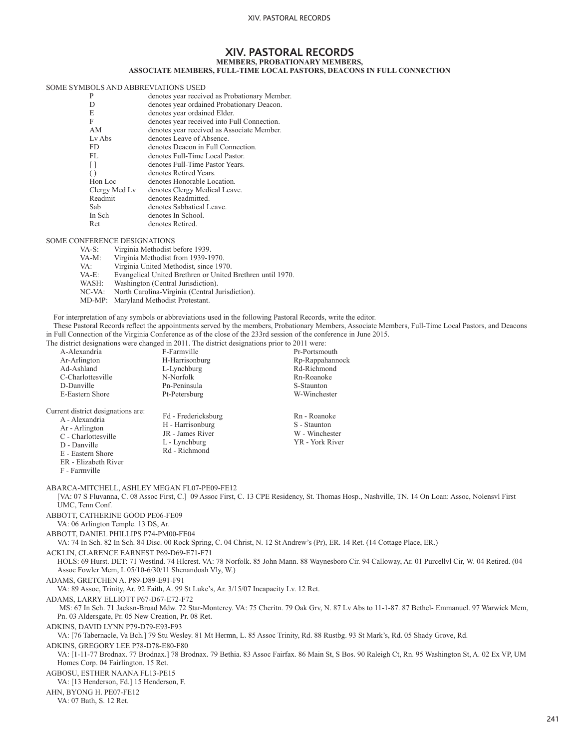# **XIV. PASTORAL RECORDS MEMBERS, PROBATIONARY MEMBERS,**

## **ASSOCIATE MEMBERS, FULL-TIME LOCAL PASTORS, DEACONS IN FULL CONNECTION**

### SOME SYMBOLS AND ABBREVIATIONS USED

| P                | denotes year received as Probationary Member. |  |
|------------------|-----------------------------------------------|--|
| D                | denotes year ordained Probationary Deacon.    |  |
| E                | denotes year ordained Elder.                  |  |
| F                | denotes year received into Full Connection.   |  |
| AM               | denotes year received as Associate Member.    |  |
| $Lv$ Abs         | denotes Leave of Absence.                     |  |
| FD.              | denotes Deacon in Full Connection.            |  |
| FL               | denotes Full-Time Local Pastor.               |  |
| $\Box$           | denotes Full-Time Pastor Years.               |  |
| $\left( \right)$ | denotes Retired Years.                        |  |
| Hon Loc          | denotes Honorable Location.                   |  |
| Clergy Med Lv    | denotes Clergy Medical Leave.                 |  |
| Readmit          | denotes Readmitted.                           |  |
| Sab              | denotes Sabbatical Leave.                     |  |
| In Sch           | denotes In School.                            |  |
| <b>Ret</b>       | denotes Retired.                              |  |
|                  |                                               |  |

SOME CONFERENCE DESIGNATIONS<br>VA-S: Virginia Methodist b VA-S: Virginia Methodist before 1939.<br>VA-M: Virginia Methodist from 1939-19 VA-M: Virginia Methodist from 1939-1970.<br>VA: Virginia United Methodist, since 197 VA: Virginia United Methodist, since 1970.<br>
VA-E: Evangelical United Brethren or United VA-E: Evangelical United Brethren or United Brethren until 1970.<br>WASH: Washington (Central Jurisdiction). Washington (Central Jurisdiction). NC-VA: North Carolina-Virginia (Central Jurisdiction). MD-MP: Maryland Methodist Protestant.

For interpretation of any symbols or abbreviations used in the following Pastoral Records, write the editor.

These Pastoral Records reflect the appointments served by the members, Probationary Members, Associate Members, Full-Time Local Pastors, and Deacons in Full Connection of the Virginia Conference as of the close of the 233rd session of the conference in June 2015.

The district designations were changed in 2011. The district designations prior to 2011 were:

| A-Alexandria                                                                                                                                                                                                                                             | F-Farmville                                                                                   | Pr-Portsmouth                                                                                                                                       |  |
|----------------------------------------------------------------------------------------------------------------------------------------------------------------------------------------------------------------------------------------------------------|-----------------------------------------------------------------------------------------------|-----------------------------------------------------------------------------------------------------------------------------------------------------|--|
| Ar-Arlington                                                                                                                                                                                                                                             | H-Harrisonburg                                                                                | Rp-Rappahannock                                                                                                                                     |  |
| Ad-Ashland<br>C-Charlottesville                                                                                                                                                                                                                          | L-Lynchburg<br>N-Norfolk                                                                      | Rd-Richmond<br>Rn-Roanoke                                                                                                                           |  |
| D-Danville                                                                                                                                                                                                                                               | Pn-Peninsula                                                                                  | S-Staunton                                                                                                                                          |  |
| E-Eastern Shore                                                                                                                                                                                                                                          | Pt-Petersburg                                                                                 | W-Winchester                                                                                                                                        |  |
|                                                                                                                                                                                                                                                          |                                                                                               |                                                                                                                                                     |  |
| Current district designations are:<br>A - Alexandria<br>Ar - Arlington<br>C - Charlottesville<br>D - Danville<br>E - Eastern Shore<br>ER - Elizabeth River<br>F - Farmville                                                                              | Fd - Fredericksburg<br>H - Harrisonburg<br>JR - James River<br>L - Lynchburg<br>Rd - Richmond | Rn - Roanoke<br>S - Staunton<br>W - Winchester<br>YR - York River                                                                                   |  |
| ABARCA-MITCHELL, ASHLEY MEGAN FL07-PE09-FE12<br>UMC, Tenn Conf.                                                                                                                                                                                          |                                                                                               | [VA: 07 S Fluvanna, C. 08 Assoc First, C.] 09 Assoc First, C. 13 CPE Residency, St. Thomas Hosp., Nashville, TN. 14 On Loan: Assoc, Nolensyl First  |  |
| ABBOTT, CATHERINE GOOD PE06-FE09<br>VA: 06 Arlington Temple. 13 DS, Ar.                                                                                                                                                                                  |                                                                                               |                                                                                                                                                     |  |
| ABBOTT, DANIEL PHILLIPS P74-PM00-FE04                                                                                                                                                                                                                    |                                                                                               | VA: 74 In Sch. 82 In Sch. 84 Disc. 00 Rock Spring, C. 04 Christ, N. 12 St Andrew's (Pr), ER. 14 Ret. (14 Cottage Place, ER.)                        |  |
| ACKLIN. CLARENCE EARNEST P69-D69-E71-F71<br>HOLS: 69 Hurst. DET: 71 Westlnd. 74 Hlcrest. VA: 78 Norfolk. 85 John Mann. 88 Waynesboro Cir. 94 Calloway, Ar. 01 Purcellyl Cir, W. 04 Retired. (04<br>Assoc Fowler Mem, L 05/10-6/30/11 Shenandoah Vly, W.) |                                                                                               |                                                                                                                                                     |  |
| ADAMS, GRETCHEN A. P89-D89-E91-F91<br>VA: 89 Assoc, Trinity, Ar. 92 Faith, A. 99 St Luke's, Ar. 3/15/07 Incapacity Lv. 12 Ret.                                                                                                                           |                                                                                               |                                                                                                                                                     |  |
| ADAMS, LARRY ELLIOTT P67-D67-E72-F72<br>Pn. 03 Aldersgate, Pr. 05 New Creation, Pr. 08 Ret.                                                                                                                                                              |                                                                                               | MS: 67 In Sch. 71 Jacksn-Broad Mdw. 72 Star-Monterey. VA: 75 Cheritn. 79 Oak Grv, N. 87 Lv Abs to 11-1-87. 87 Bethel- Emmanuel. 97 Warwick Mem,     |  |
| ADKINS, DAVID LYNN P79-D79-E93-F93                                                                                                                                                                                                                       |                                                                                               | VA: [76 Tabernacle, Va Bch.] 79 Stu Wesley. 81 Mt Hermn, L. 85 Assoc Trinity, Rd. 88 Rustbg. 93 St Mark's, Rd. 05 Shady Grove, Rd.                  |  |
| ADKINS, GREGORY LEE P78-D78-E80-F80<br>Homes Corp. 04 Fairlington. 15 Ret.                                                                                                                                                                               |                                                                                               | VA: [1-11-77 Brodnax, 77 Brodnax,] 78 Brodnax, 79 Bethia, 83 Assoc Fairfax, 86 Main St, S Bos, 90 Raleigh Ct, Rn, 95 Washington St, A, 02 Ex VP, UM |  |
| AGBOSU, ESTHER NAANA FL13-PE15<br>VA: [13 Henderson, Fd.] 15 Henderson, F.                                                                                                                                                                               |                                                                                               |                                                                                                                                                     |  |
| AHN, BYONG H. PE07-FE12<br>VA: 07 Bath, S. 12 Ret.                                                                                                                                                                                                       |                                                                                               |                                                                                                                                                     |  |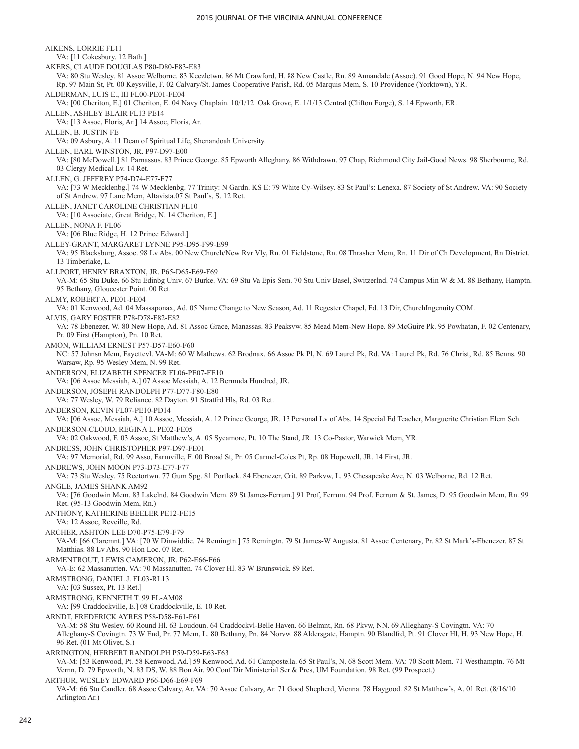AIKENS, LORRIE FL11 VA: [11 Cokesbury. 12 Bath.] AKERS, CLAUDE DOUGLAS P80-D80-F83-E83 VA: 80 Stu Wesley. 81 Assoc Welborne. 83 Keezletwn. 86 Mt Crawford, H. 88 New Castle, Rn. 89 Annandale (Assoc). 91 Good Hope, N. 94 New Hope, Rp. 97 Main St, Pt. 00 Keysville, F. 02 Calvary/St. James Cooperative Parish, Rd. 05 Marquis Mem, S. 10 Providence (Yorktown), YR. ALDERMAN, LUIS E., III FL00-PE01-FE04 VA: [00 Cheriton, E.] 01 Cheriton, E. 04 Navy Chaplain. 10/1/12 Oak Grove, E. 1/1/13 Central (Clifton Forge), S. 14 Epworth, ER. ALLEN, ASHLEY BLAIR FL13 PE14 VA: [13 Assoc, Floris, Ar.] 14 Assoc, Floris, Ar. ALLEN, B. JUSTIN FE VA: 09 Asbury, A. 11 Dean of Spiritual Life, Shenandoah University. ALLEN, EARL WINSTON, JR. P97-D97-E00 VA: [80 McDowell.] 81 Parnassus. 83 Prince George. 85 Epworth Alleghany. 86 Withdrawn. 97 Chap, Richmond City Jail-Good News. 98 Sherbourne, Rd. 03 Clergy Medical Lv. 14 Ret. ALLEN, G. JEFFREY P74-D74-E77-F77 VA: [73 W Mecklenbg.] 74 W Mecklenbg. 77 Trinity: N Gardn. KS E: 79 White Cy-Wilsey. 83 St Paul's: Lenexa. 87 Society of St Andrew. VA: 90 Society of St Andrew. 97 Lane Mem, Altavista.07 St Paul's, S. 12 Ret. ALLEN, JANET CAROLINE CHRISTIAN FL10 VA: [10 Associate, Great Bridge, N. 14 Cheriton, E.] ALLEN, NONA F. FL06 VA: [06 Blue Ridge, H. 12 Prince Edward.] ALLEY-GRANT, MARGARET LYNNE P95-D95-F99-E99 VA: 95 Blacksburg, Assoc. 98 Lv Abs. 00 New Church/New Rvr Vly, Rn. 01 Fieldstone, Rn. 08 Thrasher Mem, Rn. 11 Dir of Ch Development, Rn District. 13 Timberlake, L. ALLPORT, HENRY BRAXTON, JR. P65-D65-E69-F69 VA-M: 65 Stu Duke. 66 Stu Edinbg Univ. 67 Burke. VA: 69 Stu Va Epis Sem. 70 Stu Univ Basel, Switzerlnd. 74 Campus Min W & M. 88 Bethany, Hamptn. 95 Bethany, Gloucester Point. 00 Ret. ALMY, ROBERT A. PE01-FE04 VA: 01 Kenwood, Ad. 04 Massaponax, Ad. 05 Name Change to New Season, Ad. 11 Regester Chapel, Fd. 13 Dir, ChurchIngenuity.COM. ALVIS, GARY FOSTER P78-D78-F82-E82 VA: 78 Ebenezer, W. 80 New Hope, Ad. 81 Assoc Grace, Manassas. 83 Peaksvw. 85 Mead Mem-New Hope. 89 McGuire Pk. 95 Powhatan, F. 02 Centenary, Pr. 09 First (Hampton), Pn. 10 Ret. AMON, WILLIAM ERNEST P57-D57-E60-F60 NC: 57 Johnsn Mem, Fayettevl. VA-M: 60 W Mathews. 62 Brodnax. 66 Assoc Pk Pl, N. 69 Laurel Pk, Rd. VA: Laurel Pk, Rd. 76 Christ, Rd. 85 Benns. 90 Warsaw, Rp. 95 Wesley Mem, N. 99 Ret. ANDERSON, ELIZABETH SPENCER FL06-PE07-FE10 VA: [06 Assoc Messiah, A.] 07 Assoc Messiah, A. 12 Bermuda Hundred, JR. ANDERSON, JOSEPH RANDOLPH P77-D77-F80-E80 VA: 77 Wesley, W. 79 Reliance. 82 Dayton. 91 Stratfrd Hls, Rd. 03 Ret. ANDERSON, KEVIN FL07-PE10-PD14 VA: [06 Assoc, Messiah, A.] 10 Assoc, Messiah, A. 12 Prince George, JR. 13 Personal Lv of Abs. 14 Special Ed Teacher, Marguerite Christian Elem Sch. ANDERSON-CLOUD, REGINA L. PE02-FE05 VA: 02 Oakwood, F. 03 Assoc, St Matthew's, A. 05 Sycamore, Pt. 10 The Stand, JR. 13 Co-Pastor, Warwick Mem, YR. ANDRESS, JOHN CHRISTOPHER P97-D97-FE01 VA: 97 Memorial, Rd. 99 Asso, Farmville, F. 00 Broad St, Pr. 05 Carmel-Coles Pt, Rp. 08 Hopewell, JR. 14 First, JR. ANDREWS, JOHN MOON P73-D73-E77-F77 VA: 73 Stu Wesley. 75 Rectortwn. 77 Gum Spg. 81 Portlock. 84 Ebenezer, Crit. 89 Parkvw, L. 93 Chesapeake Ave, N. 03 Welborne, Rd. 12 Ret. ANGLE, JAMES SHANK AM92 VA: [76 Goodwin Mem. 83 Lakelnd. 84 Goodwin Mem. 89 St James-Ferrum.] 91 Prof, Ferrum. 94 Prof. Ferrum & St. James, D. 95 Goodwin Mem, Rn. 99 Ret. (95-13 Goodwin Mem, Rn.) ANTHONY, KATHERINE BEELER PE12-FE15 VA: 12 Assoc, Reveille, Rd. ARCHER, ASHTON LEE D70-P75-E79-F79 VA-M: [66 Claremnt.] VA: [70 W Dinwiddie. 74 Remingtn.] 75 Remingtn. 79 St James-W Augusta. 81 Assoc Centenary, Pr. 82 St Mark's-Ebenezer. 87 St Matthias. 88 Lv Abs. 90 Hon Loc. 07 Ret. ARMENTROUT, LEWIS CAMERON, JR. P62-E66-F66 VA-E: 62 Massanutten. VA: 70 Massanutten. 74 Clover Hl. 83 W Brunswick. 89 Ret. ARMSTRONG, DANIEL J. FL03-RL13 VA: [03 Sussex, Pt. 13 Ret.] ARMSTRONG, KENNETH T. 99 FL-AM08 VA: [99 Craddockville, E.] 08 Craddockville, E. 10 Ret. ARNDT, FREDERICK AYRES P58-D58-E61-F61 VA-M: 58 Stu Wesley. 60 Round Hl. 63 Loudoun. 64 Craddockvl-Belle Haven. 66 Belmnt, Rn. 68 Pkvw, NN. 69 Alleghany-S Covingtn. VA: 70 Alleghany-S Covingtn. 73 W End, Pr. 77 Mem, L. 80 Bethany, Pn. 84 Norvw. 88 Aldersgate, Hamptn. 90 Blandfrd, Pt. 91 Clover Hl, H. 93 New Hope, H. 96 Ret. (01 Mt Olivet, S.) ARRINGTON, HERBERT RANDOLPH P59-D59-E63-F63 VA-M: [53 Kenwood, Pt. 58 Kenwood, Ad.] 59 Kenwood, Ad. 61 Campostella. 65 St Paul's, N. 68 Scott Mem. VA: 70 Scott Mem. 71 Westhamptn. 76 Mt Vernn, D. 79 Epworth, N. 83 DS, W. 88 Bon Air. 90 Conf Dir Ministerial Ser & Pres, UM Foundation. 98 Ret. (99 Prospect.) ARTHUR, WESLEY EDWARD P66-D66-E69-F69

VA-M: 66 Stu Candler. 68 Assoc Calvary, Ar. VA: 70 Assoc Calvary, Ar. 71 Good Shepherd, Vienna. 78 Haygood. 82 St Matthew's, A. 01 Ret. (8/16/10 Arlington Ar.)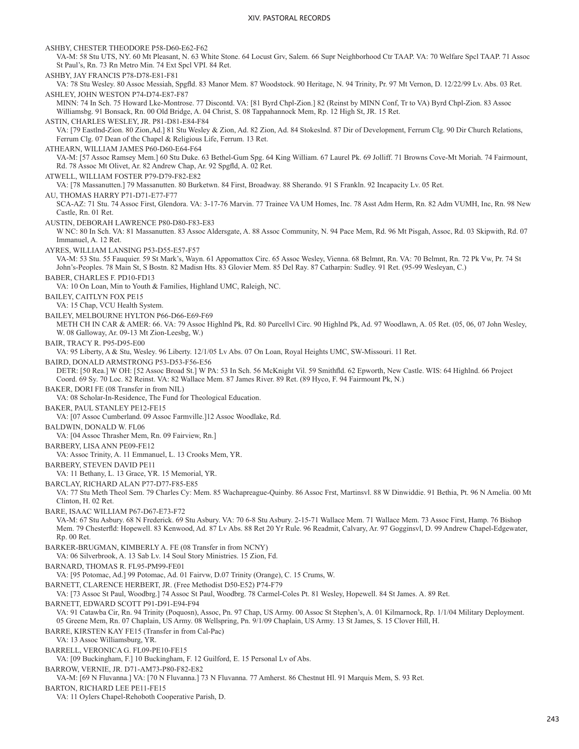ASHBY, CHESTER THEODORE P58-D60-E62-F62 VA-M: 58 Stu UTS, NY. 60 Mt Pleasant, N. 63 White Stone. 64 Locust Grv, Salem. 66 Supr Neighborhood Ctr TAAP. VA: 70 Welfare Spcl TAAP. 71 Assoc St Paul's, Rn. 73 Rn Metro Min. 74 Ext Spcl VPI. 84 Ret. ASHBY, JAY FRANCIS P78-D78-E81-F81 VA: 78 Stu Wesley. 80 Assoc Messiah, Spgfld. 83 Manor Mem. 87 Woodstock. 90 Heritage, N. 94 Trinity, Pr. 97 Mt Vernon, D. 12/22/99 Lv. Abs. 03 Ret. ASHLEY, JOHN WESTON P74-D74-E87-F87 MINN: 74 In Sch. 75 Howard Lke-Montrose. 77 Discontd. VA: [81 Byrd Chpl-Zion.] 82 (Reinst by MINN Conf, Tr to VA) Byrd Chpl-Zion. 83 Assoc Williamsbg. 91 Bonsack, Rn. 00 Old Bridge, A. 04 Christ, S. 08 Tappahannock Mem, Rp. 12 High St, JR. 15 Ret. ASTIN, CHARLES WESLEY, JR. P81-D81-E84-F84 VA: [79 Eastlnd-Zion. 80 Zion,Ad.] 81 Stu Wesley & Zion, Ad. 82 Zion, Ad. 84 Stokeslnd. 87 Dir of Development, Ferrum Clg. 90 Dir Church Relations, Ferrum Clg. 07 Dean of the Chapel & Religious Life, Ferrum. 13 Ret. ATHEARN, WILLIAM JAMES P60-D60-E64-F64 VA-M: [57 Assoc Ramsey Mem.] 60 Stu Duke. 63 Bethel-Gum Spg. 64 King William. 67 Laurel Pk. 69 Jolliff. 71 Browns Cove-Mt Moriah. 74 Fairmount, Rd. 78 Assoc Mt Olivet, Ar. 82 Andrew Chap, Ar. 92 Spgfld, A. 02 Ret. ATWELL, WILLIAM FOSTER P79-D79-F82-E82 VA: [78 Massanutten.] 79 Massanutten. 80 Burketwn. 84 First, Broadway. 88 Sherando. 91 S Frankln. 92 Incapacity Lv. 05 Ret. AU, THOMAS HARRY P71-D71-E77-F77 SCA-AZ: 71 Stu. 74 Assoc First, Glendora. VA: 3-17-76 Marvin. 77 Trainee VA UM Homes, Inc. 78 Asst Adm Herm, Rn. 82 Adm VUMH, Inc, Rn. 98 New Castle, Rn. 01 Ret. AUSTIN, DEBORAH LAWRENCE P80-D80-F83-E83 W NC: 80 In Sch. VA: 81 Massanutten. 83 Assoc Aldersgate, A. 88 Assoc Community, N. 94 Pace Mem, Rd. 96 Mt Pisgah, Assoc, Rd. 03 Skipwith, Rd. 07 Immanuel, A. 12 Ret. AYRES, WILLIAM LANSING P53-D55-E57-F57 VA-M: 53 Stu. 55 Fauquier. 59 St Mark's, Wayn. 61 Appomattox Circ. 65 Assoc Wesley, Vienna. 68 Belmnt, Rn. VA: 70 Belmnt, Rn. 72 Pk Vw, Pr. 74 St John's-Peoples. 78 Main St, S Bostn. 82 Madisn Hts. 83 Glovier Mem. 85 Del Ray. 87 Catharpin: Sudley. 91 Ret. (95-99 Wesleyan, C.) BABER, CHARLES F. PD10-FD13 VA: 10 On Loan, Min to Youth & Families, Highland UMC, Raleigh, NC. BAILEY, CAITLYN FOX PE15 VA: 15 Chap, VCU Health System. BAILEY, MELBOURNE HYLTON P66-D66-E69-F69 METH CH IN CAR & AMER: 66. VA: 79 Assoc Highlnd Pk, Rd. 80 Purcellvl Circ. 90 Highlnd Pk, Ad. 97 Woodlawn, A. 05 Ret. (05, 06, 07 John Wesley, W. 08 Galloway, Ar. 09-13 Mt Zion-Leesbg, W.) BAIR, TRACY R. P95-D95-E00 VA: 95 Liberty, A & Stu, Wesley. 96 Liberty. 12/1/05 Lv Abs. 07 On Loan, Royal Heights UMC, SW-Missouri. 11 Ret. BAIRD, DONALD ARMSTRONG P53-D53-F56-E56 DETR: [50 Rea.] W OH: [52 Assoc Broad St.] W PA: 53 In Sch. 56 McKnight Vil. 59 Smithfld. 62 Epworth, New Castle. WIS: 64 Highlnd. 66 Project Coord. 69 Sy. 70 Loc. 82 Reinst. VA: 82 Wallace Mem. 87 James River. 89 Ret. (89 Hyco, F. 94 Fairmount Pk, N.) BAKER, DORI FE (08 Transfer in from NIL) VA: 08 Scholar-In-Residence, The Fund for Theological Education. BAKER, PAUL STANLEY PE12-FE15 VA: [07 Assoc Cumberland. 09 Assoc Farmville.]12 Assoc Woodlake, Rd. BALDWIN, DONALD W. FL06 VA: [04 Assoc Thrasher Mem, Rn. 09 Fairview, Rn.] BARBERY, LISA ANN PE09-FE12 VA: Assoc Trinity, A. 11 Emmanuel, L. 13 Crooks Mem, YR. BARBERY, STEVEN DAVID PE11 VA: 11 Bethany, L. 13 Grace, YR. 15 Memorial, YR. BARCLAY, RICHARD ALAN P77-D77-F85-E85 VA: 77 Stu Meth Theol Sem. 79 Charles Cy: Mem. 85 Wachapreague-Quinby. 86 Assoc Frst, Martinsvl. 88 W Dinwiddie. 91 Bethia, Pt. 96 N Amelia. 00 Mt Clinton, H. 02 Ret. BARE, ISAAC WILLIAM P67-D67-E73-F72 VA-M: 67 Stu Asbury. 68 N Frederick. 69 Stu Asbury. VA: 70 6-8 Stu Asbury. 2-15-71 Wallace Mem. 71 Wallace Mem. 73 Assoc First, Hamp. 76 Bishop Mem. 79 Chesterfld: Hopewell. 83 Kenwood, Ad. 87 Lv Abs. 88 Ret 20 Yr Rule. 96 Readmit, Calvary, Ar. 97 Gogginsvl, D. 99 Andrew Chapel-Edgewater, Rp. 00 Ret. BARKER-BRUGMAN, KIMBERLY A. FE (08 Transfer in from NCNY) VA: 06 Silverbrook, A. 13 Sab Lv. 14 Soul Story Ministries. 15 Zion, Fd. BARNARD, THOMAS R. FL95-PM99-FE01 VA: [95 Potomac, Ad.] 99 Potomac, Ad. 01 Fairvw, D.07 Trinity (Orange), C. 15 Crums, W. BARNETT, CLARENCE HERBERT, JR. (Free Methodist D50-E52) P74-F79 VA: [73 Assoc St Paul, Woodbrg.] 74 Assoc St Paul, Woodbrg. 78 Carmel-Coles Pt. 81 Wesley, Hopewell. 84 St James. A. 89 Ret. BARNETT, EDWARD SCOTT P91-D91-E94-F94 VA: 91 Catawba Cir, Rn. 94 Trinity (Poquosn), Assoc, Pn. 97 Chap, US Army. 00 Assoc St Stephen's, A. 01 Kilmarnock, Rp. 1/1/04 Military Deployment. 05 Greene Mem, Rn. 07 Chaplain, US Army. 08 Wellspring, Pn. 9/1/09 Chaplain, US Army. 13 St James, S. 15 Clover Hill, H. BARRE, KIRSTEN KAY FE15 (Transfer in from Cal-Pac) VA: 13 Assoc Williamsburg, YR. BARRELL, VERONICA G. FL09-PE10-FE15 VA: [09 Buckingham, F.] 10 Buckingham, F. 12 Guilford, E. 15 Personal Lv of Abs. BARROW, VERNIE, JR. D71-AM73-P80-F82-E82 VA-M: [69 N Fluvanna.] VA: [70 N Fluvanna.] 73 N Fluvanna. 77 Amherst. 86 Chestnut Hl. 91 Marquis Mem, S. 93 Ret. BARTON, RICHARD LEE PE11-FE15

VA: 11 Oylers Chapel-Rehoboth Cooperative Parish, D.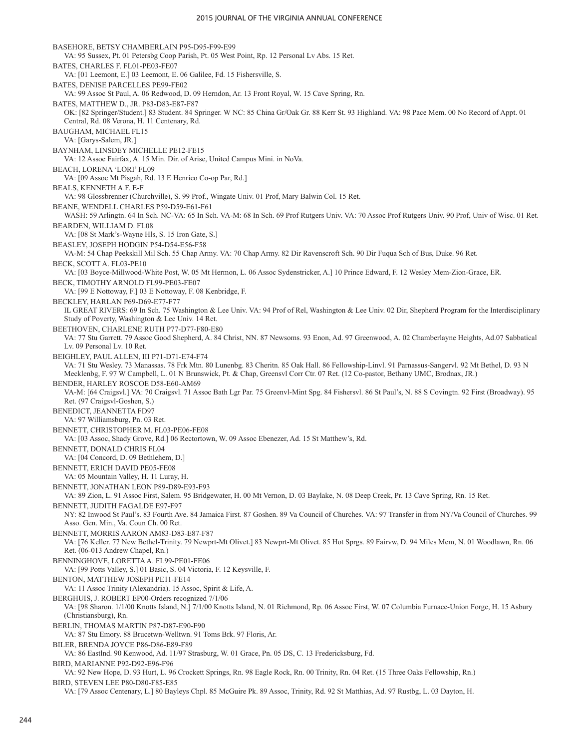BASEHORE, BETSY CHAMBERLAIN P95-D95-F99-E99 VA: 95 Sussex, Pt. 01 Petersbg Coop Parish, Pt. 05 West Point, Rp. 12 Personal Lv Abs. 15 Ret. BATES, CHARLES F. FL01-PE03-FE07 VA: [01 Leemont, E.] 03 Leemont, E. 06 Galilee, Fd. 15 Fishersville, S. BATES, DENISE PARCELLES PE99-FE02 VA: 99 Assoc St Paul, A. 06 Redwood, D. 09 Herndon, Ar. 13 Front Royal, W. 15 Cave Spring, Rn. BATES, MATTHEW D., JR. P83-D83-E87-F87 OK: [82 Springer/Student.] 83 Student. 84 Springer. W NC: 85 China Gr/Oak Gr. 88 Kerr St. 93 Highland. VA: 98 Pace Mem. 00 No Record of Appt. 01 Central, Rd. 08 Verona, H. 11 Centenary, Rd. BAUGHAM, MICHAEL FL15 VA: [Garys-Salem, JR.] BAYNHAM, LINSDEY MICHELLE PE12-FE15 VA: 12 Assoc Fairfax, A. 15 Min. Dir. of Arise, United Campus Mini. in NoVa. BEACH, LORENA 'LORI' FL09 VA: [09 Assoc Mt Pisgah, Rd. 13 E Henrico Co-op Par, Rd.] BEALS, KENNETH A.F. E-F VA: 98 Glossbrenner (Churchville), S. 99 Prof., Wingate Univ. 01 Prof, Mary Balwin Col. 15 Ret. BEANE, WENDELL CHARLES P59-D59-E61-F61 WASH: 59 Arlingtn. 64 In Sch. NC-VA: 65 In Sch. VA-M: 68 In Sch. 69 Prof Rutgers Univ. VA: 70 Assoc Prof Rutgers Univ. 90 Prof, Univ of Wisc. 01 Ret. BEARDEN, WILLIAM D. FL08 VA: [08 St Mark's-Wayne Hls, S. 15 Iron Gate, S.] BEASLEY, JOSEPH HODGIN P54-D54-E56-F58 VA-M: 54 Chap Peekskill Mil Sch. 55 Chap Army. VA: 70 Chap Army. 82 Dir Ravenscroft Sch. 90 Dir Fuqua Sch of Bus, Duke. 96 Ret. BECK, SCOTT A. FL03-PE10 VA: [03 Boyce-Millwood-White Post, W. 05 Mt Hermon, L. 06 Assoc Sydenstricker, A.] 10 Prince Edward, F. 12 Wesley Mem-Zion-Grace, ER. BECK, TIMOTHY ARNOLD FL99-PE03-FE07 VA: [99 E Nottoway, F.] 03 E Nottoway, F. 08 Kenbridge, F. BECKLEY, HARLAN P69-D69-E77-F77 IL GREAT RIVERS: 69 In Sch. 75 Washington & Lee Univ. VA: 94 Prof of Rel, Washington & Lee Univ. 02 Dir, Shepherd Program for the Interdisciplinary Study of Poverty, Washington & Lee Univ. 14 Ret. BEETHOVEN, CHARLENE RUTH P77-D77-F80-E80 VA: 77 Stu Garrett. 79 Assoc Good Shepherd, A. 84 Christ, NN. 87 Newsoms. 93 Enon, Ad. 97 Greenwood, A. 02 Chamberlayne Heights, Ad.07 Sabbatical Lv. 09 Personal Lv. 10 Ret. BEIGHLEY, PAUL ALLEN, III P71-D71-E74-F74 VA: 71 Stu Wesley. 73 Manassas. 78 Frk Mtn. 80 Lunenbg. 83 Cheritn. 85 Oak Hall. 86 Fellowship-Linvl. 91 Parnassus-Sangervl. 92 Mt Bethel, D. 93 N Mecklenbg, F. 97 W Campbell, L. 01 N Brunswick, Pt. & Chap, Greensvl Corr Ctr. 07 Ret. (12 Co-pastor, Bethany UMC, Brodnax, JR.) BENDER, HARLEY ROSCOE D58-E60-AM69 VA-M: [64 Craigsvl.] VA: 70 Craigsvl. 71 Assoc Bath Lgr Par. 75 Greenvl-Mint Spg. 84 Fishersvl. 86 St Paul's, N. 88 S Covingtn. 92 First (Broadway). 95 Ret. (97 Craigsvl-Goshen, S.) BENEDICT, JEANNETTA FD97 VA: 97 Williamsburg, Pn. 03 Ret. BENNETT, CHRISTOPHER M. FL03-PE06-FE08 VA: [03 Assoc, Shady Grove, Rd.] 06 Rectortown, W. 09 Assoc Ebenezer, Ad. 15 St Matthew's, Rd. BENNETT, DONALD CHRIS FL04 VA: [04 Concord, D. 09 Bethlehem, D.] BENNETT, ERICH DAVID PE05-FE08 VA: 05 Mountain Valley, H. 11 Luray, H. BENNETT, JONATHAN LEON P89-D89-E93-F93 VA: 89 Zion, L. 91 Assoc First, Salem. 95 Bridgewater, H. 00 Mt Vernon, D. 03 Baylake, N. 08 Deep Creek, Pr. 13 Cave Spring, Rn. 15 Ret. BENNETT, JUDITH FAGALDE E97-F97 NY: 82 Inwood St Paul's. 83 Fourth Ave. 84 Jamaica First. 87 Goshen. 89 Va Council of Churches. VA: 97 Transfer in from NY/Va Council of Churches. 99 Asso. Gen. Min., Va. Coun Ch. 00 Ret. BENNETT, MORRIS AARON AM83-D83-E87-F87 VA: [76 Keller. 77 New Bethel-Trinity. 79 Newprt-Mt Olivet.] 83 Newprt-Mt Olivet. 85 Hot Sprgs. 89 Fairvw, D. 94 Miles Mem, N. 01 Woodlawn, Rn. 06 Ret. (06-013 Andrew Chapel, Rn.) BENNINGHOVE, LORETTA A. FL99-PE01-FE06 VA: [99 Potts Valley, S.] 01 Basic, S. 04 Victoria, F. 12 Keysville, F. BENTON, MATTHEW JOSEPH PE11-FE14 VA: 11 Assoc Trinity (Alexandria). 15 Assoc, Spirit & Life, A. BERGHUIS, J. ROBERT EP00-Orders recognized 7/1/06 VA: [98 Sharon. 1/1/00 Knotts Island, N.] 7/1/00 Knotts Island, N. 01 Richmond, Rp. 06 Assoc First, W. 07 Columbia Furnace-Union Forge, H. 15 Asbury (Christiansburg), Rn. BERLIN, THOMAS MARTIN P87-D87-E90-F90 VA: 87 Stu Emory. 88 Brucetwn-Welltwn. 91 Toms Brk. 97 Floris, Ar. BILER, BRENDA JOYCE P86-D86-E89-F89 VA: 86 Eastlnd. 90 Kenwood, Ad. 11/97 Strasburg, W. 01 Grace, Pn. 05 DS, C. 13 Fredericksburg, Fd. BIRD, MARIANNE P92-D92-E96-F96 VA: 92 New Hope, D. 93 Hurt, L. 96 Crockett Springs, Rn. 98 Eagle Rock, Rn. 00 Trinity, Rn. 04 Ret. (15 Three Oaks Fellowship, Rn.) BIRD, STEVEN LEE P80-D80-F85-E85

VA: [79 Assoc Centenary, L.] 80 Bayleys Chpl. 85 McGuire Pk. 89 Assoc, Trinity, Rd. 92 St Matthias, Ad. 97 Rustbg, L. 03 Dayton, H.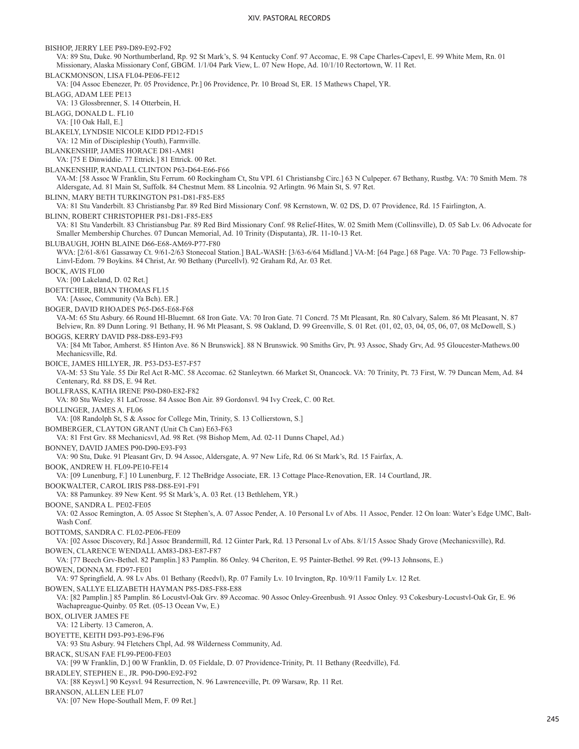BISHOP, JERRY LEE P89-D89-E92-F92 VA: 89 Stu, Duke. 90 Northumberland, Rp. 92 St Mark's, S. 94 Kentucky Conf. 97 Accomac, E. 98 Cape Charles-Capevl, E. 99 White Mem, Rn. 01 Missionary, Alaska Missionary Conf, GBGM. 1/1/04 Park View, L. 07 New Hope, Ad. 10/1/10 Rectortown, W. 11 Ret. BLACKMONSON, LISA FL04-PE06-FE12 VA: [04 Assoc Ebenezer, Pr. 05 Providence, Pr.] 06 Providence, Pr. 10 Broad St, ER. 15 Mathews Chapel, YR. BLAGG, ADAM LEE PE13 VA: 13 Glossbrenner, S. 14 Otterbein, H. BLAGG, DONALD L. FL10 VA: [10 Oak Hall, E.] BLAKELY, LYNDSIE NICOLE KIDD PD12-FD15 VA: 12 Min of Discipleship (Youth), Farmville. BLANKENSHIP, JAMES HORACE D81-AM81 VA: [75 E Dinwiddie. 77 Ettrick.] 81 Ettrick. 00 Ret. BLANKENSHIP, RANDALL CLINTON P63-D64-E66-F66 VA-M: [58 Assoc W Franklin, Stu Ferrum. 60 Rockingham Ct, Stu VPI. 61 Christiansbg Circ.] 63 N Culpeper. 67 Bethany, Rustbg. VA: 70 Smith Mem. 78 Aldersgate, Ad. 81 Main St, Suffolk. 84 Chestnut Mem. 88 Lincolnia. 92 Arlingtn. 96 Main St, S. 97 Ret. BLINN, MARY BETH TURKINGTON P81-D81-F85-E85 VA: 81 Stu Vanderbilt. 83 Christiansbg Par. 89 Red Bird Missionary Conf. 98 Kernstown, W. 02 DS, D. 07 Providence, Rd. 15 Fairlington, A. BLINN, ROBERT CHRISTOPHER P81-D81-F85-E85 VA: 81 Stu Vanderbilt. 83 Christiansbug Par. 89 Red Bird Missionary Conf. 98 Relief-Hites, W. 02 Smith Mem (Collinsville), D. 05 Sab Lv. 06 Advocate for Smaller Membership Churches. 07 Duncan Memorial, Ad. 10 Trinity (Disputanta), JR. 11-10-13 Ret. BLUBAUGH, JOHN BLAINE D66-E68-AM69-P77-F80 WVA: [2/61-8/61 Gassaway Ct. 9/61-2/63 Stonecoal Station.] BAL-WASH: [3/63-6/64 Midland.] VA-M: [64 Page.] 68 Page. VA: 70 Page. 73 Fellowship-Linvl-Edom. 79 Boykins. 84 Christ, Ar. 90 Bethany (Purcellvl). 92 Graham Rd, Ar. 03 Ret. BOCK, AVIS FL00 VA: [00 Lakeland, D. 02 Ret.] BOETTCHER, BRIAN THOMAS FL15 VA: [Assoc, Community (Va Bch). ER.] BOGER, DAVID RHOADES P65-D65-E68-F68 VA-M: 65 Stu Asbury. 66 Round Hl-Bluemnt. 68 Iron Gate. VA: 70 Iron Gate. 71 Concrd. 75 Mt Pleasant, Rn. 80 Calvary, Salem. 86 Mt Pleasant, N. 87 Belview, Rn. 89 Dunn Loring. 91 Bethany, H. 96 Mt Pleasant, S. 98 Oakland, D. 99 Greenville, S. 01 Ret. (01, 02, 03, 04, 05, 06, 07, 08 McDowell, S.) BOGGS, KERRY DAVID P88-D88-E93-F93 VA: [84 Mt Tabor, Amherst. 85 Hinton Ave. 86 N Brunswick]. 88 N Brunswick. 90 Smiths Grv, Pt. 93 Assoc, Shady Grv, Ad. 95 Gloucester-Mathews.00 Mechanicsville, Rd. BOICE, JAMES HILLYER, JR. P53-D53-E57-F57 VA-M: 53 Stu Yale. 55 Dir Rel Act R-MC. 58 Accomac. 62 Stanleytwn. 66 Market St, Onancock. VA: 70 Trinity, Pt. 73 First, W. 79 Duncan Mem, Ad. 84 Centenary, Rd. 88 DS, E. 94 Ret. BOLLFRASS, KATHA IRENE P80-D80-E82-F82 VA: 80 Stu Wesley. 81 LaCrosse. 84 Assoc Bon Air. 89 Gordonsvl. 94 Ivy Creek, C. 00 Ret. BOLLINGER, JAMES A. FL06 VA: [08 Randolph St, S & Assoc for College Min, Trinity, S. 13 Collierstown, S.] BOMBERGER, CLAYTON GRANT (Unit Ch Can) E63-F63 VA: 81 Frst Grv. 88 Mechanicsvl, Ad. 98 Ret. (98 Bishop Mem, Ad. 02-11 Dunns Chapel, Ad.) BONNEY, DAVID JAMES P90-D90-E93-F93 VA: 90 Stu, Duke. 91 Pleasant Grv, D. 94 Assoc, Aldersgate, A. 97 New Life, Rd. 06 St Mark's, Rd. 15 Fairfax, A. BOOK, ANDREW H. FL09-PE10-FE14 VA: [09 Lunenburg, F.] 10 Lunenburg, F. 12 TheBridge Associate, ER. 13 Cottage Place-Renovation, ER. 14 Courtland, JR. BOOKWALTER, CAROL IRIS P88-D88-E91-F91 VA: 88 Pamunkey. 89 New Kent. 95 St Mark's, A. 03 Ret. (13 Bethlehem, YR.) BOONE, SANDRA L. PE02-FE05 VA: 02 Assoc Remington, A. 05 Assoc St Stephen's, A. 07 Assoc Pender, A. 10 Personal Lv of Abs. 11 Assoc, Pender. 12 On loan: Water's Edge UMC, Balt-Wash Conf. BOTTOMS, SANDRA C. FL02-PE06-FE09 VA: [02 Assoc Discovery, Rd.] Assoc Brandermill, Rd. 12 Ginter Park, Rd. 13 Personal Lv of Abs. 8/1/15 Assoc Shady Grove (Mechanicsville), Rd. BOWEN, CLARENCE WENDALL AM83-D83-E87-F87 VA: [77 Beech Grv-Bethel. 82 Pamplin.] 83 Pamplin. 86 Onley. 94 Cheriton, E. 95 Painter-Bethel. 99 Ret. (99-13 Johnsons, E.) BOWEN, DONNA M. FD97-FE01 VA: 97 Springfield, A. 98 Lv Abs. 01 Bethany (Reedvl), Rp. 07 Family Lv. 10 Irvington, Rp. 10/9/11 Family Lv. 12 Ret. BOWEN, SALLYE ELIZABETH HAYMAN P85-D85-F88-E88 VA: [82 Pamplin.] 85 Pamplin. 86 Locustvl-Oak Grv. 89 Accomac. 90 Assoc Onley-Greenbush. 91 Assoc Onley. 93 Cokesbury-Locustvl-Oak Gr, E. 96 Wachapreague-Quinby. 05 Ret. (05-13 Ocean Vw, E.) BOX, OLIVER JAMES FE VA: 12 Liberty. 13 Cameron, A. BOYETTE, KEITH D93-P93-E96-F96 VA: 93 Stu Asbury. 94 Fletchers Chpl, Ad. 98 Wilderness Community, Ad. BRACK, SUSAN FAE FL99-PE00-FE03 VA: [99 W Franklin, D.] 00 W Franklin, D. 05 Fieldale, D. 07 Providence-Trinity, Pt. 11 Bethany (Reedville), Fd. BRADLEY, STEPHEN E., JR. P90-D90-E92-F92 VA: [88 Keysvl.] 90 Keysvl. 94 Resurrection, N. 96 Lawrenceville, Pt. 09 Warsaw, Rp. 11 Ret. BRANSON, ALLEN LEE FL07 VA: [07 New Hope-Southall Mem, F. 09 Ret.]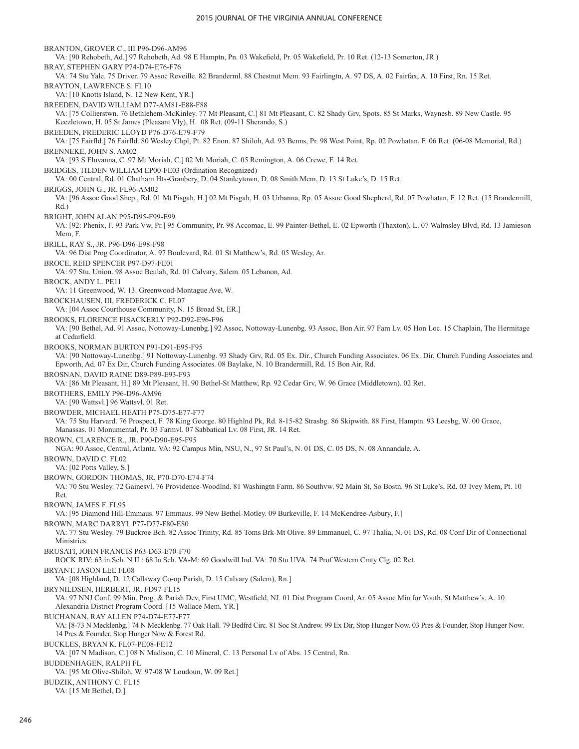BRANTON, GROVER C., III P96-D96-AM96 VA: [90 Rehobeth, Ad.] 97 Rehobeth, Ad. 98 E Hamptn, Pn. 03 Wakefield, Pr. 05 Wakefield, Pr. 10 Ret. (12-13 Somerton, JR.) BRAY, STEPHEN GARY P74-D74-E76-F76 VA: 74 Stu Yale. 75 Driver. 79 Assoc Reveille. 82 Branderml. 88 Chestnut Mem. 93 Fairlingtn, A. 97 DS, A. 02 Fairfax, A. 10 First, Rn. 15 Ret. BRAYTON, LAWRENCE S. FL10 VA: [10 Knotts Island, N. 12 New Kent, YR.] BREEDEN, DAVID WILLIAM D77-AM81-E88-F88 VA: [75 Collierstwn. 76 Bethlehem-McKinley. 77 Mt Pleasant, C.] 81 Mt Pleasant, C. 82 Shady Grv, Spots. 85 St Marks, Waynesb. 89 New Castle. 95 Keezletown, H. 05 St James (Pleasant Vly), H. 08 Ret. (09-11 Sherando, S.) BREEDEN, FREDERIC LLOYD P76-D76-E79-F79 VA: [75 Fairfld.] 76 Fairfld. 80 Wesley Chpl, Pt. 82 Enon. 87 Shiloh, Ad. 93 Benns, Pr. 98 West Point, Rp. 02 Powhatan, F. 06 Ret. (06-08 Memorial, Rd.) BRENNEKE, JOHN S. AM02 VA: [93 S Fluvanna, C. 97 Mt Moriah, C.] 02 Mt Moriah, C. 05 Remington, A. 06 Crewe, F. 14 Ret. BRIDGES, TILDEN WILLIAM EP00-FE03 (Ordination Recognized) VA: 00 Central, Rd. 01 Chatham Hts-Granbery, D. 04 Stanleytown, D. 08 Smith Mem, D. 13 St Luke's, D. 15 Ret. BRIGGS, JOHN G., JR. FL96-AM02 VA: [96 Assoc Good Shep., Rd. 01 Mt Pisgah, H.] 02 Mt Pisgah, H. 03 Urbanna, Rp. 05 Assoc Good Shepherd, Rd. 07 Powhatan, F. 12 Ret. (15 Brandermill, Rd.) BRIGHT, JOHN ALAN P95-D95-F99-E99 VA: [92: Phenix, F. 93 Park Vw, Pr.] 95 Community, Pr. 98 Accomac, E. 99 Painter-Bethel, E. 02 Epworth (Thaxton), L. 07 Walmsley Blvd, Rd. 13 Jamieson Mem, F. BRILL, RAY S., JR. P96-D96-E98-F98 VA: 96 Dist Prog Coordinator, A. 97 Boulevard, Rd. 01 St Matthew's, Rd. 05 Wesley, Ar. BROCE, REID SPENCER P97-D97-FE01 VA: 97 Stu, Union. 98 Assoc Beulah, Rd. 01 Calvary, Salem. 05 Lebanon, Ad. BROCK, ANDY L. PE11 VA: 11 Greenwood, W. 13. Greenwood-Montague Ave, W. BROCKHAUSEN, III, FREDERICK C. FL07 VA: [04 Assoc Courthouse Community, N. 15 Broad St, ER.] BROOKS, FLORENCE FISACKERLY P92-D92-E96-F96 VA: [90 Bethel, Ad. 91 Assoc, Nottoway-Lunenbg.] 92 Assoc, Nottoway-Lunenbg. 93 Assoc, Bon Air. 97 Fam Lv. 05 Hon Loc. 15 Chaplain, The Hermitage at Cedarfield. BROOKS, NORMAN BURTON P91-D91-E95-F95 VA: [90 Nottoway-Lunenbg.] 91 Nottoway-Lunenbg. 93 Shady Grv, Rd. 05 Ex. Dir., Church Funding Associates. 06 Ex. Dir, Church Funding Associates and Epworth, Ad. 07 Ex Dir, Church Funding Associates. 08 Baylake, N. 10 Brandermill, Rd. 15 Bon Air, Rd. BROSNAN, DAVID RAINE D89-P89-E93-F93 VA: [86 Mt Pleasant, H.] 89 Mt Pleasant, H. 90 Bethel-St Matthew, Rp. 92 Cedar Grv, W. 96 Grace (Middletown). 02 Ret. BROTHERS, EMILY P96-D96-AM96 VA: [90 Wattsvl.] 96 Wattsvl. 01 Ret. BROWDER, MICHAEL HEATH P75-D75-E77-F77 VA: 75 Stu Harvard. 76 Prospect, F. 78 King George. 80 Highlnd Pk, Rd. 8-15-82 Strasbg. 86 Skipwith. 88 First, Hamptn. 93 Leesbg, W. 00 Grace, Manassas. 01 Monumental, Pr. 03 Farmvl. 07 Sabbatical Lv. 08 First, JR. 14 Ret. BROWN, CLARENCE R., JR. P90-D90-E95-F95 NGA: 90 Assoc, Central, Atlanta. VA: 92 Campus Min, NSU, N., 97 St Paul's, N. 01 DS, C. 05 DS, N. 08 Annandale, A. BROWN, DAVID C. FL02 VA: [02 Potts Valley, S.] BROWN, GORDON THOMAS, JR. P70-D70-E74-F74 VA: 70 Stu Wesley. 72 Gainesvl. 76 Providence-Woodlnd. 81 Washingtn Farm. 86 Southvw. 92 Main St, So Bostn. 96 St Luke's, Rd. 03 Ivey Mem, Pt. 10 Ret. BROWN, JAMES F. FL95 VA: [95 Diamond Hill-Emmaus. 97 Emmaus. 99 New Bethel-Motley. 09 Burkeville, F. 14 McKendree-Asbury, F.] BROWN, MARC DARRYL P77-D77-F80-E80 VA: 77 Stu Wesley. 79 Buckroe Bch. 82 Assoc Trinity, Rd. 85 Toms Brk-Mt Olive. 89 Emmanuel, C. 97 Thalia, N. 01 DS, Rd. 08 Conf Dir of Connectional Ministries. BRUSATI, JOHN FRANCIS P63-D63-E70-F70 ROCK RIV: 63 in Sch. N IL: 68 In Sch. VA-M: 69 Goodwill Ind. VA: 70 Stu UVA. 74 Prof Western Cmty Clg. 02 Ret. BRYANT, JASON LEE FL08 VA: [08 Highland, D. 12 Callaway Co-op Parish, D. 15 Calvary (Salem), Rn.] BRYNILDSEN, HERBERT, JR. FD97-FL15 VA: 97 NNJ Conf. 99 Min. Prog. & Parish Dev, First UMC, Westfield, NJ. 01 Dist Program Coord, Ar. 05 Assoc Min for Youth, St Matthew's, A. 10 Alexandria District Program Coord. [15 Wallace Mem, YR.] BUCHANAN, RAY ALLEN P74-D74-E77-F77 VA: [8-73 N Mecklenbg.] 74 N Mecklenbg. 77 Oak Hall. 79 Bedfrd Circ. 81 Soc St Andrew. 99 Ex Dir, Stop Hunger Now. 03 Pres & Founder, Stop Hunger Now. 14 Pres & Founder, Stop Hunger Now & Forest Rd. BUCKLES, BRYAN K. FL07-PE08-FE12 VA: [07 N Madison, C.] 08 N Madison, C. 10 Mineral, C. 13 Personal Lv of Abs. 15 Central, Rn. BUDDENHAGEN, RALPH FL VA: [95 Mt Olive-Shiloh, W. 97-08 W Loudoun, W. 09 Ret.] BUDZIK, ANTHONY C. FL15 VA: [15 Mt Bethel, D.]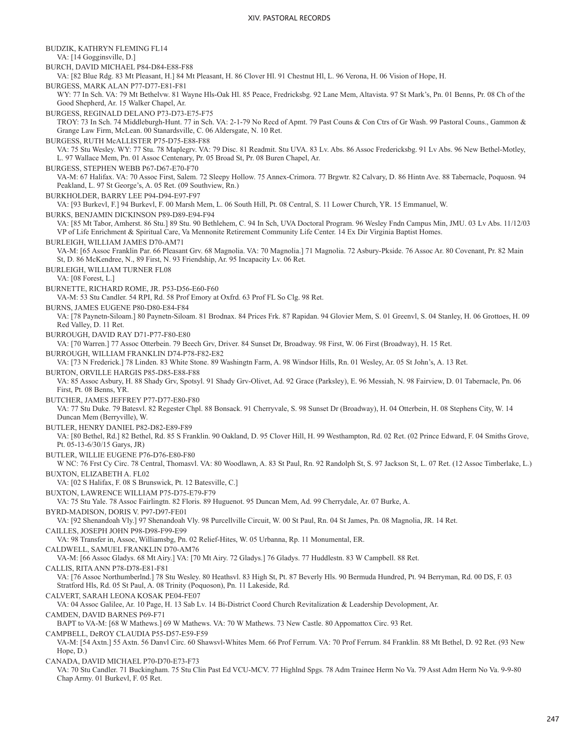BUDZIK, KATHRYN FLEMING FL14 VA: [14 Gogginsville, D.] BURCH, DAVID MICHAEL P84-D84-E88-F88 VA: [82 Blue Rdg. 83 Mt Pleasant, H.] 84 Mt Pleasant, H. 86 Clover Hl. 91 Chestnut Hl, L. 96 Verona, H. 06 Vision of Hope, H. BURGESS, MARK ALAN P77-D77-E81-F81 WY: 77 In Sch. VA: 79 Mt Bethelvw. 81 Wayne Hls-Oak Hl. 85 Peace, Fredricksbg. 92 Lane Mem, Altavista. 97 St Mark's, Pn. 01 Benns, Pr. 08 Ch of the Good Shepherd, Ar. 15 Walker Chapel, Ar. BURGESS, REGINALD DELANO P73-D73-E75-F75 TROY: 73 In Sch. 74 Middleburgh-Hunt. 77 in Sch. VA: 2-1-79 No Recd of Apmt. 79 Past Couns & Con Ctrs of Gr Wash. 99 Pastoral Couns., Gammon & Grange Law Firm, McLean. 00 Stanardsville, C. 06 Aldersgate, N. 10 Ret. BURGESS, RUTH McALLISTER P75-D75-E88-F88 VA: 75 Stu Wesley. WY: 77 Stu. 78 Maplegrv. VA: 79 Disc. 81 Readmit. Stu UVA. 83 Lv. Abs. 86 Assoc Fredericksbg. 91 Lv Abs. 96 New Bethel-Motley, L. 97 Wallace Mem, Pn. 01 Assoc Centenary, Pr. 05 Broad St, Pr. 08 Buren Chapel, Ar. BURGESS, STEPHEN WEBB P67-D67-E70-F70 VA-M: 67 Halifax. VA: 70 Assoc First, Salem. 72 Sleepy Hollow. 75 Annex-Crimora. 77 Brgwtr. 82 Calvary, D. 86 Hintn Ave. 88 Tabernacle, Poquosn. 94 Peakland, L. 97 St George's, A. 05 Ret. (09 Southview, Rn.) BURKHOLDER, BARRY LEE P94-D94-E97-F97 VA: [93 Burkevl, F.] 94 Burkevl, F. 00 Marsh Mem, L. 06 South Hill, Pt. 08 Central, S. 11 Lower Church, YR. 15 Emmanuel, W. BURKS, BENJAMIN DICKINSON P89-D89-E94-F94 VA: [85 Mt Tabor, Amherst. 86 Stu.] 89 Stu. 90 Bethlehem, C. 94 In Sch, UVA Doctoral Program. 96 Wesley Fndn Campus Min, JMU. 03 Lv Abs. 11/12/03 VP of Life Enrichment & Spiritual Care, Va Mennonite Retirement Community Life Center. 14 Ex Dir Virginia Baptist Homes. BURLEIGH, WILLIAM JAMES D70-AM71 VA-M: [65 Assoc Franklin Par. 66 Pleasant Grv. 68 Magnolia. VA: 70 Magnolia.] 71 Magnolia. 72 Asbury-Pkside. 76 Assoc Ar. 80 Covenant, Pr. 82 Main St, D. 86 McKendree, N., 89 First, N. 93 Friendship, Ar. 95 Incapacity Lv. 06 Ret. BURLEIGH, WILLIAM TURNER FL08 VA: [08 Forest, L.] BURNETTE, RICHARD ROME, JR. P53-D56-E60-F60 VA-M: 53 Stu Candler. 54 RPI, Rd. 58 Prof Emory at Oxfrd. 63 Prof FL So Clg. 98 Ret. BURNS, JAMES EUGENE P80-D80-E84-F84 VA: [78 Paynetn-Siloam.] 80 Paynetn-Siloam. 81 Brodnax. 84 Prices Frk. 87 Rapidan. 94 Glovier Mem, S. 01 Greenvl, S. 04 Stanley, H. 06 Grottoes, H. 09 Red Valley, D. 11 Ret. BURROUGH, DAVID RAY D71-P77-F80-E80 VA: [70 Warren.] 77 Assoc Otterbein. 79 Beech Grv, Driver. 84 Sunset Dr, Broadway. 98 First, W. 06 First (Broadway), H. 15 Ret. BURROUGH, WILLIAM FRANKLIN D74-P78-F82-E82 VA: [73 N Frederick.] 78 Linden. 83 White Stone. 89 Washingtn Farm, A. 98 Windsor Hills, Rn. 01 Wesley, Ar. 05 St John's, A. 13 Ret. BURTON, ORVILLE HARGIS P85-D85-E88-F88 VA: 85 Assoc Asbury, H. 88 Shady Grv, Spotsyl. 91 Shady Grv-Olivet, Ad. 92 Grace (Parksley), E. 96 Messiah, N. 98 Fairview, D. 01 Tabernacle, Pn. 06 First, Pt. 08 Benns, YR. BUTCHER, JAMES JEFFREY P77-D77-E80-F80 VA: 77 Stu Duke. 79 Batesvl. 82 Regester Chpl. 88 Bonsack. 91 Cherryvale, S. 98 Sunset Dr (Broadway), H. 04 Otterbein, H. 08 Stephens City, W. 14 Duncan Mem (Berryville), W. BUTLER, HENRY DANIEL P82-D82-E89-F89 VA: [80 Bethel, Rd.] 82 Bethel, Rd. 85 S Franklin. 90 Oakland, D. 95 Clover Hill, H. 99 Westhampton, Rd. 02 Ret. (02 Prince Edward, F. 04 Smiths Grove, Pt. 05-13-6/30/15 Garys, JR) BUTLER, WILLIE EUGENE P76-D76-E80-F80 W NC: 76 Frst Cy Circ. 78 Central, Thomasvl. VA: 80 Woodlawn, A. 83 St Paul, Rn. 92 Randolph St, S. 97 Jackson St, L. 07 Ret. (12 Assoc Timberlake, L.) BUXTON, ELIZABETH A. FL02 VA: [02 S Halifax, F. 08 S Brunswick, Pt. 12 Batesville, C.] BUXTON, LAWRENCE WILLIAM P75-D75-E79-F79 VA: 75 Stu Yale. 78 Assoc Fairlingtn. 82 Floris. 89 Huguenot. 95 Duncan Mem, Ad. 99 Cherrydale, Ar. 07 Burke, A. BYRD-MADISON, DORIS V. P97-D97-FE01 VA: [92 Shenandoah Vly.] 97 Shenandoah Vly. 98 Purcellville Circuit, W. 00 St Paul, Rn. 04 St James, Pn. 08 Magnolia, JR. 14 Ret. CAILLES, JOSEPH JOHN P98-D98-F99-E99 VA: 98 Transfer in, Assoc, Williamsbg, Pn. 02 Relief-Hites, W. 05 Urbanna, Rp. 11 Monumental, ER. CALDWELL, SAMUEL FRANKLIN D70-AM76 VA-M: [66 Assoc Gladys. 68 Mt Airy.] VA: [70 Mt Airy. 72 Gladys.] 76 Gladys. 77 Huddlestn. 83 W Campbell. 88 Ret. CALLIS, RITA ANN P78-D78-E81-F81 VA: [76 Assoc Northumberlnd.] 78 Stu Wesley. 80 Heathsvl. 83 High St, Pt. 87 Beverly Hls. 90 Bermuda Hundred, Pt. 94 Berryman, Rd. 00 DS, F. 03 Stratford Hls, Rd. 05 St Paul, A. 08 Trinity (Poquoson), Pn. 11 Lakeside, Rd. CALVERT, SARAH LEONA KOSAK PE04-FE07 VA: 04 Assoc Galilee, Ar. 10 Page, H. 13 Sab Lv. 14 Bi-District Coord Church Revitalization & Leadership Devolopment, Ar. CAMDEN, DAVID BARNES P69-F71 BAPT to VA-M: [68 W Mathews.] 69 W Mathews. VA: 70 W Mathews. 73 New Castle. 80 Appomattox Circ. 93 Ret. CAMPBELL, DeROY CLAUDIA P55-D57-E59-F59 VA-M: [54 Axtn.] 55 Axtn. 56 Danvl Circ. 60 Shawsvl-Whites Mem. 66 Prof Ferrum. VA: 70 Prof Ferrum. 84 Franklin. 88 Mt Bethel, D. 92 Ret. (93 New Hope, D.) CANADA, DAVID MICHAEL P70-D70-E73-F73 VA: 70 Stu Candler. 71 Buckingham. 75 Stu Clin Past Ed VCU-MCV. 77 Highlnd Spgs. 78 Adm Trainee Herm No Va. 79 Asst Adm Herm No Va. 9-9-80 Chap Army. 01 Burkevl, F. 05 Ret.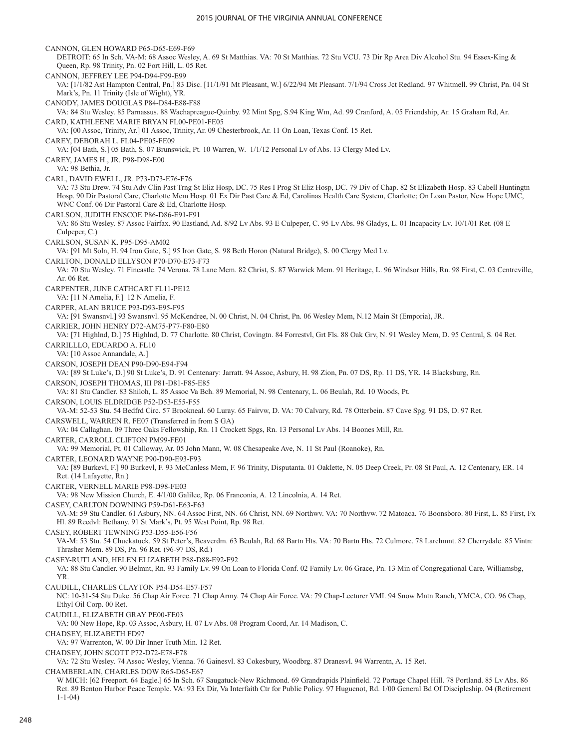CANNON, GLEN HOWARD P65-D65-E69-F69 DETROIT: 65 In Sch. VA-M: 68 Assoc Wesley, A. 69 St Matthias. VA: 70 St Matthias. 72 Stu VCU. 73 Dir Rp Area Div Alcohol Stu. 94 Essex-King & Queen, Rp. 98 Trinity, Pn. 02 Fort Hill, L. 05 Ret. CANNON, JEFFREY LEE P94-D94-F99-E99 VA: [1/1/82 Ast Hampton Central, Pn.] 83 Disc. [11/1/91 Mt Pleasant, W.] 6/22/94 Mt Pleasant. 7/1/94 Cross Jct Redland. 97 Whitmell. 99 Christ, Pn. 04 St Mark's, Pn. 11 Trinity (Isle of Wight), YR. CANODY, JAMES DOUGLAS P84-D84-E88-F88 VA: 84 Stu Wesley. 85 Parnassus. 88 Wachapreague-Quinby. 92 Mint Spg, S.94 King Wm, Ad. 99 Cranford, A. 05 Friendship, Ar. 15 Graham Rd, Ar. CARD, KATHLEENE MARIE BRYAN FL00-PE01-FE05 VA: [00 Assoc, Trinity, Ar.] 01 Assoc, Trinity, Ar. 09 Chesterbrook, Ar. 11 On Loan, Texas Conf. 15 Ret. CAREY, DEBORAH L. FL04-PE05-FE09 VA: [04 Bath, S.] 05 Bath, S. 07 Brunswick, Pt. 10 Warren, W. 1/1/12 Personal Lv of Abs. 13 Clergy Med Lv. CAREY, JAMES H., JR. P98-D98-E00 VA: 98 Bethia, Jr. CARL, DAVID EWELL, JR. P73-D73-E76-F76 VA: 73 Stu Drew. 74 Stu Adv Clin Past Trng St Eliz Hosp, DC. 75 Res I Prog St Eliz Hosp, DC. 79 Div of Chap. 82 St Elizabeth Hosp. 83 Cabell Huntingtn Hosp. 90 Dir Pastoral Care, Charlotte Mem Hosp. 01 Ex Dir Past Care & Ed, Carolinas Health Care System, Charlotte; On Loan Pastor, New Hope UMC, WNC Conf. 06 Dir Pastoral Care & Ed, Charlotte Hosp. CARLSON, JUDITH ENSCOE P86-D86-E91-F91 VA: 86 Stu Wesley. 87 Assoc Fairfax. 90 Eastland, Ad. 8/92 Lv Abs. 93 E Culpeper, C. 95 Lv Abs. 98 Gladys, L. 01 Incapacity Lv. 10/1/01 Ret. (08 E Culpeper, C.) CARLSON, SUSAN K. P95-D95-AM02 VA: [91 Mt Soln, H. 94 Iron Gate, S.] 95 Iron Gate, S. 98 Beth Horon (Natural Bridge), S. 00 Clergy Med Lv. CARLTON, DONALD ELLYSON P70-D70-E73-F73 VA: 70 Stu Wesley. 71 Fincastle. 74 Verona. 78 Lane Mem. 82 Christ, S. 87 Warwick Mem. 91 Heritage, L. 96 Windsor Hills, Rn. 98 First, C. 03 Centreville, Ar. 06 Ret. CARPENTER, JUNE CATHCART FL11-PE12 VA: [11 N Amelia, F.] 12 N Amelia, F. CARPER, ALAN BRUCE P93-D93-E95-F95 VA: [91 Swansnvl.] 93 Swansnvl. 95 McKendree, N. 00 Christ, N. 04 Christ, Pn. 06 Wesley Mem, N.12 Main St (Emporia), JR. CARRIER, JOHN HENRY D72-AM75-P77-F80-E80 VA: [71 Highlnd, D.] 75 Highlnd, D. 77 Charlotte. 80 Christ, Covingtn. 84 Forrestvl, Grt Fls. 88 Oak Grv, N. 91 Wesley Mem, D. 95 Central, S. 04 Ret. CARRILLLO, EDUARDO A. FL10 VA: [10 Assoc Annandale, A.] CARSON, JOSEPH DEAN P90-D90-E94-F94 VA: [89 St Luke's, D.] 90 St Luke's, D. 91 Centenary: Jarratt. 94 Assoc, Asbury, H. 98 Zion, Pn. 07 DS, Rp. 11 DS, YR. 14 Blacksburg, Rn. CARSON, JOSEPH THOMAS, III P81-D81-F85-E85 VA: 81 Stu Candler. 83 Shiloh, L. 85 Assoc Va Bch. 89 Memorial, N. 98 Centenary, L. 06 Beulah, Rd. 10 Woods, Pt. CARSON, LOUIS ELDRIDGE P52-D53-E55-F55 VA-M: 52-53 Stu. 54 Bedfrd Circ. 57 Brookneal. 60 Luray. 65 Fairvw, D. VA: 70 Calvary, Rd. 78 Otterbein. 87 Cave Spg. 91 DS, D. 97 Ret. CARSWELL, WARREN R. FE07 (Transferred in from S GA) VA: 04 Callaghan. 09 Three Oaks Fellowship, Rn. 11 Crockett Spgs, Rn. 13 Personal Lv Abs. 14 Boones Mill, Rn. CARTER, CARROLL CLIFTON PM99-FE01 VA: 99 Memorial, Pt. 01 Calloway, Ar. 05 John Mann, W. 08 Chesapeake Ave, N. 11 St Paul (Roanoke), Rn. CARTER, LEONARD WAYNE P90-D90-E93-F93 VA: [89 Burkevl, F.] 90 Burkevl, F. 93 McCanless Mem, F. 96 Trinity, Disputanta. 01 Oaklette, N. 05 Deep Creek, Pr. 08 St Paul, A. 12 Centenary, ER. 14 Ret. (14 Lafayette, Rn.) CARTER, VERNELL MARIE P98-D98-FE03 VA: 98 New Mission Church, E. 4/1/00 Galilee, Rp. 06 Franconia, A. 12 Lincolnia, A. 14 Ret. CASEY, CARLTON DOWNING P59-D61-E63-F63 VA-M: 59 Stu Candler. 61 Asbury, NN. 64 Assoc First, NN. 66 Christ, NN. 69 Northwv. VA: 70 Northvw. 72 Matoaca. 76 Boonsboro. 80 First, L. 85 First, Fx Hl. 89 Reedvl: Bethany. 91 St Mark's, Pt. 95 West Point, Rp. 98 Ret. CASEY, ROBERT TEWNING P53-D55-E56-F56 VA-M: 53 Stu. 54 Chuckatuck. 59 St Peter's, Beaverdm. 63 Beulah, Rd. 68 Bartn Hts. VA: 70 Bartn Hts. 72 Culmore. 78 Larchmnt. 82 Cherrydale. 85 Vintn: Thrasher Mem. 89 DS, Pn. 96 Ret. (96-97 DS, Rd.) CASEY-RUTLAND, HELEN ELIZABETH P88-D88-E92-F92 VA: 88 Stu Candler. 90 Belmnt, Rn. 93 Family Lv. 99 On Loan to Florida Conf. 02 Family Lv. 06 Grace, Pn. 13 Min of Congregational Care, Williamsbg, YR. CAUDILL, CHARLES CLAYTON P54-D54-E57-F57 NC: 10-31-54 Stu Duke. 56 Chap Air Force. 71 Chap Army. 74 Chap Air Force. VA: 79 Chap-Lecturer VMI. 94 Snow Mntn Ranch, YMCA, CO. 96 Chap, Ethyl Oil Corp. 00 Ret. CAUDILL, ELIZABETH GRAY PE00-FE03 VA: 00 New Hope, Rp. 03 Assoc, Asbury, H. 07 Lv Abs. 08 Program Coord, Ar. 14 Madison, C. CHADSEY, ELIZABETH FD97 VA: 97 Warrenton, W. 00 Dir Inner Truth Min. 12 Ret. CHADSEY, JOHN SCOTT P72-D72-E78-F78 VA: 72 Stu Wesley. 74 Assoc Wesley, Vienna. 76 Gainesvl. 83 Cokesbury, Woodbrg. 87 Dranesvl. 94 Warrentn, A. 15 Ret. CHAMBERLAIN, CHARLES DOW R65-D65-E67 W MICH: [62 Freeport. 64 Eagle.] 65 In Sch. 67 Saugatuck-New Richmond. 69 Grandrapids Plainfield. 72 Portage Chapel Hill. 78 Portland. 85 Lv Abs. 86 Ret. 89 Benton Harbor Peace Temple. VA: 93 Ex Dir, Va Interfaith Ctr for Public Policy. 97 Huguenot, Rd. 1/00 General Bd Of Discipleship. 04 (Retirement 1-1-04)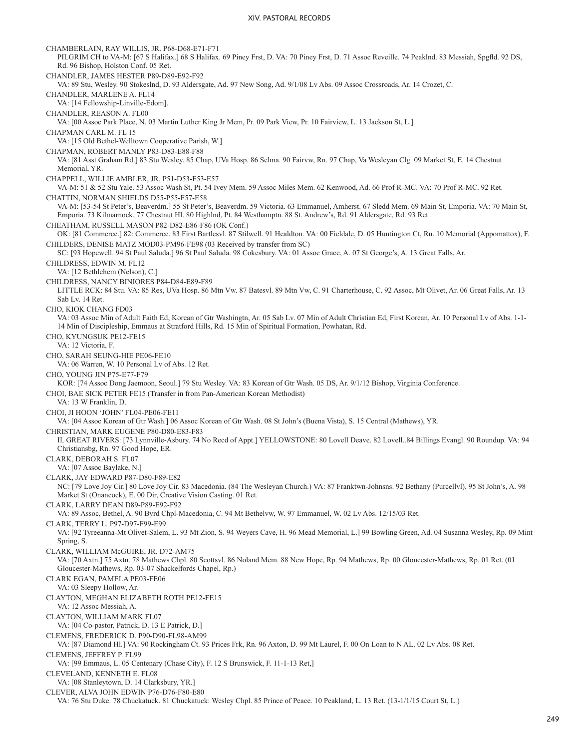CHAMBERLAIN, RAY WILLIS, JR. P68-D68-E71-F71 PILGRIM CH to VA-M: [67 S Halifax.] 68 S Halifax. 69 Piney Frst, D. VA: 70 Piney Frst, D. 71 Assoc Reveille. 74 Peaklnd. 83 Messiah, Spgfld. 92 DS, Rd. 96 Bishop, Holston Conf. 05 Ret. CHANDLER, JAMES HESTER P89-D89-E92-F92 VA: 89 Stu, Wesley. 90 Stokeslnd, D. 93 Aldersgate, Ad. 97 New Song, Ad. 9/1/08 Lv Abs. 09 Assoc Crossroads, Ar. 14 Crozet, C. CHANDLER, MARLENE A. FL14 VA: [14 Fellowship-Linville-Edom]. CHANDLER, REASON A. FL00 VA: [00 Assoc Park Place, N. 03 Martin Luther King Jr Mem, Pr. 09 Park View, Pr. 10 Fairview, L. 13 Jackson St, L.] CHAPMAN CARL M. FL 15 VA: [15 Old Bethel-Welltown Cooperative Parish, W.] CHAPMAN, ROBERT MANLY P83-D83-E88-F88 VA: [81 Asst Graham Rd.] 83 Stu Wesley. 85 Chap, UVa Hosp. 86 Selma. 90 Fairvw, Rn. 97 Chap, Va Wesleyan Clg. 09 Market St, E. 14 Chestnut Memorial, YR. CHAPPELL, WILLIE AMBLER, JR. P51-D53-F53-E57 VA-M: 51 & 52 Stu Yale. 53 Assoc Wash St, Pt. 54 Ivey Mem. 59 Assoc Miles Mem. 62 Kenwood, Ad. 66 Prof R-MC. VA: 70 Prof R-MC. 92 Ret. CHATTIN, NORMAN SHIELDS D55-P55-F57-E58 VA-M: [53-54 St Peter's, Beaverdm.] 55 St Peter's, Beaverdm. 59 Victoria. 63 Emmanuel, Amherst. 67 Sledd Mem. 69 Main St, Emporia. VA: 70 Main St, Emporia. 73 Kilmarnock. 77 Chestnut Hl. 80 Highlnd, Pt. 84 Westhamptn. 88 St. Andrew's, Rd. 91 Aldersgate, Rd. 93 Ret. CHEATHAM, RUSSELL MASON P82-D82-E86-F86 (OK Conf.) OK: [81 Commerce.] 82: Commerce. 83 First Bartlesvl. 87 Stilwell. 91 Healdton. VA: 00 Fieldale, D. 05 Huntington Ct, Rn. 10 Memorial (Appomattox), F. CHILDERS, DENISE MATZ MOD03-PM96-FE98 (03 Received by transfer from SC) SC: [93 Hopewell. 94 St Paul Saluda.] 96 St Paul Saluda. 98 Cokesbury. VA: 01 Assoc Grace, A. 07 St George's, A. 13 Great Falls, Ar. CHILDRESS, EDWIN M. FL12 VA: [12 Bethlehem (Nelson), C.] CHILDRESS, NANCY BINIORES P84-D84-E89-F89 LITTLE RCK: 84 Stu. VA: 85 Res, UVa Hosp. 86 Mtn Vw. 87 Batesvl. 89 Mtn Vw, C. 91 Charterhouse, C. 92 Assoc, Mt Olivet, Ar. 06 Great Falls, Ar. 13 Sab Lv. 14 Ret. CHO, KIOK CHANG FD03 VA: 03 Assoc Min of Adult Faith Ed, Korean of Gtr Washingtn, Ar. 05 Sab Lv. 07 Min of Adult Christian Ed, First Korean, Ar. 10 Personal Lv of Abs. 1-1- 14 Min of Discipleship, Emmaus at Stratford Hills, Rd. 15 Min of Spiritual Formation, Powhatan, Rd. CHO, KYUNGSUK PE12-FE15 VA: 12 Victoria, F. CHO, SARAH SEUNG-HIE PE06-FE10 VA: 06 Warren, W. 10 Personal Lv of Abs. 12 Ret. CHO, YOUNG JIN P75-E77-F79 KOR: [74 Assoc Dong Jaemoon, Seoul.] 79 Stu Wesley. VA: 83 Korean of Gtr Wash. 05 DS, Ar. 9/1/12 Bishop, Virginia Conference. CHOI, BAE SICK PETER FE15 (Transfer in from Pan-American Korean Methodist) VA: 13 W Franklin, D. CHOI, JI HOON 'JOHN' FL04-PE06-FE11 VA: [04 Assoc Korean of Gtr Wash.] 06 Assoc Korean of Gtr Wash. 08 St John's (Buena Vista), S. 15 Central (Mathews), YR. CHRISTIAN, MARK EUGENE P80-D80-E83-F83 IL GREAT RIVERS: [73 Lynnville-Asbury. 74 No Recd of Appt.] YELLOWSTONE: 80 Lovell Deave. 82 Lovell..84 Billings Evangl. 90 Roundup. VA: 94 Christiansbg, Rn. 97 Good Hope, ER. CLARK, DEBORAH S. FL07 VA: [07 Assoc Baylake, N.] CLARK, JAY EDWARD P87-D80-F89-E82 NC: [79 Love Joy Cir.] 80 Love Joy Cir. 83 Macedonia. (84 The Wesleyan Church.) VA: 87 Franktwn-Johnsns. 92 Bethany (Purcellvl). 95 St John's, A. 98 Market St (Onancock), E. 00 Dir, Creative Vision Casting. 01 Ret. CLARK, LARRY DEAN D89-P89-E92-F92 VA: 89 Assoc, Bethel, A. 90 Byrd Chpl-Macedonia, C. 94 Mt Bethelvw, W. 97 Emmanuel, W. 02 Lv Abs. 12/15/03 Ret. CLARK, TERRY L. P97-D97-F99-E99 VA: [92 Tyreeanna-Mt Olivet-Salem, L. 93 Mt Zion, S. 94 Weyers Cave, H. 96 Mead Memorial, L.] 99 Bowling Green, Ad. 04 Susanna Wesley, Rp. 09 Mint Spring, S. CLARK, WILLIAM McGUIRE, JR. D72-AM75 VA: [70 Axtn.] 75 Axtn. 78 Mathews Chpl. 80 Scottsvl. 86 Noland Mem. 88 New Hope, Rp. 94 Mathews, Rp. 00 Gloucester-Mathews, Rp. 01 Ret. (01 Gloucester-Mathews, Rp. 03-07 Shackelfords Chapel, Rp.) CLARK EGAN, PAMELA PE03-FE06 VA: 03 Sleepy Hollow, Ar. CLAYTON, MEGHAN ELIZABETH ROTH PE12-FE15 VA: 12 Assoc Messiah, A. CLAYTON, WILLIAM MARK FL07 VA: [04 Co-pastor, Patrick, D. 13 E Patrick, D.] CLEMENS, FREDERICK D. P90-D90-FL98-AM99 VA: [87 Diamond Hl.] VA: 90 Rockingham Ct. 93 Prices Frk, Rn. 96 Axton, D. 99 Mt Laurel, F. 00 On Loan to N AL. 02 Lv Abs. 08 Ret. CLEMENS, JEFFREY P. FL99 VA: [99 Emmaus, L. 05 Centenary (Chase City), F. 12 S Brunswick, F. 11-1-13 Ret,] CLEVELAND, KENNETH E. FL08 VA: [08 Stanleytown, D. 14 Clarksbury, YR.] CLEVER, ALVA JOHN EDWIN P76-D76-F80-E80 VA: 76 Stu Duke. 78 Chuckatuck. 81 Chuckatuck: Wesley Chpl. 85 Prince of Peace. 10 Peakland, L. 13 Ret. (13-1/1/15 Court St, L.)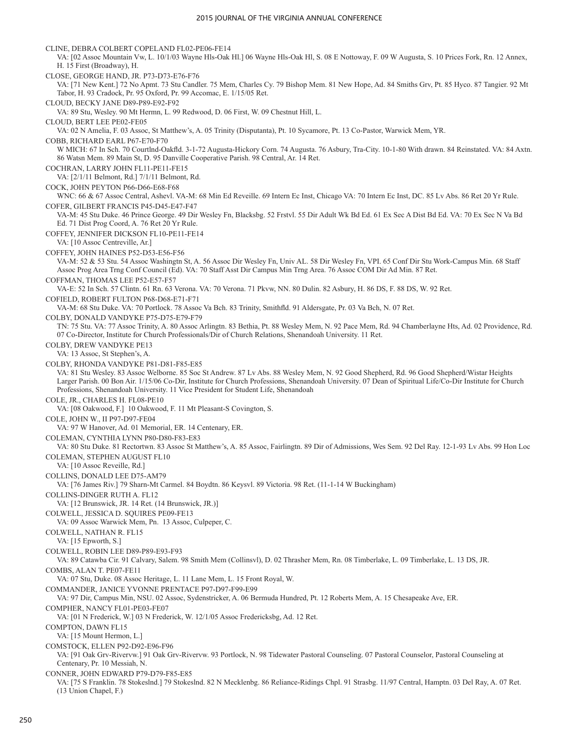CLINE, DEBRA COLBERT COPELAND FL02-PE06-FE14 VA: [02 Assoc Mountain Vw, L. 10/1/03 Wayne Hls-Oak Hl.] 06 Wayne Hls-Oak Hl, S. 08 E Nottoway, F. 09 W Augusta, S. 10 Prices Fork, Rn. 12 Annex, H. 15 First (Broadway), H. CLOSE, GEORGE HAND, JR. P73-D73-E76-F76 VA: [71 New Kent.] 72 No Apmt. 73 Stu Candler. 75 Mem, Charles Cy. 79 Bishop Mem. 81 New Hope, Ad. 84 Smiths Grv, Pt. 85 Hyco. 87 Tangier. 92 Mt Tabor, H. 93 Cradock, Pr. 95 Oxford, Pr. 99 Accomac, E. 1/15/05 Ret. CLOUD, BECKY JANE D89-P89-E92-F92 VA: 89 Stu, Wesley. 90 Mt Hermn, L. 99 Redwood, D. 06 First, W. 09 Chestnut Hill, L. CLOUD, BERT LEE PE02-FE05 VA: 02 N Amelia, F. 03 Assoc, St Matthew's, A. 05 Trinity (Disputanta), Pt. 10 Sycamore, Pt. 13 Co-Pastor, Warwick Mem, YR. COBB, RICHARD EARL P67-E70-F70 W MICH: 67 In Sch. 70 Courtlnd-Oakfld. 3-1-72 Augusta-Hickory Corn. 74 Augusta. 76 Asbury, Tra-City. 10-1-80 With drawn. 84 Reinstated. VA: 84 Axtn. 86 Watsn Mem. 89 Main St, D. 95 Danville Cooperative Parish. 98 Central, Ar. 14 Ret. COCHRAN, LARRY JOHN FL11-PE11-FE15 VA: [2/1/11 Belmont, Rd.] 7/1/11 Belmont, Rd. COCK, JOHN PEYTON P66-D66-E68-F68 WNC: 66 & 67 Assoc Central, Ashevl. VA-M: 68 Min Ed Reveille. 69 Intern Ec Inst, Chicago VA: 70 Intern Ec Inst, DC. 85 Lv Abs. 86 Ret 20 Yr Rule. COFER, GILBERT FRANCIS P45-D45-E47-F47 VA-M: 45 Stu Duke. 46 Prince George. 49 Dir Wesley Fn, Blacksbg. 52 Frstvl. 55 Dir Adult Wk Bd Ed. 61 Ex Sec A Dist Bd Ed. VA: 70 Ex Sec N Va Bd Ed. 71 Dist Prog Coord, A. 76 Ret 20 Yr Rule. COFFEY, JENNIFER DICKSON FL10-PE11-FE14 VA: [10 Assoc Centreville, Ar.] COFFEY, JOHN HAINES P52-D53-E56-F56 VA-M: 52 & 53 Stu. 54 Assoc Washingtn St, A. 56 Assoc Dir Wesley Fn, Univ AL. 58 Dir Wesley Fn, VPI. 65 Conf Dir Stu Work-Campus Min. 68 Staff Assoc Prog Area Trng Conf Council (Ed). VA: 70 Staff Asst Dir Campus Min Trng Area. 76 Assoc COM Dir Ad Min. 87 Ret. COFFMAN, THOMAS LEE P52-E57-F57 VA-E: 52 In Sch. 57 Clintn. 61 Rn. 63 Verona. VA: 70 Verona. 71 Pkvw, NN. 80 Dulin. 82 Asbury, H. 86 DS, F. 88 DS, W. 92 Ret. COFIELD, ROBERT FULTON P68-D68-E71-F71 VA-M: 68 Stu Duke. VA: 70 Portlock. 78 Assoc Va Bch. 83 Trinity, Smithfld. 91 Aldersgate, Pr. 03 Va Bch, N. 07 Ret. COLBY, DONALD VANDYKE P75-D75-E79-F79 TN: 75 Stu. VA: 77 Assoc Trinity, A. 80 Assoc Arlingtn. 83 Bethia, Pt. 88 Wesley Mem, N. 92 Pace Mem, Rd. 94 Chamberlayne Hts, Ad. 02 Providence, Rd. 07 Co-Director, Institute for Church Professionals/Dir of Church Relations, Shenandoah University. 11 Ret. COLBY, DREW VANDYKE PE13 VA: 13 Assoc, St Stephen's, A. COLBY, RHONDA VANDYKE P81-D81-F85-E85 VA: 81 Stu Wesley. 83 Assoc Welborne. 85 Soc St Andrew. 87 Lv Abs. 88 Wesley Mem, N. 92 Good Shepherd, Rd. 96 Good Shepherd/Wistar Heights Larger Parish. 00 Bon Air. 1/15/06 Co-Dir, Institute for Church Professions, Shenandoah University. 07 Dean of Spiritual Life/Co-Dir Institute for Church Professions, Shenandoah University. 11 Vice President for Student Life, Shenandoah COLE, JR., CHARLES H. FL08-PE10 VA: [08 Oakwood, F.] 10 Oakwood, F. 11 Mt Pleasant-S Covington, S. COLE, JOHN W., II P97-D97-FE04 VA: 97 W Hanover, Ad. 01 Memorial, ER. 14 Centenary, ER. COLEMAN, CYNTHIA LYNN P80-D80-F83-E83 VA: 80 Stu Duke. 81 Rectortwn. 83 Assoc St Matthew's, A. 85 Assoc, Fairlingtn. 89 Dir of Admissions, Wes Sem. 92 Del Ray. 12-1-93 Lv Abs. 99 Hon Loc COLEMAN, STEPHEN AUGUST FL10 VA: [10 Assoc Reveille, Rd.] COLLINS, DONALD LEE D75-AM79 VA: [76 James Riv.] 79 Sharn-Mt Carmel. 84 Boydtn. 86 Keysvl. 89 Victoria. 98 Ret. (11-1-14 W Buckingham) COLLINS-DINGER RUTH A. FL12 VA: [12 Brunswick, JR. 14 Ret. (14 Brunswick, JR.)] COLWELL, JESSICA D. SQUIRES PE09-FE13 VA: 09 Assoc Warwick Mem, Pn. 13 Assoc, Culpeper, C. COLWELL, NATHAN R. FL15 VA: [15 Epworth, S.] COLWELL, ROBIN LEE D89-P89-E93-F93 VA: 89 Catawba Cir. 91 Calvary, Salem. 98 Smith Mem (Collinsvl), D. 02 Thrasher Mem, Rn. 08 Timberlake, L. 09 Timberlake, L. 13 DS, JR. COMBS, ALAN T. PE07-FE11 VA: 07 Stu, Duke. 08 Assoc Heritage, L. 11 Lane Mem, L. 15 Front Royal, W. COMMANDER, JANICE YVONNE PRENTACE P97-D97-F99-E99 VA: 97 Dir, Campus Min, NSU. 02 Assoc, Sydenstricker, A. 06 Bermuda Hundred, Pt. 12 Roberts Mem, A. 15 Chesapeake Ave, ER. COMPHER, NANCY FL01-PE03-FE07 VA: [01 N Frederick, W.] 03 N Frederick, W. 12/1/05 Assoc Fredericksbg, Ad. 12 Ret. COMPTON, DAWN FL15 VA: [15 Mount Hermon, L.] COMSTOCK, ELLEN P92-D92-E96-F96 VA: [91 Oak Grv-Rivervw.] 91 Oak Grv-Rivervw. 93 Portlock, N. 98 Tidewater Pastoral Counseling. 07 Pastoral Counselor, Pastoral Counseling at Centenary, Pr. 10 Messiah, N. CONNER, JOHN EDWARD P79-D79-F85-E85 VA: [75 S Franklin. 78 Stokeslnd.] 79 Stokeslnd. 82 N Mecklenbg. 86 Reliance-Ridings Chpl. 91 Strasbg. 11/97 Central, Hamptn. 03 Del Ray, A. 07 Ret. (13 Union Chapel, F.)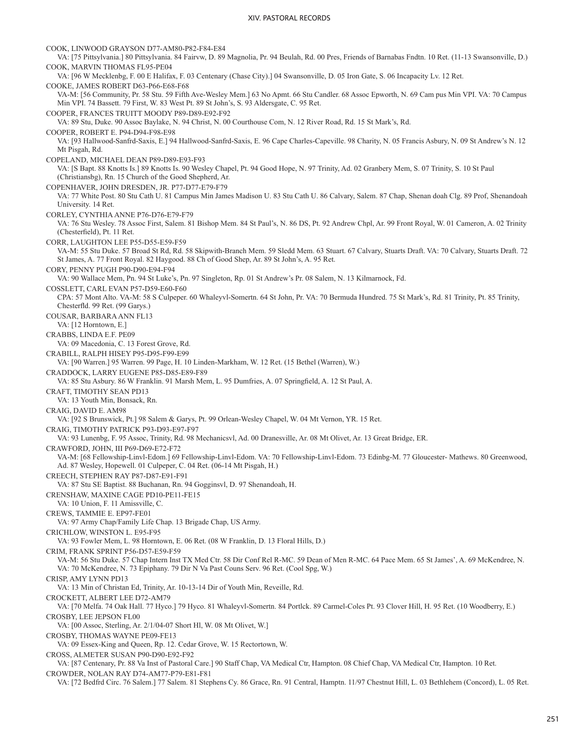COOK, LINWOOD GRAYSON D77-AM80-P82-F84-E84 VA: [75 Pittsylvania.] 80 Pittsylvania. 84 Fairvw, D. 89 Magnolia, Pr. 94 Beulah, Rd. 00 Pres, Friends of Barnabas Fndtn. 10 Ret. (11-13 Swansonville, D.) COOK, MARVIN THOMAS FL95-PE04 VA: [96 W Mecklenbg, F. 00 E Halifax, F. 03 Centenary (Chase City).] 04 Swansonville, D. 05 Iron Gate, S. 06 Incapacity Lv. 12 Ret. COOKE, JAMES ROBERT D63-P66-E68-F68 VA-M: [56 Community, Pr. 58 Stu. 59 Fifth Ave-Wesley Mem.] 63 No Apmt. 66 Stu Candler. 68 Assoc Epworth, N. 69 Cam pus Min VPI. VA: 70 Campus Min VPI. 74 Bassett. 79 First, W. 83 West Pt. 89 St John's, S. 93 Aldersgate, C. 95 Ret. COOPER, FRANCES TRUITT MOODY P89-D89-E92-F92 VA: 89 Stu, Duke. 90 Assoc Baylake, N. 94 Christ, N. 00 Courthouse Com, N. 12 River Road, Rd. 15 St Mark's, Rd. COOPER, ROBERT E. P94-D94-F98-E98 VA: [93 Hallwood-Sanfrd-Saxis, E.] 94 Hallwood-Sanfrd-Saxis, E. 96 Cape Charles-Capeville. 98 Charity, N. 05 Francis Asbury, N. 09 St Andrew's N. 12 Mt Pisgah, Rd. COPELAND, MICHAEL DEAN P89-D89-E93-F93 VA: [S Bapt. 88 Knotts Is.] 89 Knotts Is. 90 Wesley Chapel, Pt. 94 Good Hope, N. 97 Trinity, Ad. 02 Granbery Mem, S. 07 Trinity, S. 10 St Paul (Christiansbg), Rn. 15 Church of the Good Shepherd, Ar. COPENHAVER, JOHN DRESDEN, JR. P77-D77-E79-F79 VA: 77 White Post. 80 Stu Cath U. 81 Campus Min James Madison U. 83 Stu Cath U. 86 Calvary, Salem. 87 Chap, Shenan doah Clg. 89 Prof, Shenandoah University. 14 Ret. CORLEY, CYNTHIA ANNE P76-D76-E79-F79 VA: 76 Stu Wesley. 78 Assoc First, Salem. 81 Bishop Mem. 84 St Paul's, N. 86 DS, Pt. 92 Andrew Chpl, Ar. 99 Front Royal, W. 01 Cameron, A. 02 Trinity (Chesterfield), Pt. 11 Ret. CORR, LAUGHTON LEE P55-D55-E59-F59 VA-M: 55 Stu Duke. 57 Broad St Rd, Rd. 58 Skipwith-Branch Mem. 59 Sledd Mem. 63 Stuart. 67 Calvary, Stuarts Draft. VA: 70 Calvary, Stuarts Draft. 72 St James, A. 77 Front Royal. 82 Haygood. 88 Ch of Good Shep, Ar. 89 St John's, A. 95 Ret. CORY, PENNY PUGH P90-D90-E94-F94 VA: 90 Wallace Mem, Pn. 94 St Luke's, Pn. 97 Singleton, Rp. 01 St Andrew's Pr. 08 Salem, N. 13 Kilmarnock, Fd. COSSLETT, CARL EVAN P57-D59-E60-F60 CPA: 57 Mont Alto. VA-M: 58 S Culpeper. 60 Whaleyvl-Somertn. 64 St John, Pr. VA: 70 Bermuda Hundred. 75 St Mark's, Rd. 81 Trinity, Pt. 85 Trinity, Chesterfld. 99 Ret. (99 Garys.) COUSAR, BARBARA ANN FL13 VA: [12 Horntown, E.] CRABBS, LINDA E.F. PE09 VA: 09 Macedonia, C. 13 Forest Grove, Rd. CRABILL, RALPH HISEY P95-D95-F99-E99 VA: [90 Warren.] 95 Warren. 99 Page, H. 10 Linden-Markham, W. 12 Ret. (15 Bethel (Warren), W.) CRADDOCK, LARRY EUGENE P85-D85-E89-F89 VA: 85 Stu Asbury. 86 W Franklin. 91 Marsh Mem, L. 95 Dumfries, A. 07 Springfield, A. 12 St Paul, A. CRAFT, TIMOTHY SEAN PD13 VA: 13 Youth Min, Bonsack, Rn. CRAIG, DAVID E. AM98 VA: [92 S Brunswick, Pt.] 98 Salem & Garys, Pt. 99 Orlean-Wesley Chapel, W. 04 Mt Vernon, YR. 15 Ret. CRAIG, TIMOTHY PATRICK P93-D93-E97-F97 VA: 93 Lunenbg, F. 95 Assoc, Trinity, Rd. 98 Mechanicsvl, Ad. 00 Dranesville, Ar. 08 Mt Olivet, Ar. 13 Great Bridge, ER. CRAWFORD, JOHN, III P69-D69-E72-F72 VA-M: [68 Fellowship-Linvl-Edom.] 69 Fellowship-Linvl-Edom. VA: 70 Fellowship-Linvl-Edom. 73 Edinbg-M. 77 Gloucester- Mathews. 80 Greenwood, Ad. 87 Wesley, Hopewell. 01 Culpeper, C. 04 Ret. (06-14 Mt Pisgah, H.) CREECH, STEPHEN RAY P87-D87-E91-F91 VA: 87 Stu SE Baptist. 88 Buchanan, Rn. 94 Gogginsvl, D. 97 Shenandoah, H. CRENSHAW, MAXINE CAGE PD10-PE11-FE15 VA: 10 Union, F. 11 Amissville, C. CREWS, TAMMIE E. EP97-FE01 VA: 97 Army Chap/Family Life Chap. 13 Brigade Chap, US Army. CRICHLOW, WINSTON L. E95-F95 VA: 93 Fowler Mem, L. 98 Horntown, E. 06 Ret. (08 W Franklin, D. 13 Floral Hills, D.) CRIM, FRANK SPRINT P56-D57-E59-F59 VA-M: 56 Stu Duke. 57 Chap Intern Inst TX Med Ctr. 58 Dir Conf Rel R-MC. 59 Dean of Men R-MC. 64 Pace Mem. 65 St James', A. 69 McKendree, N. VA: 70 McKendree, N. 73 Epiphany. 79 Dir N Va Past Couns Serv. 96 Ret. (Cool Spg, W.) CRISP, AMY LYNN PD13 VA: 13 Min of Christan Ed, Trinity, Ar. 10-13-14 Dir of Youth Min, Reveille, Rd. CROCKETT, ALBERT LEE D72-AM79 VA: [70 Melfa. 74 Oak Hall. 77 Hyco.] 79 Hyco. 81 Whaleyvl-Somertn. 84 Portlck. 89 Carmel-Coles Pt. 93 Clover Hill, H. 95 Ret. (10 Woodberry, E.) CROSBY, LEE JEPSON FL00 VA: [00 Assoc, Sterling, Ar. 2/1/04-07 Short Hl, W. 08 Mt Olivet, W.] CROSBY, THOMAS WAYNE PE09-FE13 VA: 09 Essex-King and Queen, Rp. 12. Cedar Grove, W. 15 Rectortown, W. CROSS, ALMETER SUSAN P90-D90-E92-F92 VA: [87 Centenary, Pr. 88 Va Inst of Pastoral Care.] 90 Staff Chap, VA Medical Ctr, Hampton. 08 Chief Chap, VA Medical Ctr, Hampton. 10 Ret. CROWDER, NOLAN RAY D74-AM77-P79-E81-F81 VA: [72 Bedfrd Circ. 76 Salem.] 77 Salem. 81 Stephens Cy. 86 Grace, Rn. 91 Central, Hamptn. 11/97 Chestnut Hill, L. 03 Bethlehem (Concord), L. 05 Ret.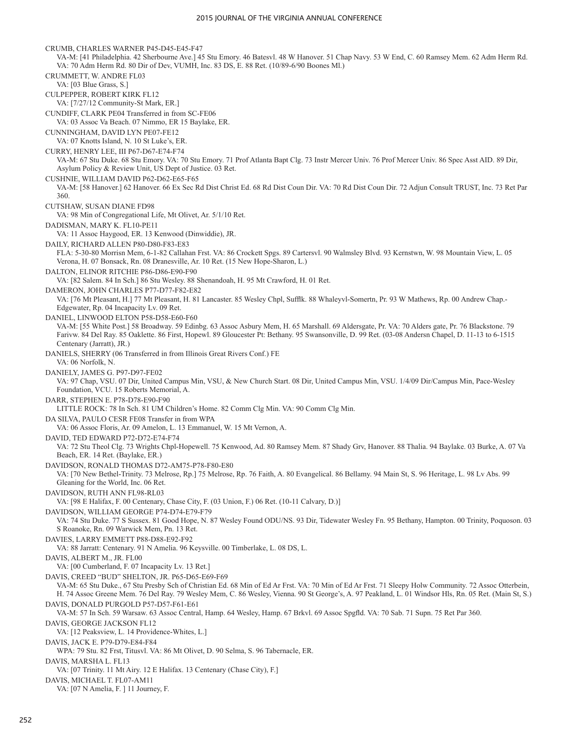CRUMB, CHARLES WARNER P45-D45-E45-F47 VA-M: [41 Philadelphia. 42 Sherbourne Ave.] 45 Stu Emory. 46 Batesvl. 48 W Hanover. 51 Chap Navy. 53 W End, C. 60 Ramsey Mem. 62 Adm Herm Rd. VA: 70 Adm Herm Rd. 80 Dir of Dev, VUMH, Inc. 83 DS, E. 88 Ret. (10/89-6/90 Boones Ml.) CRUMMETT, W. ANDRE FL03 VA: [03 Blue Grass, S.] CULPEPPER, ROBERT KIRK FL12 VA: [7/27/12 Community-St Mark, ER.] CUNDIFF, CLARK PE04 Transferred in from SC-FE06 VA: 03 Assoc Va Beach. 07 Nimmo, ER 15 Baylake, ER. CUNNINGHAM, DAVID LYN PE07-FE12 VA: 07 Knotts Island, N. 10 St Luke's, ER. CURRY, HENRY LEE, III P67-D67-E74-F74 VA-M: 67 Stu Duke. 68 Stu Emory. VA: 70 Stu Emory. 71 Prof Atlanta Bapt Clg. 73 Instr Mercer Univ. 76 Prof Mercer Univ. 86 Spec Asst AID. 89 Dir, Asylum Policy & Review Unit, US Dept of Justice. 03 Ret. CUSHNIE, WILLIAM DAVID P62-D62-E65-F65 VA-M: [58 Hanover.] 62 Hanover. 66 Ex Sec Rd Dist Christ Ed. 68 Rd Dist Coun Dir. VA: 70 Rd Dist Coun Dir. 72 Adjun Consult TRUST, Inc. 73 Ret Par 360. CUTSHAW, SUSAN DIANE FD98 VA: 98 Min of Congregational Life, Mt Olivet, Ar. 5/1/10 Ret. DADISMAN, MARY K. FL10-PE11 VA: 11 Assoc Haygood, ER. 13 Kenwood (Dinwiddie), JR. DAILY, RICHARD ALLEN P80-D80-F83-E83 FLA: 5-30-80 Morrisn Mem, 6-1-82 Callahan Frst. VA: 86 Crockett Spgs. 89 Cartersvl. 90 Walmsley Blvd. 93 Kernstwn, W. 98 Mountain View, L. 05 Verona, H. 07 Bonsack, Rn. 08 Dranesville, Ar. 10 Ret. (15 New Hope-Sharon, L.) DALTON, ELINOR RITCHIE P86-D86-E90-F90 VA: [82 Salem. 84 In Sch.] 86 Stu Wesley. 88 Shenandoah, H. 95 Mt Crawford, H. 01 Ret. DAMERON, JOHN CHARLES P77-D77-F82-E82 VA: [76 Mt Pleasant, H.] 77 Mt Pleasant, H. 81 Lancaster. 85 Wesley Chpl, Sufflk. 88 Whaleyvl-Somertn, Pr. 93 W Mathews, Rp. 00 Andrew Chap.- Edgewater, Rp. 04 Incapacity Lv. 09 Ret. DANIEL, LINWOOD ELTON P58-D58-E60-F60 VA-M: [55 White Post.] 58 Broadway. 59 Edinbg. 63 Assoc Asbury Mem, H. 65 Marshall. 69 Aldersgate, Pr. VA: 70 Alders gate, Pr. 76 Blackstone. 79 Farivw. 84 Del Ray. 85 Oaklette. 86 First, Hopewl. 89 Gloucester Pt: Bethany. 95 Swansonville, D. 99 Ret. (03-08 Andersn Chapel, D. 11-13 to 6-1515 Centenary (Jarratt), JR.) DANIELS, SHERRY (06 Transferred in from Illinois Great Rivers Conf.) FE VA: 06 Norfolk, N. DANIELY, JAMES G. P97-D97-FE02 VA: 97 Chap, VSU. 07 Dir, United Campus Min, VSU, & New Church Start. 08 Dir, United Campus Min, VSU. 1/4/09 Dir/Campus Min, Pace-Wesley Foundation, VCU. 15 Roberts Memorial, A. DARR, STEPHEN E. P78-D78-E90-F90 LITTLE ROCK: 78 In Sch. 81 UM Children's Home. 82 Comm Clg Min. VA: 90 Comm Clg Min. DA SILVA, PAULO CESR FE08 Transfer in from WPA VA: 06 Assoc Floris, Ar. 09 Amelon, L. 13 Emmanuel, W. 15 Mt Vernon, A. DAVID, TED EDWARD P72-D72-E74-F74 VA: 72 Stu Theol Clg. 73 Wrights Chpl-Hopewell. 75 Kenwood, Ad. 80 Ramsey Mem. 87 Shady Grv, Hanover. 88 Thalia. 94 Baylake. 03 Burke, A. 07 Va Beach, ER. 14 Ret. (Baylake, ER.) DAVIDSON, RONALD THOMAS D72-AM75-P78-F80-E80 VA: [70 New Bethel-Trinity. 73 Melrose, Rp.] 75 Melrose, Rp. 76 Faith, A. 80 Evangelical. 86 Bellamy. 94 Main St, S. 96 Heritage, L. 98 Lv Abs. 99 Gleaning for the World, Inc. 06 Ret. DAVIDSON, RUTH ANN FL98-RL03 VA: [98 E Halifax, F. 00 Centenary, Chase City, F. (03 Union, F.) 06 Ret. (10-11 Calvary, D.)] DAVIDSON, WILLIAM GEORGE P74-D74-E79-F79 VA: 74 Stu Duke. 77 S Sussex. 81 Good Hope, N. 87 Wesley Found ODU/NS. 93 Dir, Tidewater Wesley Fn. 95 Bethany, Hampton. 00 Trinity, Poquoson. 03 S Roanoke, Rn. 09 Warwick Mem, Pn. 13 Ret. DAVIES, LARRY EMMETT P88-D88-E92-F92 VA: 88 Jarratt: Centenary. 91 N Amelia. 96 Keysville. 00 Timberlake, L. 08 DS, L. DAVIS, ALBERT M., JR. FL00 VA: [00 Cumberland, F. 07 Incapacity Lv. 13 Ret.] DAVIS, CREED "BUD" SHELTON, JR. P65-D65-E69-F69 VA-M: 65 Stu Duke., 67 Stu Presby Sch of Christian Ed. 68 Min of Ed Ar Frst. VA: 70 Min of Ed Ar Frst. 71 Sleepy Holw Community. 72 Assoc Otterbein, H. 74 Assoc Greene Mem. 76 Del Ray. 79 Wesley Mem, C. 86 Wesley, Vienna. 90 St George's, A. 97 Peakland, L. 01 Windsor Hls, Rn. 05 Ret. (Main St, S.) DAVIS, DONALD PURGOLD P57-D57-F61-E61 VA-M: 57 In Sch. 59 Warsaw. 63 Assoc Central, Hamp. 64 Wesley, Hamp. 67 Brkvl. 69 Assoc Spgfld. VA: 70 Sab. 71 Supn. 75 Ret Par 360. DAVIS, GEORGE JACKSON FL12 VA: [12 Peaksview, L. 14 Providence-Whites, L.] DAVIS, JACK E. P79-D79-E84-F84 WPA: 79 Stu. 82 Frst, Titusvl. VA: 86 Mt Olivet, D. 90 Selma, S. 96 Tabernacle, ER. DAVIS, MARSHA L. FL13 VA: [07 Trinity. 11 Mt Airy. 12 E Halifax. 13 Centenary (Chase City), F.] DAVIS, MICHAEL T. FL07-AM11 VA: [07 N Amelia, F. ] 11 Journey, F.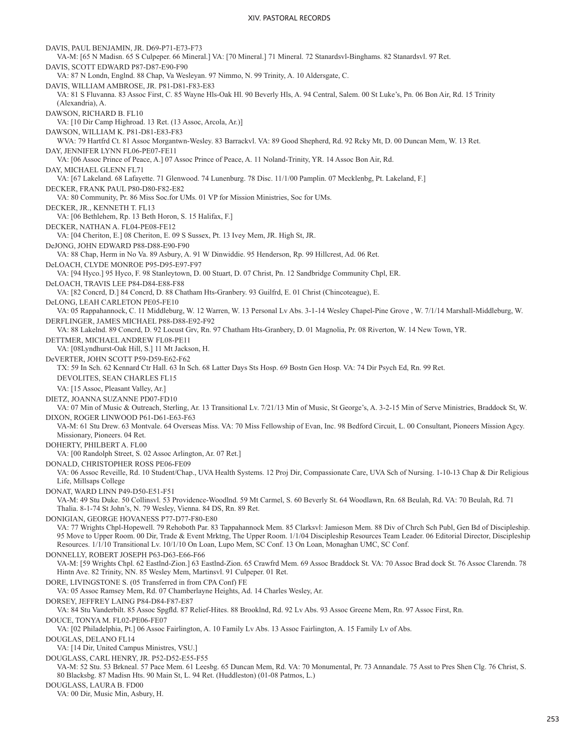DAVIS, PAUL BENJAMIN, JR. D69-P71-E73-F73 VA-M: [65 N Madisn. 65 S Culpeper. 66 Mineral.] VA: [70 Mineral.] 71 Mineral. 72 Stanardsvl-Binghams. 82 Stanardsvl. 97 Ret. DAVIS, SCOTT EDWARD P87-D87-E90-F90 VA: 87 N Londn, Englnd. 88 Chap, Va Wesleyan. 97 Nimmo, N. 99 Trinity, A. 10 Aldersgate, C. DAVIS, WILLIAM AMBROSE, JR. P81-D81-F83-E83 VA: 81 S Fluvanna. 83 Assoc First, C. 85 Wayne Hls-Oak Hl. 90 Beverly Hls, A. 94 Central, Salem. 00 St Luke's, Pn. 06 Bon Air, Rd. 15 Trinity (Alexandria), A. DAWSON, RICHARD B. FL10 VA: [10 Dir Camp Highroad. 13 Ret. (13 Assoc, Arcola, Ar.)] DAWSON, WILLIAM K. P81-D81-E83-F83 WVA: 79 Hartfrd Ct. 81 Assoc Morgantwn-Wesley. 83 Barrackvl. VA: 89 Good Shepherd, Rd. 92 Rcky Mt, D. 00 Duncan Mem, W. 13 Ret. DAY, JENNIFER LYNN FL06-PE07-FE11 VA: [06 Assoc Prince of Peace, A.] 07 Assoc Prince of Peace, A. 11 Noland-Trinity, YR. 14 Assoc Bon Air, Rd. DAY, MICHAEL GLENN FL71 VA: [67 Lakeland. 68 Lafayette. 71 Glenwood. 74 Lunenburg. 78 Disc. 11/1/00 Pamplin. 07 Mecklenbg, Pt. Lakeland, F.] DECKER, FRANK PAUL P80-D80-F82-E82 VA: 80 Community, Pr. 86 Miss Soc.for UMs. 01 VP for Mission Ministries, Soc for UMs. DECKER, JR., KENNETH T. FL13 VA: [06 Bethlehem, Rp. 13 Beth Horon, S. 15 Halifax, F.] DECKER, NATHAN A. FL04-PE08-FE12 VA: [04 Cheriton, E.] 08 Cheriton, E. 09 S Sussex, Pt. 13 Ivey Mem, JR. High St, JR. DeJONG, JOHN EDWARD P88-D88-E90-F90 VA: 88 Chap, Herm in No Va. 89 Asbury, A. 91 W Dinwiddie. 95 Henderson, Rp. 99 Hillcrest, Ad. 06 Ret. DeLOACH, CLYDE MONROE P95-D95-E97-F97 VA: [94 Hyco.] 95 Hyco, F. 98 Stanleytown, D. 00 Stuart, D. 07 Christ, Pn. 12 Sandbridge Community Chpl, ER. DeLOACH, TRAVIS LEE P84-D84-E88-F88 VA: [82 Concrd, D.] 84 Concrd, D. 88 Chatham Hts-Granbery. 93 Guilfrd, E. 01 Christ (Chincoteague), E. DeLONG, LEAH CARLETON PE05-FE10 VA: 05 Rappahannock, C. 11 Middleburg, W. 12 Warren, W. 13 Personal Lv Abs. 3-1-14 Wesley Chapel-Pine Grove , W. 7/1/14 Marshall-Middleburg, W. DERFLINGER, JAMES MICHAEL P88-D88-E92-F92 VA: 88 Lakelnd. 89 Concrd, D. 92 Locust Grv, Rn. 97 Chatham Hts-Granbery, D. 01 Magnolia, Pr. 08 Riverton, W. 14 New Town, YR. DETTMER, MICHAEL ANDREW FL08-PE11 VA: [08Lyndhurst-Oak Hill, S.] 11 Mt Jackson, H. DeVERTER, JOHN SCOTT P59-D59-E62-F62 TX: 59 In Sch. 62 Kennard Ctr Hall. 63 In Sch. 68 Latter Days Sts Hosp. 69 Bostn Gen Hosp. VA: 74 Dir Psych Ed, Rn. 99 Ret. DEVOLITES, SEAN CHARLES FL15 VA: [15 Assoc, Pleasant Valley, Ar.] DIETZ, JOANNA SUZANNE PD07-FD10 VA: 07 Min of Music & Outreach, Sterling, Ar. 13 Transitional Lv. 7/21/13 Min of Music, St George's, A. 3-2-15 Min of Serve Ministries, Braddock St, W. DIXON, ROGER LINWOOD P61-D61-E63-F63 VA-M: 61 Stu Drew. 63 Montvale. 64 Overseas Miss. VA: 70 Miss Fellowship of Evan, Inc. 98 Bedford Circuit, L. 00 Consultant, Pioneers Mission Agcy. Missionary, Pioneers. 04 Ret. DOHERTY, PHILBERT A. FL00 VA: [00 Randolph Street, S. 02 Assoc Arlington, Ar. 07 Ret.] DONALD, CHRISTOPHER ROSS PE06-FE09 VA: 06 Assoc Reveille, Rd. 10 Student/Chap., UVA Health Systems. 12 Proj Dir, Compassionate Care, UVA Sch of Nursing. 1-10-13 Chap & Dir Religious Life, Millsaps College DONAT, WARD LINN P49-D50-E51-F51 VA-M: 49 Stu Duke. 50 Collinsvl. 53 Providence-Woodlnd. 59 Mt Carmel, S. 60 Beverly St. 64 Woodlawn, Rn. 68 Beulah, Rd. VA: 70 Beulah, Rd. 71 Thalia. 8-1-74 St John's, N. 79 Wesley, Vienna. 84 DS, Rn. 89 Ret. DONIGIAN, GEORGE HOVANESS P77-D77-F80-E80 VA: 77 Wrights Chpl-Hopewell. 79 Rehoboth Par. 83 Tappahannock Mem. 85 Clarksvl: Jamieson Mem. 88 Div of Chrch Sch Publ, Gen Bd of Discipleship. 95 Move to Upper Room. 00 Dir, Trade & Event Mrktng, The Upper Room. 1/1/04 Discipleship Resources Team Leader. 06 Editorial Director, Discipleship Resources. 1/1/10 Transitional Lv. 10/1/10 On Loan, Lupo Mem, SC Conf. 13 On Loan, Monaghan UMC, SC Conf. DONNELLY, ROBERT JOSEPH P63-D63-E66-F66 VA-M: [59 Wrights Chpl. 62 Eastlnd-Zion.] 63 Eastlnd-Zion. 65 Crawfrd Mem. 69 Assoc Braddock St. VA: 70 Assoc Brad dock St. 76 Assoc Clarendn. 78 Hintn Ave. 82 Trinity, NN. 85 Wesley Mem, Martinsvl. 91 Culpeper. 01 Ret. DORE, LIVINGSTONE S. (05 Transferred in from CPA Conf) FE VA: 05 Assoc Ramsey Mem, Rd. 07 Chamberlayne Heights, Ad. 14 Charles Wesley, Ar. DORSEY, JEFFREY LAING P84-D84-F87-E87 VA: 84 Stu Vanderbilt. 85 Assoc Spgfld. 87 Relief-Hites. 88 Brooklnd, Rd. 92 Lv Abs. 93 Assoc Greene Mem, Rn. 97 Assoc First, Rn. DOUCE, TONYA M. FL02-PE06-FE07 VA: [02 Philadelphia, Pt.] 06 Assoc Fairlington, A. 10 Family Lv Abs. 13 Assoc Fairlington, A. 15 Family Lv of Abs. DOUGLAS, DELANO FL14 VA: [14 Dir, United Campus Ministres, VSU.] DOUGLASS, CARL HENRY, JR. P52-D52-E55-F55 VA-M: 52 Stu. 53 Brkneal. 57 Pace Mem. 61 Leesbg. 65 Duncan Mem, Rd. VA: 70 Monumental, Pr. 73 Annandale. 75 Asst to Pres Shen Clg. 76 Christ, S. 80 Blacksbg. 87 Madisn Hts. 90 Main St, L. 94 Ret. (Huddleston) (01-08 Patmos, L.) DOUGLASS, LAURA B. FD00 VA: 00 Dir, Music Min, Asbury, H.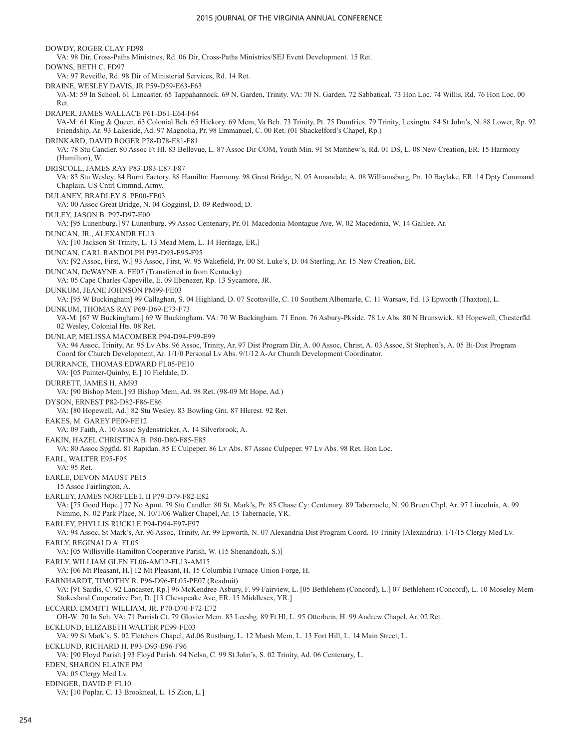DOWDY, ROGER CLAY FD98 VA: 98 Dir, Cross-Paths Ministries, Rd. 06 Dir, Cross-Paths Ministries/SEJ Event Development. 15 Ret. DOWNS, BETH C. FD97 VA: 97 Reveille, Rd. 98 Dir of Ministerial Services, Rd. 14 Ret. DRAINE, WESLEY DAVIS, JR P59-D59-E63-F63 VA-M: 59 In School. 61 Lancaster. 65 Tappahannock. 69 N. Garden, Trinity. VA: 70 N. Garden. 72 Sabbatical. 73 Hon Loc. 74 Willis, Rd. 76 Hon Loc. 00 Ret. DRAPER, JAMES WALLACE P61-D61-E64-F64 VA-M: 61 King & Queen. 63 Colonial Bch. 65 Hickory. 69 Mem, Va Bch. 73 Trinity, Pt. 75 Dumfries. 79 Trinity, Lexingtn. 84 St John's, N. 88 Lower, Rp. 92 Friendship, Ar. 93 Lakeside, Ad. 97 Magnolia, Pr. 98 Emmanuel, C. 00 Ret. (01 Shackelford's Chapel, Rp.) DRINKARD, DAVID ROGER P78-D78-E81-F81 VA: 78 Stu Candler. 80 Assoc Ft Hl. 83 Bellevue, L. 87 Assoc Dir COM, Youth Min. 91 St Matthew's, Rd. 01 DS, L. 08 New Creation, ER. 15 Harmony (Hamilton), W. DRISCOLL, JAMES RAY P83-D83-E87-F87 VA: 83 Stu Wesley. 84 Burnt Factory. 88 Hamiltn: Harmony. 98 Great Bridge, N. 05 Annandale, A. 08 Williamsburg, Pn. 10 Baylake, ER. 14 Dpty Command Chaplain, US Cntrl Cmmnd, Army. DULANEY, BRADLEY S. PE00-FE03 VA: 00 Assoc Great Bridge, N. 04 Gogginsl, D. 09 Redwood, D. DULEY, JASON B. P97-D97-E00 VA: [95 Lunenburg.] 97 Lunenburg. 99 Assoc Centenary, Pr. 01 Macedonia-Montague Ave, W. 02 Macedonia, W. 14 Galilee, Ar. DUNCAN, JR., ALEXANDR FL13 VA: [10 Jackson St-Trinity, L. 13 Mead Mem, L. 14 Heritage, ER.] DUNCAN, CARL RANDOLPH P93-D93-E95-F95 VA: [92 Assoc, First, W.] 93 Assoc, First, W. 95 Wakefield, Pr. 00 St. Luke's, D. 04 Sterling, Ar. 15 New Creation, ER. DUNCAN, DeWAYNE A. FE07 (Transferred in from Kentucky) VA: 05 Cape Charles-Capeville, E. 09 Ebenezer, Rp. 13 Sycamore, JR. DUNKUM, JEANE JOHNSON PM99-FE03 VA: [95 W Buckingham] 99 Callaghan, S. 04 Highland, D. 07 Scottsville, C. 10 Southern Albemarle, C. 11 Warsaw, Fd. 13 Epworth (Thaxton), L. DUNKUM, THOMAS RAY P69-D69-E73-F73 VA-M: [67 W Buckingham.] 69 W Buckingham. VA: 70 W Buckingham. 71 Enon. 76 Asbury-Pkside. 78 Lv Abs. 80 N Brunswick. 83 Hopewell, Chesterfld. 02 Wesley, Colonial Hts. 08 Ret. DUNLAP, MELISSA MACOMBER P94-D94-F99-E99 VA: 94 Assoc, Trinity, Ar. 95 Lv Abs. 96 Assoc, Trinity, Ar. 97 Dist Program Dir, A. 00 Assoc, Christ, A. 03 Assoc, St Stephen's, A. 05 Bi-Dist Program Coord for Church Development, Ar. 1/1/0 Personal Lv Abs. 9/1/12 A-Ar Church Development Coordinator. DURRANCE, THOMAS EDWARD FL05-PE10 VA: [05 Painter-Quinby, E.] 10 Fieldale, D. DURRETT, JAMES H. AM93 VA: [90 Bishop Mem.] 93 Bishop Mem, Ad. 98 Ret. (98-09 Mt Hope, Ad.) DYSON, ERNEST P82-D82-F86-E86 VA: [80 Hopewell, Ad.] 82 Stu Wesley. 83 Bowling Grn. 87 Hlcrest. 92 Ret. EAKES, M. GAREY PE09-FE12 VA: 09 Faith, A. 10 Assoc Sydenstricker, A. 14 Silverbrook, A. EAKIN, HAZEL CHRISTINA B. P80-D80-F85-E85 VA: 80 Assoc Spgfld. 81 Rapidan. 85 E Culpeper. 86 Lv Abs. 87 Assoc Culpeper. 97 Lv Abs. 98 Ret. Hon Loc. EARL, WALTER E95-F95 VA: 95 Ret. EARLE, DEVON MAUST PE15 15 Assoc Fairlington, A. EARLEY, JAMES NORFLEET, II P79-D79-F82-E82 VA: [75 Good Hope.] 77 No Apmt. 79 Stu Candler. 80 St. Mark's, Pr. 85 Chase Cy: Centenary. 89 Tabernacle, N. 90 Bruen Chpl, Ar. 97 Lincolnia, A. 99 Nimmo, N. 02 Park Place, N. 10/1/06 Walker Chapel, Ar. 15 Tabernacle, YR. EARLEY, PHYLLIS RUCKLE P94-D94-E97-F97 VA: 94 Assoc, St Mark's, Ar. 96 Assoc, Trinity, Ar. 99 Epworth, N. 07 Alexandria Dist Program Coord. 10 Trinity (Alexandria). 1/1/15 Clergy Med Lv. EARLY, REGINALD A. FL05 VA: [05 Willisville-Hamilton Cooperative Parish, W. (15 Shenandoah, S.)] EARLY, WILLIAM GLEN FL06-AM12-FL13-AM15 VA: [06 Mt Pleasant, H.] 12 Mt Pleasant, H. 15 Columbia Furnace-Union Forge, H. EARNHARDT, TIMOTHY R. P96-D96-FL05-PE07 (Readmit) VA: [91 Sardis, C. 92 Lancaster, Rp.] 96 McKendree-Asbury, F. 99 Fairview, L. [05 Bethlehem (Concord), L.] 07 Bethlehem (Concord), L. 10 Moseley Mem-Stokesland Cooperative Par, D. [13 Chesapeake Ave, ER. 15 Middlesex, YR.] ECCARD, EMMITT WILLIAM, JR. P70-D70-F72-E72 OH-W: 70 In Sch. VA: 71 Parrish Ct. 79 Glovier Mem. 83 Leesbg. 89 Ft Hl, L. 95 Otterbein, H. 99 Andrew Chapel, Ar. 02 Ret. ECKLUND, ELIZABETH WALTER PE99-FE03 VA: 99 St Mark's, S. 02 Fletchers Chapel, Ad.06 Rustburg, L. 12 Marsh Mem, L. 13 Fort Hill, L. 14 Main Street, L. ECKLUND, RICHARD H. P93-D93-E96-F96 VA: [90 Floyd Parish.] 93 Floyd Parish. 94 Nelsn, C. 99 St John's, S. 02 Trinity, Ad. 06 Centenary, L. EDEN, SHARON ELAINE PM VA: 05 Clergy Med Lv. EDINGER, DAVID P. FL10 VA: [10 Poplar, C. 13 Brookneal, L. 15 Zion, L.]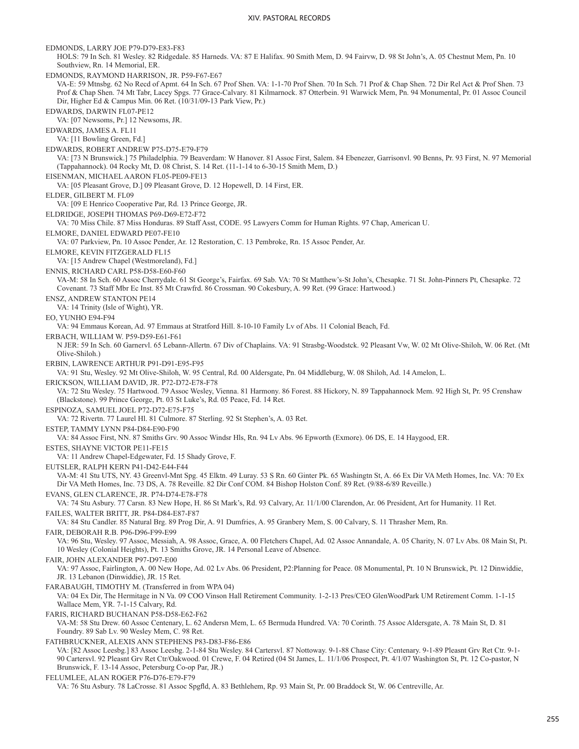EDMONDS, LARRY JOE P79-D79-E83-F83 HOLS: 79 In Sch. 81 Wesley. 82 Ridgedale. 85 Harneds. VA: 87 E Halifax. 90 Smith Mem, D. 94 Fairvw, D. 98 St John's, A. 05 Chestnut Mem, Pn. 10 Southview, Rn. 14 Memorial, ER. EDMONDS, RAYMOND HARRISON, JR. P59-F67-E67 VA-E: 59 Mtnsbg. 62 No Recd of Apmt. 64 In Sch. 67 Prof Shen. VA: 1-1-70 Prof Shen. 70 In Sch. 71 Prof & Chap Shen. 72 Dir Rel Act & Prof Shen. 73 Prof & Chap Shen. 74 Mt Tabr, Lacey Spgs. 77 Grace-Calvary. 81 Kilmarnock. 87 Otterbein. 91 Warwick Mem, Pn. 94 Monumental, Pr. 01 Assoc Council Dir, Higher Ed & Campus Min. 06 Ret. (10/31/09-13 Park View, Pr.) EDWARDS, DARWIN FL07-PE12 VA: [07 Newsoms, Pr.] 12 Newsoms, JR. EDWARDS, JAMES A. FL11 VA: [11 Bowling Green, Fd.] EDWARDS, ROBERT ANDREW P75-D75-E79-F79 VA: [73 N Brunswick.] 75 Philadelphia. 79 Beaverdam: W Hanover. 81 Assoc First, Salem. 84 Ebenezer, Garrisonvl. 90 Benns, Pr. 93 First, N. 97 Memorial (Tappahannock). 04 Rocky Mt, D. 08 Christ, S. 14 Ret. (11-1-14 to 6-30-15 Smith Mem, D.) EISENMAN, MICHAEL AARON FL05-PE09-FE13 VA: [05 Pleasant Grove, D.] 09 Pleasant Grove, D. 12 Hopewell, D. 14 First, ER. ELDER, GILBERT M. FL09 VA: [09 E Henrico Cooperative Par, Rd. 13 Prince George, JR. ELDRIDGE, JOSEPH THOMAS P69-D69-E72-F72 VA: 70 Miss Chile. 87 Miss Honduras. 89 Staff Asst, CODE. 95 Lawyers Comm for Human Rights. 97 Chap, American U. ELMORE, DANIEL EDWARD PE07-FE10 VA: 07 Parkview, Pn. 10 Assoc Pender, Ar. 12 Restoration, C. 13 Pembroke, Rn. 15 Assoc Pender, Ar. ELMORE, KEVIN FITZGERALD FL15 VA: [15 Andrew Chapel (Westmoreland), Fd.] ENNIS, RICHARD CARL P58-D58-E60-F60 VA-M: 58 In Sch. 60 Assoc Cherrydale. 61 St George's, Fairfax. 69 Sab. VA: 70 St Matthew's-St John's, Chesapke. 71 St. John-Pinners Pt, Chesapke. 72 Covenant. 73 Staff Mbr Ec Inst. 85 Mt Crawfrd. 86 Crossman. 90 Cokesbury, A. 99 Ret. (99 Grace: Hartwood.) ENSZ, ANDREW STANTON PE14 VA: 14 Trinity (Isle of Wight), YR. EO, YUNHO E94-F94 VA: 94 Emmaus Korean, Ad. 97 Emmaus at Stratford Hill. 8-10-10 Family Lv of Abs. 11 Colonial Beach, Fd. ERBACH, WILLIAM W. P59-D59-E61-F61 N JER: 59 In Sch. 60 Garnervl. 65 Lebann-Allertn. 67 Div of Chaplains. VA: 91 Strasbg-Woodstck. 92 Pleasant Vw, W. 02 Mt Olive-Shiloh, W. 06 Ret. (Mt Olive-Shiloh.) ERBIN, LAWRENCE ARTHUR P91-D91-E95-F95 VA: 91 Stu, Wesley. 92 Mt Olive-Shiloh, W. 95 Central, Rd. 00 Aldersgate, Pn. 04 Middleburg, W. 08 Shiloh, Ad. 14 Amelon, L. ERICKSON, WILLIAM DAVID, JR. P72-D72-E78-F78 VA: 72 Stu Wesley. 75 Hartwood. 79 Assoc Wesley, Vienna. 81 Harmony. 86 Forest. 88 Hickory, N. 89 Tappahannock Mem. 92 High St, Pr. 95 Crenshaw (Blackstone). 99 Prince George, Pt. 03 St Luke's, Rd. 05 Peace, Fd. 14 Ret. ESPINOZA, SAMUEL JOEL P72-D72-E75-F75 VA: 72 Rivertn. 77 Laurel Hl. 81 Culmore. 87 Sterling. 92 St Stephen's, A. 03 Ret. ESTEP, TAMMY LYNN P84-D84-E90-F90 VA: 84 Assoc First, NN. 87 Smiths Grv. 90 Assoc Windsr Hls, Rn. 94 Lv Abs. 96 Epworth (Exmore). 06 DS, E. 14 Haygood, ER. ESTES, SHAYNE VICTOR PE11-FE15 VA: 11 Andrew Chapel-Edgewater, Fd. 15 Shady Grove, F. EUTSLER, RALPH KERN P41-D42-E44-F44 VA-M: 41 Stu UTS, NY. 43 Greenvl-Mnt Spg. 45 Elktn. 49 Luray. 53 S Rn. 60 Ginter Pk. 65 Washingtn St, A. 66 Ex Dir VA Meth Homes, Inc. VA: 70 Ex Dir VA Meth Homes, Inc. 73 DS, A. 78 Reveille. 82 Dir Conf COM. 84 Bishop Holston Conf. 89 Ret. (9/88-6/89 Reveille.) EVANS, GLEN CLARENCE, JR. P74-D74-E78-F78 VA: 74 Stu Asbury. 77 Carsn. 83 New Hope, H. 86 St Mark's, Rd. 93 Calvary, Ar. 11/1/00 Clarendon, Ar. 06 President, Art for Humanity. 11 Ret. FAILES, WALTER BRITT, JR. P84-D84-E87-F87 VA: 84 Stu Candler. 85 Natural Brg. 89 Prog Dir, A. 91 Dumfries, A. 95 Granbery Mem, S. 00 Calvary, S. 11 Thrasher Mem, Rn. FAIR, DEBORAH R.B. P96-D96-F99-E99 VA: 96 Stu, Wesley. 97 Assoc, Messiah, A. 98 Assoc, Grace, A. 00 Fletchers Chapel, Ad. 02 Assoc Annandale, A. 05 Charity, N. 07 Lv Abs. 08 Main St, Pt. 10 Wesley (Colonial Heights), Pt. 13 Smiths Grove, JR. 14 Personal Leave of Absence. FAIR, JOHN ALEXANDER P97-D97-E00 VA: 97 Assoc, Fairlington, A. 00 New Hope, Ad. 02 Lv Abs. 06 President, P2:Planning for Peace. 08 Monumental, Pt. 10 N Brunswick, Pt. 12 Dinwiddie, JR. 13 Lebanon (Dinwiddie), JR. 15 Ret. FARABAUGH, TIMOTHY M. (Transferred in from WPA 04) VA: 04 Ex Dir, The Hermitage in N Va. 09 COO Vinson Hall Retirement Community. 1-2-13 Pres/CEO GlenWoodPark UM Retirement Comm. 1-1-15 Wallace Mem, YR. 7-1-15 Calvary, Rd. FARIS, RICHARD BUCHANAN P58-D58-E62-F62 VA-M: 58 Stu Drew. 60 Assoc Centenary, L. 62 Andersn Mem, L. 65 Bermuda Hundred. VA: 70 Corinth. 75 Assoc Aldersgate, A. 78 Main St, D. 81 Foundry. 89 Sab Lv. 90 Wesley Mem, C. 98 Ret. FATHBRUCKNER, ALEXIS ANN STEPHENS P83-D83-F86-E86 VA: [82 Assoc Leesbg.] 83 Assoc Leesbg. 2-1-84 Stu Wesley. 84 Cartersvl. 87 Nottoway. 9-1-88 Chase City: Centenary. 9-1-89 Pleasnt Grv Ret Ctr. 9-1- 90 Cartersvl. 92 Pleasnt Grv Ret Ctr/Oakwood. 01 Crewe, F. 04 Retired (04 St James, L. 11/1/06 Prospect, Pt. 4/1/07 Washington St, Pt. 12 Co-pastor, N Brunswick, F. 13-14 Assoc, Petersburg Co-op Par, JR.) FELUMLEE, ALAN ROGER P76-D76-E79-F79 VA: 76 Stu Asbury. 78 LaCrosse. 81 Assoc Spgfld, A. 83 Bethlehem, Rp. 93 Main St, Pr. 00 Braddock St, W. 06 Centreville, Ar.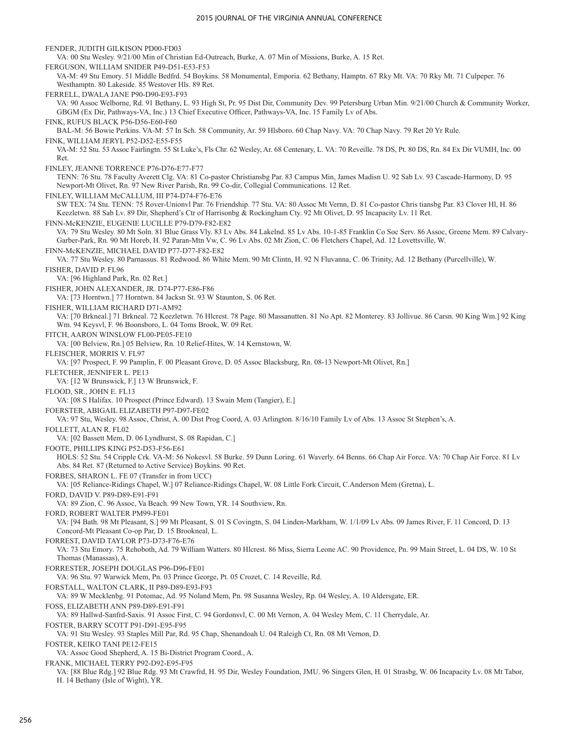FENDER, JUDITH GILKISON PD00-FD03 VA: 00 Stu Wesley. 9/21/00 Min of Christian Ed-Outreach, Burke, A. 07 Min of Missions, Burke, A. 15 Ret. FERGUSON, WILLIAM SNIDER P49-D51-E53-F53 VA-M: 49 Stu Emory. 51 Middle Bedfrd. 54 Boykins. 58 Monumental, Emporia. 62 Bethany, Hamptn. 67 Rky Mt. VA: 70 Rky Mt. 71 Culpeper. 76 Westhamptn. 80 Lakeside. 85 Westover Hls. 89 Ret. FERRELL, DWALA JANE P90-D90-E93-F93 VA: 90 Assoc Welborne, Rd. 91 Bethany, L. 93 High St, Pr. 95 Dist Dir, Community Dev. 99 Petersburg Urban Min. 9/21/00 Church & Community Worker, GBGM (Ex Dir, Pathways-VA, Inc.) 13 Chief Executive Officer, Pathways-VA, Inc. 15 Family Lv of Abs. FINK, RUFUS BLACK P56-D56-E60-F60 BAL-M: 56 Bowie Perkins. VA-M: 57 In Sch. 58 Community, Ar. 59 Hlsboro. 60 Chap Navy. VA: 70 Chap Navy. 79 Ret 20 Yr Rule. FINK, WILLIAM JERYL P52-D52-E55-F55 VA-M: 52 Stu. 53 Assoc Fairlingtn. 55 St Luke's, Fls Chr. 62 Wesley, Ar. 68 Centenary, L. VA: 70 Reveille. 78 DS, Pt. 80 DS, Rn. 84 Ex Dir VUMH, Inc. 00 Ret. FINLEY, JEANNE TORRENCE P76-D76-E77-F77 TENN: 76 Stu. 78 Faculty Averett Clg. VA: 81 Co-pastor Christiansbg Par. 83 Campus Min, James Madisn U. 92 Sab Lv. 93 Cascade-Harmony, D. 95 Newport-Mt Olivet, Rn. 97 New River Parish, Rn. 99 Co-dir, Collegial Communications. 12 Ret. FINLEY, WILLIAM McCALLUM, III P74-D74-F76-E76 SW TEX: 74 Stu. TENN: 75 Rover-Unionvl Par. 76 Friendship. 77 Stu. VA: 80 Assoc Mt Vernn, D. 81 Co-pastor Chris tiansbg Par. 83 Clover Hl, H. 86 Keezletwn. 88 Sab Lv. 89 Dir, Shepherd's Ctr of Harrisonbg & Rockingham Cty. 92 Mt Olivet, D. 95 Incapacity Lv. 11 Ret. FINN-McKENZIE, EUGENIE LUCILLE P79-D79-F82-E82 VA: 79 Stu Wesley. 80 Mt Soln. 81 Blue Grass Vly. 83 Lv Abs. 84 Lakelnd. 85 Lv Abs. 10-1-85 Franklin Co Soc Serv. 86 Assoc, Greene Mem. 89 Calvary-Garber-Park, Rn. 90 Mt Horeb, H. 92 Paran-Mtn Vw, C. 96 Lv Abs. 02 Mt Zion, C. 06 Fletchers Chapel, Ad. 12 Lovettsville, W. FINN-McKENZIE, MICHAEL DAVID P77-D77-F82-E82 VA: 77 Stu Wesley. 80 Parnassus. 81 Redwood. 86 White Mem. 90 Mt Clintn, H. 92 N Fluvanna, C. 06 Trinity, Ad. 12 Bethany (Purcellville), W. FISHER, DAVID P. FL96 VA: [96 Highland Park, Rn. 02 Ret.] FISHER, JOHN ALEXANDER, JR. D74-P77-E86-F86 VA: [73 Horntwn.] 77 Horntwn. 84 Jacksn St. 93 W Staunton, S. 06 Ret. FISHER, WILLIAM RICHARD D71-AM92 VA: [70 Brkneal.] 71 Brkneal. 72 Keezletwn. 76 Hlcrest. 78 Page. 80 Massanutten. 81 No Apt. 82 Monterey. 83 Jollivue. 86 Carsn. 90 King Wm.] 92 King Wm. 94 Keysvl, F. 96 Boonsboro, L. 04 Toms Brook, W. 09 Ret. FITCH, AARON WINSLOW FL00-PE05-FE10 VA: [00 Belview, Rn.] 05 Belview, Rn. 10 Relief-Hites, W. 14 Kernstown, W. FLEISCHER, MORRIS V. FL97 VA: [97 Prospect, F. 99 Pamplin, F. 00 Pleasant Grove, D. 05 Assoc Blacksburg, Rn. 08-13 Newport-Mt Olivet, Rn.] FLETCHER, JENNIFER L. PE13 VA: [12 W Brunswick, F.] 13 W Brunswick, F. FLOOD, SR., JOHN E. FL13 VA: [08 S Halifax. 10 Prospect (Prince Edward). 13 Swain Mem (Tangier), E.] FOERSTER, ABIGAIL ELIZABETH P97-D97-FE02 VA: 97 Stu, Wesley. 98 Assoc, Christ, A. 00 Dist Prog Coord, A. 03 Arlington. 8/16/10 Family Lv of Abs. 13 Assoc St Stephen's, A. FOLLETT, ALAN R. FL02 VA: [02 Bassett Mem, D. 06 Lyndhurst, S. 08 Rapidan, C.] FOOTE, PHILLIPS KING P52-D53-F56-E61 HOLS: 52 Stu. 54 Cripple Crk. VA-M: 56 Nokesvl. 58 Burke. 59 Dunn Loring. 61 Waverly. 64 Benns. 66 Chap Air Force. VA: 70 Chap Air Force. 81 Lv Abs. 84 Ret. 87 (Returned to Active Service) Boykins. 90 Ret. FORBES, SHARON L. FE 07 (Transfer in from UCC) VA: [05 Reliance-Ridings Chapel, W.] 07 Reliance-Ridings Chapel, W. 08 Little Fork Circuit, C.Anderson Mem (Gretna), L. FORD, DAVID V. P89-D89-E91-F91 VA: 89 Zion, C. 96 Assoc, Va Beach. 99 New Town, YR. 14 Southview, Rn. FORD, ROBERT WALTER PM99-FE01 VA: [94 Bath. 98 Mt Pleasant, S.] 99 Mt Pleasant, S. 01 S Covingtn, S. 04 Linden-Markham, W. 1/1/09 Lv Abs. 09 James River, F. 11 Concord, D. 13 Concord-Mt Pleasant Co-op Par, D. 15 Brookneal, L. FORREST, DAVID TAYLOR P73-D73-F76-E76 VA: 73 Stu Emory. 75 Rehoboth, Ad. 79 William Watters. 80 Hlcrest. 86 Miss, Sierra Leone AC. 90 Providence, Pn. 99 Main Street, L. 04 DS, W. 10 St Thomas (Manassas), A. FORRESTER, JOSEPH DOUGLAS P96-D96-FE01 VA: 96 Stu. 97 Warwick Mem, Pn. 03 Prince George, Pt. 05 Crozet, C. 14 Reveille, Rd. FORSTALL, WALTON CLARK, II P89-D89-E93-F93 VA: 89 W Mecklenbg. 91 Potomac, Ad. 95 Noland Mem, Pn. 98 Susanna Wesley, Rp. 04 Wesley, A. 10 Aldersgate, ER. FOSS, ELIZABETH ANN P89-D89-E91-F91 VA: 89 Hallwd-Sanfrd-Saxis. 91 Assoc First, C. 94 Gordonsvl, C. 00 Mt Vernon, A. 04 Wesley Mem, C. 11 Cherrydale, Ar. FOSTER, BARRY SCOTT P91-D91-E95-F95 VA: 91 Stu Wesley. 93 Staples Mill Par, Rd. 95 Chap, Shenandoah U. 04 Raleigh Ct, Rn. 08 Mt Vernon, D. FOSTER, KEIKO TANI PE12-FE15 VA: Assoc Good Shepherd, A. 15 Bi-District Program Coord., A. FRANK, MICHAEL TERRY P92-D92-E95-F95 VA: [88 Blue Rdg.] 92 Blue Rdg. 93 Mt Crawfrd, H. 95 Dir, Wesley Foundation, JMU. 96 Singers Glen, H. 01 Strasbg, W. 06 Incapacity Lv. 08 Mt Tabor, H. 14 Bethany (Isle of Wight), YR.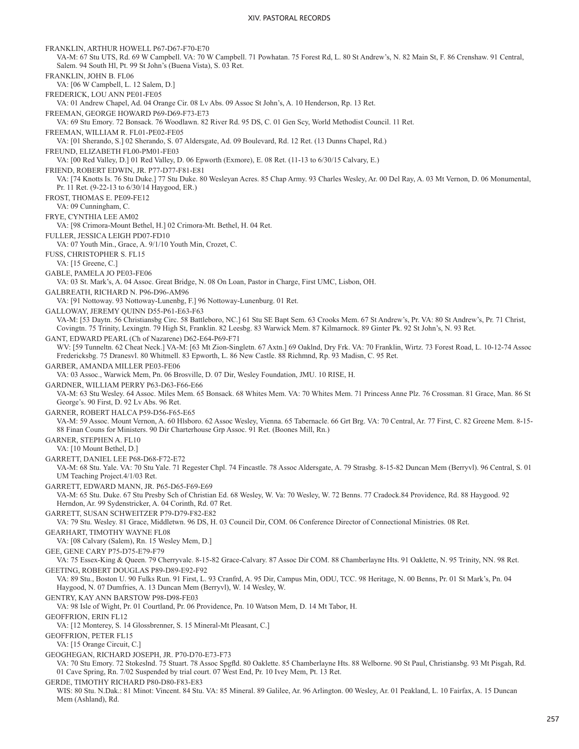FRANKLIN, ARTHUR HOWELL P67-D67-F70-E70 VA-M: 67 Stu UTS, Rd. 69 W Campbell. VA: 70 W Campbell. 71 Powhatan. 75 Forest Rd, L. 80 St Andrew's, N. 82 Main St, F. 86 Crenshaw. 91 Central, Salem. 94 South Hl, Pt. 99 St John's (Buena Vista), S. 03 Ret. FRANKLIN, JOHN B. FL06 VA: [06 W Campbell, L. 12 Salem, D.] FREDERICK, LOU ANN PE01-FE05 VA: 01 Andrew Chapel, Ad. 04 Orange Cir. 08 Lv Abs. 09 Assoc St John's, A. 10 Henderson, Rp. 13 Ret. FREEMAN, GEORGE HOWARD P69-D69-F73-E73 VA: 69 Stu Emory. 72 Bonsack. 76 Woodlawn. 82 River Rd. 95 DS, C. 01 Gen Scy, World Methodist Council. 11 Ret. FREEMAN, WILLIAM R. FL01-PE02-FE05 VA: [01 Sherando, S.] 02 Sherando, S. 07 Aldersgate, Ad. 09 Boulevard, Rd. 12 Ret. (13 Dunns Chapel, Rd.) FREUND, ELIZABETH FL00-PM01-FE03 VA: [00 Red Valley, D.] 01 Red Valley, D. 06 Epworth (Exmore), E. 08 Ret. (11-13 to 6/30/15 Calvary, E.) FRIEND, ROBERT EDWIN, JR. P77-D77-F81-E81 VA: [74 Knotts Is. 76 Stu Duke.] 77 Stu Duke. 80 Wesleyan Acres. 85 Chap Army. 93 Charles Wesley, Ar. 00 Del Ray, A. 03 Mt Vernon, D. 06 Monumental, Pr. 11 Ret. (9-22-13 to 6/30/14 Haygood, ER.) FROST, THOMAS E. PE09-FE12 VA: 09 Cunningham, C. FRYE, CYNTHIA LEE AM02 VA: [98 Crimora-Mount Bethel, H.] 02 Crimora-Mt. Bethel, H. 04 Ret. FULLER, JESSICA LEIGH PD07-FD10 VA: 07 Youth Min., Grace, A. 9/1/10 Youth Min, Crozet, C. FUSS, CHRISTOPHER S. FL15 VA: [15 Greene, C.] GABLE, PAMELA JO PE03-FE06 VA: 03 St. Mark's, A. 04 Assoc. Great Bridge, N. 08 On Loan, Pastor in Charge, First UMC, Lisbon, OH. GALBREATH, RICHARD N. P96-D96-AM96 VA: [91 Nottoway. 93 Nottoway-Lunenbg, F.] 96 Nottoway-Lunenburg. 01 Ret. GALLOWAY, JEREMY QUINN D55-P61-E63-F63 VA-M: [53 Daytn. 56 Christiansbg Circ. 58 Battleboro, NC.] 61 Stu SE Bapt Sem. 63 Crooks Mem. 67 St Andrew's, Pr. VA: 80 St Andrew's, Pr. 71 Christ, Covingtn. 75 Trinity, Lexingtn. 79 High St, Franklin. 82 Leesbg. 83 Warwick Mem. 87 Kilmarnock. 89 Ginter Pk. 92 St John's, N. 93 Ret. GANT, EDWARD PEARL (Ch of Nazarene) D62-E64-P69-F71 WV: [59 Tunneltn. 62 Cheat Neck.] VA-M: [63 Mt Zion-Singletn. 67 Axtn.] 69 Oaklnd, Dry Frk. VA: 70 Franklin, Wirtz. 73 Forest Road, L. 10-12-74 Assoc Fredericksbg. 75 Dranesvl. 80 Whitmell. 83 Epworth, L. 86 New Castle. 88 Richmnd, Rp. 93 Madisn, C. 95 Ret. GARBER, AMANDA MILLER PE03-FE06 VA: 03 Assoc., Warwick Mem, Pn. 06 Brosville, D. 07 Dir, Wesley Foundation, JMU. 10 RISE, H. GARDNER, WILLIAM PERRY P63-D63-F66-E66 VA-M: 63 Stu Wesley. 64 Assoc. Miles Mem. 65 Bonsack. 68 Whites Mem. VA: 70 Whites Mem. 71 Princess Anne Plz. 76 Crossman. 81 Grace, Man. 86 St George's. 90 First, D. 92 Lv Abs. 96 Ret. GARNER, ROBERT HALCA P59-D56-F65-E65 VA-M: 59 Assoc. Mount Vernon, A. 60 Hlsboro. 62 Assoc Wesley, Vienna. 65 Tabernacle. 66 Grt Brg. VA: 70 Central, Ar. 77 First, C. 82 Greene Mem. 8-15- 88 Finan Couns for Ministers. 90 Dir Charterhouse Grp Assoc. 91 Ret. (Boones Mill, Rn.) GARNER, STEPHEN A. FL10 VA: [10 Mount Bethel, D.] GARRETT, DANIEL LEE P68-D68-F72-E72 VA-M: 68 Stu. Yale. VA: 70 Stu Yale. 71 Regester Chpl. 74 Fincastle. 78 Assoc Aldersgate, A. 79 Strasbg. 8-15-82 Duncan Mem (Berryvl). 96 Central, S. 01 UM Teaching Project.4/1/03 Ret. GARRETT, EDWARD MANN, JR. P65-D65-F69-E69 VA-M: 65 Stu. Duke. 67 Stu Presby Sch of Christian Ed. 68 Wesley, W. Va: 70 Wesley, W. 72 Benns. 77 Cradock.84 Providence, Rd. 88 Haygood. 92 Herndon, Ar. 99 Sydenstricker, A. 04 Corinth, Rd. 07 Ret. GARRETT, SUSAN SCHWEITZER P79-D79-F82-E82 VA: 79 Stu. Wesley. 81 Grace, Middletwn. 96 DS, H. 03 Council Dir, COM. 06 Conference Director of Connectional Ministries. 08 Ret. GEARHART, TIMOTHY WAYNE FL08 VA: [08 Calvary (Salem), Rn. 15 Wesley Mem, D.] GEE, GENE CARY P75-D75-E79-F79 VA: 75 Essex-King & Queen. 79 Cherryvale. 8-15-82 Grace-Calvary. 87 Assoc Dir COM. 88 Chamberlayne Hts. 91 Oaklette, N. 95 Trinity, NN. 98 Ret. GEETING, ROBERT DOUGLAS P89-D89-E92-F92 VA: 89 Stu., Boston U. 90 Fulks Run. 91 First, L. 93 Cranfrd, A. 95 Dir, Campus Min, ODU, TCC. 98 Heritage, N. 00 Benns, Pr. 01 St Mark's, Pn. 04 Haygood, N. 07 Dumfries, A. 13 Duncan Mem (Berryvl), W. 14 Wesley, W. GENTRY, KAY ANN BARSTOW P98-D98-FE03 VA: 98 Isle of Wight, Pr. 01 Courtland, Pr. 06 Providence, Pn. 10 Watson Mem, D. 14 Mt Tabor, H. GEOFFRION, ERIN FL12 VA: [12 Monterey, S. 14 Glossbrenner, S. 15 Mineral-Mt Pleasant, C.] GEOFFRION, PETER FL15 VA: [15 Orange Circuit, C.] GEOGHEGAN, RICHARD JOSEPH, JR. P70-D70-E73-F73 VA: 70 Stu Emory. 72 Stokeslnd. 75 Stuart. 78 Assoc Spgfld. 80 Oaklette. 85 Chamberlayne Hts. 88 Welborne. 90 St Paul, Christiansbg. 93 Mt Pisgah, Rd. 01 Cave Spring, Rn. 7/02 Suspended by trial court. 07 West End, Pr. 10 Ivey Mem, Pt. 13 Ret. GERDE, TIMOTHY RICHARD P80-D80-F83-E83 WIS: 80 Stu. N.Dak.: 81 Minot: Vincent. 84 Stu. VA: 85 Mineral. 89 Galilee, Ar. 96 Arlington. 00 Wesley, Ar. 01 Peakland, L. 10 Fairfax, A. 15 Duncan

Mem (Ashland), Rd.

257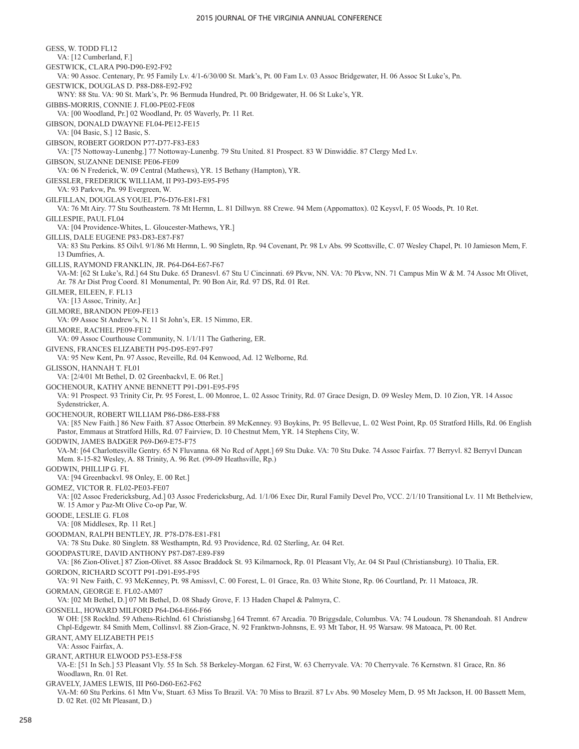GESS, W. TODD FL12 VA: [12 Cumberland, F.] GESTWICK, CLARA P90-D90-E92-F92 VA: 90 Assoc. Centenary, Pr. 95 Family Lv. 4/1-6/30/00 St. Mark's, Pt. 00 Fam Lv. 03 Assoc Bridgewater, H. 06 Assoc St Luke's, Pn. GESTWICK, DOUGLAS D. P88-D88-E92-F92 WNY: 88 Stu. VA: 90 St. Mark's, Pr. 96 Bermuda Hundred, Pt. 00 Bridgewater, H. 06 St Luke's, YR. GIBBS-MORRIS, CONNIE J. FL00-PE02-FE08 VA: [00 Woodland, Pr.] 02 Woodland, Pr. 05 Waverly, Pr. 11 Ret. GIBSON, DONALD DWAYNE FL04-PE12-FE15 VA: [04 Basic, S.] 12 Basic, S. GIBSON, ROBERT GORDON P77-D77-F83-E83 VA: [75 Nottoway-Lunenbg.] 77 Nottoway-Lunenbg. 79 Stu United. 81 Prospect. 83 W Dinwiddie. 87 Clergy Med Lv. GIBSON, SUZANNE DENISE PE06-FE09 VA: 06 N Frederick, W. 09 Central (Mathews), YR. 15 Bethany (Hampton), YR. GIESSLER, FREDERICK WILLIAM, II P93-D93-E95-F95 VA: 93 Parkvw, Pn. 99 Evergreen, W. GILFILLAN, DOUGLAS YOUEL P76-D76-E81-F81 VA: 76 Mt Airy. 77 Stu Southeastern. 78 Mt Hermn, L. 81 Dillwyn. 88 Crewe. 94 Mem (Appomattox). 02 Keysvl, F. 05 Woods, Pt. 10 Ret. GILLESPIE, PAUL FL04 VA: [04 Providence-Whites, L. Gloucester-Mathews, YR.] GILLIS, DALE EUGENE P83-D83-E87-F87 VA: 83 Stu Perkins. 85 Oilvl. 9/1/86 Mt Hermn, L. 90 Singletn, Rp. 94 Covenant, Pr. 98 Lv Abs. 99 Scottsville, C. 07 Wesley Chapel, Pt. 10 Jamieson Mem, F. 13 Dumfries, A. GILLIS, RAYMOND FRANKLIN, JR. P64-D64-E67-F67 VA-M: [62 St Luke's, Rd.] 64 Stu Duke. 65 Dranesvl. 67 Stu U Cincinnati. 69 Pkvw, NN. VA: 70 Pkvw, NN. 71 Campus Min W & M. 74 Assoc Mt Olivet, Ar. 78 Ar Dist Prog Coord. 81 Monumental, Pr. 90 Bon Air, Rd. 97 DS, Rd. 01 Ret. GILMER, EILEEN, F. FL13 VA: [13 Assoc, Trinity, Ar.] GILMORE, BRANDON PE09-FE13 VA: 09 Assoc St Andrew's, N. 11 St John's, ER. 15 Nimmo, ER. GILMORE, RACHEL PE09-FE12 VA: 09 Assoc Courthouse Community, N. 1/1/11 The Gathering, ER. GIVENS, FRANCES ELIZABETH P95-D95-E97-F97 VA: 95 New Kent, Pn. 97 Assoc, Reveille, Rd. 04 Kenwood, Ad. 12 Welborne, Rd. GLISSON, HANNAH T. FL01 VA: [2/4/01 Mt Bethel, D. 02 Greenbackvl, E. 06 Ret.] GOCHENOUR, KATHY ANNE BENNETT P91-D91-E95-F95 VA: 91 Prospect. 93 Trinity Cir, Pr. 95 Forest, L. 00 Monroe, L. 02 Assoc Trinity, Rd. 07 Grace Design, D. 09 Wesley Mem, D. 10 Zion, YR. 14 Assoc Sydenstricker, A. GOCHENOUR, ROBERT WILLIAM P86-D86-E88-F88 VA: [85 New Faith.] 86 New Faith. 87 Assoc Otterbein. 89 McKenney. 93 Boykins, Pr. 95 Bellevue, L. 02 West Point, Rp. 05 Stratford Hills, Rd. 06 English Pastor, Emmaus at Stratford Hills, Rd. 07 Fairview, D. 10 Chestnut Mem, YR. 14 Stephens City, W. GODWIN, JAMES BADGER P69-D69-E75-F75 VA-M: [64 Charlottesville Gentry. 65 N Fluvanna. 68 No Rcd of Appt.] 69 Stu Duke. VA: 70 Stu Duke. 74 Assoc Fairfax. 77 Berryvl. 82 Berryvl Duncan Mem. 8-15-82 Wesley, A. 88 Trinity, A. 96 Ret. (99-09 Heathsville, Rp.) GODWIN, PHILLIP G. FL VA: [94 Greenbackvl. 98 Onley, E. 00 Ret.] GOMEZ, VICTOR R. FL02-PE03-FE07 VA: [02 Assoc Fredericksburg, Ad.] 03 Assoc Fredericksburg, Ad. 1/1/06 Exec Dir, Rural Family Devel Pro, VCC. 2/1/10 Transitional Lv. 11 Mt Bethelview, W. 15 Amor y Paz-Mt Olive Co-op Par, W. GOODE, LESLIE G. FL08 VA: [08 Middlesex, Rp. 11 Ret.] GOODMAN, RALPH BENTLEY, JR. P78-D78-E81-F81 VA: 78 Stu Duke. 80 Singletn. 88 Westhamptn, Rd. 93 Providence, Rd. 02 Sterling, Ar. 04 Ret. GOODPASTURE, DAVID ANTHONY P87-D87-E89-F89 VA: [86 Zion-Olivet.] 87 Zion-Olivet. 88 Assoc Braddock St. 93 Kilmarnock, Rp. 01 Pleasant Vly, Ar. 04 St Paul (Christiansburg). 10 Thalia, ER. GORDON, RICHARD SCOTT P91-D91-E95-F95 VA: 91 New Faith, C. 93 McKenney, Pt. 98 Amissvl, C. 00 Forest, L. 01 Grace, Rn. 03 White Stone, Rp. 06 Courtland, Pr. 11 Matoaca, JR. GORMAN, GEORGE E. FL02-AM07 VA: [02 Mt Bethel, D.] 07 Mt Bethel, D. 08 Shady Grove, F. 13 Haden Chapel & Palmyra, C. GOSNELL, HOWARD MILFORD P64-D64-E66-F66 W OH: [58 Rocklnd. 59 Athens-Richlnd. 61 Christiansbg.] 64 Tremnt. 67 Arcadia. 70 Briggsdale, Columbus. VA: 74 Loudoun. 78 Shenandoah. 81 Andrew Chpl-Edgewtr. 84 Smith Mem, Collinsvl. 88 Zion-Grace, N. 92 Franktwn-Johnsns, E. 93 Mt Tabor, H. 95 Warsaw. 98 Matoaca, Pt. 00 Ret. GRANT, AMY ELIZABETH PE15 VA: Assoc Fairfax, A. GRANT, ARTHUR ELWOOD P53-E58-F58 VA-E: [51 In Sch.] 53 Pleasant Vly. 55 In Sch. 58 Berkeley-Morgan. 62 First, W. 63 Cherryvale. VA: 70 Cherryvale. 76 Kernstwn. 81 Grace, Rn. 86 Woodlawn, Rn. 01 Ret. GRAVELY, JAMES LEWIS, III P60-D60-E62-F62 VA-M: 60 Stu Perkins. 61 Mtn Vw, Stuart. 63 Miss To Brazil. VA: 70 Miss to Brazil. 87 Lv Abs. 90 Moseley Mem, D. 95 Mt Jackson, H. 00 Bassett Mem, D. 02 Ret. (02 Mt Pleasant, D.)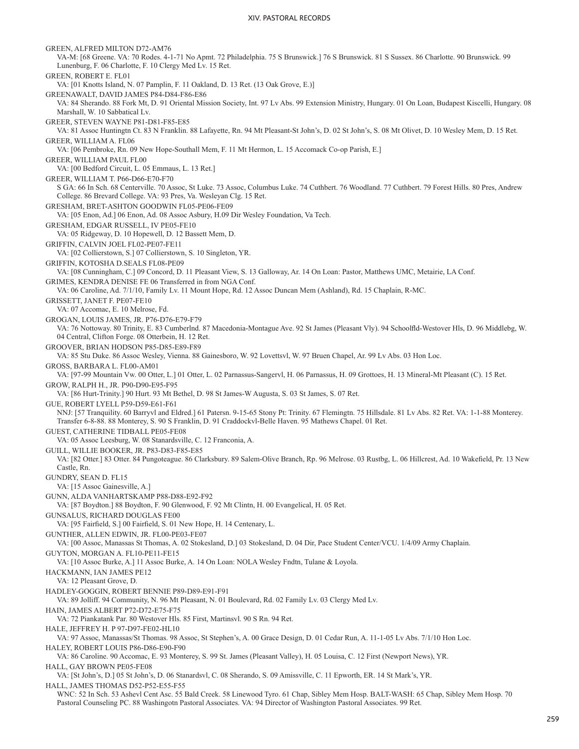GREEN, ALFRED MILTON D72-AM76 VA-M: [68 Greene. VA: 70 Rodes. 4-1-71 No Apmt. 72 Philadelphia. 75 S Brunswick.] 76 S Brunswick. 81 S Sussex. 86 Charlotte. 90 Brunswick. 99 Lunenburg, F. 06 Charlotte, F. 10 Clergy Med Lv. 15 Ret. GREEN, ROBERT E. FL01 VA: [01 Knotts Island, N. 07 Pamplin, F. 11 Oakland, D. 13 Ret. (13 Oak Grove, E.)] GREENAWALT, DAVID JAMES P84-D84-F86-E86 VA: 84 Sherando. 88 Fork Mt, D. 91 Oriental Mission Society, Int. 97 Lv Abs. 99 Extension Ministry, Hungary. 01 On Loan, Budapest Kiscelli, Hungary. 08 Marshall, W. 10 Sabbatical Lv. GREER, STEVEN WAYNE P81-D81-F85-E85 VA: 81 Assoc Huntingtn Ct. 83 N Franklin. 88 Lafayette, Rn. 94 Mt Pleasant-St John's, D. 02 St John's, S. 08 Mt Olivet, D. 10 Wesley Mem, D. 15 Ret. GREER, WILLIAM A. FL06 VA: [06 Pembroke, Rn. 09 New Hope-Southall Mem, F. 11 Mt Hermon, L. 15 Accomack Co-op Parish, E.] GREER, WILLIAM PAUL FL00 VA: [00 Bedford Circuit, L. 05 Emmaus, L. 13 Ret.] GREER, WILLIAM T. P66-D66-E70-F70 S GA: 66 In Sch. 68 Centerville. 70 Assoc, St Luke. 73 Assoc, Columbus Luke. 74 Cuthbert. 76 Woodland. 77 Cuthbert. 79 Forest Hills. 80 Pres, Andrew College. 86 Brevard College. VA: 93 Pres, Va. Wesleyan Clg. 15 Ret. GRESHAM, BRET-ASHTON GOODWIN FL05-PE06-FE09 VA: [05 Enon, Ad.] 06 Enon, Ad. 08 Assoc Asbury, H.09 Dir Wesley Foundation, Va Tech. GRESHAM, EDGAR RUSSELL, IV PE05-FE10 VA: 05 Ridgeway, D. 10 Hopewell, D. 12 Bassett Mem, D. GRIFFIN, CALVIN JOEL FL02-PE07-FE11 VA: [02 Collierstown, S.] 07 Collierstown, S. 10 Singleton, YR. GRIFFIN, KOTOSHA D.SEALS FL08-PE09 VA: [08 Cunningham, C.] 09 Concord, D. 11 Pleasant View, S. 13 Galloway, Ar. 14 On Loan: Pastor, Matthews UMC, Metairie, LA Conf. GRIMES, KENDRA DENISE FE 06 Transferred in from NGA Conf. VA: 06 Caroline, Ad. 7/1/10, Family Lv. 11 Mount Hope, Rd. 12 Assoc Duncan Mem (Ashland), Rd. 15 Chaplain, R-MC. GRISSETT, JANET F. PE07-FE10 VA: 07 Accomac, E. 10 Melrose, Fd. GROGAN, LOUIS JAMES, JR. P76-D76-E79-F79 VA: 76 Nottoway. 80 Trinity, E. 83 Cumberlnd. 87 Macedonia-Montague Ave. 92 St James (Pleasant Vly). 94 Schoolfld-Westover Hls, D. 96 Middlebg, W. 04 Central, Clifton Forge. 08 Otterbein, H. 12 Ret. GROOVER, BRIAN HODSON P85-D85-E89-F89 VA: 85 Stu Duke. 86 Assoc Wesley, Vienna. 88 Gainesboro, W. 92 Lovettsvl, W. 97 Bruen Chapel, Ar. 99 Lv Abs. 03 Hon Loc. GROSS, BARBARA L. FL00-AM01 VA: [97-99 Mountain Vw. 00 Otter, L.] 01 Otter, L. 02 Parnassus-Sangervl, H. 06 Parnassus, H. 09 Grottoes, H. 13 Mineral-Mt Pleasant (C). 15 Ret. GROW, RALPH H., JR. P90-D90-E95-F95 VA: [86 Hurt-Trinity.] 90 Hurt. 93 Mt Bethel, D. 98 St James-W Augusta, S. 03 St James, S. 07 Ret. GUE, ROBERT LYELL P59-D59-E61-F61 NNJ: [57 Tranquility. 60 Barryvl and Eldred.] 61 Patersn. 9-15-65 Stony Pt: Trinity. 67 Flemingtn. 75 Hillsdale. 81 Lv Abs. 82 Ret. VA: 1-1-88 Monterey. Transfer 6-8-88. 88 Monterey, S. 90 S Franklin, D. 91 Craddockvl-Belle Haven. 95 Mathews Chapel. 01 Ret. GUEST, CATHERINE TIDBALL PE05-FE08 VA: 05 Assoc Leesburg, W. 08 Stanardsville, C. 12 Franconia, A. GUILL, WILLIE BOOKER, JR. P83-D83-F85-E85 VA: [82 Otter.] 83 Otter. 84 Pungoteague. 86 Clarksbury. 89 Salem-Olive Branch, Rp. 96 Melrose. 03 Rustbg, L. 06 Hillcrest, Ad. 10 Wakefield, Pr. 13 New Castle, Rn. GUNDRY, SEAN D. FL15 VA: [15 Assoc Gainesville, A.] GUNN, ALDA VANHARTSKAMP P88-D88-E92-F92 VA: [87 Boydton.] 88 Boydton, F. 90 Glenwood, F. 92 Mt Clintn, H. 00 Evangelical, H. 05 Ret. GUNSALUS, RICHARD DOUGLAS FE00 VA: [95 Fairfield, S.] 00 Fairfield, S. 01 New Hope, H. 14 Centenary, L. GUNTHER, ALLEN EDWIN, JR. FL00-PE03-FE07 VA: [00 Assoc, Manassas St Thomas, A. 02 Stokesland, D.] 03 Stokesland, D. 04 Dir, Pace Student Center/VCU. 1/4/09 Army Chaplain. GUYTON, MORGAN A. FL10-PE11-FE15 VA: [10 Assoc Burke, A.] 11 Assoc Burke, A. 14 On Loan: NOLA Wesley Fndtn, Tulane & Loyola. HACKMANN, IAN JAMES PE12 VA: 12 Pleasant Grove, D. HADLEY-GOGGIN, ROBERT BENNIE P89-D89-E91-F91 VA: 89 Jolliff. 94 Community, N. 96 Mt Pleasant, N. 01 Boulevard, Rd. 02 Family Lv. 03 Clergy Med Lv. HAIN, JAMES ALBERT P72-D72-E75-F75 VA: 72 Piankatank Par. 80 Westover Hls. 85 First, Martinsvl. 90 S Rn. 94 Ret. HALE, JEFFREY H. P 97-D97-FE02-HL10 VA: 97 Assoc, Manassas/St Thomas. 98 Assoc, St Stephen's, A. 00 Grace Design, D. 01 Cedar Run, A. 11-1-05 Lv Abs. 7/1/10 Hon Loc. HALEY, ROBERT LOUIS P86-D86-E90-F90 VA: 86 Caroline. 90 Accomac, E. 93 Monterey, S. 99 St. James (Pleasant Valley), H. 05 Louisa, C. 12 First (Newport News), YR. HALL, GAY BROWN PE05-FE08 VA: [St John's, D.] 05 St John's, D. 06 Stanardsvl, C. 08 Sherando, S. 09 Amissville, C. 11 Epworth, ER. 14 St Mark's, YR. HALL, JAMES THOMAS D52-P52-E55-F55 WNC: 52 In Sch. 53 Ashevl Cent Asc. 55 Bald Creek. 58 Linewood Tyro. 61 Chap, Sibley Mem Hosp. BALT-WASH: 65 Chap, Sibley Mem Hosp. 70 Pastoral Counseling PC. 88 Washingotn Pastoral Associates. VA: 94 Director of Washington Pastoral Associates. 99 Ret.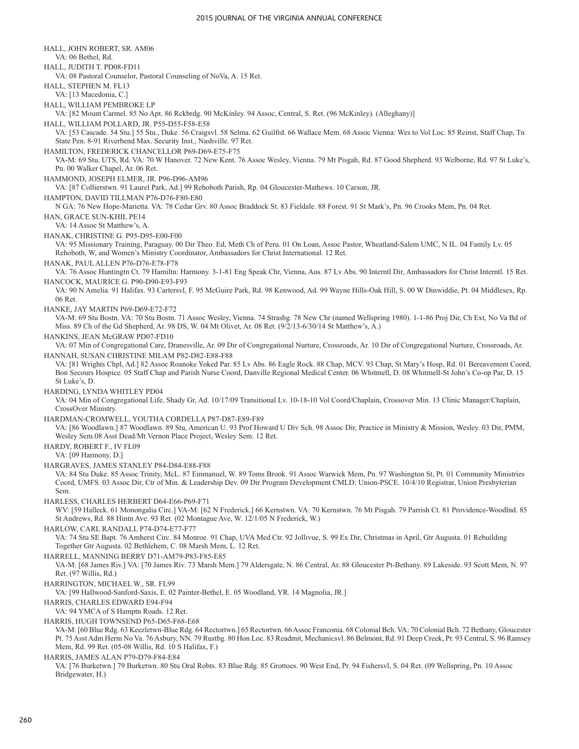HALL, JOHN ROBERT, SR. AM06 VA: 06 Bethel, Rd. HALL, JUDITH T. PD08-FD11 VA: 08 Pastoral Counselor, Pastoral Counseling of NoVa, A. 15 Ret. HALL, STEPHEN M. FL13 VA: [13 Macedonia, C.] HALL, WILLIAM PEMBROKE LP VA: [82 Mount Carmel. 85 No Apt. 86 Rckbrdg. 90 McKinley. 94 Assoc, Central, S. Ret. (96 McKinley). (Alleghany)] HALL, WILLIAM POLLARD, JR. P55-D55-F58-E58 VA: [53 Cascade. 54 Stu.] 55 Stu., Duke. 56 Craigsvl. 58 Selma. 62 Guilfrd. 66 Wallace Mem. 68 Assoc Vienna: Wes to Vol Loc. 85 Reinst, Staff Chap, Tn State Pen. 8-91 Riverbend Max. Security Inst., Nashville. 97 Ret. HAMILTON, FREDERICK CHANCELLOR P69-D69-E75-F75 VA-M: 69 Stu. UTS, Rd. VA: 70 W Hanover. 72 New Kent. 76 Assoc Wesley, Vienna. 79 Mt Pisgah, Rd. 87 Good Shepherd. 93 Welborne, Rd. 97 St Luke's, Pn. 00 Walker Chapel, Ar. 06 Ret. HAMMOND, JOSEPH ELMER, JR. P96-D96-AM96 VA: [87 Collierstwn. 91 Laurel Park, Ad.] 99 Rehoboth Parish, Rp. 04 Gloucester-Mathews. 10 Carson, JR. HAMPTON, DAVID TILLMAN P76-D76-F80-E80 N GA: 76 New Hope-Marietta. VA: 78 Cedar Grv. 80 Assoc Braddock St. 83 Fieldale. 88 Forest. 91 St Mark's, Pn. 96 Crooks Mem, Pn. 04 Ret. HAN, GRACE SUN-KHIL PE14 VA: 14 Assoc St Matthew's, A. HANAK, CHRISTINE G. P95-D95-E00-F00 VA: 95 Missionary Training, Paraguay. 00 Dir Theo. Ed, Meth Ch of Peru. 01 On Loan, Assoc Pastor, Wheatland-Salem UMC, N IL. 04 Family Lv. 05 Rehoboth, W, and Women's Ministry Coordinator, Ambassadors for Christ International. 12 Ret. HANAK, PAUL ALLEN P76-D76-E78-F78 VA: 76 Assoc Huntingtn Ct. 79 Hamiltn: Harmony. 3-1-81 Eng Speak Chr, Vienna, Aus. 87 Lv Abs. 90 Interntl Dir, Ambassadors for Christ Interntl. 15 Ret. HANCOCK, MAURICE G. P90-D90-E93-F93 VA: 90 N Amelia. 91 Halifax. 93 Cartersvl, F. 95 McGuire Park, Rd. 98 Kenwood, Ad. 99 Wayne Hills-Oak Hill, S. 00 W Dinwiddie, Pt. 04 Middlesex, Rp. 06 Ret. HANKE, JAY MARTIN P69-D69-E72-F72 VA-M: 69 Stu Bostn. VA: 70 Stu Bostn. 71 Assoc Wesley, Vienna. 74 Strasbg. 78 New Chr (named Wellspring 1980). 1-1-86 Proj Dir, Ch Ext, No Va Bd of Miss. 89 Ch of the Gd Shepherd, Ar. 98 DS, W. 04 Mt Olivet, Ar. 08 Ret. (9/2/13-6/30/14 St Matthew's, A.) HANKINS, JEAN McGRAW PD07-FD10 VA: 07 Min of Congregational Care, Dranesville, Ar. 09 Dir of Congregational Nurture, Crossroads, Ar. 10 Dir of Congregational Nurture, Crossroads, Ar. HANNAH, SUSAN CHRISTINE MILAM P82-D82-E88-F88 VA: [81 Wrights Chpl, Ad.] 82 Assoc Roanoke Yoked Par. 85 Lv Abs. 86 Eagle Rock. 88 Chap, MCV. 93 Chap, St Mary's Hosp, Rd. 01 Bereavement Coord, Bon Secours Hospice. 05 Staff Chap and Parish Nurse Coord, Danville Regional Medical Center. 06 Whitmell, D. 08 Whitmell-St John's Co-op Par, D. 15 St Luke's, D. HARDING, LYNDA WHITLEY PD04 VA: 04 Min of Congregational Life, Shady Gr, Ad. 10/17/09 Transitional Lv. 10-18-10 Vol Coord/Chaplain, Crossover Min. 13 Clinic Manager/Chaplain, CrossOver Ministry. HARDMAN-CROMWELL, YOUTHA CORDELLA P87-D87-E89-F89 VA: [86 Woodlawn.] 87 Woodlawn. 89 Stu, American U. 93 Prof Howard U Div Sch. 98 Assoc Dir, Practice in Ministry & Mission, Wesley. 03 Dir, PMM, Wesley Sem.08 Asst Dead/Mt Vernon Place Project, Wesley Sem. 12 Ret. HARDY, ROBERT F., IV FL09 VA: [09 Harmony, D.] HARGRAVES, JAMES STANLEY P84-D84-E88-F88 VA: 84 Stu Duke. 85 Assoc Trinity, McL. 87 Emmanuel, W. 89 Toms Brook. 91 Assoc Warwick Mem, Pn. 97 Washington St, Pt. 01 Community Ministries Coord, UMFS. 03 Assoc Dir, Ctr of Min. & Leadership Dev. 09 Dir Program Development CMLD; Union-PSCE. 10/4/10 Registrar, Union Presbyterian Sem. HARLESS, CHARLES HERBERT D64-E66-P69-F71 WV: [59 Halleck. 61 Monongalia Circ.] VA-M: [62 N Frederick.] 66 Kernstwn. VA: 70 Kernstwn. 76 Mt Pisgah. 79 Parrish Ct. 81 Providence-Woodlnd. 85 St Andrews, Rd. 88 Hintn Ave. 93 Ret. (02 Montague Ave, W. 12/1/05 N Frederick, W.) HARLOW, CARL RANDALL P74-D74-E77-F77 VA: 74 Stu SE Bapt. 76 Amherst Circ. 84 Monroe. 91 Chap, UVA Med Ctr. 92 Jollivue, S. 99 Ex Dir, Christmas in April, Gtr Augusta. 01 Rebuilding Together Gtr Augusta. 02 Bethlehem, C. 08 Marsh Mem, L. 12 Ret. HARRELL, MANNING BERRY D71-AM79-P83-F85-E85 VA-M: [68 James Riv.] VA: [70 James Riv. 73 Marsh Mem.] 79 Aldersgate, N. 86 Central, Ar. 88 Gloucester Pt-Bethany. 89 Lakeside. 93 Scott Mem, N. 97 Ret. (97 Willis, Rd.) HARRINGTON, MICHAEL W., SR. FL99 VA: [99 Hallwood-Sanford-Saxis, E. 02 Painter-Bethel, E. 05 Woodland, YR. 14 Magnolia, JR.] HARRIS, CHARLES EDWARD E94-F94 VA: 94 YMCA of S Hamptn Roads. 12 Ret. HARRIS, HUGH TOWNSEND P65-D65-F68-E68 VA-M: [60 Blue Rdg. 63 Keezletwn-Blue Rdg. 64 Rectortwn.] 65 Rectortwn. 66 Assoc Franconia. 68 Colonial Bch. VA: 70 Colonial Bch. 72 Bethany, Gloucester Pt. 75 Asst Adm Herm No Va. 76 Asbury, NN. 79 Rustbg. 80 Hon Loc. 83 Readmit, Mechanicsvl. 86 Belmont, Rd. 91 Deep Creek, Pr. 93 Central, S. 96 Ramsey Mem, Rd. 99 Ret. (05-08 Willis, Rd. 10 S Halifax, F.) HARRIS, JAMES ALAN P79-D79-F84-E84

VA: [76 Burketwn.] 79 Burketwn. 80 Stu Oral Robts. 83 Blue Rdg. 85 Grottoes. 90 West End, Pr. 94 Fishersvl, S. 04 Ret. (09 Wellspring, Pn. 10 Assoc Bridgewater, H.)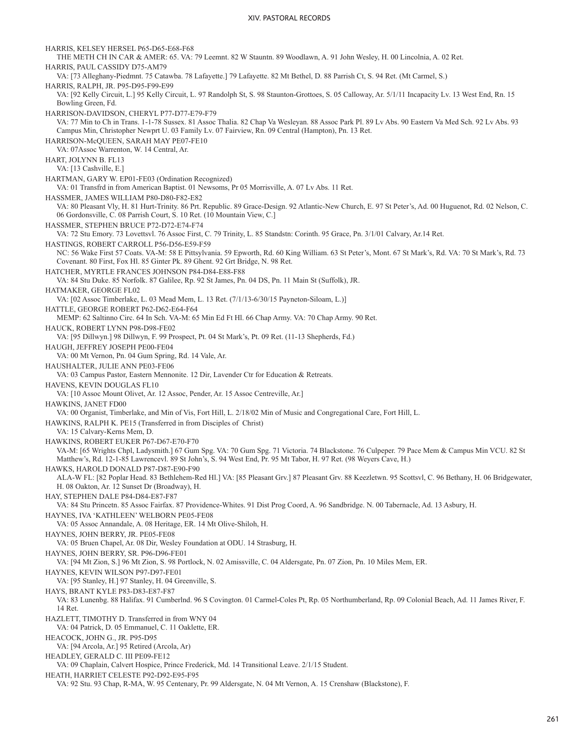HARRIS, KELSEY HERSEL P65-D65-E68-F68 THE METH CH IN CAR & AMER: 65. VA: 79 Leemnt. 82 W Stauntn. 89 Woodlawn, A. 91 John Wesley, H. 00 Lincolnia, A. 02 Ret. HARRIS, PAUL CASSIDY D75-AM79 VA: [73 Alleghany-Piedmnt. 75 Catawba. 78 Lafayette.] 79 Lafayette. 82 Mt Bethel, D. 88 Parrish Ct, S. 94 Ret. (Mt Carmel, S.) HARRIS, RALPH, JR. P95-D95-F99-E99 VA: [92 Kelly Circuit, L.] 95 Kelly Circuit, L. 97 Randolph St, S. 98 Staunton-Grottoes, S. 05 Calloway, Ar. 5/1/11 Incapacity Lv. 13 West End, Rn. 15 Bowling Green, Fd. HARRISON-DAVIDSON, CHERYL P77-D77-E79-F79 VA: 77 Min to Ch in Trans. 1-1-78 Sussex. 81 Assoc Thalia. 82 Chap Va Wesleyan. 88 Assoc Park Pl. 89 Lv Abs. 90 Eastern Va Med Sch. 92 Lv Abs. 93 Campus Min, Christopher Newprt U. 03 Family Lv. 07 Fairview, Rn. 09 Central (Hampton), Pn. 13 Ret. HARRISON-McQUEEN, SARAH MAY PE07-FE10 VA: 07Assoc Warrenton, W. 14 Central, Ar. HART, JOLYNN B. FL13 VA: [13 Cashville, E.] HARTMAN, GARY W. EP01-FE03 (Ordination Recognized) VA: 01 Transfrd in from American Baptist. 01 Newsoms, Pr 05 Morrisville, A. 07 Lv Abs. 11 Ret. HASSMER, JAMES WILLIAM P80-D80-F82-E82 VA: 80 Pleasant Vly, H. 81 Hurt-Trinity. 86 Prt. Republic. 89 Grace-Design. 92 Atlantic-New Church, E. 97 St Peter's, Ad. 00 Huguenot, Rd. 02 Nelson, C. 06 Gordonsville, C. 08 Parrish Court, S. 10 Ret. (10 Mountain View, C.] HASSMER, STEPHEN BRUCE P72-D72-E74-F74 VA: 72 Stu Emory. 73 Lovettsvl. 76 Assoc First, C. 79 Trinity, L. 85 Standstn: Corinth. 95 Grace, Pn. 3/1/01 Calvary, Ar.14 Ret. HASTINGS, ROBERT CARROLL P56-D56-E59-F59 NC: 56 Wake First 57 Coats. VA-M: 58 E Pittsylvania. 59 Epworth, Rd. 60 King William. 63 St Peter's, Mont. 67 St Mark's, Rd. VA: 70 St Mark's, Rd. 73 Covenant. 80 First, Fox Hl. 85 Ginter Pk. 89 Ghent. 92 Grt Bridge, N. 98 Ret. HATCHER, MYRTLE FRANCES JOHNSON P84-D84-E88-F88 VA: 84 Stu Duke. 85 Norfolk. 87 Galilee, Rp. 92 St James, Pn. 04 DS, Pn. 11 Main St (Suffolk), JR. HATMAKER, GEORGE FL02 VA: [02 Assoc Timberlake, L. 03 Mead Mem, L. 13 Ret. (7/1/13-6/30/15 Payneton-Siloam, L.)] HATTLE, GEORGE ROBERT P62-D62-E64-F64 MEMP: 62 Saltinno Circ. 64 In Sch. VA-M: 65 Min Ed Ft Hl. 66 Chap Army. VA: 70 Chap Army. 90 Ret. HAUCK, ROBERT LYNN P98-D98-FE02 VA: [95 Dillwyn.] 98 Dillwyn, F. 99 Prospect, Pt. 04 St Mark's, Pt. 09 Ret. (11-13 Shepherds, Fd.) HAUGH, JEFFREY JOSEPH PE00-FE04 VA: 00 Mt Vernon, Pn. 04 Gum Spring, Rd. 14 Vale, Ar. HAUSHALTER, JULIE ANN PE03-FE06 VA: 03 Campus Pastor, Eastern Mennonite. 12 Dir, Lavender Ctr for Education & Retreats. HAVENS, KEVIN DOUGLAS FL10 VA: [10 Assoc Mount Olivet, Ar. 12 Assoc, Pender, Ar. 15 Assoc Centreville, Ar.] HAWKINS, JANET FD00 VA: 00 Organist, Timberlake, and Min of Vis, Fort Hill, L. 2/18/02 Min of Music and Congregational Care, Fort Hill, L. HAWKINS, RALPH K. PE15 (Transferred in from Disciples of Christ) VA: 15 Calvary-Kerns Mem, D. HAWKINS, ROBERT EUKER P67-D67-E70-F70 VA-M: [65 Wrights Chpl, Ladysmith.] 67 Gum Spg. VA: 70 Gum Spg. 71 Victoria. 74 Blackstone. 76 Culpeper. 79 Pace Mem & Campus Min VCU. 82 St Matthew's, Rd. 12-1-85 Lawrencevl. 89 St John's, S. 94 West End, Pr. 95 Mt Tabor, H. 97 Ret. (98 Weyers Cave, H.) HAWKS, HAROLD DONALD P87-D87-E90-F90 ALA-W FL: [82 Poplar Head. 83 Bethlehem-Red Hl.] VA: [85 Pleasant Grv.] 87 Pleasant Grv. 88 Keezletwn. 95 Scottsvl, C. 96 Bethany, H. 06 Bridgewater, H. 08 Oakton, Ar. 12 Sunset Dr (Broadway), H. HAY, STEPHEN DALE P84-D84-E87-F87 VA: 84 Stu Princetn. 85 Assoc Fairfax. 87 Providence-Whites. 91 Dist Prog Coord, A. 96 Sandbridge. N. 00 Tabernacle, Ad. 13 Asbury, H. HAYNES, IVA 'KATHLEEN' WELBORN PE05-FE08 VA: 05 Assoc Annandale, A. 08 Heritage, ER. 14 Mt Olive-Shiloh, H. HAYNES, JOHN BERRY, JR. PE05-FE08 VA: 05 Bruen Chapel, Ar. 08 Dir, Wesley Foundation at ODU. 14 Strasburg, H. HAYNES, JOHN BERRY, SR. P96-D96-FE01 VA: [94 Mt Zion, S.] 96 Mt Zion, S. 98 Portlock, N. 02 Amissville, C. 04 Aldersgate, Pn. 07 Zion, Pn. 10 Miles Mem, ER. HAYNES, KEVIN WILSON P97-D97-FE01 VA: [95 Stanley, H.] 97 Stanley, H. 04 Greenville, S. HAYS, BRANT KYLE P83-D83-E87-F87 VA: 83 Lunenbg. 88 Halifax. 91 Cumberlnd. 96 S Covington. 01 Carmel-Coles Pt, Rp. 05 Northumberland, Rp. 09 Colonial Beach, Ad. 11 James River, F. 14 Ret. HAZLETT, TIMOTHY D. Transferred in from WNY 04 VA: 04 Patrick, D. 05 Emmanuel, C. 11 Oaklette, ER. HEACOCK, JOHN G., JR. P95-D95 VA: [94 Arcola, Ar.] 95 Retired (Arcola, Ar) HEADLEY, GERALD C. III PE09-FE12 VA: 09 Chaplain, Calvert Hospice, Prince Frederick, Md. 14 Transitional Leave. 2/1/15 Student. HEATH, HARRIET CELESTE P92-D92-E95-F95 VA: 92 Stu. 93 Chap, R-MA, W. 95 Centenary, Pr. 99 Aldersgate, N. 04 Mt Vernon, A. 15 Crenshaw (Blackstone), F.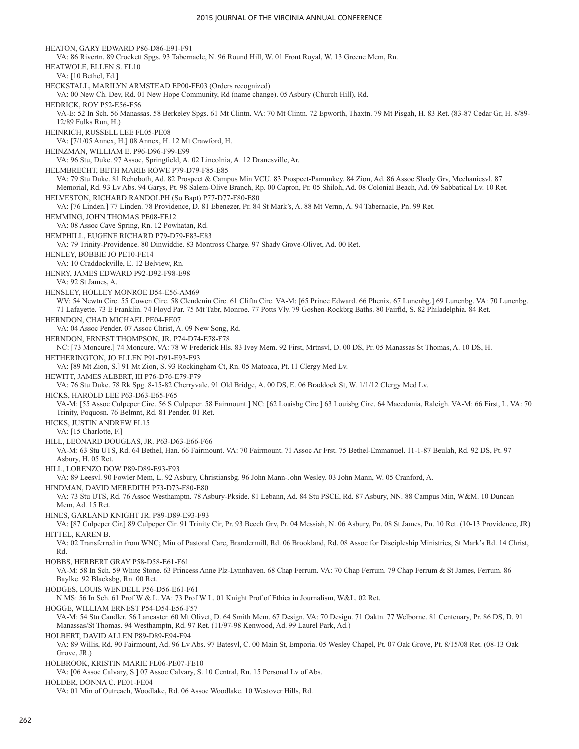HEATON, GARY EDWARD P86-D86-E91-F91 VA: 86 Rivertn. 89 Crockett Spgs. 93 Tabernacle, N. 96 Round Hill, W. 01 Front Royal, W. 13 Greene Mem, Rn. HEATWOLE, ELLEN S. FL10 VA: [10 Bethel, Fd.] HECKSTALL, MARILYN ARMSTEAD EP00-FE03 (Orders recognized) VA: 00 New Ch. Dev, Rd. 01 New Hope Community, Rd (name change). 05 Asbury (Church Hill), Rd. HEDRICK, ROY P52-E56-F56 VA-E: 52 In Sch. 56 Manassas. 58 Berkeley Spgs. 61 Mt Clintn. VA: 70 Mt Clintn. 72 Epworth, Thaxtn. 79 Mt Pisgah, H. 83 Ret. (83-87 Cedar Gr, H. 8/89- 12/89 Fulks Run, H.) HEINRICH, RUSSELL LEE FL05-PE08 VA: [7/1/05 Annex, H.] 08 Annex, H. 12 Mt Crawford, H. HEINZMAN, WILLIAM E. P96-D96-F99-E99 VA: 96 Stu, Duke. 97 Assoc, Springfield, A. 02 Lincolnia, A. 12 Dranesville, Ar. HELMBRECHT, BETH MARIE ROWE P79-D79-F85-E85 VA: 79 Stu Duke. 81 Rehoboth, Ad. 82 Prospect & Campus Min VCU. 83 Prospect-Pamunkey. 84 Zion, Ad. 86 Assoc Shady Grv, Mechanicsvl. 87 Memorial, Rd. 93 Lv Abs. 94 Garys, Pt. 98 Salem-Olive Branch, Rp. 00 Capron, Pr. 05 Shiloh, Ad. 08 Colonial Beach, Ad. 09 Sabbatical Lv. 10 Ret. HELVESTON, RICHARD RANDOLPH (So Bapt) P77-D77-F80-E80 VA: [76 Linden.] 77 Linden. 78 Providence, D. 81 Ebenezer, Pr. 84 St Mark's, A. 88 Mt Vernn, A. 94 Tabernacle, Pn. 99 Ret. HEMMING, JOHN THOMAS PE08-FE12 VA: 08 Assoc Cave Spring, Rn. 12 Powhatan, Rd. HEMPHILL, EUGENE RICHARD P79-D79-F83-E83 VA: 79 Trinity-Providence. 80 Dinwiddie. 83 Montross Charge. 97 Shady Grove-Olivet, Ad. 00 Ret. HENLEY, BOBBIE JO PE10-FE14 VA: 10 Craddockville, E. 12 Belview, Rn. HENRY, JAMES EDWARD P92-D92-F98-E98 VA: 92 St James, A. HENSLEY, HOLLEY MONROE D54-E56-AM69 WV: 54 Newtn Circ. 55 Cowen Circ. 58 Clendenin Circ. 61 Cliftn Circ. VA-M: [65 Prince Edward. 66 Phenix. 67 Lunenbg.] 69 Lunenbg. VA: 70 Lunenbg. 71 Lafayette. 73 E Franklin. 74 Floyd Par. 75 Mt Tabr, Monroe. 77 Potts Vly. 79 Goshen-Rockbrg Baths. 80 Fairfld, S. 82 Philadelphia. 84 Ret. HERNDON, CHAD MICHAEL PE04-FE07 VA: 04 Assoc Pender. 07 Assoc Christ, A. 09 New Song, Rd. HERNDON, ERNEST THOMPSON, JR. P74-D74-E78-F78 NC: [73 Moncure.] 74 Moncure. VA: 78 W Frederick Hls. 83 Ivey Mem. 92 First, Mrtnsvl, D. 00 DS, Pr. 05 Manassas St Thomas, A. 10 DS, H. HETHERINGTON, JO ELLEN P91-D91-E93-F93 VA: [89 Mt Zion, S.] 91 Mt Zion, S. 93 Rockingham Ct, Rn. 05 Matoaca, Pt. 11 Clergy Med Lv. HEWITT, JAMES ALBERT, III P76-D76-E79-F79 VA: 76 Stu Duke. 78 Rk Spg. 8-15-82 Cherryvale. 91 Old Bridge, A. 00 DS, E. 06 Braddock St, W. 1/1/12 Clergy Med Lv. HICKS, HAROLD LEE P63-D63-E65-F65 VA-M: [55 Assoc Culpeper Circ. 56 S Culpeper. 58 Fairmount.] NC: [62 Louisbg Circ.] 63 Louisbg Circ. 64 Macedonia, Raleigh. VA-M: 66 First, L. VA: 70 Trinity, Poquosn. 76 Belmnt, Rd. 81 Pender. 01 Ret. HICKS, JUSTIN ANDREW FL15 VA: [15 Charlotte, F.] HILL, LEONARD DOUGLAS, JR. P63-D63-E66-F66 VA-M: 63 Stu UTS, Rd. 64 Bethel, Han. 66 Fairmount. VA: 70 Fairmount. 71 Assoc Ar Frst. 75 Bethel-Emmanuel. 11-1-87 Beulah, Rd. 92 DS, Pt. 97 Asbury, H. 05 Ret. HILL, LORENZO DOW P89-D89-E93-F93 VA: 89 Leesvl. 90 Fowler Mem, L. 92 Asbury, Christiansbg. 96 John Mann-John Wesley. 03 John Mann, W. 05 Cranford, A. HINDMAN, DAVID MEREDITH P73-D73-F80-E80 VA: 73 Stu UTS, Rd. 76 Assoc Westhamptn. 78 Asbury-Pkside. 81 Lebann, Ad. 84 Stu PSCE, Rd. 87 Asbury, NN. 88 Campus Min, W&M. 10 Duncan Mem, Ad. 15 Ret. HINES, GARLAND KNIGHT JR. P89-D89-E93-F93 VA: [87 Culpeper Cir.] 89 Culpeper Cir. 91 Trinity Cir, Pr. 93 Beech Grv, Pr. 04 Messiah, N. 06 Asbury, Pn. 08 St James, Pn. 10 Ret. (10-13 Providence, JR) HITTEL, KAREN B. VA: 02 Transferred in from WNC; Min of Pastoral Care, Brandermill, Rd. 06 Brookland, Rd. 08 Assoc for Discipleship Ministries, St Mark's Rd. 14 Christ, Rd. HOBBS, HERBERT GRAY P58-D58-E61-F61 VA-M: 58 In Sch. 59 White Stone. 63 Princess Anne Plz-Lynnhaven. 68 Chap Ferrum. VA: 70 Chap Ferrum. 79 Chap Ferrum & St James, Ferrum. 86 Baylke. 92 Blacksbg, Rn. 00 Ret. HODGES, LOUIS WENDELL P56-D56-E61-F61 N MS: 56 In Sch. 61 Prof W & L. VA: 73 Prof W L. 01 Knight Prof of Ethics in Journalism, W&L. 02 Ret. HOGGE, WILLIAM ERNEST P54-D54-E56-F57 VA-M: 54 Stu Candler. 56 Lancaster. 60 Mt Olivet, D. 64 Smith Mem. 67 Design. VA: 70 Design. 71 Oaktn. 77 Welborne. 81 Centenary, Pr. 86 DS, D. 91 Manassas/St Thomas. 94 Westhamptn, Rd. 97 Ret. (11/97-98 Kenwood, Ad. 99 Laurel Park, Ad.) HOLBERT, DAVID ALLEN P89-D89-E94-F94 VA: 89 Willis, Rd. 90 Fairmount, Ad. 96 Lv Abs. 97 Batesvl, C. 00 Main St, Emporia. 05 Wesley Chapel, Pt. 07 Oak Grove, Pt. 8/15/08 Ret. (08-13 Oak Grove, JR.) HOLBROOK, KRISTIN MARIE FL06-PE07-FE10 VA: [06 Assoc Calvary, S.] 07 Assoc Calvary, S. 10 Central, Rn. 15 Personal Lv of Abs. HOLDER, DONNA C. PE01-FE04 VA: 01 Min of Outreach, Woodlake, Rd. 06 Assoc Woodlake. 10 Westover Hills, Rd.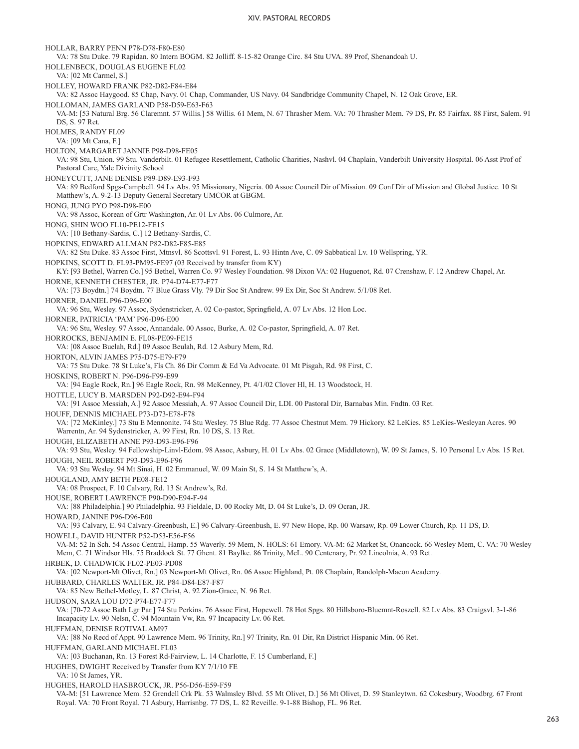HOLLAR, BARRY PENN P78-D78-F80-E80 VA: 78 Stu Duke. 79 Rapidan. 80 Intern BOGM. 82 Jolliff. 8-15-82 Orange Circ. 84 Stu UVA. 89 Prof, Shenandoah U. HOLLENBECK, DOUGLAS EUGENE FL02 VA: [02 Mt Carmel, S.] HOLLEY, HOWARD FRANK P82-D82-F84-E84 VA: 82 Assoc Haygood. 85 Chap, Navy. 01 Chap, Commander, US Navy. 04 Sandbridge Community Chapel, N. 12 Oak Grove, ER. HOLLOMAN, JAMES GARLAND P58-D59-E63-F63 VA-M: [53 Natural Brg. 56 Claremnt. 57 Willis.] 58 Willis. 61 Mem, N. 67 Thrasher Mem. VA: 70 Thrasher Mem. 79 DS, Pr. 85 Fairfax. 88 First, Salem. 91 DS, S. 97 Ret. HOLMES, RANDY FL09 VA: [09 Mt Cana, F.] HOLTON, MARGARET JANNIE P98-D98-FE05 VA: 98 Stu, Union. 99 Stu. Vanderbilt. 01 Refugee Resettlement, Catholic Charities, Nashvl. 04 Chaplain, Vanderbilt University Hospital. 06 Asst Prof of Pastoral Care, Yale Divinity School HONEYCUTT, JANE DENISE P89-D89-E93-F93 VA: 89 Bedford Spgs-Campbell. 94 Lv Abs. 95 Missionary, Nigeria. 00 Assoc Council Dir of Mission. 09 Conf Dir of Mission and Global Justice. 10 St Matthew's, A. 9-2-13 Deputy General Secretary UMCOR at GBGM. HONG, JUNG PYO P98-D98-E00 VA: 98 Assoc, Korean of Grtr Washington, Ar. 01 Lv Abs. 06 Culmore, Ar. HONG, SHIN WOO FL10-PE12-FE15 VA: [10 Bethany-Sardis, C.] 12 Bethany-Sardis, C. HOPKINS, EDWARD ALLMAN P82-D82-F85-E85 VA: 82 Stu Duke. 83 Assoc First, Mtnsvl. 86 Scottsvl. 91 Forest, L. 93 Hintn Ave, C. 09 Sabbatical Lv. 10 Wellspring, YR. HOPKINS, SCOTT D. FL93-PM95-FE97 (03 Received by transfer from KY) KY: [93 Bethel, Warren Co.] 95 Bethel, Warren Co. 97 Wesley Foundation. 98 Dixon VA: 02 Huguenot, Rd. 07 Crenshaw, F. 12 Andrew Chapel, Ar. HORNE, KENNETH CHESTER, JR. P74-D74-E77-F77 VA: [73 Boydtn.] 74 Boydtn. 77 Blue Grass Vly. 79 Dir Soc St Andrew. 99 Ex Dir, Soc St Andrew. 5/1/08 Ret. HORNER, DANIEL P96-D96-E00 VA: 96 Stu, Wesley. 97 Assoc, Sydenstricker, A. 02 Co-pastor, Springfield, A. 07 Lv Abs. 12 Hon Loc. HORNER, PATRICIA 'PAM' P96-D96-E00 VA: 96 Stu, Wesley. 97 Assoc, Annandale. 00 Assoc, Burke, A. 02 Co-pastor, Springfield, A. 07 Ret. HORROCKS, BENJAMIN E. FL08-PE09-FE15 VA: [08 Assoc Buelah, Rd.] 09 Assoc Beulah, Rd. 12 Asbury Mem, Rd. HORTON, ALVIN JAMES P75-D75-E79-F79 VA: 75 Stu Duke. 78 St Luke's, Fls Ch. 86 Dir Comm & Ed Va Advocate. 01 Mt Pisgah, Rd. 98 First, C. HOSKINS, ROBERT N. P96-D96-F99-E99 VA: [94 Eagle Rock, Rn.] 96 Eagle Rock, Rn. 98 McKenney, Pt. 4/1/02 Clover Hl, H. 13 Woodstock, H. HOTTLE, LUCY B. MARSDEN P92-D92-E94-F94 VA: [91 Assoc Messiah, A.] 92 Assoc Messiah, A. 97 Assoc Council Dir, LDI. 00 Pastoral Dir, Barnabas Min. Fndtn. 03 Ret. HOUFF, DENNIS MICHAEL P73-D73-E78-F78 VA: [72 McKinley.] 73 Stu E Mennonite. 74 Stu Wesley. 75 Blue Rdg. 77 Assoc Chestnut Mem. 79 Hickory. 82 LeKies. 85 LeKies-Wesleyan Acres. 90 Warrentn, Ar. 94 Sydenstricker, A. 99 First, Rn. 10 DS, S. 13 Ret. HOUGH, ELIZABETH ANNE P93-D93-E96-F96 VA: 93 Stu, Wesley. 94 Fellowship-Linvl-Edom. 98 Assoc, Asbury, H. 01 Lv Abs. 02 Grace (Middletown), W. 09 St James, S. 10 Personal Lv Abs. 15 Ret. HOUGH, NEIL ROBERT P93-D93-E96-F96 VA: 93 Stu Wesley. 94 Mt Sinai, H. 02 Emmanuel, W. 09 Main St, S. 14 St Matthew's, A. HOUGLAND, AMY BETH PE08-FE12 VA: 08 Prospect, F. 10 Calvary, Rd. 13 St Andrew's, Rd. HOUSE, ROBERT LAWRENCE P90-D90-E94-F-94 VA: [88 Philadelphia.] 90 Philadelphia. 93 Fieldale, D. 00 Rocky Mt, D. 04 St Luke's, D. 09 Ocran, JR. HOWARD, JANINE P96-D96-E00 VA: [93 Calvary, E. 94 Calvary-Greenbush, E.] 96 Calvary-Greenbush, E. 97 New Hope, Rp. 00 Warsaw, Rp. 09 Lower Church, Rp. 11 DS, D. HOWELL, DAVID HUNTER P52-D53-E56-F56 VA-M: 52 In Sch. 54 Assoc Central, Hamp. 55 Waverly. 59 Mem, N. HOLS: 61 Emory. VA-M: 62 Market St, Onancock. 66 Wesley Mem, C. VA: 70 Wesley Mem, C. 71 Windsor Hls. 75 Braddock St. 77 Ghent. 81 Baylke. 86 Trinity, McL. 90 Centenary, Pr. 92 Lincolnia, A. 93 Ret. HRBEK, D. CHADWICK FL02-PE03-PD08 VA: [02 Newport-Mt Olivet, Rn.] 03 Newport-Mt Olivet, Rn. 06 Assoc Highland, Pt. 08 Chaplain, Randolph-Macon Academy. HUBBARD, CHARLES WALTER, JR. P84-D84-E87-F87 VA: 85 New Bethel-Motley, L. 87 Christ, A. 92 Zion-Grace, N. 96 Ret. HUDSON, SARA LOU D72-P74-E77-F77 VA: [70-72 Assoc Bath Lgr Par.] 74 Stu Perkins. 76 Assoc First, Hopewell. 78 Hot Spgs. 80 Hillsboro-Bluemnt-Roszell. 82 Lv Abs. 83 Craigsvl. 3-1-86 Incapacity Lv. 90 Nelsn, C. 94 Mountain Vw, Rn. 97 Incapacity Lv. 06 Ret. HUFFMAN, DENISE ROTIVAL AM97 VA: [88 No Recd of Appt. 90 Lawrence Mem. 96 Trinity, Rn.] 97 Trinity, Rn. 01 Dir, Rn District Hispanic Min. 06 Ret. HUFFMAN, GARLAND MICHAEL FL03 VA: [03 Buchanan, Rn. 13 Forest Rd-Fairview, L. 14 Charlotte, F. 15 Cumberland, F.] HUGHES, DWIGHT Received by Transfer from KY 7/1/10 FE VA: 10 St James, YR. HUGHES, HAROLD HASBROUCK, JR. P56-D56-E59-F59 VA-M: [51 Lawrence Mem. 52 Grendell Crk Pk. 53 Walmsley Blvd. 55 Mt Olivet, D.] 56 Mt Olivet, D. 59 Stanleytwn. 62 Cokesbury, Woodbrg. 67 Front Royal. VA: 70 Front Royal. 71 Asbury, Harrisnbg. 77 DS, L. 82 Reveille. 9-1-88 Bishop, FL. 96 Ret.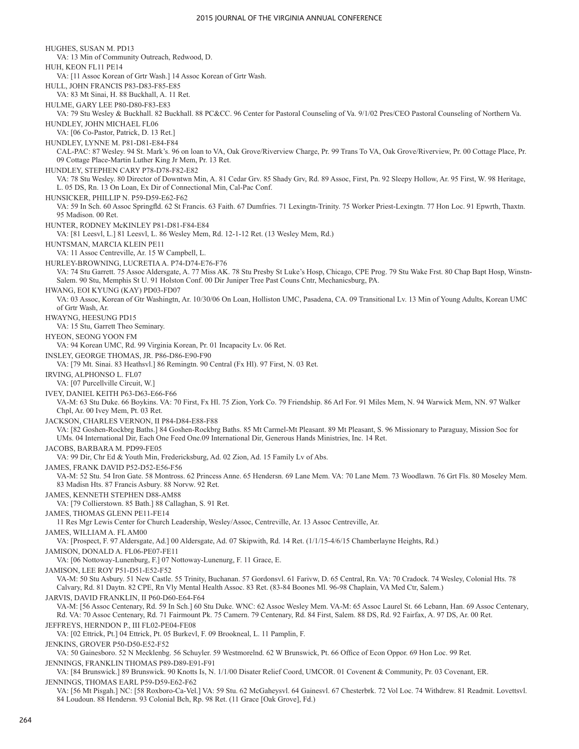HUGHES, SUSAN M. PD13 VA: 13 Min of Community Outreach, Redwood, D. HUH, KEON FL11 PE14 VA: [11 Assoc Korean of Grtr Wash.] 14 Assoc Korean of Grtr Wash. HULL, JOHN FRANCIS P83-D83-F85-E85 VA: 83 Mt Sinai, H. 88 Buckhall, A. 11 Ret. HULME, GARY LEE P80-D80-F83-E83 VA: 79 Stu Wesley & Buckhall. 82 Buckhall. 88 PC&CC. 96 Center for Pastoral Counseling of Va. 9/1/02 Pres/CEO Pastoral Counseling of Northern Va. HUNDLEY, JOHN MICHAEL FL06 VA: [06 Co-Pastor, Patrick, D. 13 Ret.] HUNDLEY, LYNNE M. P81-D81-E84-F84 CAL-PAC: 87 Wesley. 94 St. Mark's. 96 on loan to VA, Oak Grove/Riverview Charge, Pr. 99 Trans To VA, Oak Grove/Riverview, Pr. 00 Cottage Place, Pr. 09 Cottage Place-Martin Luther King Jr Mem, Pr. 13 Ret. HUNDLEY, STEPHEN CARY P78-D78-F82-E82 VA: 78 Stu Wesley. 80 Director of Downtwn Min, A. 81 Cedar Grv. 85 Shady Grv, Rd. 89 Assoc, First, Pn. 92 Sleepy Hollow, Ar. 95 First, W. 98 Heritage, L. 05 DS, Rn. 13 On Loan, Ex Dir of Connectional Min, Cal-Pac Conf. HUNSICKER, PHILLIP N. P59-D59-E62-F62 VA: 59 In Sch. 60 Assoc Springfld. 62 St Francis. 63 Faith. 67 Dumfries. 71 Lexingtn-Trinity. 75 Worker Priest-Lexingtn. 77 Hon Loc. 91 Epwrth, Thaxtn. 95 Madison. 00 Ret. HUNTER, RODNEY McKINLEY P81-D81-F84-E84 VA: [81 Leesvl, L.] 81 Leesvl, L. 86 Wesley Mem, Rd. 12-1-12 Ret. (13 Wesley Mem, Rd.) HUNTSMAN, MARCIA KLEIN PE11 VA: 11 Assoc Centreville, Ar. 15 W Campbell, L. HURLEY-BROWNING, LUCRETIA A. P74-D74-E76-F76 VA: 74 Stu Garrett. 75 Assoc Aldersgate, A. 77 Miss AK. 78 Stu Presby St Luke's Hosp, Chicago, CPE Prog. 79 Stu Wake Frst. 80 Chap Bapt Hosp, Winstn-Salem. 90 Stu, Memphis St U. 91 Holston Conf. 00 Dir Juniper Tree Past Couns Cntr, Mechanicsburg, PA. HWANG, EOI KYUNG (KAY) PD03-FD07 VA: 03 Assoc, Korean of Gtr Washingtn, Ar. 10/30/06 On Loan, Holliston UMC, Pasadena, CA. 09 Transitional Lv. 13 Min of Young Adults, Korean UMC of Grtr Wash, Ar. HWAYNG, HEESUNG PD15 VA: 15 Stu, Garrett Theo Seminary. HYEON, SEONG YOON FM VA: 94 Korean UMC, Rd. 99 Virginia Korean, Pr. 01 Incapacity Lv. 06 Ret. INSLEY, GEORGE THOMAS, JR. P86-D86-E90-F90 VA: [79 Mt. Sinai. 83 Heathsvl.] 86 Remingtn. 90 Central (Fx Hl). 97 First, N. 03 Ret. IRVING, ALPHONSO L. FL07 VA: [07 Purcellville Circuit, W.] IVEY, DANIEL KEITH P63-D63-E66-F66 VA-M: 63 Stu Duke. 66 Boykins. VA: 70 First, Fx Hl. 75 Zion, York Co. 79 Friendship. 86 Arl For. 91 Miles Mem, N. 94 Warwick Mem, NN. 97 Walker Chpl, Ar. 00 Ivey Mem, Pt. 03 Ret. JACKSON, CHARLES VERNON, II P84-D84-E88-F88 VA: [82 Goshen-Rockbrg Baths.] 84 Goshen-Rockbrg Baths. 85 Mt Carmel-Mt Pleasant. 89 Mt Pleasant, S. 96 Missionary to Paraguay, Mission Soc for UMs. 04 International Dir, Each One Feed One.09 International Dir, Generous Hands Ministries, Inc. 14 Ret. JACOBS, BARBARA M. PD99-FE05 VA: 99 Dir, Chr Ed & Youth Min, Fredericksburg, Ad. 02 Zion, Ad. 15 Family Lv of Abs. JAMES, FRANK DAVID P52-D52-E56-F56 VA-M: 52 Stu. 54 Iron Gate. 58 Montross. 62 Princess Anne. 65 Hendersn. 69 Lane Mem. VA: 70 Lane Mem. 73 Woodlawn. 76 Grt Fls. 80 Moseley Mem. 83 Madisn Hts. 87 Francis Asbury. 88 Norvw. 92 Ret. JAMES, KENNETH STEPHEN D88-AM88 VA: [79 Collierstown. 85 Bath.] 88 Callaghan, S. 91 Ret. JAMES, THOMAS GLENN PE11-FE14 11 Res Mgr Lewis Center for Church Leadership, Wesley/Assoc, Centreville, Ar. 13 Assoc Centreville, Ar. JAMES, WILLIAM A. FL AM00 VA: [Prospect, F. 97 Aldersgate, Ad.] 00 Aldersgate, Ad. 07 Skipwith, Rd. 14 Ret. (1/1/15-4/6/15 Chamberlayne Heights, Rd.) JAMISON, DONALD A. FL06-PE07-FE11 VA: [06 Nottoway-Lunenburg, F.] 07 Nottoway-Lunenurg, F. 11 Grace, E. JAMISON, LEE ROY P51-D51-E52-F52 VA-M: 50 Stu Asbury. 51 New Castle. 55 Trinity, Buchanan. 57 Gordonsvl. 61 Farivw, D. 65 Central, Rn. VA: 70 Cradock. 74 Wesley, Colonial Hts. 78 Calvary, Rd. 81 Daytn. 82 CPE, Rn Vly Mental Health Assoc. 83 Ret. (83-84 Boones Ml. 96-98 Chaplain, VA Med Ctr, Salem.) JARVIS, DAVID FRANKLIN, II P60-D60-E64-F64 VA-M: [56 Assoc Centenary, Rd. 59 In Sch.] 60 Stu Duke. WNC: 62 Assoc Wesley Mem. VA-M: 65 Assoc Laurel St. 66 Lebann, Han. 69 Assoc Centenary, Rd. VA: 70 Assoc Centenary, Rd. 71 Fairmount Pk. 75 Camern. 79 Centenary, Rd. 84 First, Salem. 88 DS, Rd. 92 Fairfax, A. 97 DS, Ar. 00 Ret. JEFFREYS, HERNDON P., III FL02-PE04-FE08 VA: [02 Ettrick, Pt.] 04 Ettrick, Pt. 05 Burkevl, F. 09 Brookneal, L. 11 Pamplin, F. JENKINS, GROVER P50-D50-E52-F52 VA: 50 Gainesboro. 52 N Mecklenbg. 56 Schuyler. 59 Westmorelnd. 62 W Brunswick, Pt. 66 Office of Econ Oppor. 69 Hon Loc. 99 Ret. JENNINGS, FRANKLIN THOMAS P89-D89-E91-F91 VA: [84 Brunswick.] 89 Brunswick. 90 Knotts Is, N. 1/1/00 Disater Relief Coord, UMCOR. 01 Covenent & Community, Pr. 03 Covenant, ER. JENNINGS, THOMAS EARL P59-D59-E62-F62 VA: [56 Mt Pisgah.] NC: [58 Roxboro-Ca-Vel.] VA: 59 Stu. 62 McGaheysvl. 64 Gainesvl. 67 Chesterbrk. 72 Vol Loc. 74 Withdrew. 81 Readmit. Lovettsvl. 84 Loudoun. 88 Hendersn. 93 Colonial Bch, Rp. 98 Ret. (11 Grace [Oak Grove], Fd.)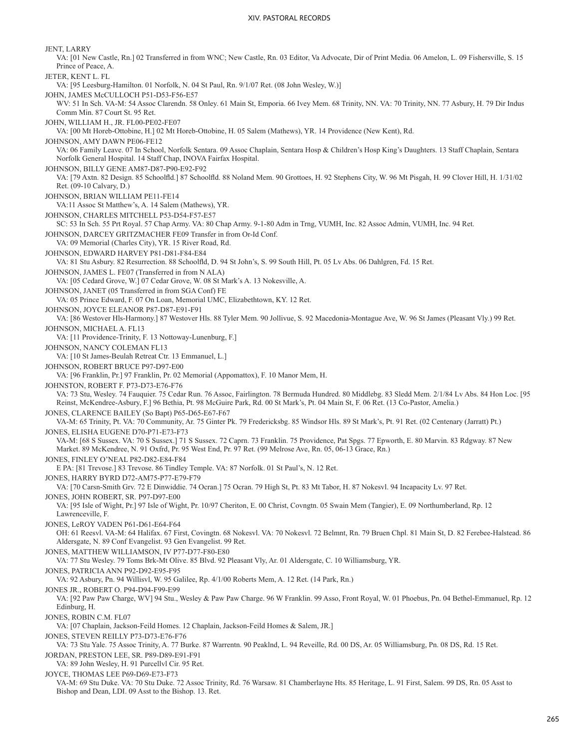JENT, LARRY VA: [01 New Castle, Rn.] 02 Transferred in from WNC; New Castle, Rn. 03 Editor, Va Advocate, Dir of Print Media. 06 Amelon, L. 09 Fishersville, S. 15 Prince of Peace, A. JETER, KENT L. FL VA: [95 Leesburg-Hamilton. 01 Norfolk, N. 04 St Paul, Rn. 9/1/07 Ret. (08 John Wesley, W.)] JOHN, JAMES McCULLOCH P51-D53-F56-E57 WV: 51 In Sch. VA-M: 54 Assoc Clarendn. 58 Onley. 61 Main St, Emporia. 66 Ivey Mem. 68 Trinity, NN. VA: 70 Trinity, NN. 77 Asbury, H. 79 Dir Indus Comm Min. 87 Court St. 95 Ret. JOHN, WILLIAM H., JR. FL00-PE02-FE07 VA: [00 Mt Horeb-Ottobine, H.] 02 Mt Horeb-Ottobine, H. 05 Salem (Mathews), YR. 14 Providence (New Kent), Rd. JOHNSON, AMY DAWN PE06-FE12 VA: 06 Family Leave. 07 In School, Norfolk Sentara. 09 Assoc Chaplain, Sentara Hosp & Children's Hosp King's Daughters. 13 Staff Chaplain, Sentara Norfolk General Hospital. 14 Staff Chap, INOVA Fairfax Hospital. JOHNSON, BILLY GENE AM87-D87-P90-E92-F92 VA: [79 Axtn. 82 Design. 85 Schoolfld.] 87 Schoolfld. 88 Noland Mem. 90 Grottoes, H. 92 Stephens City, W. 96 Mt Pisgah, H. 99 Clover Hill, H. 1/31/02 Ret. (09-10 Calvary, D.) JOHNSON, BRIAN WILLIAM PE11-FE14 VA:11 Assoc St Matthew's, A. 14 Salem (Mathews), YR. JOHNSON, CHARLES MITCHELL P53-D54-F57-E57 SC: 53 In Sch. 55 Prt Royal. 57 Chap Army. VA: 80 Chap Army. 9-1-80 Adm in Trng, VUMH, Inc. 82 Assoc Admin, VUMH, Inc. 94 Ret. JOHNSON, DARCEY GRITZMACHER FE09 Transfer in from Or-Id Conf. VA: 09 Memorial (Charles City), YR. 15 River Road, Rd. JOHNSON, EDWARD HARVEY P81-D81-F84-E84 VA: 81 Stu Asbury. 82 Resurrection. 88 Schoolfld, D. 94 St John's, S. 99 South Hill, Pt. 05 Lv Abs. 06 Dahlgren, Fd. 15 Ret. JOHNSON, JAMES L. FE07 (Transferred in from N ALA) VA: [05 Cedard Grove, W.] 07 Cedar Grove, W. 08 St Mark's A. 13 Nokesville, A. JOHNSON, JANET (05 Transferred in from SGA Conf) FE VA: 05 Prince Edward, F. 07 On Loan, Memorial UMC, Elizabethtown, KY. 12 Ret. JOHNSON, JOYCE ELEANOR P87-D87-E91-F91 VA: [86 Westover Hls-Harmony.] 87 Westover Hls. 88 Tyler Mem. 90 Jollivue, S. 92 Macedonia-Montague Ave, W. 96 St James (Pleasant Vly.) 99 Ret. JOHNSON, MICHAEL A. FL13 VA: [11 Providence-Trinity, F. 13 Nottoway-Lunenburg, F.] JOHNSON, NANCY COLEMAN FL13 VA: [10 St James-Beulah Retreat Ctr. 13 Emmanuel, L.] JOHNSON, ROBERT BRUCE P97-D97-E00 VA: [96 Franklin, Pr.] 97 Franklin, Pr. 02 Memorial (Appomattox), F. 10 Manor Mem, H. JOHNSTON, ROBERT F. P73-D73-E76-F76 VA: 73 Stu, Wesley. 74 Fauquier. 75 Cedar Run. 76 Assoc, Fairlington. 78 Bermuda Hundred. 80 Middlebg. 83 Sledd Mem. 2/1/84 Lv Abs. 84 Hon Loc. [95 Reinst, McKendree-Asbury, F.] 96 Bethia, Pt. 98 McGuire Park, Rd. 00 St Mark's, Pt. 04 Main St, F. 06 Ret. (13 Co-Pastor, Amelia.) JONES, CLARENCE BAILEY (So Bapt) P65-D65-E67-F67 VA-M: 65 Trinity, Pt. VA: 70 Community, Ar. 75 Ginter Pk. 79 Fredericksbg. 85 Windsor Hls. 89 St Mark's, Pt. 91 Ret. (02 Centenary (Jarratt) Pt.) JONES, ELISHA EUGENE D70-P71-E73-F73 VA-M: [68 S Sussex. VA: 70 S Sussex.] 71 S Sussex. 72 Caprn. 73 Franklin. 75 Providence, Pat Spgs. 77 Epworth, E. 80 Marvin. 83 Rdgway. 87 New Market. 89 McKendree, N. 91 Oxfrd, Pr. 95 West End, Pr. 97 Ret. (99 Melrose Ave, Rn. 05, 06-13 Grace, Rn.) JONES, FINLEY O'NEAL P82-D82-E84-F84 E PA: [81 Trevose.] 83 Trevose. 86 Tindley Temple. VA: 87 Norfolk. 01 St Paul's, N. 12 Ret. JONES, HARRY BYRD D72-AM75-P77-E79-F79 VA: [70 Carsn-Smith Grv. 72 E Dinwiddie. 74 Ocran.] 75 Ocran. 79 High St, Pt. 83 Mt Tabor, H. 87 Nokesvl. 94 Incapacity Lv. 97 Ret. JONES, JOHN ROBERT, SR. P97-D97-E00 VA: [95 Isle of Wight, Pr.] 97 Isle of Wight, Pr. 10/97 Cheriton, E. 00 Christ, Covngtn. 05 Swain Mem (Tangier), E. 09 Northumberland, Rp. 12 Lawrenceville, F. JONES, LeROY VADEN P61-D61-E64-F64 OH: 61 Reesvl. VA-M: 64 Halifax. 67 First, Covingtn. 68 Nokesvl. VA: 70 Nokesvl. 72 Belmnt, Rn. 79 Bruen Chpl. 81 Main St, D. 82 Ferebee-Halstead. 86 Aldersgate, N. 89 Conf Evangelist. 93 Gen Evangelist. 99 Ret. JONES, MATTHEW WILLIAMSON, IV P77-D77-F80-E80 VA: 77 Stu Wesley. 79 Toms Brk-Mt Olive. 85 Blvd. 92 Pleasant Vly, Ar. 01 Aldersgate, C. 10 Williamsburg, YR. JONES, PATRICIA ANN P92-D92-E95-F95 VA: 92 Asbury, Pn. 94 Willisvl, W. 95 Galilee, Rp. 4/1/00 Roberts Mem, A. 12 Ret. (14 Park, Rn.) JONES JR., ROBERT O. P94-D94-F99-E99 VA: [92 Paw Paw Charge, WV] 94 Stu., Wesley & Paw Paw Charge. 96 W Franklin. 99 Asso, Front Royal, W. 01 Phoebus, Pn. 04 Bethel-Emmanuel, Rp. 12 Edinburg, H. JONES, ROBIN C.M. FL07 VA: [07 Chaplain, Jackson-Feild Homes. 12 Chaplain, Jackson-Feild Homes & Salem, JR.] JONES, STEVEN REILLY P73-D73-E76-F76 VA: 73 Stu Yale. 75 Assoc Trinity, A. 77 Burke. 87 Warrentn. 90 Peaklnd, L. 94 Reveille, Rd. 00 DS, Ar. 05 Williamsburg, Pn. 08 DS, Rd. 15 Ret. JORDAN, PRESTON LEE, SR. P89-D89-E91-F91 VA: 89 John Wesley, H. 91 Purcellvl Cir. 95 Ret. JOYCE, THOMAS LEE P69-D69-E73-F73 VA-M: 69 Stu Duke. VA: 70 Stu Duke. 72 Assoc Trinity, Rd. 76 Warsaw. 81 Chamberlayne Hts. 85 Heritage, L. 91 First, Salem. 99 DS, Rn. 05 Asst to Bishop and Dean, LDI. 09 Asst to the Bishop. 13. Ret.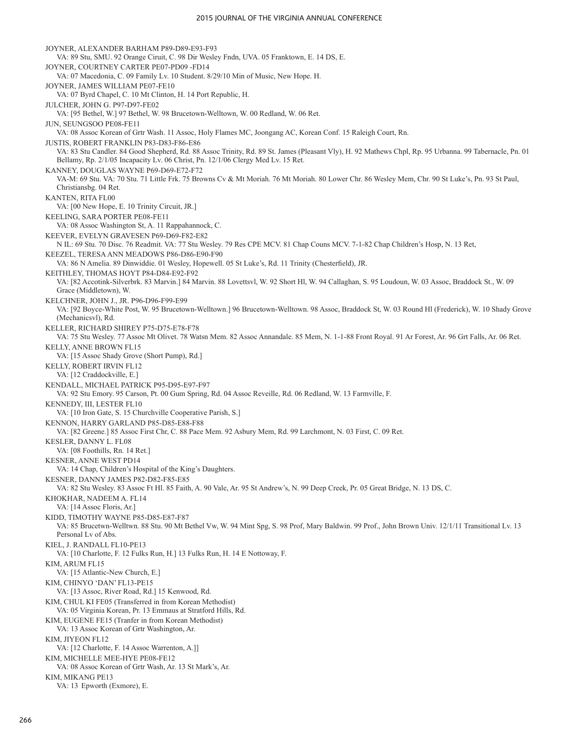JOYNER, ALEXANDER BARHAM P89-D89-E93-F93 VA: 89 Stu, SMU. 92 Orange Ciruit, C. 98 Dir Wesley Fndn, UVA. 05 Franktown, E. 14 DS, E. JOYNER, COURTNEY CARTER PE07-PD09 -FD14 VA: 07 Macedonia, C. 09 Family Lv. 10 Student. 8/29/10 Min of Music, New Hope. H. JOYNER, JAMES WILLIAM PE07-FE10 VA: 07 Byrd Chapel, C. 10 Mt Clinton, H. 14 Port Republic, H. JULCHER, JOHN G. P97-D97-FE02 VA: [95 Bethel, W.] 97 Bethel, W. 98 Brucetown-Welltown, W. 00 Redland, W. 06 Ret. JUN, SEUNGSOO PE08-FE11 VA: 08 Assoc Korean of Grtr Wash. 11 Assoc, Holy Flames MC, Joongang AC, Korean Conf. 15 Raleigh Court, Rn. JUSTIS, ROBERT FRANKLIN P83-D83-F86-E86 VA: 83 Stu Candler. 84 Good Shepherd, Rd. 88 Assoc Trinity, Rd. 89 St. James (Pleasant Vly), H. 92 Mathews Chpl, Rp. 95 Urbanna. 99 Tabernacle, Pn. 01 Bellamy, Rp. 2/1/05 Incapacity Lv. 06 Christ, Pn. 12/1/06 Clergy Med Lv. 15 Ret. KANNEY, DOUGLAS WAYNE P69-D69-E72-F72 VA-M: 69 Stu. VA: 70 Stu. 71 Little Frk. 75 Browns Cv & Mt Moriah. 76 Mt Moriah. 80 Lower Chr. 86 Wesley Mem, Chr. 90 St Luke's, Pn. 93 St Paul, Christiansbg. 04 Ret. KANTEN, RITA FL00 VA: [00 New Hope, E. 10 Trinity Circuit, JR.] KEELING, SARA PORTER PE08-FE11 VA: 08 Assoc Washington St, A. 11 Rappahannock, C. KEEVER, EVELYN GRAVESEN P69-D69-F82-E82 N IL: 69 Stu. 70 Disc. 76 Readmit. VA: 77 Stu Wesley. 79 Res CPE MCV. 81 Chap Couns MCV. 7-1-82 Chap Children's Hosp, N. 13 Ret, KEEZEL, TERESA ANN MEADOWS P86-D86-E90-F90 VA: 86 N Amelia. 89 Dinwiddie. 01 Wesley, Hopewell. 05 St Luke's, Rd. 11 Trinity (Chesterfield), JR. KEITHLEY, THOMAS HOYT P84-D84-E92-F92 VA: [82 Accotink-Silverbrk. 83 Marvin.] 84 Marvin. 88 Lovettsvl, W. 92 Short Hl, W. 94 Callaghan, S. 95 Loudoun, W. 03 Assoc, Braddock St., W. 09 Grace (Middletown), W. KELCHNER, JOHN J., JR. P96-D96-F99-E99 VA: [92 Boyce-White Post, W. 95 Brucetown-Welltown.] 96 Brucetown-Welltown. 98 Assoc, Braddock St, W. 03 Round Hl (Frederick), W. 10 Shady Grove (Mechanicsvl), Rd. KELLER, RICHARD SHIREY P75-D75-E78-F78 VA: 75 Stu Wesley. 77 Assoc Mt Olivet. 78 Watsn Mem. 82 Assoc Annandale. 85 Mem, N. 1-1-88 Front Royal. 91 Ar Forest, Ar. 96 Grt Falls, Ar. 06 Ret. KELLY, ANNE BROWN FL15 VA: [15 Assoc Shady Grove (Short Pump), Rd.] KELLY, ROBERT IRVIN FL12 VA: [12 Craddockville, E.] KENDALL, MICHAEL PATRICK P95-D95-E97-F97 VA: 92 Stu Emory. 95 Carson, Pt. 00 Gum Spring, Rd. 04 Assoc Reveille, Rd. 06 Redland, W. 13 Farmville, F. KENNEDY, III, LESTER FL10 VA: [10 Iron Gate, S. 15 Churchville Cooperative Parish, S.] KENNON, HARRY GARLAND P85-D85-E88-F88 VA: [82 Greene.] 85 Assoc First Chr, C. 88 Pace Mem. 92 Asbury Mem, Rd. 99 Larchmont, N. 03 First, C. 09 Ret. KESLER, DANNY L. FL08 VA: [08 Foothills, Rn. 14 Ret.] KESNER, ANNE WEST PD14 VA: 14 Chap, Children's Hospital of the King's Daughters. KESNER, DANNY JAMES P82-D82-F85-E85 VA: 82 Stu Wesley. 83 Assoc Ft Hl. 85 Faith, A. 90 Vale, Ar. 95 St Andrew's, N. 99 Deep Creek, Pr. 05 Great Bridge, N. 13 DS, C. KHOKHAR, NADEEM A. FL14 VA: [14 Assoc Floris, Ar.] KIDD, TIMOTHY WAYNE P85-D85-E87-F87 VA: 85 Brucetwn-Welltwn. 88 Stu. 90 Mt Bethel Vw, W. 94 Mint Spg, S. 98 Prof, Mary Baldwin. 99 Prof., John Brown Univ. 12/1/11 Transitional Lv. 13 Personal Lv of Abs. KIEL, J. RANDALL FL10-PE13 VA: [10 Charlotte, F. 12 Fulks Run, H.] 13 Fulks Run, H. 14 E Nottoway, F. KIM, ARUM FL15 VA: [15 Atlantic-New Church, E.] KIM, CHINYO 'DAN' FL13-PE15 VA: [13 Assoc, River Road, Rd.] 15 Kenwood, Rd. KIM, CHUL KI FE05 (Transferred in from Korean Methodist) VA: 05 Virginia Korean, Pr. 13 Emmaus at Stratford Hills, Rd. KIM, EUGENE FE15 (Tranfer in from Korean Methodist) VA: 13 Assoc Korean of Grtr Washington, Ar. KIM, JIYEON FL12 VA: [12 Charlotte, F. 14 Assoc Warrenton, A.]] KIM, MICHELLE MEE-HYE PE08-FE12 VA: 08 Assoc Korean of Grtr Wash, Ar. 13 St Mark's, Ar. KIM, MIKANG PE13 VA: 13 Epworth (Exmore), E.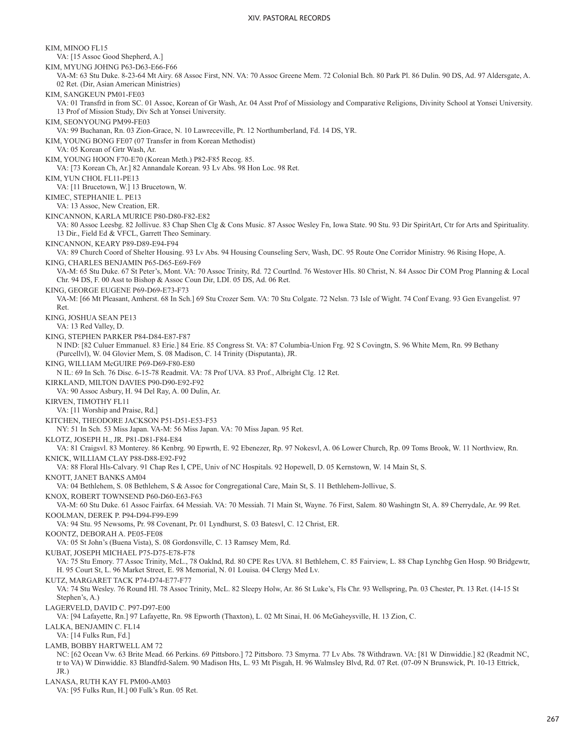KIM, MINOO FL15 VA: [15 Assoc Good Shepherd, A.] KIM, MYUNG JOHNG P63-D63-E66-F66 VA-M: 63 Stu Duke. 8-23-64 Mt Airy. 68 Assoc First, NN. VA: 70 Assoc Greene Mem. 72 Colonial Bch. 80 Park Pl. 86 Dulin. 90 DS, Ad. 97 Aldersgate, A. 02 Ret. (Dir, Asian American Ministries) KIM, SANGKEUN PM01-FE03 VA: 01 Transfrd in from SC. 01 Assoc, Korean of Gr Wash, Ar. 04 Asst Prof of Missiology and Comparative Religions, Divinity School at Yonsei University. 13 Prof of Mission Study, Div Sch at Yonsei University. KIM, SEONYOUNG PM99-FE03 VA: 99 Buchanan, Rn. 03 Zion-Grace, N. 10 Lawreceville, Pt. 12 Northumberland, Fd. 14 DS, YR. KIM, YOUNG BONG FE07 (07 Transfer in from Korean Methodist) VA: 05 Korean of Grtr Wash, Ar. KIM, YOUNG HOON F70-E70 (Korean Meth.) P82-F85 Recog. 85. VA: [73 Korean Ch, Ar.] 82 Annandale Korean. 93 Lv Abs. 98 Hon Loc. 98 Ret. KIM, YUN CHOL FL11-PE13 VA: [11 Brucetown, W.] 13 Brucetown, W. KIMEC, STEPHANIE L. PE13 VA: 13 Assoc, New Creation, ER. KINCANNON, KARLA MURICE P80-D80-F82-E82 VA: 80 Assoc Leesbg. 82 Jollivue. 83 Chap Shen Clg & Cons Music. 87 Assoc Wesley Fn, Iowa State. 90 Stu. 93 Dir SpiritArt, Ctr for Arts and Spirituality. 13 Dir., Field Ed & VFCL, Garrett Theo Seminary. KINCANNON, KEARY P89-D89-E94-F94 VA: 89 Church Coord of Shelter Housing. 93 Lv Abs. 94 Housing Counseling Serv, Wash, DC. 95 Route One Corridor Ministry. 96 Rising Hope, A. KING, CHARLES BENJAMIN P65-D65-E69-F69 VA-M: 65 Stu Duke. 67 St Peter's, Mont. VA: 70 Assoc Trinity, Rd. 72 Courtlnd. 76 Westover Hls. 80 Christ, N. 84 Assoc Dir COM Prog Planning & Local Chr. 94 DS, F. 00 Asst to Bishop & Assoc Coun Dir, LDI. 05 DS, Ad. 06 Ret. KING, GEORGE EUGENE P69-D69-E73-F73 VA-M: [66 Mt Pleasant, Amherst. 68 In Sch.] 69 Stu Crozer Sem. VA: 70 Stu Colgate. 72 Nelsn. 73 Isle of Wight. 74 Conf Evang. 93 Gen Evangelist. 97 Ret. KING, JOSHUA SEAN PE13 VA: 13 Red Valley, D. KING, STEPHEN PARKER P84-D84-E87-F87 N IND: [82 Culuer Emmanuel. 83 Erie.] 84 Erie. 85 Congress St. VA: 87 Columbia-Union Frg. 92 S Covingtn, S. 96 White Mem, Rn. 99 Bethany (Purcellvl), W. 04 Glovier Mem, S. 08 Madison, C. 14 Trinity (Disputanta), JR. KING, WILLIAM McGUIRE P69-D69-F80-E80 N IL: 69 In Sch. 76 Disc. 6-15-78 Readmit. VA: 78 Prof UVA. 83 Prof., Albright Clg. 12 Ret. KIRKLAND, MILTON DAVIES P90-D90-E92-F92 VA: 90 Assoc Asbury, H. 94 Del Ray, A. 00 Dulin, Ar. KIRVEN, TIMOTHY FL11 VA: [11 Worship and Praise, Rd.] KITCHEN, THEODORE JACKSON P51-D51-E53-F53 NY: 51 In Sch. 53 Miss Japan. VA-M: 56 Miss Japan. VA: 70 Miss Japan. 95 Ret. KLOTZ, JOSEPH H., JR. P81-D81-F84-E84 VA: 81 Craigsvl. 83 Monterey. 86 Kenbrg. 90 Epwrth, E. 92 Ebenezer, Rp. 97 Nokesvl, A. 06 Lower Church, Rp. 09 Toms Brook, W. 11 Northview, Rn. KNICK, WILLIAM CLAY P88-D88-E92-F92 VA: 88 Floral Hls-Calvary. 91 Chap Res I, CPE, Univ of NC Hospitals. 92 Hopewell, D. 05 Kernstown, W. 14 Main St, S. KNOTT, JANET BANKS AM04 VA: 04 Bethlehem, S. 08 Bethlehem, S & Assoc for Congregational Care, Main St, S. 11 Bethlehem-Jollivue, S. KNOX, ROBERT TOWNSEND P60-D60-E63-F63 VA-M: 60 Stu Duke. 61 Assoc Fairfax. 64 Messiah. VA: 70 Messiah. 71 Main St, Wayne. 76 First, Salem. 80 Washingtn St, A. 89 Cherrydale, Ar. 99 Ret. KOOLMAN, DEREK P. P94-D94-F99-E99 VA: 94 Stu. 95 Newsoms, Pr. 98 Covenant, Pr. 01 Lyndhurst, S. 03 Batesvl, C. 12 Christ, ER. KOONTZ, DEBORAH A. PE05-FE08 VA: 05 St John's (Buena Vista), S. 08 Gordonsville, C. 13 Ramsey Mem, Rd. KUBAT, JOSEPH MICHAEL P75-D75-E78-F78 VA: 75 Stu Emory. 77 Assoc Trinity, McL., 78 Oaklnd, Rd. 80 CPE Res UVA. 81 Bethlehem, C. 85 Fairview, L. 88 Chap Lynchbg Gen Hosp. 90 Bridgewtr, H. 95 Court St, L. 96 Market Street, E. 98 Memorial, N. 01 Louisa. 04 Clergy Med Lv. KUTZ, MARGARET TACK P74-D74-E77-F77 VA: 74 Stu Wesley. 76 Round Hl. 78 Assoc Trinity, McL. 82 Sleepy Holw, Ar. 86 St Luke's, Fls Chr. 93 Wellspring, Pn. 03 Chester, Pt. 13 Ret. (14-15 St Stephen's, A.) LAGERVELD, DAVID C. P97-D97-E00 VA: [94 Lafayette, Rn.] 97 Lafayette, Rn. 98 Epworth (Thaxton), L. 02 Mt Sinai, H. 06 McGaheysville, H. 13 Zion, C. LALKA, BENJAMIN C. FL14 VA: [14 Fulks Run, Fd.] LAMB, BOBBY HARTWELL AM 72 NC: [62 Ocean Vw. 63 Brite Mead. 66 Perkins. 69 Pittsboro.] 72 Pittsboro. 73 Smyrna. 77 Lv Abs. 78 Withdrawn. VA: [81 W Dinwiddie.] 82 (Readmit NC, tr to VA) W Dinwiddie. 83 Blandfrd-Salem. 90 Madison Hts, L. 93 Mt Pisgah, H. 96 Walmsley Blvd, Rd. 07 Ret. (07-09 N Brunswick, Pt. 10-13 Ettrick, JR.) LANASA, RUTH KAY FL PM00-AM03 VA: [95 Fulks Run, H.] 00 Fulk's Run. 05 Ret.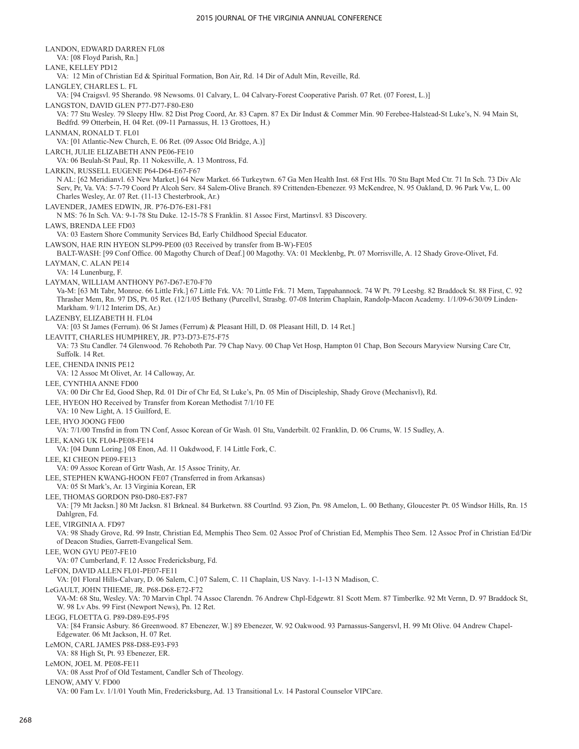LANDON, EDWARD DARREN FL08 VA: [08 Floyd Parish, Rn.] LANE, KELLEY PD12 VA: 12 Min of Christian Ed & Spiritual Formation, Bon Air, Rd. 14 Dir of Adult Min, Reveille, Rd. LANGLEY, CHARLES L. FL VA: [94 Craigsvl. 95 Sherando. 98 Newsoms. 01 Calvary, L. 04 Calvary-Forest Cooperative Parish. 07 Ret. (07 Forest, L.)] LANGSTON, DAVID GLEN P77-D77-F80-E80 VA: 77 Stu Wesley. 79 Sleepy Hlw. 82 Dist Prog Coord, Ar. 83 Caprn. 87 Ex Dir Indust & Commer Min. 90 Ferebee-Halstead-St Luke's, N. 94 Main St, Bedfrd. 99 Otterbein, H. 04 Ret. (09-11 Parnassus, H. 13 Grottoes, H.) LANMAN, RONALD T. FL01 VA: [01 Atlantic-New Church, E. 06 Ret. (09 Assoc Old Bridge, A.)] LARCH, JULIE ELIZABETH ANN PE06-FE10 VA: 06 Beulah-St Paul, Rp. 11 Nokesville, A. 13 Montross, Fd. LARKIN, RUSSELL EUGENE P64-D64-E67-F67 N AL: [62 Meridianvl. 63 New Market.] 64 New Market. 66 Turkeytwn. 67 Ga Men Health Inst. 68 Frst Hls. 70 Stu Bapt Med Ctr. 71 In Sch. 73 Div Alc Serv, Pr, Va. VA: 5-7-79 Coord Pr Alcoh Serv. 84 Salem-Olive Branch. 89 Crittenden-Ebenezer. 93 McKendree, N. 95 Oakland, D. 96 Park Vw, L. 00 Charles Wesley, Ar. 07 Ret. (11-13 Chesterbrook, Ar.) LAVENDER, JAMES EDWIN, JR. P76-D76-E81-F81 N MS: 76 In Sch. VA: 9-1-78 Stu Duke. 12-15-78 S Franklin. 81 Assoc First, Martinsvl. 83 Discovery. LAWS, BRENDA LEE FD03 VA: 03 Eastern Shore Community Services Bd, Early Childhood Special Educator. LAWSON, HAE RIN HYEON SLP99-PE00 (03 Received by transfer from B-W)-FE05 BALT-WASH: [99 Conf Office. 00 Magothy Church of Deaf.] 00 Magothy. VA: 01 Mecklenbg, Pt. 07 Morrisville, A. 12 Shady Grove-Olivet, Fd. LAYMAN, C. ALAN PE14 VA: 14 Lunenburg, F. LAYMAN, WILLIAM ANTHONY P67-D67-E70-F70 Va-M: [63 Mt Tabr, Monroe. 66 Little Frk.] 67 Little Frk. VA: 70 Little Frk. 71 Mem, Tappahannock. 74 W Pt. 79 Leesbg. 82 Braddock St. 88 First, C. 92 Thrasher Mem, Rn. 97 DS, Pt. 05 Ret. (12/1/05 Bethany (Purcellvl, Strasbg. 07-08 Interim Chaplain, Randolp-Macon Academy. 1/1/09-6/30/09 Linden-Markham. 9/1/12 Interim DS, Ar.) LAZENBY, ELIZABETH H. FL04 VA: [03 St James (Ferrum). 06 St James (Ferrum) & Pleasant Hill, D. 08 Pleasant Hill, D. 14 Ret.] LEAVITT, CHARLES HUMPHREY, JR. P73-D73-E75-F75 VA: 73 Stu Candler. 74 Glenwood. 76 Rehoboth Par. 79 Chap Navy. 00 Chap Vet Hosp, Hampton 01 Chap, Bon Secours Maryview Nursing Care Ctr, Suffolk. 14 Ret. LEE, CHENDA INNIS PE12 VA: 12 Assoc Mt Olivet, Ar. 14 Calloway, Ar. LEE, CYNTHIA ANNE FD00 VA: 00 Dir Chr Ed, Good Shep, Rd. 01 Dir of Chr Ed, St Luke's, Pn. 05 Min of Discipleship, Shady Grove (Mechanisvl), Rd. LEE, HYEON HO Received by Transfer from Korean Methodist 7/1/10 FE VA: 10 New Light, A. 15 Guilford, E. LEE, HYO JOONG FE00 VA: 7/1/00 Trnsfrd in from TN Conf, Assoc Korean of Gr Wash. 01 Stu, Vanderbilt. 02 Franklin, D. 06 Crums, W. 15 Sudley, A. LEE, KANG UK FL04-PE08-FE14 VA: [04 Dunn Loring.] 08 Enon, Ad. 11 Oakdwood, F. 14 Little Fork, C. LEE, KI CHEON PE09-FE13 VA: 09 Assoc Korean of Grtr Wash, Ar. 15 Assoc Trinity, Ar. LEE, STEPHEN KWANG-HOON FE07 (Transferred in from Arkansas) VA: 05 St Mark's, Ar. 13 Virginia Korean, ER LEE, THOMAS GORDON P80-D80-E87-F87 VA: [79 Mt Jacksn.] 80 Mt Jacksn. 81 Brkneal. 84 Burketwn. 88 Courtlnd. 93 Zion, Pn. 98 Amelon, L. 00 Bethany, Gloucester Pt. 05 Windsor Hills, Rn. 15 Dahlgren, Fd. LEE, VIRGINIA A. FD97 VA: 98 Shady Grove, Rd. 99 Instr, Christian Ed, Memphis Theo Sem. 02 Assoc Prof of Christian Ed, Memphis Theo Sem. 12 Assoc Prof in Christian Ed/Dir of Deacon Studies, Garrett-Evangelical Sem. LEE, WON GYU PE07-FE10 VA: 07 Cumberland, F. 12 Assoc Fredericksburg, Fd. LeFON, DAVID ALLEN FL01-PE07-FE11 VA: [01 Floral Hills-Calvary, D. 06 Salem, C.] 07 Salem, C. 11 Chaplain, US Navy. 1-1-13 N Madison, C. LeGAULT, JOHN THIEME, JR. P68-D68-E72-F72 VA-M: 68 Stu, Wesley. VA: 70 Marvin Chpl. 74 Assoc Clarendn. 76 Andrew Chpl-Edgewtr. 81 Scott Mem. 87 Timberlke. 92 Mt Vernn, D. 97 Braddock St, W. 98 Lv Abs. 99 First (Newport News), Pn. 12 Ret. LEGG, FLOETTA G. P89-D89-E95-F95 VA: [84 Fransic Asbury. 86 Greenwood. 87 Ebenezer, W.] 89 Ebenezer, W. 92 Oakwood. 93 Parnassus-Sangersvl, H. 99 Mt Olive. 04 Andrew Chapel-Edgewater. 06 Mt Jackson, H. 07 Ret. LeMON, CARL JAMES P88-D88-E93-F93 VA: 88 High St, Pt. 93 Ebenezer, ER. LeMON, JOEL M. PE08-FE11 VA: 08 Asst Prof of Old Testament, Candler Sch of Theology. LENOW, AMY V. FD00 VA: 00 Fam Lv. 1/1/01 Youth Min, Fredericksburg, Ad. 13 Transitional Lv. 14 Pastoral Counselor VIPCare.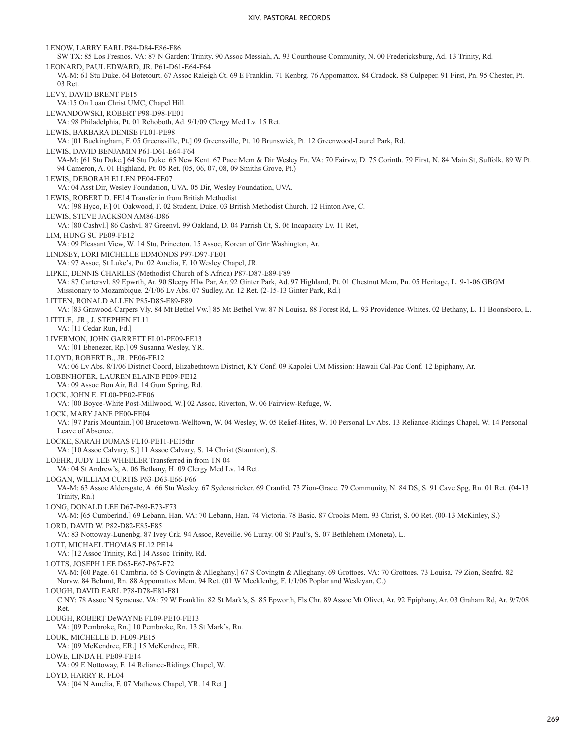LENOW, LARRY EARL P84-D84-E86-F86 SW TX: 85 Los Fresnos. VA: 87 N Garden: Trinity. 90 Assoc Messiah, A. 93 Courthouse Community, N. 00 Fredericksburg, Ad. 13 Trinity, Rd. LEONARD, PAUL EDWARD, JR. P61-D61-E64-F64 VA-M: 61 Stu Duke. 64 Botetourt. 67 Assoc Raleigh Ct. 69 E Franklin. 71 Kenbrg. 76 Appomattox. 84 Cradock. 88 Culpeper. 91 First, Pn. 95 Chester, Pt. 03 Ret. LEVY, DAVID BRENT PE15 VA:15 On Loan Christ UMC, Chapel Hill. LEWANDOWSKI, ROBERT P98-D98-FE01 VA: 98 Philadelphia, Pt. 01 Rehoboth, Ad. 9/1/09 Clergy Med Lv. 15 Ret. LEWIS, BARBARA DENISE FL01-PE98 VA: [01 Buckingham, F. 05 Greensville, Pt.] 09 Greensville, Pt. 10 Brunswick, Pt. 12 Greenwood-Laurel Park, Rd. LEWIS, DAVID BENJAMIN P61-D61-E64-F64 VA-M: [61 Stu Duke.] 64 Stu Duke. 65 New Kent. 67 Pace Mem & Dir Wesley Fn. VA: 70 Fairvw, D. 75 Corinth. 79 First, N. 84 Main St, Suffolk. 89 W Pt. 94 Cameron, A. 01 Highland, Pt. 05 Ret. (05, 06, 07, 08, 09 Smiths Grove, Pt.) LEWIS, DEBORAH ELLEN PE04-FE07 VA: 04 Asst Dir, Wesley Foundation, UVA. 05 Dir, Wesley Foundation, UVA. LEWIS, ROBERT D. FE14 Transfer in from British Methodist VA: [98 Hyco, F.] 01 Oakwood, F. 02 Student, Duke. 03 British Methodist Church. 12 Hinton Ave, C. LEWIS, STEVE JACKSON AM86-D86 VA: [80 Cashvl.] 86 Cashvl. 87 Greenvl. 99 Oakland, D. 04 Parrish Ct, S. 06 Incapacity Lv. 11 Ret, LIM, HUNG SU PE09-FE12 VA: 09 Pleasant View, W. 14 Stu, Princeton. 15 Assoc, Korean of Grtr Washington, Ar. LINDSEY, LORI MICHELLE EDMONDS P97-D97-FE01 VA: 97 Assoc, St Luke's, Pn. 02 Amelia, F. 10 Wesley Chapel, JR. LIPKE, DENNIS CHARLES (Methodist Church of S Africa) P87-D87-E89-F89 VA: 87 Cartersvl. 89 Epwrth, Ar. 90 Sleepy Hlw Par, Ar. 92 Ginter Park, Ad. 97 Highland, Pt. 01 Chestnut Mem, Pn. 05 Heritage, L. 9-1-06 GBGM Missionary to Mozambique. 2/1/06 Lv Abs. 07 Sudley, Ar. 12 Ret. (2-15-13 Ginter Park, Rd.) LITTEN, RONALD ALLEN P85-D85-E89-F89 VA: [83 Grnwood-Carpers Vly. 84 Mt Bethel Vw.] 85 Mt Bethel Vw. 87 N Louisa. 88 Forest Rd, L. 93 Providence-Whites. 02 Bethany, L. 11 Boonsboro, L. LITTLE, JR., J. STEPHEN FL11 VA: [11 Cedar Run, Fd.] LIVERMON, JOHN GARRETT FL01-PE09-FE13 VA: [01 Ebenezer, Rp.] 09 Susanna Wesley, YR. LLOYD, ROBERT B., JR. PE06-FE12 VA: 06 Lv Abs. 8/1/06 District Coord, Elizabethtown District, KY Conf. 09 Kapolei UM Mission: Hawaii Cal-Pac Conf. 12 Epiphany, Ar. LOBENHOFER, LAUREN ELAINE PE09-FE12 VA: 09 Assoc Bon Air, Rd. 14 Gum Spring, Rd. LOCK, JOHN E. FL00-PE02-FE06 VA: [00 Boyce-White Post-Millwood, W.] 02 Assoc, Riverton, W. 06 Fairview-Refuge, W. LOCK, MARY JANE PE00-FE04 VA: [97 Paris Mountain.] 00 Brucetown-Welltown, W. 04 Wesley, W. 05 Relief-Hites, W. 10 Personal Lv Abs. 13 Reliance-Ridings Chapel, W. 14 Personal Leave of Absence. LOCKE, SARAH DUMAS FL10-PE11-FE15thr VA: [10 Assoc Calvary, S.] 11 Assoc Calvary, S. 14 Christ (Staunton), S. LOEHR, JUDY LEE WHEELER Transferred in from TN 04 VA: 04 St Andrew's, A. 06 Bethany, H. 09 Clergy Med Lv. 14 Ret. LOGAN, WILLIAM CURTIS P63-D63-E66-F66 VA-M: 63 Assoc Aldersgate, A. 66 Stu Wesley. 67 Sydenstricker. 69 Cranfrd. 73 Zion-Grace. 79 Community, N. 84 DS, S. 91 Cave Spg, Rn. 01 Ret. (04-13 Trinity, Rn.) LONG, DONALD LEE D67-P69-E73-F73 VA-M: [65 Cumberlnd.] 69 Lebann, Han. VA: 70 Lebann, Han. 74 Victoria. 78 Basic. 87 Crooks Mem. 93 Christ, S. 00 Ret. (00-13 McKinley, S.) LORD, DAVID W. P82-D82-E85-F85 VA: 83 Nottoway-Lunenbg. 87 Ivey Crk. 94 Assoc, Reveille. 96 Luray. 00 St Paul's, S. 07 Bethlehem (Moneta), L. LOTT, MICHAEL THOMAS FL12 PE14 VA: [12 Assoc Trinity, Rd.] 14 Assoc Trinity, Rd. LOTTS, JOSEPH LEE D65-E67-P67-F72 VA-M: [60 Page. 61 Cambria. 65 S Covingtn & Alleghany.] 67 S Covingtn & Alleghany. 69 Grottoes. VA: 70 Grottoes. 73 Louisa. 79 Zion, Seafrd. 82 Norvw. 84 Belmnt, Rn. 88 Appomattox Mem. 94 Ret. (01 W Mecklenbg, F. 1/1/06 Poplar and Wesleyan, C.) LOUGH, DAVID EARL P78-D78-E81-F81 C NY: 78 Assoc N Syracuse. VA: 79 W Franklin. 82 St Mark's, S. 85 Epworth, Fls Chr. 89 Assoc Mt Olivet, Ar. 92 Epiphany, Ar. 03 Graham Rd, Ar. 9/7/08 Ret. LOUGH, ROBERT DeWAYNE FL09-PE10-FE13 VA: [09 Pembroke, Rn.] 10 Pembroke, Rn. 13 St Mark's, Rn. LOUK, MICHELLE D. FL09-PE15 VA: [09 McKendree, ER.] 15 McKendree, ER. LOWE, LINDA H. PE09-FE14 VA: 09 E Nottoway, F. 14 Reliance-Ridings Chapel, W. LOYD, HARRY R. FL04 VA: [04 N Amelia, F. 07 Mathews Chapel, YR. 14 Ret.]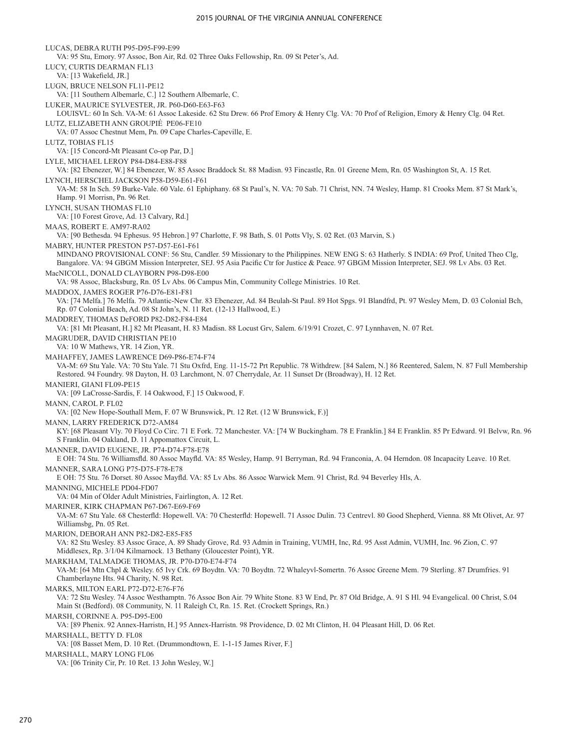LUCAS, DEBRA RUTH P95-D95-F99-E99 VA: 95 Stu, Emory. 97 Assoc, Bon Air, Rd. 02 Three Oaks Fellowship, Rn. 09 St Peter's, Ad. LUCY, CURTIS DEARMAN FL13 VA: [13 Wakefield, JR.] LUGN, BRUCE NELSON FL11-PE12 VA: [11 Southern Albemarle, C.] 12 Southern Albemarle, C. LUKER, MAURICE SYLVESTER, JR. P60-D60-E63-F63 LOUISVL: 60 In Sch. VA-M: 61 Assoc Lakeside. 62 Stu Drew. 66 Prof Emory & Henry Clg. VA: 70 Prof of Religion, Emory & Henry Clg. 04 Ret. LUTZ, ELIZABETH ANN GROUPIÉ PE06-FE10 VA: 07 Assoc Chestnut Mem, Pn. 09 Cape Charles-Capeville, E. LUTZ, TOBIAS FL15 VA: [15 Concord-Mt Pleasant Co-op Par, D.] LYLE, MICHAEL LEROY P84-D84-E88-F88 VA: [82 Ebenezer, W.] 84 Ebenezer, W. 85 Assoc Braddock St. 88 Madisn. 93 Fincastle, Rn. 01 Greene Mem, Rn. 05 Washington St, A. 15 Ret. LYNCH, HERSCHEL JACKSON P58-D59-E61-F61 VA-M: 58 In Sch. 59 Burke-Vale. 60 Vale. 61 Ephiphany. 68 St Paul's, N. VA: 70 Sab. 71 Christ, NN. 74 Wesley, Hamp. 81 Crooks Mem. 87 St Mark's, Hamp. 91 Morrisn, Pn. 96 Ret. LYNCH, SUSAN THOMAS FL10 VA: [10 Forest Grove, Ad. 13 Calvary, Rd.] MAAS, ROBERT E. AM97-RA02 VA: [90 Bethesda. 94 Ephesus. 95 Hebron.] 97 Charlotte, F. 98 Bath, S. 01 Potts Vly, S. 02 Ret. (03 Marvin, S.) MABRY, HUNTER PRESTON P57-D57-E61-F61 MINDANO PROVISIONAL CONF: 56 Stu, Candler. 59 Missionary to the Philippines. NEW ENG S: 63 Hatherly. S INDIA: 69 Prof, United Theo Clg, Bangalore. VA: 94 GBGM Mission Interpreter, SEJ. 95 Asia Pacific Ctr for Justice & Peace. 97 GBGM Mission Interpreter, SEJ. 98 Lv Abs. 03 Ret. MacNICOLL, DONALD CLAYBORN P98-D98-E00 VA: 98 Assoc, Blacksburg, Rn. 05 Lv Abs. 06 Campus Min, Community College Ministries. 10 Ret. MADDOX, JAMES ROGER P76-D76-E81-F81 VA: [74 Melfa.] 76 Melfa. 79 Atlantic-New Chr. 83 Ebenezer, Ad. 84 Beulah-St Paul. 89 Hot Spgs. 91 Blandfrd, Pt. 97 Wesley Mem, D. 03 Colonial Bch, Rp. 07 Colonial Beach, Ad. 08 St John's, N. 11 Ret. (12-13 Hallwood, E.) MADDREY, THOMAS DeFORD P82-D82-F84-E84 VA: [81 Mt Pleasant, H.] 82 Mt Pleasant, H. 83 Madisn. 88 Locust Grv, Salem. 6/19/91 Crozet, C. 97 Lynnhaven, N. 07 Ret. MAGRUDER, DAVID CHRISTIAN PE10 VA: 10 W Mathews, YR. 14 Zion, YR. MAHAFFEY, JAMES LAWRENCE D69-P86-E74-F74 VA-M: 69 Stu Yale. VA: 70 Stu Yale. 71 Stu Oxfrd, Eng. 11-15-72 Prt Republic. 78 Withdrew. [84 Salem, N.] 86 Reentered, Salem, N. 87 Full Membership Restored. 94 Foundry. 98 Dayton, H. 03 Larchmont, N. 07 Cherrydale, Ar. 11 Sunset Dr (Broadway), H. 12 Ret. MANIERI, GIANI FL09-PE15 VA: [09 LaCrosse-Sardis, F. 14 Oakwood, F.] 15 Oakwood, F. MANN, CAROL P. FL02 VA: [02 New Hope-Southall Mem, F. 07 W Brunswick, Pt. 12 Ret. (12 W Brunswick, F.)] MANN, LARRY FREDERICK D72-AM84 KY: [68 Pleasant Vly. 70 Floyd Co Circ. 71 E Fork. 72 Manchester. VA: [74 W Buckingham. 78 E Franklin.] 84 E Franklin. 85 Pr Edward. 91 Belvw, Rn. 96 S Franklin. 04 Oakland, D. 11 Appomattox Circuit, L. MANNER, DAVID EUGENE, JR. P74-D74-F78-E78 E OH: 74 Stu. 76 Williamsfld. 80 Assoc Mayfld. VA: 85 Wesley, Hamp. 91 Berryman, Rd. 94 Franconia, A. 04 Herndon. 08 Incapacity Leave. 10 Ret. MANNER, SARA LONG P75-D75-F78-E78 E OH: 75 Stu. 76 Dorset. 80 Assoc Mayfld. VA: 85 Lv Abs. 86 Assoc Warwick Mem. 91 Christ, Rd. 94 Beverley Hls, A. MANNING, MICHELE PD04-FD07 VA: 04 Min of Older Adult Ministries, Fairlington, A. 12 Ret. MARINER, KIRK CHAPMAN P67-D67-E69-F69 VA-M: 67 Stu Yale. 68 Chesterfld: Hopewell. VA: 70 Chesterfld: Hopewell. 71 Assoc Dulin. 73 Centrevl. 80 Good Shepherd, Vienna. 88 Mt Olivet, Ar. 97 Williamsbg, Pn. 05 Ret. MARION, DEBORAH ANN P82-D82-E85-F85 VA: 82 Stu Wesley. 83 Assoc Grace, A. 89 Shady Grove, Rd. 93 Admin in Training, VUMH, Inc, Rd. 95 Asst Admin, VUMH, Inc. 96 Zion, C. 97 Middlesex, Rp. 3/1/04 Kilmarnock. 13 Bethany (Gloucester Point), YR. MARKHAM, TALMADGE THOMAS, JR. P70-D70-E74-F74 VA-M: [64 Mtn Chpl & Wesley. 65 Ivy Crk. 69 Boydtn. VA: 70 Boydtn. 72 Whaleyvl-Somertn. 76 Assoc Greene Mem. 79 Sterling. 87 Drumfries. 91 Chamberlayne Hts. 94 Charity, N. 98 Ret. MARKS, MILTON EARL P72-D72-E76-F76 VA: 72 Stu Wesley. 74 Assoc Westhamptn. 76 Assoc Bon Air. 79 White Stone. 83 W End, Pr. 87 Old Bridge, A. 91 S Hl. 94 Evangelical. 00 Christ, S.04 Main St (Bedford). 08 Community, N. 11 Raleigh Ct, Rn. 15. Ret. (Crockett Springs, Rn.) MARSH, CORINNE A. P95-D95-E00 VA: [89 Phenix. 92 Annex-Harristn, H.] 95 Annex-Harristn. 98 Providence, D. 02 Mt Clinton, H. 04 Pleasant Hill, D. 06 Ret. MARSHALL, BETTY D. FL08 VA: [08 Basset Mem, D. 10 Ret. (Drummondtown, E. 1-1-15 James River, F.] MARSHALL, MARY LONG FL06 VA: [06 Trinity Cir, Pr. 10 Ret. 13 John Wesley, W.]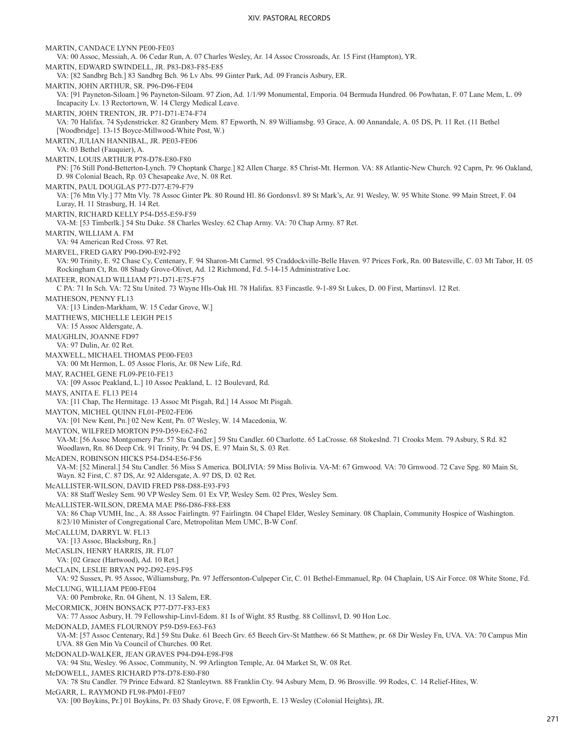MARTIN, CANDACE LYNN PE00-FE03 VA: 00 Assoc, Messiah, A. 06 Cedar Run, A. 07 Charles Wesley, Ar. 14 Assoc Crossroads, Ar. 15 First (Hampton), YR. MARTIN, EDWARD SWINDELL, JR. P83-D83-F85-E85 VA: [82 Sandbrg Bch.] 83 Sandbrg Bch. 96 Lv Abs. 99 Ginter Park, Ad. 09 Francis Asbury, ER. MARTIN, JOHN ARTHUR, SR. P96-D96-FE04 VA: [91 Payneton-Siloam.] 96 Payneton-Siloam. 97 Zion, Ad. 1/1/99 Monumental, Emporia. 04 Bermuda Hundred. 06 Powhatan, F. 07 Lane Mem, L. 09 Incapacity Lv. 13 Rectortown, W. 14 Clergy Medical Leave. MARTIN, JOHN TRENTON, JR. P71-D71-E74-F74 VA: 70 Halifax. 74 Sydenstricker. 82 Granbery Mem. 87 Epworth, N. 89 Williamsbg. 93 Grace, A. 00 Annandale, A. 05 DS, Pt. 11 Ret. (11 Bethel [Woodbridge]. 13-15 Boyce-Millwood-White Post, W.) MARTIN, JULIAN HANNIBAL, JR. PE03-FE06 VA: 03 Bethel (Fauquier), A. MARTIN, LOUIS ARTHUR P78-D78-E80-F80 PN: [76 Still Pond-Betterton-Lynch. 79 Choptank Charge.] 82 Allen Charge. 85 Christ-Mt. Hermon. VA: 88 Atlantic-New Church. 92 Caprn, Pr. 96 Oakland, D. 98 Colonial Beach, Rp. 03 Chesapeake Ave, N. 08 Ret. MARTIN, PAUL DOUGLAS P77-D77-E79-F79 VA: [76 Mtn Vly.] 77 Mtn Vly. 78 Assoc Ginter Pk. 80 Round Hl. 86 Gordonsvl. 89 St Mark's, Ar. 91 Wesley, W. 95 White Stone. 99 Main Street, F. 04 Luray, H. 11 Strasburg, H. 14 Ret. MARTIN, RICHARD KELLY P54-D55-E59-F59 VA-M: [53 Timberlk.] 54 Stu Duke. 58 Charles Wesley. 62 Chap Army. VA: 70 Chap Army. 87 Ret. MARTIN, WILLIAM A. FM VA: 94 American Red Cross. 97 Ret. MARVEL, FRED GARY P90-D90-E92-F92 VA: 90 Trinity, E. 92 Chase Cy, Centenary, F. 94 Sharon-Mt Carmel. 95 Craddockville-Belle Haven. 97 Prices Fork, Rn. 00 Batesville, C. 03 Mt Tabor, H. 05 Rockingham Ct, Rn. 08 Shady Grove-Olivet, Ad. 12 Richmond, Fd. 5-14-15 Administrative Loc. MATEER, RONALD WILLIAM P71-D71-E75-F75 C PA: 71 In Sch. VA: 72 Stu United. 73 Wayne Hls-Oak Hl. 78 Halifax. 83 Fincastle. 9-1-89 St Lukes, D. 00 First, Martinsvl. 12 Ret. MATHESON, PENNY FL13 VA: [13 Linden-Markham, W. 15 Cedar Grove, W.] MATTHEWS, MICHELLE LEIGH PE15 VA: 15 Assoc Aldersgate, A. MAUGHLIN, JOANNE FD97 VA: 97 Dulin, Ar. 02 Ret. MAXWELL, MICHAEL THOMAS PE00-FE03 VA: 00 Mt Hermon, L. 05 Assoc Floris, Ar. 08 New Life, Rd. MAY, RACHEL GENE FL09-PE10-FE13 VA: [09 Assoc Peakland, L.] 10 Assoc Peakland, L. 12 Boulevard, Rd. MAYS, ANITA E. FL13 PE14 VA: [11 Chap, The Hermitage. 13 Assoc Mt Pisgah, Rd.] 14 Assoc Mt Pisgah. MAYTON, MICHEL QUINN FL01-PE02-FE06 VA: [01 New Kent, Pn.] 02 New Kent, Pn. 07 Wesley, W. 14 Macedonia, W. MAYTON, WILFRED MORTON P59-D59-E62-F62 VA-M: [56 Assoc Montgomery Par. 57 Stu Candler.] 59 Stu Candler. 60 Charlotte. 65 LaCrosse. 68 Stokeslnd. 71 Crooks Mem. 79 Asbury, S Rd. 82 Woodlawn, Rn. 86 Deep Crk. 91 Trinity, Pr. 94 DS, E. 97 Main St, S. 03 Ret. McADEN, ROBINSON HICKS P54-D54-E56-F56 VA-M: [52 Mineral.] 54 Stu Candler. 56 Miss S America. BOLIVIA: 59 Miss Bolivia. VA-M: 67 Grnwood. VA: 70 Grnwood. 72 Cave Spg. 80 Main St, Wayn. 82 First, C. 87 DS, Ar. 92 Aldersgate, A. 97 DS, D. 02 Ret. McALLISTER-WILSON, DAVID FRED P88-D88-E93-F93 VA: 88 Staff Wesley Sem. 90 VP Wesley Sem. 01 Ex VP, Wesley Sem. 02 Pres, Wesley Sem. McALLISTER-WILSON, DREMA MAE P86-D86-F88-E88 VA: 86 Chap VUMH, Inc., A. 88 Assoc Fairlingtn. 97 Fairlingtn. 04 Chapel Elder, Wesley Seminary. 08 Chaplain, Community Hospice of Washington. 8/23/10 Minister of Congregational Care, Metropolitan Mem UMC, B-W Conf. McCALLUM, DARRYL W. FL13 VA: [13 Assoc, Blacksburg, Rn.] McCASLIN, HENRY HARRIS, JR. FL07 VA: [02 Grace (Hartwood), Ad. 10 Ret.] McCLAIN, LESLIE BRYAN P92-D92-E95-F95 VA: 92 Sussex, Pt. 95 Assoc, Williamsburg, Pn. 97 Jeffersonton-Culpeper Cir, C. 01 Bethel-Emmanuel, Rp. 04 Chaplain, US Air Force. 08 White Stone, Fd. McCLUNG, WILLIAM PE00-FE04 VA: 00 Pembroke, Rn. 04 Ghent, N. 13 Salem, ER. McCORMICK, JOHN BONSACK P77-D77-F83-E83 VA: 77 Assoc Asbury, H. 79 Fellowship-Linvl-Edom. 81 Is of Wight. 85 Rustbg. 88 Collinsvl, D. 90 Hon Loc. McDONALD, JAMES FLOURNOY P59-D59-E63-F63 VA-M: [57 Assoc Centenary, Rd.] 59 Stu Duke. 61 Beech Grv. 65 Beech Grv-St Matthew. 66 St Matthew, pr. 68 Dir Wesley Fn, UVA. VA: 70 Campus Min UVA. 88 Gen Min Va Council of Churches. 00 Ret. McDONALD-WALKER, JEAN GRAVES P94-D94-E98-F98 VA: 94 Stu, Wesley. 96 Assoc, Community, N. 99 Arlington Temple, Ar. 04 Market St, W. 08 Ret. McDOWELL, JAMES RICHARD P78-D78-E80-F80 VA: 78 Stu Candler. 79 Prince Edward. 82 Stanleytwn. 88 Franklin Cty. 94 Asbury Mem, D. 96 Brosville. 99 Rodes, C. 14 Relief-Hites, W. McGARR, L. RAYMOND FL98-PM01-FE07 VA: [00 Boykins, Pr.] 01 Boykins, Pr. 03 Shady Grove, F. 08 Epworth, E. 13 Wesley (Colonial Heights), JR.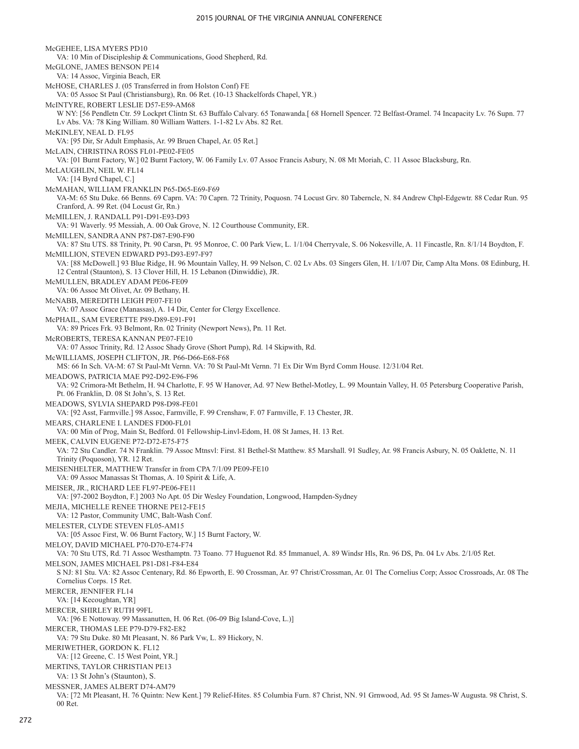McGEHEE, LISA MYERS PD10 VA: 10 Min of Discipleship & Communications, Good Shepherd, Rd. McGLONE, JAMES BENSON PE14 VA: 14 Assoc, Virginia Beach, ER McHOSE, CHARLES J. (05 Transferred in from Holston Conf) FE VA: 05 Assoc St Paul (Christiansburg), Rn. 06 Ret. (10-13 Shackelfords Chapel, YR.) McINTYRE, ROBERT LESLIE D57-E59-AM68 W NY: [56 Pendletn Ctr. 59 Lockprt Clintn St. 63 Buffalo Calvary. 65 Tonawanda.[ 68 Hornell Spencer. 72 Belfast-Oramel. 74 Incapacity Lv. 76 Supn. 77 Lv Abs. VA: 78 King William. 80 William Watters. 1-1-82 Lv Abs. 82 Ret. McKINLEY, NEAL D. FL95 VA: [95 Dir, Sr Adult Emphasis, Ar. 99 Bruen Chapel, Ar. 05 Ret.] McLAIN, CHRISTINA ROSS FL01-PE02-FE05 VA: [01 Burnt Factory, W.] 02 Burnt Factory, W. 06 Family Lv. 07 Assoc Francis Asbury, N. 08 Mt Moriah, C. 11 Assoc Blacksburg, Rn. McLAUGHLIN, NEIL W. FL14 VA: [14 Byrd Chapel, C.] McMAHAN, WILLIAM FRANKLIN P65-D65-E69-F69 VA-M: 65 Stu Duke. 66 Benns. 69 Caprn. VA: 70 Caprn. 72 Trinity, Poquosn. 74 Locust Grv. 80 Taberncle, N. 84 Andrew Chpl-Edgewtr. 88 Cedar Run. 95 Cranford, A. 99 Ret. (04 Locust Gr, Rn.) McMILLEN, J. RANDALL P91-D91-E93-D93 VA: 91 Waverly. 95 Messiah, A. 00 Oak Grove, N. 12 Courthouse Community, ER. McMILLEN, SANDRA ANN P87-D87-E90-F90 VA: 87 Stu UTS. 88 Trinity, Pt. 90 Carsn, Pt. 95 Monroe, C. 00 Park View, L. 1/1/04 Cherryvale, S. 06 Nokesville, A. 11 Fincastle, Rn. 8/1/14 Boydton, F. McMILLION, STEVEN EDWARD P93-D93-E97-F97 VA: [88 McDowell.] 93 Blue Ridge, H. 96 Mountain Valley, H. 99 Nelson, C. 02 Lv Abs. 03 Singers Glen, H. 1/1/07 Dir, Camp Alta Mons. 08 Edinburg, H. 12 Central (Staunton), S. 13 Clover Hill, H. 15 Lebanon (Dinwiddie), JR. McMULLEN, BRADLEY ADAM PE06-FE09 VA: 06 Assoc Mt Olivet, Ar. 09 Bethany, H. McNABB, MEREDITH LEIGH PE07-FE10 VA: 07 Assoc Grace (Manassas), A. 14 Dir, Center for Clergy Excellence. McPHAIL, SAM EVERETTE P89-D89-E91-F91 VA: 89 Prices Frk. 93 Belmont, Rn. 02 Trinity (Newport News), Pn. 11 Ret. McROBERTS, TERESA KANNAN PE07-FE10 VA: 07 Assoc Trinity, Rd. 12 Assoc Shady Grove (Short Pump), Rd. 14 Skipwith, Rd. McWILLIAMS, JOSEPH CLIFTON, JR. P66-D66-E68-F68 MS: 66 In Sch. VA-M: 67 St Paul-Mt Vernn. VA: 70 St Paul-Mt Vernn. 71 Ex Dir Wm Byrd Comm House. 12/31/04 Ret. MEADOWS, PATRICIA MAE P92-D92-E96-F96 VA: 92 Crimora-Mt Bethelm, H. 94 Charlotte, F. 95 W Hanover, Ad. 97 New Bethel-Motley, L. 99 Mountain Valley, H. 05 Petersburg Cooperative Parish, Pt. 06 Franklin, D. 08 St John's, S. 13 Ret. MEADOWS, SYLVIA SHEPARD P98-D98-FE01 VA: [92 Asst, Farmville.] 98 Assoc, Farmville, F. 99 Crenshaw, F. 07 Farmville, F. 13 Chester, JR. MEARS, CHARLENE I. LANDES FD00-FL01 VA: 00 Min of Prog, Main St, Bedford. 01 Fellowship-Linvl-Edom, H. 08 St James, H. 13 Ret. MEEK, CALVIN EUGENE P72-D72-E75-F75 VA: 72 Stu Candler. 74 N Franklin. 79 Assoc Mtnsvl: First. 81 Bethel-St Matthew. 85 Marshall. 91 Sudley, Ar. 98 Francis Asbury, N. 05 Oaklette, N. 11 Trinity (Poquoson), YR. 12 Ret. MEISENHELTER, MATTHEW Transfer in from CPA 7/1/09 PE09-FE10 VA: 09 Assoc Manassas St Thomas, A. 10 Spirit & Life, A. MEISER, JR., RICHARD LEE FL97-PE06-FE11 VA: [97-2002 Boydton, F.] 2003 No Apt. 05 Dir Wesley Foundation, Longwood, Hampden-Sydney MEJIA, MICHELLE RENEE THORNE PE12-FE15 VA: 12 Pastor, Community UMC, Balt-Wash Conf. MELESTER, CLYDE STEVEN FL05-AM15 VA: [05 Assoc First, W. 06 Burnt Factory, W.] 15 Burnt Factory, W. MELOY, DAVID MICHAEL P70-D70-E74-F74 VA: 70 Stu UTS, Rd. 71 Assoc Westhamptn. 73 Toano. 77 Huguenot Rd. 85 Immanuel, A. 89 Windsr Hls, Rn. 96 DS, Pn. 04 Lv Abs. 2/1/05 Ret. MELSON, JAMES MICHAEL P81-D81-F84-E84 S NJ: 81 Stu. VA: 82 Assoc Centenary, Rd. 86 Epworth, E. 90 Crossman, Ar. 97 Christ/Crossman, Ar. 01 The Cornelius Corp; Assoc Crossroads, Ar. 08 The Cornelius Corps. 15 Ret. MERCER, JENNIFER FL14 VA: [14 Kecoughtan, YR] MERCER, SHIRLEY RUTH 99FL VA: [96 E Nottoway. 99 Massanutten, H. 06 Ret. (06-09 Big Island-Cove, L.)] MERCER, THOMAS LEE P79-D79-F82-E82 VA: 79 Stu Duke. 80 Mt Pleasant, N. 86 Park Vw, L. 89 Hickory, N. MERIWETHER, GORDON K. FL12 VA: [12 Greene, C. 15 West Point, YR.] MERTINS, TAYLOR CHRISTIAN PE13 VA: 13 St John's (Staunton), S. MESSNER, JAMES ALBERT D74-AM79 VA: [72 Mt Pleasant, H. 76 Quintn: New Kent.] 79 Relief-Hites. 85 Columbia Furn. 87 Christ, NN. 91 Grnwood, Ad. 95 St James-W Augusta. 98 Christ, S. 00 Ret.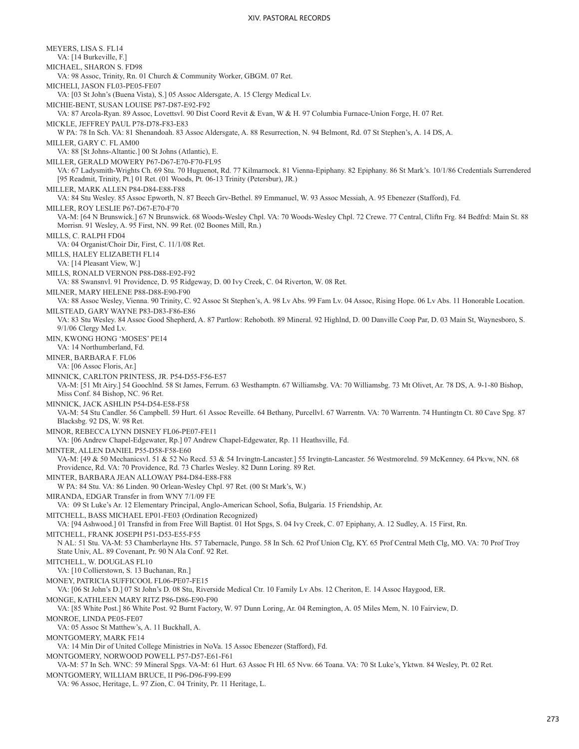MEYERS, LISA S. FL14 VA: [14 Burkeville, F.] MICHAEL, SHARON S. FD98 VA: 98 Assoc, Trinity, Rn. 01 Church & Community Worker, GBGM. 07 Ret. MICHELI, JASON FL03-PE05-FE07 VA: [03 St John's (Buena Vista), S.] 05 Assoc Aldersgate, A. 15 Clergy Medical Lv. MICHIE-BENT, SUSAN LOUISE P87-D87-E92-F92 VA: 87 Arcola-Ryan. 89 Assoc, Lovettsvl. 90 Dist Coord Revit & Evan, W & H. 97 Columbia Furnace-Union Forge, H. 07 Ret. MICKLE, JEFFREY PAUL P78-D78-F83-E83 W PA: 78 In Sch. VA: 81 Shenandoah. 83 Assoc Aldersgate, A. 88 Resurrection, N. 94 Belmont, Rd. 07 St Stephen's, A. 14 DS, A. MILLER, GARY C. FL AM00 VA: 88 [St Johns-Altantic.] 00 St Johns (Atlantic), E. MILLER, GERALD MOWERY P67-D67-E70-F70-FL95 VA: 67 Ladysmith-Wrights Ch. 69 Stu. 70 Huguenot, Rd. 77 Kilmarnock. 81 Vienna-Epiphany. 82 Epiphany. 86 St Mark's. 10/1/86 Credentials Surrendered [95 Readmit, Trinity, Pt.] 01 Ret. (01 Woods, Pt. 06-13 Trinity (Petersbur), JR.) MILLER, MARK ALLEN P84-D84-E88-F88 VA: 84 Stu Wesley. 85 Assoc Epworth, N. 87 Beech Grv-Bethel. 89 Emmanuel, W. 93 Assoc Messiah, A. 95 Ebenezer (Stafford), Fd. MILLER, ROY LESLIE P67-D67-E70-F70 VA-M: [64 N Brunswick.] 67 N Brunswick. 68 Woods-Wesley Chpl. VA: 70 Woods-Wesley Chpl. 72 Crewe. 77 Central, Cliftn Frg. 84 Bedfrd: Main St. 88 Morrisn. 91 Wesley, A. 95 First, NN. 99 Ret. (02 Boones Mill, Rn.) MILLS, C. RALPH FD04 VA: 04 Organist/Choir Dir, First, C. 11/1/08 Ret. MILLS, HALEY ELIZABETH FL14 VA: [14 Pleasant View, W.] MILLS, RONALD VERNON P88-D88-E92-F92 VA: 88 Swansnvl. 91 Providence, D. 95 Ridgeway, D. 00 Ivy Creek, C. 04 Riverton, W. 08 Ret. MILNER, MARY HELENE P88-D88-E90-F90 VA: 88 Assoc Wesley, Vienna. 90 Trinity, C. 92 Assoc St Stephen's, A. 98 Lv Abs. 99 Fam Lv. 04 Assoc, Rising Hope. 06 Lv Abs. 11 Honorable Location. MILSTEAD, GARY WAYNE P83-D83-F86-E86 VA: 83 Stu Wesley. 84 Assoc Good Shepherd, A. 87 Partlow: Rehoboth. 89 Mineral. 92 Highlnd, D. 00 Danville Coop Par, D. 03 Main St, Waynesboro, S. 9/1/06 Clergy Med Lv. MIN, KWONG HONG 'MOSES' PE14 VA: 14 Northumberland, Fd. MINER, BARBARA F. FL06 VA: [06 Assoc Floris, Ar.] MINNICK, CARLTON PRINTESS, JR. P54-D55-F56-E57 VA-M: [51 Mt Airy.] 54 Goochlnd. 58 St James, Ferrum. 63 Westhamptn. 67 Williamsbg. VA: 70 Williamsbg. 73 Mt Olivet, Ar. 78 DS, A. 9-1-80 Bishop, Miss Conf. 84 Bishop, NC. 96 Ret. MINNICK, JACK ASHLIN P54-D54-E58-F58 VA-M: 54 Stu Candler. 56 Campbell. 59 Hurt. 61 Assoc Reveille. 64 Bethany, Purcellvl. 67 Warrentn. VA: 70 Warrentn. 74 Huntingtn Ct. 80 Cave Spg. 87 Blacksbg. 92 DS, W. 98 Ret. MINOR, REBECCA LYNN DISNEY FL06-PE07-FE11 VA: [06 Andrew Chapel-Edgewater, Rp.] 07 Andrew Chapel-Edgewater, Rp. 11 Heathsville, Fd. MINTER, ALLEN DANIEL P55-D58-F58-E60 VA-M: [49 & 50 Mechanicsvl. 51 & 52 No Recd. 53 & 54 Irvingtn-Lancaster.] 55 Irvingtn-Lancaster. 56 Westmorelnd. 59 McKenney. 64 Pkvw, NN. 68 Providence, Rd. VA: 70 Providence, Rd. 73 Charles Wesley. 82 Dunn Loring. 89 Ret. MINTER, BARBARA JEAN ALLOWAY P84-D84-E88-F88 W PA: 84 Stu. VA: 86 Linden. 90 Orlean-Wesley Chpl. 97 Ret. (00 St Mark's, W.) MIRANDA, EDGAR Transfer in from WNY 7/1/09 FE VA: 09 St Luke's Ar. 12 Elementary Principal, Anglo-American School, Sofia, Bulgaria. 15 Friendship, Ar. MITCHELL, BASS MICHAEL EP01-FE03 (Ordination Recognized) VA: [94 Ashwood.] 01 Transfrd in from Free Will Baptist. 01 Hot Spgs, S. 04 Ivy Creek, C. 07 Epiphany, A. 12 Sudley, A. 15 First, Rn. MITCHELL, FRANK JOSEPH P51-D53-E55-F55 N AL: 51 Stu. VA-M: 53 Chamberlayne Hts. 57 Tabernacle, Pungo. 58 In Sch. 62 Prof Union Clg, KY. 65 Prof Central Meth Clg, MO. VA: 70 Prof Troy State Univ, AL. 89 Covenant, Pr. 90 N Ala Conf. 92 Ret. MITCHELL, W. DOUGLAS FL10 VA: [10 Collierstown, S. 13 Buchanan, Rn.] MONEY, PATRICIA SUFFICOOL FL06-PE07-FE15 VA: [06 St John's D.] 07 St John's D. 08 Stu, Riverside Medical Ctr. 10 Family Lv Abs. 12 Cheriton, E. 14 Assoc Haygood, ER. MONGE, KATHLEEN MARY RITZ P86-D86-E90-F90 VA: [85 White Post.] 86 White Post. 92 Burnt Factory, W. 97 Dunn Loring, Ar. 04 Remington, A. 05 Miles Mem, N. 10 Fairview, D. MONROE, LINDA PE05-FE07 VA: 05 Assoc St Matthew's, A. 11 Buckhall, A. MONTGOMERY, MARK FE14 VA: 14 Min Dir of United College Ministries in NoVa. 15 Assoc Ebenezer (Stafford), Fd. MONTGOMERY, NORWOOD POWELL P57-D57-E61-F61 VA-M: 57 In Sch. WNC: 59 Mineral Spgs. VA-M: 61 Hurt. 63 Assoc Ft Hl. 65 Nvw. 66 Toana. VA: 70 St Luke's, Yktwn. 84 Wesley, Pt. 02 Ret. MONTGOMERY, WILLIAM BRUCE, II P96-D96-F99-E99 VA: 96 Assoc, Heritage, L. 97 Zion, C. 04 Trinity, Pr. 11 Heritage, L.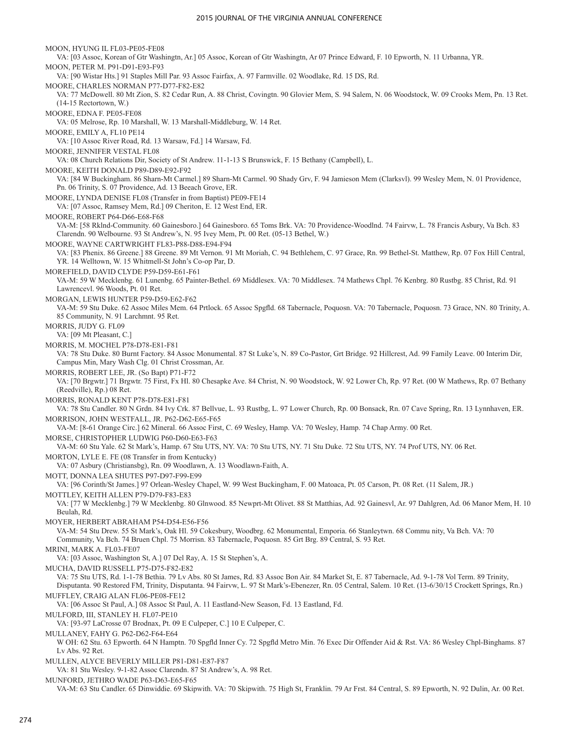MOON, HYUNG IL FL03-PE05-FE08 VA: [03 Assoc, Korean of Gtr Washingtn, Ar.] 05 Assoc, Korean of Gtr Washingtn, Ar 07 Prince Edward, F. 10 Epworth, N. 11 Urbanna, YR. MOON, PETER M. P91-D91-E93-F93 VA: [90 Wistar Hts.] 91 Staples Mill Par. 93 Assoc Fairfax, A. 97 Farmville. 02 Woodlake, Rd. 15 DS, Rd. MOORE, CHARLES NORMAN P77-D77-F82-E82 VA: 77 McDowell. 80 Mt Zion, S. 82 Cedar Run, A. 88 Christ, Covingtn. 90 Glovier Mem, S. 94 Salem, N. 06 Woodstock, W. 09 Crooks Mem, Pn. 13 Ret. (14-15 Rectortown, W.) MOORE, EDNA F. PE05-FE08 VA: 05 Melrose, Rp. 10 Marshall, W. 13 Marshall-Middleburg, W. 14 Ret. MOORE, EMILY A, FL10 PE14 VA: [10 Assoc River Road, Rd. 13 Warsaw, Fd.] 14 Warsaw, Fd. MOORE, JENNIFER VESTAL FL08 VA: 08 Church Relations Dir, Society of St Andrew. 11-1-13 S Brunswick, F. 15 Bethany (Campbell), L. MOORE, KEITH DONALD P89-D89-E92-F92 VA: [84 W Buckingham. 86 Sharn-Mt Carmel.] 89 Sharn-Mt Carmel. 90 Shady Grv, F. 94 Jamieson Mem (Clarksvl). 99 Wesley Mem, N. 01 Providence, Pn. 06 Trinity, S. 07 Providence, Ad. 13 Beeach Grove, ER. MOORE, LYNDA DENISE FL08 (Transfer in from Baptist) PE09-FE14 VA: [07 Assoc, Ramsey Mem, Rd.] 09 Cheriton, E. 12 West End, ER. MOORE, ROBERT P64-D66-E68-F68 VA-M: [58 Rklnd-Community. 60 Gainesboro.] 64 Gainesboro. 65 Toms Brk. VA: 70 Providence-Woodlnd. 74 Fairvw, L. 78 Francis Asbury, Va Bch. 83 Clarendn. 90 Welbourne. 93 St Andrew's, N. 95 Ivey Mem, Pt. 00 Ret. (05-13 Bethel, W.) MOORE, WAYNE CARTWRIGHT FL83-P88-D88-E94-F94 VA: [83 Phenix. 86 Greene.] 88 Greene. 89 Mt Vernon. 91 Mt Moriah, C. 94 Bethlehem, C. 97 Grace, Rn. 99 Bethel-St. Matthew, Rp. 07 Fox Hill Central, YR. 14 Welltown, W. 15 Whitmell-St John's Co-op Par, D. MOREFIELD, DAVID CLYDE P59-D59-E61-F61 VA-M: 59 W Mecklenbg. 61 Lunenbg. 65 Painter-Bethel. 69 Middlesex. VA: 70 Middlesex. 74 Mathews Chpl. 76 Kenbrg. 80 Rustbg. 85 Christ, Rd. 91 Lawrencevl. 96 Woods, Pt. 01 Ret. MORGAN, LEWIS HUNTER P59-D59-E62-F62 VA-M: 59 Stu Duke. 62 Assoc Miles Mem. 64 Prtlock. 65 Assoc Spgfld. 68 Tabernacle, Poquosn. VA: 70 Tabernacle, Poquosn. 73 Grace, NN. 80 Trinity, A. 85 Community, N. 91 Larchmnt. 95 Ret. MORRIS, JUDY G. FL09 VA: [09 Mt Pleasant, C.] MORRIS, M. MOCHEL P78-D78-E81-F81 VA: 78 Stu Duke. 80 Burnt Factory. 84 Assoc Monumental. 87 St Luke's, N. 89 Co-Pastor, Grt Bridge. 92 Hillcrest, Ad. 99 Family Leave. 00 Interim Dir, Campus Min, Mary Wash Clg. 01 Christ Crossman, Ar. MORRIS, ROBERT LEE, JR. (So Bapt) P71-F72 VA: [70 Brgwtr.] 71 Brgwtr. 75 First, Fx Hl. 80 Chesapke Ave. 84 Christ, N. 90 Woodstock, W. 92 Lower Ch, Rp. 97 Ret. (00 W Mathews, Rp. 07 Bethany (Reedville), Rp.) 08 Ret. MORRIS, RONALD KENT P78-D78-E81-F81 VA: 78 Stu Candler. 80 N Grdn. 84 Ivy Crk. 87 Bellvue, L. 93 Rustbg, L. 97 Lower Church, Rp. 00 Bonsack, Rn. 07 Cave Spring, Rn. 13 Lynnhaven, ER. MORRISON, JOHN WESTFALL, JR. P62-D62-E65-F65 VA-M: [8-61 Orange Circ.] 62 Mineral. 66 Assoc First, C. 69 Wesley, Hamp. VA: 70 Wesley, Hamp. 74 Chap Army. 00 Ret. MORSE, CHRISTOPHER LUDWIG P60-D60-E63-F63 VA-M: 60 Stu Yale. 62 St Mark's, Hamp. 67 Stu UTS, NY. VA: 70 Stu UTS, NY. 71 Stu Duke. 72 Stu UTS, NY. 74 Prof UTS, NY. 06 Ret. MORTON, LYLE E. FE (08 Transfer in from Kentucky) VA: 07 Asbury (Christiansbg), Rn. 09 Woodlawn, A. 13 Woodlawn-Faith, A. MOTT, DONNA LEA SHUTES P97-D97-F99-E99 VA: [96 Corinth/St James.] 97 Orlean-Wesley Chapel, W. 99 West Buckingham, F. 00 Matoaca, Pt. 05 Carson, Pt. 08 Ret. (11 Salem, JR.) MOTTLEY, KEITH ALLEN P79-D79-F83-E83 VA: [77 W Mecklenbg.] 79 W Mecklenbg. 80 Glnwood. 85 Newprt-Mt Olivet. 88 St Matthias, Ad. 92 Gainesvl, Ar. 97 Dahlgren, Ad. 06 Manor Mem, H. 10 Beulah, Rd. MOYER, HERBERT ABRAHAM P54-D54-E56-F56 VA-M: 54 Stu Drew. 55 St Mark's, Oak Hl. 59 Cokesbury, Woodbrg. 62 Monumental, Emporia. 66 Stanleytwn. 68 Commu nity, Va Bch. VA: 70 Community, Va Bch. 74 Bruen Chpl. 75 Morrisn. 83 Tabernacle, Poquosn. 85 Grt Brg. 89 Central, S. 93 Ret. MRINI, MARK A. FL03-FE07 VA: [03 Assoc, Washington St, A.] 07 Del Ray, A. 15 St Stephen's, A. MUCHA, DAVID RUSSELL P75-D75-F82-E82 VA: 75 Stu UTS, Rd. 1-1-78 Bethia. 79 Lv Abs. 80 St James, Rd. 83 Assoc Bon Air. 84 Market St, E. 87 Tabernacle, Ad. 9-1-78 Vol Term. 89 Trinity, Disputanta. 90 Restored FM, Trinity, Disputanta. 94 Fairvw, L. 97 St Mark's-Ebenezer, Rn. 05 Central, Salem. 10 Ret. (13-6/30/15 Crockett Springs, Rn.) MUFFLEY, CRAIG ALAN FL06-PE08-FE12 VA: [06 Assoc St Paul, A.] 08 Assoc St Paul, A. 11 Eastland-New Season, Fd. 13 Eastland, Fd. MULFORD, III, STANLEY H. FL07-PE10 VA: [93-97 LaCrosse 07 Brodnax, Pt. 09 E Culpeper, C.] 10 E Culpeper, C. MULLANEY, FAHY G. P62-D62-F64-E64 W OH: 62 Stu. 63 Epworth. 64 N Hamptn. 70 Spgfld Inner Cy. 72 Spgfld Metro Min. 76 Exec Dir Offender Aid & Rst. VA: 86 Wesley Chpl-Binghams. 87 Lv Abs. 92 Ret. MULLEN, ALYCE BEVERLY MILLER P81-D81-E87-F87 VA: 81 Stu Wesley. 9-1-82 Assoc Clarendn. 87 St Andrew's, A. 98 Ret. MUNFORD, JETHRO WADE P63-D63-E65-F65

VA-M: 63 Stu Candler. 65 Dinwiddie. 69 Skipwith. VA: 70 Skipwith. 75 High St, Franklin. 79 Ar Frst. 84 Central, S. 89 Epworth, N. 92 Dulin, Ar. 00 Ret.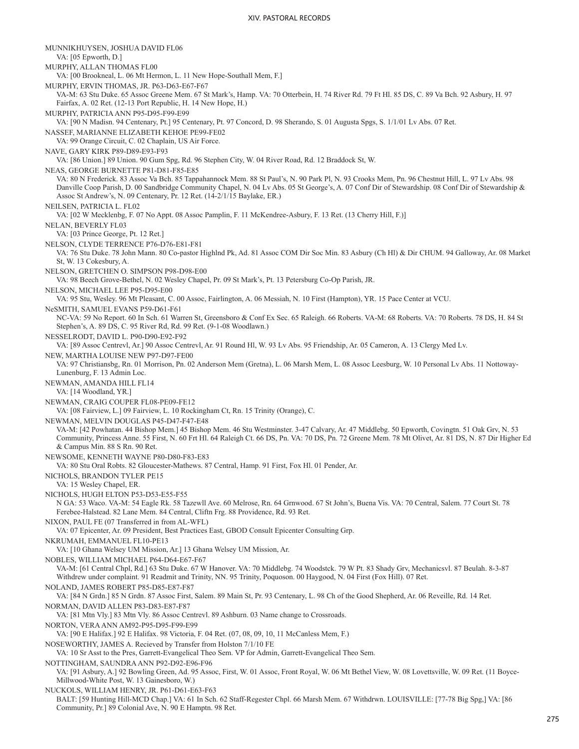MUNNIKHUYSEN, JOSHUA DAVID FL06 VA: [05 Epworth, D.] MURPHY, ALLAN THOMAS FL00 VA: [00 Brookneal, L. 06 Mt Hermon, L. 11 New Hope-Southall Mem, F.] MURPHY, ERVIN THOMAS, JR. P63-D63-E67-F67 VA-M: 63 Stu Duke. 65 Assoc Greene Mem. 67 St Mark's, Hamp. VA: 70 Otterbein, H. 74 River Rd. 79 Ft Hl. 85 DS, C. 89 Va Bch. 92 Asbury, H. 97 Fairfax, A. 02 Ret. (12-13 Port Republic, H. 14 New Hope, H.) MURPHY, PATRICIA ANN P95-D95-F99-E99 VA: [90 N Madisn. 94 Centenary, Pt.] 95 Centenary, Pt. 97 Concord, D. 98 Sherando, S. 01 Augusta Spgs, S. 1/1/01 Lv Abs. 07 Ret. NASSEF, MARIANNE ELIZABETH KEHOE PE99-FE02 VA: 99 Orange Circuit, C. 02 Chaplain, US Air Force. NAVE, GARY KIRK P89-D89-E93-F93 VA: [86 Union.] 89 Union. 90 Gum Spg, Rd. 96 Stephen City, W. 04 River Road, Rd. 12 Braddock St, W. NEAS, GEORGE BURNETTE P81-D81-F85-E85 VA: 80 N Frederick. 83 Assoc Va Bch. 85 Tappahannock Mem. 88 St Paul's, N. 90 Park Pl, N. 93 Crooks Mem, Pn. 96 Chestnut Hill, L. 97 Lv Abs. 98 Danville Coop Parish, D. 00 Sandbridge Community Chapel, N. 04 Lv Abs. 05 St George's, A. 07 Conf Dir of Stewardship. 08 Conf Dir of Stewardship & Assoc St Andrew's, N. 09 Centenary, Pr. 12 Ret. (14-2/1/15 Baylake, ER.) NEILSEN, PATRICIA L. FL02 VA: [02 W Mecklenbg, F. 07 No Appt. 08 Assoc Pamplin, F. 11 McKendree-Asbury, F. 13 Ret. (13 Cherry Hill, F.)] NELAN, BEVERLY FL03 VA: [03 Prince George, Pt. 12 Ret.] NELSON, CLYDE TERRENCE P76-D76-E81-F81 VA: 76 Stu Duke. 78 John Mann. 80 Co-pastor Highlnd Pk, Ad. 81 Assoc COM Dir Soc Min. 83 Asbury (Ch Hl) & Dir CHUM. 94 Galloway, Ar. 08 Market St, W. 13 Cokesbury, A. NELSON, GRETCHEN O. SIMPSON P98-D98-E00 VA: 98 Beech Grove-Bethel, N. 02 Wesley Chapel, Pr. 09 St Mark's, Pt. 13 Petersburg Co-Op Parish, JR. NELSON, MICHAEL LEE P95-D95-E00 VA: 95 Stu, Wesley. 96 Mt Pleasant, C. 00 Assoc, Fairlington, A. 06 Messiah, N. 10 First (Hampton), YR. 15 Pace Center at VCU. NeSMITH, SAMUEL EVANS P59-D61-F61 NC-VA: 59 No Report. 60 In Sch. 61 Warren St, Greensboro & Conf Ex Sec. 65 Raleigh. 66 Roberts. VA-M: 68 Roberts. VA: 70 Roberts. 78 DS, H. 84 St Stephen's, A. 89 DS, C. 95 River Rd, Rd. 99 Ret. (9-1-08 Woodlawn.) NESSELRODT, DAVID L. P90-D90-E92-F92 VA: [89 Assoc Centrevl, Ar.] 90 Assoc Centrevl, Ar. 91 Round Hl, W. 93 Lv Abs. 95 Friendship, Ar. 05 Cameron, A. 13 Clergy Med Lv. NEW, MARTHA LOUISE NEW P97-D97-FE00 VA: 97 Christiansbg, Rn. 01 Morrison, Pn. 02 Anderson Mem (Gretna), L. 06 Marsh Mem, L. 08 Assoc Leesburg, W. 10 Personal Lv Abs. 11 Nottoway-Lunenburg, F. 13 Admin Loc. NEWMAN, AMANDA HILL FL14 VA: [14 Woodland, YR.] NEWMAN, CRAIG COUPER FL08-PE09-FE12 VA: [08 Fairview, L.] 09 Fairview, L. 10 Rockingham Ct, Rn. 15 Trinity (Orange), C. NEWMAN, MELVIN DOUGLAS P45-D47-F47-E48 VA-M: [42 Powhatan. 44 Bishop Mem.] 45 Bishop Mem. 46 Stu Westminster. 3-47 Calvary, Ar. 47 Middlebg. 50 Epworth, Covingtn. 51 Oak Grv, N. 53 Community, Princess Anne. 55 First, N. 60 Frt Hl. 64 Raleigh Ct. 66 DS, Pn. VA: 70 DS, Pn. 72 Greene Mem. 78 Mt Olivet, Ar. 81 DS, N. 87 Dir Higher Ed & Campus Min. 88 S Rn. 90 Ret. NEWSOME, KENNETH WAYNE P80-D80-F83-E83 VA: 80 Stu Oral Robts. 82 Gloucester-Mathews. 87 Central, Hamp. 91 First, Fox Hl. 01 Pender, Ar. NICHOLS, BRANDON TYLER PE15 VA: 15 Wesley Chapel, ER. NICHOLS, HUGH ELTON P53-D53-E55-F55 N GA: 53 Waco. VA-M: 54 Eagle Rk. 58 Tazewll Ave. 60 Melrose, Rn. 64 Grnwood. 67 St John's, Buena Vis. VA: 70 Central, Salem. 77 Court St. 78 Ferebee-Halstead. 82 Lane Mem. 84 Central, Cliftn Frg. 88 Providence, Rd. 93 Ret. NIXON, PAUL FE (07 Transferred in from AL-WFL) VA: 07 Epicenter, Ar. 09 President, Best Practices East, GBOD Consult Epicenter Consulting Grp. NKRUMAH, EMMANUEL FL10-PE13 VA: [10 Ghana Welsey UM Mission, Ar.] 13 Ghana Welsey UM Mission, Ar. NOBLES, WILLIAM MICHAEL P64-D64-E67-F67 VA-M: [61 Central Chpl, Rd.] 63 Stu Duke. 67 W Hanover. VA: 70 Middlebg. 74 Woodstck. 79 W Pt. 83 Shady Grv, Mechanicsvl. 87 Beulah. 8-3-87 Withdrew under complaint. 91 Readmit and Trinity, NN. 95 Trinity, Poquoson. 00 Haygood, N. 04 First (Fox Hill). 07 Ret. NOLAND, JAMES ROBERT P85-D85-E87-F87 VA: [84 N Grdn.] 85 N Grdn. 87 Assoc First, Salem. 89 Main St, Pr. 93 Centenary, L. 98 Ch of the Good Shepherd, Ar. 06 Reveille, Rd. 14 Ret. NORMAN, DAVID ALLEN P83-D83-E87-F87 VA: [81 Mtn Vly.] 83 Mtn Vly. 86 Assoc Centrevl. 89 Ashburn. 03 Name change to Crossroads. NORTON, VERA ANN AM92-P95-D95-F99-E99 VA: [90 E Halifax.] 92 E Halifax. 98 Victoria, F. 04 Ret. (07, 08, 09, 10, 11 McCanless Mem, F.) NOSEWORTHY, JAMES A. Recieved by Transfer from Holston 7/1/10 FE VA: 10 Sr Asst to the Pres, Garrett-Evangelical Theo Sem. VP for Admin, Garrett-Evangelical Theo Sem. NOTTINGHAM, SAUNDRA ANN P92-D92-E96-F96 VA: [91 Asbury, A.] 92 Bowling Green, Ad. 95 Assoc, First, W. 01 Assoc, Front Royal, W. 06 Mt Bethel View, W. 08 Lovettsville, W. 09 Ret. (11 Boyce-Millwood-White Post, W. 13 Gainesboro, W.) NUCKOLS, WILLIAM HENRY, JR. P61-D61-E63-F63 BALT: [59 Hunting Hill-MCD Chap.] VA: 61 In Sch. 62 Staff-Regester Chpl. 66 Marsh Mem. 67 Withdrwn. LOUISVILLE: [77-78 Big Spg,] VA: [86 Community, Pr.] 89 Colonial Ave, N. 90 E Hamptn. 98 Ret.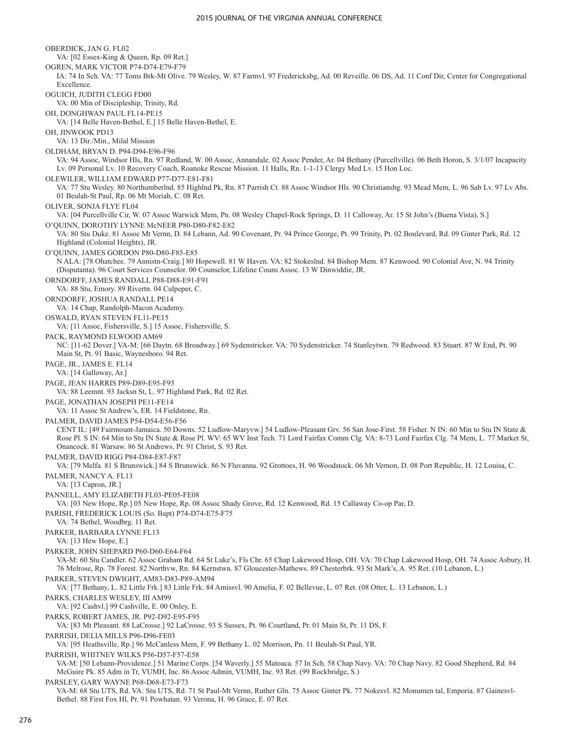OBERDICK, JAN G. FL02 VA: [02 Essex-King & Queen, Rp. 09 Ret.] OGREN, MARK VICTOR P74-D74-E79-F79 IA: 74 In Sch. VA: 77 Toms Brk-Mt Olive. 79 Wesley, W. 87 Farmvl. 97 Fredericksbg, Ad. 00 Reveille. 06 DS, Ad. 11 Conf Dir, Center for Congregational Excellence. OGUICH, JUDITH CLEGG FD00 VA: 00 Min of Discipleship, Trinity, Rd. OH, DONGHWAN PAUL FL14-PE15 VA: [14 Belle Haven-Bethel, E.] 15 Belle Haven-Bethel, E. OH, JINWOOK PD13 VA: 13 Dir./Min., Milal Mission OLDHAM, BRYAN D. P94-D94-E96-F96 VA: 94 Assoc, Windsor Hls, Rn. 97 Redland, W. 00 Assoc, Annandale. 02 Assoc Pender, Ar. 04 Bethany (Purcellville). 06 Beth Horon, S. 3/1/07 Incapacity Lv. 09 Personal Lv. 10 Recovery Coach, Roanoke Rescue Mission. 11 Halls, Rn. 1-1-13 Clergy Med Lv. 15 Hon Loc. OLEWILER, WILLIAM EDWARD P77-D77-E81-F81 VA: 77 Stu Wesley. 80 Northumberlnd. 85 Highlnd Pk, Rn. 87 Parrish Ct. 88 Assoc Windsor Hls. 90 Christiansbg. 93 Mead Mem, L. 96 Sab Lv. 97 Lv Abs. 01 Beulah-St Paul, Rp. 06 Mt Moriah, C. 08 Ret. OLIVER, SONJA FLYE FL04 VA: [04 Purcellville Cir, W. 07 Assoc Warwick Mem, Pn. 08 Wesley Chapel-Rock Springs, D. 11 Calloway, Ar. 15 St John's (Buena Vista), S.] O'QUINN, DOROTHY LYNNE McNEER P80-D80-F82-E82 VA: 80 Stu Duke. 81 Assoc Mt Vernn, D. 84 Lebann, Ad. 90 Covenant, Pr. 94 Prince George, Pt. 99 Trinity, Pt. 02 Boulevard, Rd. 09 Ginter Park, Rd. 12 Highland (Colonial Heights), JR. O'QUINN, JAMES GORDON P80-D80-F85-E85 N ALA: [78 Ohatchee. 79 Annistn-Craig.] 80 Hopewell. 81 W Haven. VA: 82 Stokeslnd. 84 Bishop Mem. 87 Kenwood. 90 Colonial Ave, N. 94 Trinity (Disputanta). 96 Court Services Counselor. 00 Counselor, Lifeline Couns Assoc. 13 W Dinwiddie, JR. ORNDORFF, JAMES RANDALL P88-D88-E91-F91 VA: 88 Stu, Emory. 89 Rivertn. 04 Culpeper, C. ORNDORFF, JOSHUA RANDALL PE14 VA: 14 Chap, Randolph-Macon Academy. OSWALD, RYAN STEVEN FL11-PE15 VA: [11 Assoc, Fishersville, S.] 15 Assoc, Fishersville, S. PACK, RAYMOND ELWOOD AM69 NC: [11-62 Dover.] VA-M: [66 Daytn. 68 Broadway.] 69 Sydenstricker. VA: 70 Sydenstricker. 74 Stanleytwn. 79 Redwood. 83 Stuart. 87 W End, Pt. 90 Main St, Pt. 91 Basic, Waynesboro. 94 Ret. PAGE, JR., JAMES E. FL14 VA: [14 Galloway, Ar.] PAGE, JEAN HARRIS P89-D89-E95-F95 VA: 88 Leemnt. 93 Jacksn St, L. 97 Highland Park, Rd. 02 Ret. PAGE, JONATHAN JOSEPH PE11-FE14 VA: 11 Assoc St Andrew's, ER. 14 Fieldstone, Rn. PALMER, DAVID JAMES P54-D54-E56-F56 CENT IL: [49 Fairmount-Jamaica. 50 Downs. 52 Ludlow-Maryvw.] 54 Ludlow-Pleasant Grv. 56 San Jose-First. 58 Fisher. N IN: 60 Min to Stu IN State & Rose Pl. S IN: 64 Min to Stu IN State & Rose Pl. WV: 65 WV Inst Tech. 71 Lord Fairfax Comm Clg. VA: 8-73 Lord Fairfax Clg. 74 Mem, L. 77 Market St, Onancock. 81 Warsaw. 86 St Andrews, Pr. 91 Christ, S. 93 Ret. PALMER, DAVID RIGG P84-D84-E87-F87 VA: [79 Melfa. 81 S Brunswick.] 84 S Brunswick. 86 N Fluvanna. 92 Grottoes, H. 96 Woodstock. 06 Mt Vernon, D. 08 Port Republic, H. 12 Louisa, C. PALMER, NANCY A. FL13 VA: [13 Capron, JR.] PANNELL, AMY ELIZABETH FL03-PE05-FE08 VA: [03 New Hope, Rp.] 05 New Hope, Rp. 08 Assoc Shady Grove, Rd. 12 Kenwood, Rd. 15 Callaway Co-op Par, D. PARISH, FREDERICK LOUIS (So. Bapt) P74-D74-E75-F75 VA: 74 Bethel, Woodbrg. 11 Ret. PARKER, BARBARA LYNNE FL13 VA: [13 Hew Hope, E.] PARKER, JOHN SHEPARD P60-D60-E64-F64 VA-M: 60 Stu Candler. 62 Assoc Graham Rd. 64 St Luke's, Fls Chr. 65 Chap Lakewood Hosp, OH. VA: 70 Chap Lakewood Hosp, OH. 74 Assoc Asbury, H. 76 Melrose, Rp. 78 Forest. 82 Northvw, Rn. 84 Kernstwn. 87 Gloucester-Mathews. 89 Chesterbrk. 93 St Mark's, A. 95 Ret. (10 Lebanon, L.) PARKER, STEVEN DWIGHT, AM83-D83-P89-AM94 VA: [77 Bethany, L. 82 Little Frk.] 83 Little Frk. 84 Amissvl. 90 Amelia, F. 02 Bellevue, L. 07 Ret. (08 Otter, L. 13 Lebanon, L.) PARKS, CHARLES WESLEY, III AM99 VA: [92 Cashvl.] 99 Cashville, E. 00 Onley, E. PARKS, ROBERT JAMES, JR. P92-D92-E95-F95 VA: [83 Mt Pleasant. 88 LaCrosse.] 92 LaCrosse. 93 S Sussex, Pt. 96 Courtland, Pr. 01 Main St, Pr. 11 DS, F. PARRISH, DELIA MILLS P96-D96-FE03 VA: [95 Heathsville, Rp.] 96 McCanless Mem, F. 99 Bethany L. 02 Morrison, Pn. 11 Beulah-St Paul, YR. PARRISH, WHITNEY WILKS P56-D57-F57-E58 VA-M: [50 Lebann-Providence.] 51 Marine Corps. [54 Waverly.] 55 Matoaca. 57 In Sch. 58 Chap Navy. VA: 70 Chap Navy. 82 Good Shepherd, Rd. 84 McGuire Pk. 85 Adm in Tr, VUMH, Inc. 86 Assoc Admin, VUMH, Inc. 93 Ret. (99 Rockbridge, S.) PARSLEY, GARY WAYNE P68-D68-E73-F73

VA-M: 68 Stu UTS, Rd. VA: Stu UTS, Rd. 71 St Paul-Mt Vernn, Ruther Gln. 75 Assoc Ginter Pk. 77 Nokesvl. 82 Monumen tal, Emporia. 87 Gainesvl-Bethel. 88 First Fox Hl, Pr. 91 Powhatan. 93 Verona, H. 96 Grace, E. 07 Ret.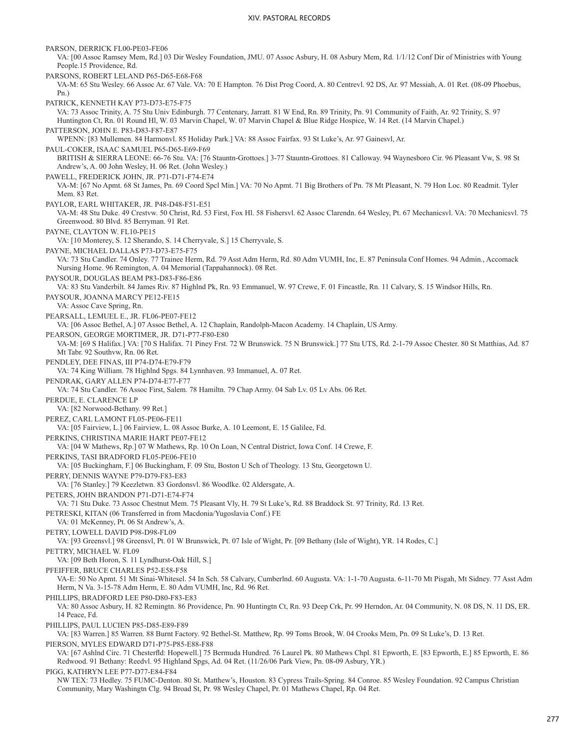PARSON, DERRICK FL00-PE03-FE06 VA: [00 Assoc Ramsey Mem, Rd.] 03 Dir Wesley Foundation, JMU. 07 Assoc Asbury, H. 08 Asbury Mem, Rd. 1/1/12 Conf Dir of Ministries with Young People.15 Providence, Rd. PARSONS, ROBERT LELAND P65-D65-E68-F68 VA-M: 65 Stu Wesley. 66 Assoc Ar. 67 Vale. VA: 70 E Hampton. 76 Dist Prog Coord, A. 80 Centrevl. 92 DS, Ar. 97 Messiah, A. 01 Ret. (08-09 Phoebus, Pn.) PATRICK, KENNETH KAY P73-D73-E75-F75 VA: 73 Assoc Trinity, A. 75 Stu Univ Edinburgh. 77 Centenary, Jarratt. 81 W End, Rn. 89 Trinity, Pn. 91 Community of Faith, Ar. 92 Trinity, S. 97 Huntington Ct, Rn. 01 Round Hl, W. 03 Marvin Chapel, W. 07 Marvin Chapel & Blue Ridge Hospice, W. 14 Ret. (14 Marvin Chapel.) PATTERSON, JOHN E. P83-D83-F87-E87 WPENN: [83 Mullemen. 84 Harmonvl. 85 Holiday Park.] VA: 88 Assoc Fairfax. 93 St Luke's, Ar. 97 Gainesvl, Ar. PAUL-COKER, ISAAC SAMUEL P65-D65-E69-F69 BRITISH & SIERRA LEONE: 66-76 Stu. VA: [76 Stauntn-Grottoes.] 3-77 Stauntn-Grottoes. 81 Calloway. 94 Waynesboro Cir. 96 Pleasant Vw, S. 98 St Andrew's, A. 00 John Wesley, H. 06 Ret. (John Wesley.) PAWELL, FREDERICK JOHN, JR. P71-D71-F74-E74 VA-M: [67 No Apmt. 68 St James, Pn. 69 Coord Spcl Min.] VA: 70 No Apmt. 71 Big Brothers of Pn. 78 Mt Pleasant, N. 79 Hon Loc. 80 Readmit. Tyler Mem. 83 Ret. PAYLOR, EARL WHITAKER, JR. P48-D48-F51-E51 VA-M: 48 Stu Duke. 49 Crestvw. 50 Christ, Rd. 53 First, Fox Hl. 58 Fishersvl. 62 Assoc Clarendn. 64 Wesley, Pt. 67 Mechanicsvl. VA: 70 Mechanicsvl. 75 Greenwood. 80 Blvd. 85 Berryman. 91 Ret. PAYNE, CLAYTON W. FL10-PE15 VA: [10 Monterey, S. 12 Sherando, S. 14 Cherryvale, S.] 15 Cherryvale, S. PAYNE, MICHAEL DALLAS P73-D73-E75-F75 VA: 73 Stu Candler. 74 Onley. 77 Trainee Herm, Rd. 79 Asst Adm Herm, Rd. 80 Adm VUMH, Inc, E. 87 Peninsula Conf Homes. 94 Admin., Accomack Nursing Home. 96 Remington, A. 04 Memorial (Tappahannock). 08 Ret. PAYSOUR, DOUGLAS BEAM P83-D83-F86-E86 VA: 83 Stu Vanderbilt. 84 James Riv. 87 Highlnd Pk, Rn. 93 Emmanuel, W. 97 Crewe, F. 01 Fincastle, Rn. 11 Calvary, S. 15 Windsor Hills, Rn. PAYSOUR, JOANNA MARCY PE12-FE15 VA: Assoc Cave Spring, Rn. PEARSALL, LEMUEL E., JR. FL06-PE07-FE12 VA: [06 Assoc Bethel, A.] 07 Assoc Bethel, A. 12 Chaplain, Randolph-Macon Academy. 14 Chaplain, US Army. PEARSON, GEORGE MORTIMER, JR. D71-P77-F80-E80 VA-M: [69 S Halifax.] VA: [70 S Halifax. 71 Piney Frst. 72 W Brunswick. 75 N Brunswick.] 77 Stu UTS, Rd. 2-1-79 Assoc Chester. 80 St Matthias, Ad. 87 Mt Tabr. 92 Southvw, Rn. 06 Ret. PENDLEY, DEE FINAS, III P74-D74-E79-F79 VA: 74 King William. 78 Highlnd Spgs. 84 Lynnhaven. 93 Immanuel, A. 07 Ret. PENDRAK, GARY ALLEN P74-D74-E77-F77 VA: 74 Stu Candler. 76 Assoc First, Salem. 78 Hamiltn. 79 Chap Army. 04 Sab Lv. 05 Lv Abs. 06 Ret. PERDUE, E. CLARENCE LP VA: [82 Norwood-Bethany. 99 Ret.] PEREZ, CARL LAMONT FL05-PE06-FE11 VA: [05 Fairview, L.] 06 Fairview, L. 08 Assoc Burke, A. 10 Leemont, E. 15 Galilee, Fd. PERKINS, CHRISTINA MARIE HART PE07-FE12 VA: [04 W Mathews, Rp.] 07 W Mathews, Rp. 10 On Loan, N Central District, Iowa Conf. 14 Crewe, F. PERKINS, TASI BRADFORD FL05-PE06-FE10 VA: [05 Buckingham, F.] 06 Buckingham, F. 09 Stu, Boston U Sch of Theology. 13 Stu, Georgetown U. PERRY, DENNIS WAYNE P79-D79-F83-E83 VA: [76 Stanley.] 79 Keezletwn. 83 Gordonsvl. 86 Woodlke. 02 Aldersgate, A. PETERS, JOHN BRANDON P71-D71-E74-F74 VA: 71 Stu Duke. 73 Assoc Chestnut Mem. 75 Pleasant Vly, H. 79 St Luke's, Rd. 88 Braddock St. 97 Trinity, Rd. 13 Ret. PETRESKI, KITAN (06 Transferred in from Macdonia/Yugoslavia Conf.) FE VA: 01 McKenney, Pt. 06 St Andrew's, A. PETRY, LOWELL DAVID P98-D98-FL09 VA: [93 Greensvl.] 98 Greensvl, Pt. 01 W Brunswick, Pt. 07 Isle of Wight, Pr. [09 Bethany (Isle of Wight), YR. 14 Rodes, C.] PETTRY, MICHAEL W. FL09 VA: [09 Beth Horon, S. 11 Lyndhurst-Oak Hill, S.] PFEIFFER, BRUCE CHARLES P52-E58-F58 VA-E: 50 No Apmt. 51 Mt Sinai-Whitesel. 54 In Sch. 58 Calvary, Cumberlnd. 60 Augusta. VA: 1-1-70 Augusta. 6-11-70 Mt Pisgah, Mt Sidney. 77 Asst Adm Herm, N Va. 3-15-78 Adm Herm, E. 80 Adm VUMH, Inc, Rd. 96 Ret. PHILLIPS, BRADFORD LEE P80-D80-F83-E83 VA: 80 Assoc Asbury, H. 82 Remingtn. 86 Providence, Pn. 90 Huntingtn Ct, Rn. 93 Deep Crk, Pr. 99 Herndon, Ar. 04 Community, N. 08 DS, N. 11 DS, ER. 14 Peace, Fd. PHILLIPS, PAUL LUCIEN P85-D85-E89-F89 VA: [83 Warren.] 85 Warren. 88 Burnt Factory. 92 Bethel-St. Matthew, Rp. 99 Toms Brook, W. 04 Crooks Mem, Pn. 09 St Luke's, D. 13 Ret. PIERSON, MYLES EDWARD D71-P75-P85-E88-F88 VA: [67 Ashlnd Circ. 71 Chesterfld: Hopewell.] 75 Bermuda Hundred. 76 Laurel Pk. 80 Mathews Chpl. 81 Epworth, E. [83 Epworth, E.] 85 Epworth, E. 86 Redwood. 91 Bethany: Reedvl. 95 Highland Spgs, Ad. 04 Ret. (11/26/06 Park View, Pn. 08-09 Asbury, YR.) PIGG, KATHRYN LEE P77-D77-E84-F84 NW TEX: 73 Hedley. 75 FUMC-Denton. 80 St. Matthew's, Houston. 83 Cypress Trails-Spring. 84 Conroe. 85 Wesley Foundation. 92 Campus Christian Community, Mary Washingtn Clg. 94 Broad St, Pr. 98 Wesley Chapel, Pr. 01 Mathews Chapel, Rp. 04 Ret.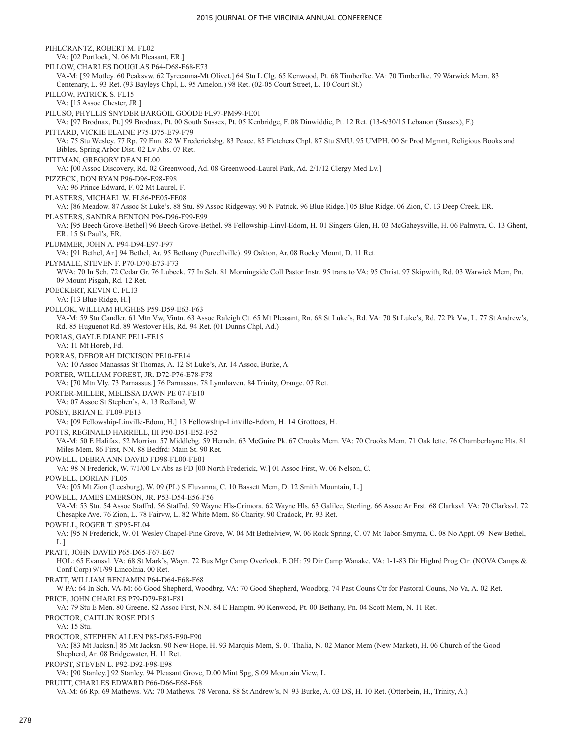PIHLCRANTZ, ROBERT M. FL02 VA: [02 Portlock, N. 06 Mt Pleasant, ER.] PILLOW, CHARLES DOUGLAS P64-D68-F68-E73 VA-M: [59 Motley. 60 Peaksvw. 62 Tyreeanna-Mt Olivet.] 64 Stu L Clg. 65 Kenwood, Pt. 68 Timberlke. VA: 70 Timberlke. 79 Warwick Mem. 83 Centenary, L. 93 Ret. (93 Bayleys Chpl, L. 95 Amelon.) 98 Ret. (02-05 Court Street, L. 10 Court St.) PILLOW, PATRICK S. FL15 VA: [15 Assoc Chester, JR.] PILUSO, PHYLLIS SNYDER BARGOIL GOODE FL97-PM99-FE01 VA: [97 Brodnax, Pt.] 99 Brodnax, Pt. 00 South Sussex, Pt. 05 Kenbridge, F. 08 Dinwiddie, Pt. 12 Ret. (13-6/30/15 Lebanon (Sussex), F.) PITTARD, VICKIE ELAINE P75-D75-E79-F79 VA: 75 Stu Wesley. 77 Rp. 79 Enn. 82 W Fredericksbg. 83 Peace. 85 Fletchers Chpl. 87 Stu SMU. 95 UMPH. 00 Sr Prod Mgmnt, Religious Books and Bibles, Spring Arbor Dist. 02 Lv Abs. 07 Ret. PITTMAN, GREGORY DEAN FL00 VA: [00 Assoc Discovery, Rd. 02 Greenwood, Ad. 08 Greenwood-Laurel Park, Ad. 2/1/12 Clergy Med Lv.] PIZZECK, DON RYAN P96-D96-E98-F98 VA: 96 Prince Edward, F. 02 Mt Laurel, F. PLASTERS, MICHAEL W. FL86-PE05-FE08 VA: [86 Meadow. 87 Assoc St Luke's. 88 Stu. 89 Assoc Ridgeway. 90 N Patrick. 96 Blue Ridge.] 05 Blue Ridge. 06 Zion, C. 13 Deep Creek, ER. PLASTERS, SANDRA BENTON P96-D96-F99-E99 VA: [95 Beech Grove-Bethel] 96 Beech Grove-Bethel. 98 Fellowship-Linvl-Edom, H. 01 Singers Glen, H. 03 McGaheysville, H. 06 Palmyra, C. 13 Ghent, ER. 15 St Paul's, ER. PLUMMER, JOHN A. P94-D94-E97-F97 VA: [91 Bethel, Ar.] 94 Bethel, Ar. 95 Bethany (Purcellville). 99 Oakton, Ar. 08 Rocky Mount, D. 11 Ret. PLYMALE, STEVEN F. P70-D70-E73-F73 WVA: 70 In Sch. 72 Cedar Gr. 76 Lubeck. 77 In Sch. 81 Morningside Coll Pastor Instr. 95 trans to VA: 95 Christ. 97 Skipwith, Rd. 03 Warwick Mem, Pn. 09 Mount Pisgah, Rd. 12 Ret. POECKERT, KEVIN C. FL13 VA: [13 Blue Ridge, H.] POLLOK, WILLIAM HUGHES P59-D59-E63-F63 VA-M: 59 Stu Candler. 61 Mtn Vw, Vintn. 63 Assoc Raleigh Ct. 65 Mt Pleasant, Rn. 68 St Luke's, Rd. VA: 70 St Luke's, Rd. 72 Pk Vw, L. 77 St Andrew's, Rd. 85 Huguenot Rd. 89 Westover Hls, Rd. 94 Ret. (01 Dunns Chpl, Ad.) PORIAS, GAYLE DIANE PE11-FE15 VA: 11 Mt Horeb, Fd. PORRAS, DEBORAH DICKISON PE10-FE14 VA: 10 Assoc Manassas St Thomas, A. 12 St Luke's, Ar. 14 Assoc, Burke, A. PORTER, WILLIAM FOREST, JR. D72-P76-E78-F78 VA: [70 Mtn Vly. 73 Parnassus.] 76 Parnassus. 78 Lynnhaven. 84 Trinity, Orange. 07 Ret. PORTER-MILLER, MELISSA DAWN PE 07-FE10 VA: 07 Assoc St Stephen's, A. 13 Redland, W. POSEY, BRIAN E. FL09-PE13 VA: [09 Fellowship-Linville-Edom, H.] 13 Fellowship-Linville-Edom, H. 14 Grottoes, H. POTTS, REGINALD HARRELL, III P50-D51-E52-F52 VA-M: 50 E Halifax. 52 Morrisn. 57 Middlebg. 59 Herndn. 63 McGuire Pk. 67 Crooks Mem. VA: 70 Crooks Mem. 71 Oak lette. 76 Chamberlayne Hts. 81 Miles Mem. 86 First, NN. 88 Bedfrd: Main St. 90 Ret. POWELL, DEBRA ANN DAVID FD98-FL00-FE01 VA: 98 N Frederick, W. 7/1/00 Lv Abs as FD [00 North Frederick, W.] 01 Assoc First, W. 06 Nelson, C. POWELL, DORIAN FL05 VA: [05 Mt Zion (Leesburg), W. 09 (PL) S Fluvanna, C. 10 Bassett Mem, D. 12 Smith Mountain, L.] POWELL, JAMES EMERSON, JR. P53-D54-E56-F56 VA-M: 53 Stu. 54 Assoc Staffrd. 56 Staffrd. 59 Wayne Hls-Crimora. 62 Wayne Hls. 63 Galilee, Sterling. 66 Assoc Ar Frst. 68 Clarksvl. VA: 70 Clarksvl. 72 Chesapke Ave. 76 Zion, L. 78 Fairvw, L. 82 White Mem. 86 Charity. 90 Cradock, Pr. 93 Ret. POWELL, ROGER T. SP95-FL04 VA: [95 N Frederick, W. 01 Wesley Chapel-Pine Grove, W. 04 Mt Bethelview, W. 06 Rock Spring, C. 07 Mt Tabor-Smyrna, C. 08 No Appt. 09 New Bethel, L.] PRATT, JOHN DAVID P65-D65-F67-E67 HOL: 65 Evansvl. VA: 68 St Mark's, Wayn. 72 Bus Mgr Camp Overlook. E OH: 79 Dir Camp Wanake. VA: 1-1-83 Dir Highrd Prog Ctr. (NOVA Camps & Conf Corp) 9/1/99 Lincolnia. 00 Ret. PRATT, WILLIAM BENJAMIN P64-D64-E68-F68 W PA: 64 In Sch. VA-M: 66 Good Shepherd, Woodbrg. VA: 70 Good Shepherd, Woodbrg. 74 Past Couns Ctr for Pastoral Couns, No Va, A. 02 Ret. PRICE, JOHN CHARLES P79-D79-E81-F81 VA: 79 Stu E Men. 80 Greene. 82 Assoc First, NN. 84 E Hamptn. 90 Kenwood, Pt. 00 Bethany, Pn. 04 Scott Mem, N. 11 Ret. PROCTOR, CAITLIN ROSE PD15 VA: 15 Stu. PROCTOR, STEPHEN ALLEN P85-D85-E90-F90 VA: [83 Mt Jacksn.] 85 Mt Jacksn. 90 New Hope, H. 93 Marquis Mem, S. 01 Thalia, N. 02 Manor Mem (New Market), H. 06 Church of the Good Shepherd, Ar. 08 Bridgewater, H. 11 Ret. PROPST, STEVEN L. P92-D92-F98-E98 VA: [90 Stanley.] 92 Stanley. 94 Pleasant Grove, D.00 Mint Spg, S.09 Mountain View, L. PRUITT, CHARLES EDWARD P66-D66-E68-F68 VA-M: 66 Rp. 69 Mathews. VA: 70 Mathews. 78 Verona. 88 St Andrew's, N. 93 Burke, A. 03 DS, H. 10 Ret. (Otterbein, H., Trinity, A.)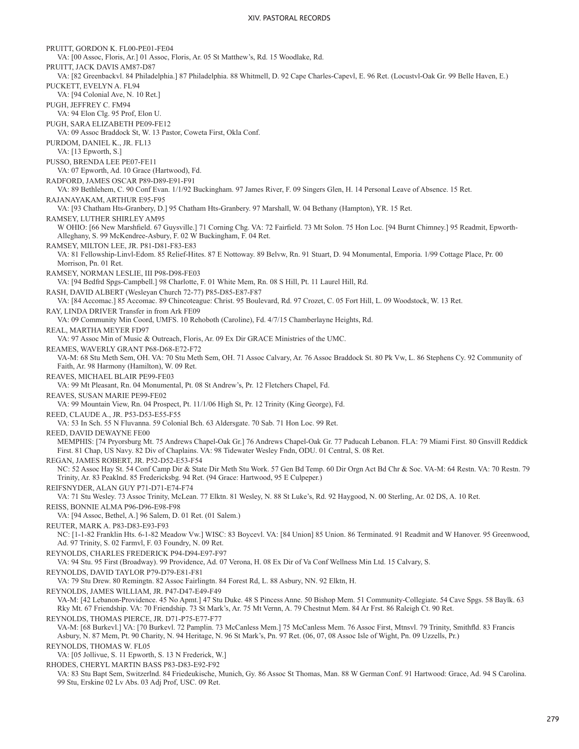PRUITT, GORDON K. FL00-PE01-FE04 VA: [00 Assoc, Floris, Ar.] 01 Assoc, Floris, Ar. 05 St Matthew's, Rd. 15 Woodlake, Rd. PRUITT, JACK DAVIS AM87-D87 VA: [82 Greenbackvl. 84 Philadelphia.] 87 Philadelphia. 88 Whitmell, D. 92 Cape Charles-Capevl, E. 96 Ret. (Locustvl-Oak Gr. 99 Belle Haven, E.) PUCKETT, EVELYN A. FL94 VA: [94 Colonial Ave, N. 10 Ret.] PUGH, JEFFREY C. FM94 VA: 94 Elon Clg. 95 Prof, Elon U. PUGH, SARA ELIZABETH PE09-FE12 VA: 09 Assoc Braddock St, W. 13 Pastor, Coweta First, Okla Conf. PURDOM, DANIEL K., JR. FL13 VA: [13 Epworth, S.] PUSSO, BRENDA LEE PE07-FE11 VA: 07 Epworth, Ad. 10 Grace (Hartwood), Fd. RADFORD, JAMES OSCAR P89-D89-E91-F91 VA: 89 Bethlehem, C. 90 Conf Evan. 1/1/92 Buckingham. 97 James River, F. 09 Singers Glen, H. 14 Personal Leave of Absence. 15 Ret. RAJANAYAKAM, ARTHUR E95-F95 VA: [93 Chatham Hts-Granbery, D.] 95 Chatham Hts-Granbery. 97 Marshall, W. 04 Bethany (Hampton), YR. 15 Ret. RAMSEY, LUTHER SHIRLEY AM95 W OHIO: [66 New Marshfield. 67 Guysville.] 71 Corning Chg. VA: 72 Fairfield. 73 Mt Solon. 75 Hon Loc. [94 Burnt Chimney.] 95 Readmit, Epworth-Alleghany, S. 99 McKendree-Asbury, F. 02 W Buckingham, F. 04 Ret. RAMSEY, MILTON LEE, JR. P81-D81-F83-E83 VA: 81 Fellowship-Linvl-Edom. 85 Relief-Hites. 87 E Nottoway. 89 Belvw, Rn. 91 Stuart, D. 94 Monumental, Emporia. 1/99 Cottage Place, Pr. 00 Morrison, Pn. 01 Ret. RAMSEY, NORMAN LESLIE, III P98-D98-FE03 VA: [94 Bedfrd Spgs-Campbell.] 98 Charlotte, F. 01 White Mem, Rn. 08 S Hill, Pt. 11 Laurel Hill, Rd. RASH, DAVID ALBERT (Wesleyan Church 72-77) P85-D85-E87-F87 VA: [84 Accomac.] 85 Accomac. 89 Chincoteague: Christ. 95 Boulevard, Rd. 97 Crozet, C. 05 Fort Hill, L. 09 Woodstock, W. 13 Ret. RAY, LINDA DRIVER Transfer in from Ark FE09 VA: 09 Community Min Coord, UMFS. 10 Rehoboth (Caroline), Fd. 4/7/15 Chamberlayne Heights, Rd. REAL, MARTHA MEYER FD97 VA: 97 Assoc Min of Music & Outreach, Floris, Ar. 09 Ex Dir GRACE Ministries of the UMC. REAMES, WAVERLY GRANT P68-D68-E72-F72 VA-M: 68 Stu Meth Sem, OH. VA: 70 Stu Meth Sem, OH. 71 Assoc Calvary, Ar. 76 Assoc Braddock St. 80 Pk Vw, L. 86 Stephens Cy. 92 Community of Faith, Ar. 98 Harmony (Hamilton), W. 09 Ret. REAVES, MICHAEL BLAIR PE99-FE03 VA: 99 Mt Pleasant, Rn. 04 Monumental, Pt. 08 St Andrew's, Pr. 12 Fletchers Chapel, Fd. REAVES, SUSAN MARIE PE99-FE02 VA: 99 Mountain View, Rn. 04 Prospect, Pt. 11/1/06 High St, Pr. 12 Trinity (King George), Fd. REED, CLAUDE A., JR. P53-D53-E55-F55 VA: 53 In Sch. 55 N Fluvanna. 59 Colonial Bch. 63 Aldersgate. 70 Sab. 71 Hon Loc. 99 Ret. REED, DAVID DEWAYNE FE00 MEMPHIS: [74 Pryorsburg Mt. 75 Andrews Chapel-Oak Gr.] 76 Andrews Chapel-Oak Gr. 77 Paducah Lebanon. FLA: 79 Miami First. 80 Gnsvill Reddick First. 81 Chap, US Navy. 82 Div of Chaplains. VA: 98 Tidewater Wesley Fndn, ODU. 01 Central, S. 08 Ret. REGAN, JAMES ROBERT, JR. P52-D52-E53-F54 NC: 52 Assoc Hay St. 54 Conf Camp Dir & State Dir Meth Stu Work. 57 Gen Bd Temp. 60 Dir Orgn Act Bd Chr & Soc. VA-M: 64 Restn. VA: 70 Restn. 79 Trinity, Ar. 83 Peaklnd. 85 Fredericksbg. 94 Ret. (94 Grace: Hartwood, 95 E Culpeper.) REIFSNYDER, ALAN GUY P71-D71-E74-F74 VA: 71 Stu Wesley. 73 Assoc Trinity, McLean. 77 Elktn. 81 Wesley, N. 88 St Luke's, Rd. 92 Haygood, N. 00 Sterling, Ar. 02 DS, A. 10 Ret. REISS, BONNIE ALMA P96-D96-E98-F98 VA: [94 Assoc, Bethel, A.] 96 Salem, D. 01 Ret. (01 Salem.) REUTER, MARK A. P83-D83-E93-F93 NC: [1-1-82 Franklin Hts. 6-1-82 Meadow Vw.] WISC: 83 Boycevl. VA: [84 Union] 85 Union. 86 Terminated. 91 Readmit and W Hanover. 95 Greenwood, Ad. 97 Trinity, S. 02 Farmvl, F. 03 Foundry, N. 09 Ret. REYNOLDS, CHARLES FREDERICK P94-D94-E97-F97 VA: 94 Stu. 95 First (Broadway). 99 Providence, Ad. 07 Verona, H. 08 Ex Dir of Va Conf Wellness Min Ltd. 15 Calvary, S. REYNOLDS, DAVID TAYLOR P79-D79-E81-F81 VA: 79 Stu Drew. 80 Remingtn. 82 Assoc Fairlingtn. 84 Forest Rd, L. 88 Asbury, NN. 92 Elktn, H. REYNOLDS, JAMES WILLIAM, JR. P47-D47-E49-F49 VA-M: [42 Lebanon-Providence. 45 No Apmt.] 47 Stu Duke. 48 S Pincess Anne. 50 Bishop Mem. 51 Community-Collegiate. 54 Cave Spgs. 58 Baylk. 63 Rky Mt. 67 Friendship. VA: 70 Friendship. 73 St Mark's, Ar. 75 Mt Vernn, A. 79 Chestnut Mem. 84 Ar Frst. 86 Raleigh Ct. 90 Ret. REYNOLDS, THOMAS PIERCE, JR. D71-P75-E77-F77 VA-M: [68 Burkevl.] VA: [70 Burkevl. 72 Pamplin. 73 McCanless Mem.] 75 McCanless Mem. 76 Assoc First, Mtnsvl. 79 Trinity, Smithfld. 83 Francis Asbury, N. 87 Mem, Pt. 90 Charity, N. 94 Heritage, N. 96 St Mark's, Pn. 97 Ret. (06, 07, 08 Assoc Isle of Wight, Pn. 09 Uzzells, Pr.) REYNOLDS, THOMAS W. FL05 VA: [05 Jollivue, S. 11 Epworth, S. 13 N Frederick, W.] RHODES, CHERYL MARTIN BASS P83-D83-E92-F92 VA: 83 Stu Bapt Sem, Switzerlnd. 84 Friedeukische, Munich, Gy. 86 Assoc St Thomas, Man. 88 W German Conf. 91 Hartwood: Grace, Ad. 94 S Carolina.

99 Stu, Erskine 02 Lv Abs. 03 Adj Prof, USC. 09 Ret.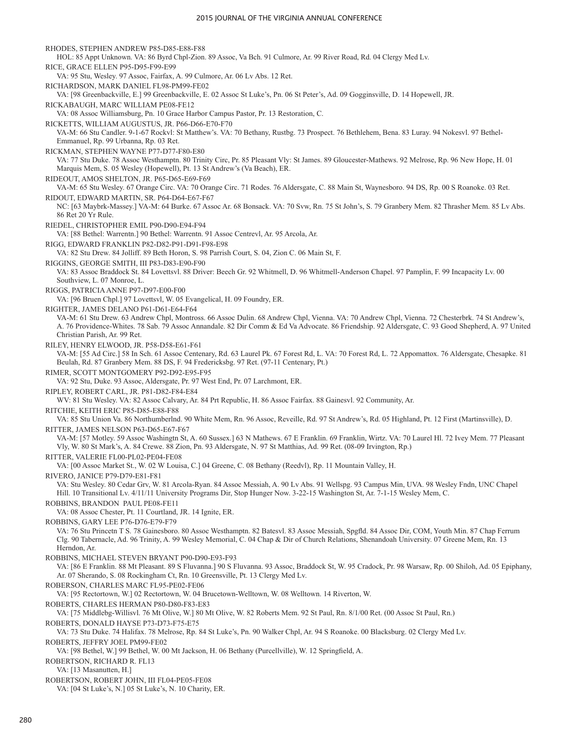RHODES, STEPHEN ANDREW P85-D85-E88-F88 HOL: 85 Appt Unknown. VA: 86 Byrd Chpl-Zion. 89 Assoc, Va Bch. 91 Culmore, Ar. 99 River Road, Rd. 04 Clergy Med Lv. RICE, GRACE ELLEN P95-D95-F99-E99 VA: 95 Stu, Wesley. 97 Assoc, Fairfax, A. 99 Culmore, Ar. 06 Lv Abs. 12 Ret. RICHARDSON, MARK DANIEL FL98-PM99-FE02 VA: [98 Greenbackville, E.] 99 Greenbackville, E. 02 Assoc St Luke's, Pn. 06 St Peter's, Ad. 09 Gogginsville, D. 14 Hopewell, JR. RICKABAUGH, MARC WILLIAM PE08-FE12 VA: 08 Assoc Williamsburg, Pn. 10 Grace Harbor Campus Pastor, Pr. 13 Restoration, C. RICKETTS, WILLIAM AUGUSTUS, JR. P66-D66-E70-F70 VA-M: 66 Stu Candler. 9-1-67 Rockvl: St Matthew's. VA: 70 Bethany, Rustbg. 73 Prospect. 76 Bethlehem, Bena. 83 Luray. 94 Nokesvl. 97 Bethel-Emmanuel, Rp. 99 Urbanna, Rp. 03 Ret. RICKMAN, STEPHEN WAYNE P77-D77-F80-E80 VA: 77 Stu Duke. 78 Assoc Westhamptn. 80 Trinity Circ, Pr. 85 Pleasant Vly: St James. 89 Gloucester-Mathews. 92 Melrose, Rp. 96 New Hope, H. 01 Marquis Mem, S. 05 Wesley (Hopewell), Pt. 13 St Andrew's (Va Beach), ER. RIDEOUT, AMOS SHELTON, JR. P65-D65-E69-F69 VA-M: 65 Stu Wesley. 67 Orange Circ. VA: 70 Orange Circ. 71 Rodes. 76 Aldersgate, C. 88 Main St, Waynesboro. 94 DS, Rp. 00 S Roanoke. 03 Ret. RIDOUT, EDWARD MARTIN, SR. P64-D64-E67-F67 NC: [63 Maybrk-Massey.] VA-M: 64 Burke. 67 Assoc Ar. 68 Bonsack. VA: 70 Svw, Rn. 75 St John's, S. 79 Granbery Mem. 82 Thrasher Mem. 85 Lv Abs. 86 Ret 20 Yr Rule. RIEDEL, CHRISTOPHER EMIL P90-D90-E94-F94 VA: [88 Bethel: Warrentn.] 90 Bethel: Warrentn. 91 Assoc Centrevl, Ar. 95 Arcola, Ar. RIGG, EDWARD FRANKLIN P82-D82-P91-D91-F98-E98 VA: 82 Stu Drew. 84 Jolliff. 89 Beth Horon, S. 98 Parrish Court, S. 04, Zion C. 06 Main St, F. RIGGINS, GEORGE SMITH, III P83-D83-E90-F90 VA: 83 Assoc Braddock St. 84 Lovettsvl. 88 Driver: Beech Gr. 92 Whitmell, D. 96 Whitmell-Anderson Chapel. 97 Pamplin, F. 99 Incapacity Lv. 00 Southview, L. 07 Monroe, L. RIGGS, PATRICIA ANNE P97-D97-E00-F00 VA: [96 Bruen Chpl.] 97 Lovettsvl, W. 05 Evangelical, H. 09 Foundry, ER. RIGHTER, JAMES DELANO P61-D61-E64-F64 VA-M: 61 Stu Drew. 63 Andrew Chpl, Montross. 66 Assoc Dulin. 68 Andrew Chpl, Vienna. VA: 70 Andrew Chpl, Vienna. 72 Chesterbrk. 74 St Andrew's, A. 76 Providence-Whites. 78 Sab. 79 Assoc Annandale. 82 Dir Comm & Ed Va Advocate. 86 Friendship. 92 Aldersgate, C. 93 Good Shepherd, A. 97 United Christian Parish, Ar. 99 Ret. RILEY, HENRY ELWOOD, JR. P58-D58-E61-F61 VA-M: [55 Ad Circ.] 58 In Sch. 61 Assoc Centenary, Rd. 63 Laurel Pk. 67 Forest Rd, L. VA: 70 Forest Rd, L. 72 Appomattox. 76 Aldersgate, Chesapke. 81 Beulah, Rd. 87 Granbery Mem. 88 DS, F. 94 Fredericksbg. 97 Ret. (97-11 Centenary, Pt.) RIMER, SCOTT MONTGOMERY P92-D92-E95-F95 VA: 92 Stu, Duke. 93 Assoc, Aldersgate, Pr. 97 West End, Pr. 07 Larchmont, ER. RIPLEY, ROBERT CARL, JR. P81-D82-F84-E84 WV: 81 Stu Wesley. VA: 82 Assoc Calvary, Ar. 84 Prt Republic, H. 86 Assoc Fairfax. 88 Gainesvl. 92 Community, Ar. RITCHIE, KEITH ERIC P85-D85-E88-F88 VA: 85 Stu Union Va. 86 Northumberlnd. 90 White Mem, Rn. 96 Assoc, Reveille, Rd. 97 St Andrew's, Rd. 05 Highland, Pt. 12 First (Martinsville), D. RITTER, JAMES NELSON P63-D65-E67-F67 VA-M: [57 Motley. 59 Assoc Washingtn St, A. 60 Sussex.] 63 N Mathews. 67 E Franklin. 69 Franklin, Wirtz. VA: 70 Laurel Hl. 72 Ivey Mem. 77 Pleasant Vly, W. 80 St Mark's, A. 84 Crewe. 88 Zion, Pn. 93 Aldersgate, N. 97 St Matthias, Ad. 99 Ret. (08-09 Irvington, Rp.) RITTER, VALERIE FL00-PL02-PE04-FE08 VA: [00 Assoc Market St., W. 02 W Louisa, C.] 04 Greene, C. 08 Bethany (Reedvl), Rp. 11 Mountain Valley, H. RIVERO, JANICE P79-D79-E81-F81 VA: Stu Wesley. 80 Cedar Grv, W. 81 Arcola-Ryan. 84 Assoc Messiah, A. 90 Lv Abs. 91 Wellspg. 93 Campus Min, UVA. 98 Wesley Fndn, UNC Chapel Hill. 10 Transitional Lv. 4/11/11 University Programs Dir, Stop Hunger Now. 3-22-15 Washington St, Ar. 7-1-15 Wesley Mem, C. ROBBINS, BRANDON PAUL PE08-FE11 VA: 08 Assoc Chester, Pt. 11 Courtland, JR. 14 Ignite, ER. ROBBINS, GARY LEE P76-D76-E79-F79 VA: 76 Stu Princetn T S. 78 Gainesboro. 80 Assoc Westhamptn. 82 Batesvl. 83 Assoc Messiah, Spgfld. 84 Assoc Dir, COM, Youth Min. 87 Chap Ferrum Clg. 90 Tabernacle, Ad. 96 Trinity, A. 99 Wesley Memorial, C. 04 Chap & Dir of Church Relations, Shenandoah University. 07 Greene Mem, Rn. 13 Herndon, Ar. ROBBINS, MICHAEL STEVEN BRYANT P90-D90-E93-F93 VA: [86 E Franklin. 88 Mt Pleasant. 89 S Fluvanna.] 90 S Fluvanna. 93 Assoc, Braddock St, W. 95 Cradock, Pr. 98 Warsaw, Rp. 00 Shiloh, Ad. 05 Epiphany, Ar. 07 Sherando, S. 08 Rockingham Ct, Rn. 10 Greensville, Pt. 13 Clergy Med Lv. ROBERSON, CHARLES MARC FL95-PE02-FE06 VA: [95 Rectortown, W.] 02 Rectortown, W. 04 Brucetown-Welltown, W. 08 Welltown. 14 Riverton, W. ROBERTS, CHARLES HERMAN P80-D80-F83-E83 VA: [75 Middlebg-Willisvl. 76 Mt Olive, W.] 80 Mt Olive, W. 82 Roberts Mem. 92 St Paul, Rn. 8/1/00 Ret. (00 Assoc St Paul, Rn.) ROBERTS, DONALD HAYSE P73-D73-F75-E75 VA: 73 Stu Duke. 74 Halifax. 78 Melrose, Rp. 84 St Luke's, Pn. 90 Walker Chpl, Ar. 94 S Roanoke. 00 Blacksburg. 02 Clergy Med Lv. ROBERTS, JEFFRY JOEL PM99-FE02 VA: [98 Bethel, W.] 99 Bethel, W. 00 Mt Jackson, H. 06 Bethany (Purcellville), W. 12 Springfield, A. ROBERTSON, RICHARD R. FL13 VA: [13 Masanutten, H.] ROBERTSON, ROBERT JOHN, III FL04-PE05-FE08

VA: [04 St Luke's, N.] 05 St Luke's, N. 10 Charity, ER.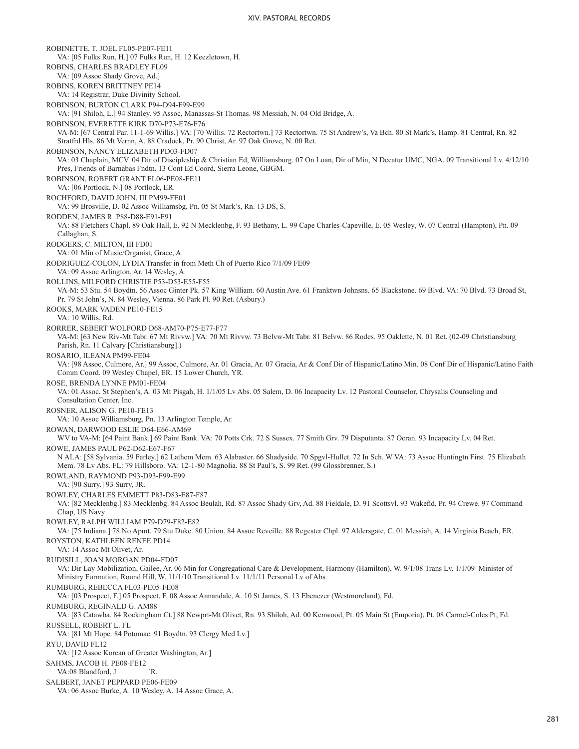ROBINETTE, T. JOEL FL05-PE07-FE11 VA: [05 Fulks Run, H.] 07 Fulks Run, H. 12 Keezletown, H. ROBINS, CHARLES BRADLEY FL09 VA: [09 Assoc Shady Grove, Ad.] ROBINS, KOREN BRITTNEY PE14 VA: 14 Registrar, Duke Divinity School. ROBINSON, BURTON CLARK P94-D94-F99-E99 VA: [91 Shiloh, L.] 94 Stanley. 95 Assoc, Manassas-St Thomas. 98 Messiah, N. 04 Old Bridge, A. ROBINSON, EVERETTE KIRK D70-P73-E76-F76 VA-M: [67 Central Par. 11-1-69 Willis.] VA: [70 Willis. 72 Rectortwn.] 73 Rectortwn. 75 St Andrew's, Va Bch. 80 St Mark's, Hamp. 81 Central, Rn. 82 Stratfrd Hls. 86 Mt Vernn, A. 88 Cradock, Pr. 90 Christ, Ar. 97 Oak Grove, N. 00 Ret. ROBINSON, NANCY ELIZABETH PD03-FD07 VA: 03 Chaplain, MCV. 04 Dir of Discipleship & Christian Ed, Williamsburg. 07 On Loan, Dir of Min, N Decatur UMC, NGA. 09 Transitional Lv. 4/12/10 Pres, Friends of Barnabas Fndtn. 13 Cont Ed Coord, Sierra Leone, GBGM. ROBINSON, ROBERT GRANT FL06-PE08-FE11 VA: [06 Portlock, N.] 08 Portlock, ER. ROCHFORD, DAVID JOHN, III PM99-FE01 VA: 99 Brosville, D. 02 Assoc Williamsbg, Pn. 05 St Mark's, Rn. 13 DS, S. RODDEN, JAMES R. P88-D88-E91-F91 VA: 88 Fletchers Chapl. 89 Oak Hall, E. 92 N Mecklenbg, F. 93 Bethany, L. 99 Cape Charles-Capeville, E. 05 Wesley, W. 07 Central (Hampton), Pn. 09 Callaghan, S. RODGERS, C. MILTON, III FD01 VA: 01 Min of Music/Organist, Grace, A. RODRIGUEZ-COLON, LYDIA Transfer in from Meth Ch of Puerto Rico 7/1/09 FE09 VA: 09 Assoc Arlington, Ar. 14 Wesley, A. ROLLINS, MILFORD CHRISTIE P53-D53-E55-F55 VA-M: 53 Stu. 54 Boydtn. 56 Assoc Ginter Pk. 57 King William. 60 Austin Ave. 61 Franktwn-Johnsns. 65 Blackstone. 69 Blvd. VA: 70 Blvd. 73 Broad St, Pr. 79 St John's, N. 84 Wesley, Vienna. 86 Park Pl. 90 Ret. (Asbury.) ROOKS, MARK VADEN PE10-FE15 VA: 10 Willis, Rd. RORRER, SEBERT WOLFORD D68-AM70-P75-E77-F77 VA-M: [63 New Riv-Mt Tabr. 67 Mt Rivvw.] VA: 70 Mt Rivvw. 73 Belvw-Mt Tabr. 81 Belvw. 86 Rodes. 95 Oaklette, N. 01 Ret. (02-09 Christiansburg Parish, Rn. 11 Calvary [Christiansburg].) ROSARIO, ILEANA PM99-FE04 VA: [98 Assoc, Culmore, Ar.] 99 Assoc, Culmore, Ar. 01 Gracia, Ar. 07 Gracia, Ar & Conf Dir of Hispanic/Latino Min. 08 Conf Dir of Hispanic/Latino Faith Comm Coord. 09 Wesley Chapel, ER. 15 Lower Church, YR. ROSE, BRENDA LYNNE PM01-FE04 VA: 01 Assoc, St Stephen's, A. 03 Mt Pisgah, H. 1/1/05 Lv Abs. 05 Salem, D. 06 Incapacity Lv. 12 Pastoral Counselor, Chrysalis Counseling and Consultation Center, Inc. ROSNER, ALISON G. PE10-FE13 VA: 10 Assoc Williamsburg, Pn. 13 Arlington Temple, Ar. ROWAN, DARWOOD ESLIE D64-E66-AM69 WV to VA-M: [64 Paint Bank.] 69 Paint Bank. VA: 70 Potts Crk. 72 S Sussex. 77 Smith Grv. 79 Disputanta. 87 Ocran. 93 Incapacity Lv. 04 Ret. ROWE, JAMES PAUL P62-D62-E67-F67 N ALA: [58 Sylvania. 59 Farley.] 62 Lathem Mem. 63 Alabaster. 66 Shadyside. 70 Spgvl-Hullet. 72 In Sch. W VA: 73 Assoc Huntingtn First. 75 Elizabeth Mem. 78 Lv Abs. FL: 79 Hillsboro. VA: 12-1-80 Magnolia. 88 St Paul's, S. 99 Ret. (99 Glossbrenner, S.) ROWLAND, RAYMOND P93-D93-F99-E99 VA: [90 Surry.] 93 Surry, JR. ROWLEY, CHARLES EMMETT P83-D83-E87-F87 VA: [82 Mecklenbg.] 83 Mecklenbg. 84 Assoc Beulah, Rd. 87 Assoc Shady Grv, Ad. 88 Fieldale, D. 91 Scottsvl. 93 Wakefld, Pr. 94 Crewe. 97 Command Chap, US Navy ROWLEY, RALPH WILLIAM P79-D79-F82-E82 VA: [75 Indiana.] 78 No Apmt. 79 Stu Duke. 80 Union. 84 Assoc Reveille. 88 Regester Chpl. 97 Aldersgate, C. 01 Messiah, A. 14 Virginia Beach, ER. ROYSTON, KATHLEEN RENEE PD14 VA: 14 Assoc Mt Olivet, Ar. RUDISILL, JOAN MORGAN PD04-FD07 VA: Dir Lay Mobilization, Gailee, Ar. 06 Min for Congregational Care & Development, Harmony (Hamilton), W. 9/1/08 Trans Lv. 1/1/09 Minister of Ministry Formation, Round Hill, W. 11/1/10 Transitional Lv. 11/1/11 Personal Lv of Abs. RUMBURG, REBECCA FL03-PE05-FE08 VA: [03 Prospect, F.] 05 Prospect, F. 08 Assoc Annandale, A. 10 St James, S. 13 Ebenezer (Westmoreland), Fd. RUMBURG, REGINALD G. AM88 VA: [83 Catawba. 84 Rockingham Ct.] 88 Newprt-Mt Olivet, Rn. 93 Shiloh, Ad. 00 Kenwood, Pt. 05 Main St (Emporia), Pt. 08 Carmel-Coles Pt, Fd. RUSSELL, ROBERT L. FL VA: [81 Mt Hope. 84 Potomac. 91 Boydtn. 93 Clergy Med Lv.] RYU, DAVID FL12 VA: [12 Assoc Korean of Greater Washington, Ar.] SAHMS, JACOB H. PE08-FE12 VA:08 Blandford, J `R. SALBERT, JANET PEPPARD PE06-FE09 VA: 06 Assoc Burke, A. 10 Wesley, A. 14 Assoc Grace, A.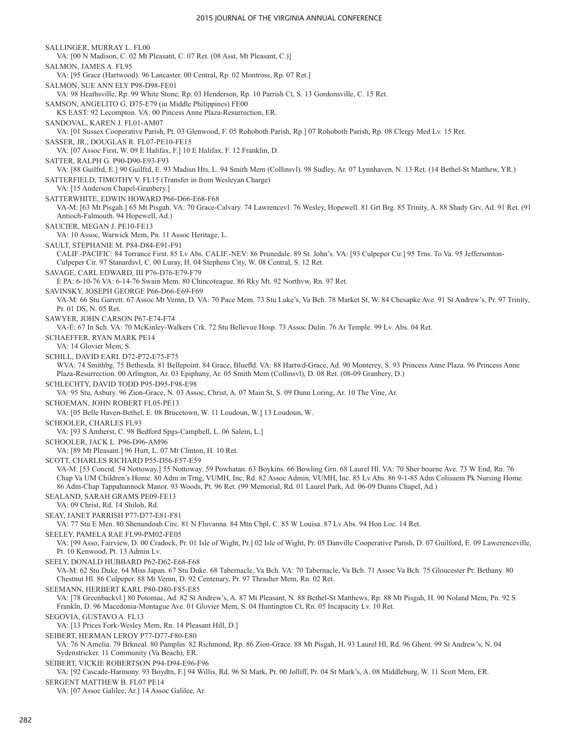SALLINGER, MURRAY L. FL00 VA: [00 N Madison, C. 02 Mt Pleasant, C. 07 Ret. (08 Asst, Mt Pleasant, C.)] SALMON, JAMES A. FL95 VA: [95 Grace (Hartwood). 96 Lancaster. 00 Central, Rp. 02 Montross, Rp. 07 Ret.] SALMON, SUE ANN ELY P98-D98-FE01 VA: 98 Heathsville, Rp. 99 White Stone, Rp. 03 Henderson, Rp. 10 Parrish Ct, S. 13 Gordonsville, C. 15 Ret. SAMSON, ANGELITO G. D75-E79 (in Middle Philippines) FE00 KS EAST: 92 Lecompton. VA: 00 Pincess Anne Plaza-Resurrection, ER. SANDOVAL, KAREN J. FL01-AM07 VA: [01 Sussex Cooperative Parish, Pt. 03 Glenwood, F. 05 Rohoboth Parish, Rp.] 07 Rohoboth Parish, Rp. 08 Clergy Med Lv. 15 Ret. SASSER, JR., DOUGLAS R. FL07-PE10-FE15 VA: [07 Assoc First, W. 09 E Halifax, F.] 10 E Halifax, F. 12 Franklin, D. SATTER, RALPH G. P90-D90-E93-F93 VA: [88 Guilfrd, E.] 90 Guilfrd, E. 93 Madisn Hts, L. 94 Smith Mem (Collinsvl). 98 Sudley, Ar. 07 Lynnhaven, N. 13 Ret. (14 Bethel-St Matthew, YR.) SATTERFIELD, TIMOTHY V. FL15 (Transfer in from Wesleyan Charge) VA: [15 Anderson Chapel-Granbery.] SATTERWHITE, EDWIN HOWARD P66-D66-E68-F68 VA-M: [63 Mt Pisgah.] 65 Mt Pisgah. VA: 70 Grace-Calvary. 74 Lawrencevl. 76 Wesley, Hopewell. 81 Grt Brg. 85 Trinity, A. 88 Shady Grv, Ad. 91 Ret. (91 Antioch-Falmouth. 94 Hopewell, Ad.) SAUCIER, MEGAN J. PE10-FE13 VA: 10 Assoc, Warwick Mem, Pn. 11 Assoc Heritage, L. SAULT, STEPHANIE M. P84-D84-E91-F91 CALIF.-PACIFIC: 84 Torrance First. 85 Lv Abs. CALIF.-NEV: 86 Prunedale. 89 St. John's. VA: [93 Culpeper Cir.] 95 Trns. To Va. 95 Jeffersonton-Culpeper Cir. 97 Stanardsvl, C. 00 Luray, H. 04 Stephens City, W. 08 Central, S. 12 Ret. SAVAGE, CARL EDWARD, III P76-D76-E79-F79 E PA: 6-10-76 VA: 6-14-76 Swain Mem. 80 Chincoteague. 86 Rky Mt. 92 Northvw, Rn. 97 Ret. SAVINSKY, JOSEPH GEORGE P66-D66-E69-F69 VA-M: 66 Stu Garrett. 67 Assoc Mt Vernn, D. VA: 70 Pace Mem. 73 Stu Luke's, Va Bch. 78 Market St, W. 84 Chesapke Ave. 91 St Andrew's, Pr. 97 Trinity, Pr. 01 DS, N. 05 Ret. SAWYER, JOHN CARSON P67-E74-F74 VA-E: 67 In Sch. VA: 70 McKinley-Walkers Crk. 72 Stu Bellevue Hosp. 73 Assoc Dulin. 76 Ar Temple. 99 Lv. Abs. 04 Ret. SCHAEFFER, RYAN MARK PE14 VA: 14 Glovier Mem, S. SCHILL, DAVID EARL D72-P72-E75-F75 WVA: 74 Smithbg. 75 Bethesda. 81 Bellepoint. 84 Grace, Bluefld. VA: 88 Hartwd-Grace, Ad. 90 Monterey, S. 93 Princess Anne Plaza. 96 Princess Anne Plaza-Resurrection. 00 Arlington, Ar. 03 Epiphany, Ar. 05 Smith Mem (Collinsvl), D. 08 Ret. (08-09 Granbery, D.) SCHLECHTY, DAVID TODD P95-D95-F98-E98 VA: 95 Stu, Asbury. 96 Zion-Grace, N. 03 Assoc, Christ, A. 07 Main St, S. 09 Dunn Loring, Ar. 10 The Vine, Ar. SCHOEMAN, JOHN ROBERT FL05-PE13 VA: [05 Belle Haven-Bethel, E. 08 Brucetown, W. 11 Loudoun, W.] 13 Loudoun, W. SCHOOLER, CHARLES FL93 VA: [93 S Amherst, C. 98 Bedford Spgs-Campbell, L. 06 Salem, L.] SCHOOLER, JACK L. P96-D96-AM96 VA: [89 Mt Pleasant.] 96 Hurt, L. 07 Mt Clinton, H. 10 Ret. SCOTT, CHARLES RICHARD P55-D56-F57-E59 VA-M: [53 Concrd. 54 Nottoway.] 55 Nottoway. 59 Powhatan. 63 Boykins. 66 Bowling Grn. 68 Laurel Hl. VA: 70 Sher bourne Ave. 73 W End, Rn. 76 Chap Va UM Children's Home. 80 Adm in Trng, VUMH, Inc, Rd. 82 Assoc Admin, VUMH, Inc. 85 Lv Abs. 86 9-1-85 Adm Colisuem Pk Nursing Home. 86 Adm-Chap Tappahannock Manor. 93 Woods, Pt. 96 Ret. (99 Memorial, Rd. 01 Laurel Park, Ad. 06-09 Dunns Chapel, Ad.) SEALAND, SARAH GRAMS PE09-FE13 VA: 09 Christ, Rd. 14 Shiloh, Rd. SEAY, JANET PARRISH P77-D77-E81-F81 VA: 77 Stu E Men. 80 Shenandoah Circ. 81 N Fluvanna. 84 Mtn Chpl, C. 85 W Louisa. 87 Lv Abs. 94 Hon Loc. 14 Ret. SEELEY, PAMELA RAE FL99-PM02-FE05 VA: [99 Asso, Fairview, D. 00 Cradock, Pr. 01 Isle of Wight, Pr.] 02 Isle of Wight, Pr. 05 Danville Cooperative Parish, D. 07 Guilford, E. 09 Lawerenceville, Pt. 10 Kenwood, Pt. 13 Admin Lv. SEELY, DONALD HUBBARD P62-D62-E68-F68 VA-M: 62 Stu Duke. 64 Miss Japan. 67 Stu Duke. 68 Tabernacle, Va Bch. VA: 70 Tabernacle, Va Bch. 71 Assoc Va Bch. 75 Gloucester Pt: Bethany. 80 Chestnut Hl. 86 Culpeper. 88 Mt Vernn, D. 92 Centenary, Pr. 97 Thrasher Mem, Rn. 02 Ret. SEEMANN, HERBERT KARL P80-D80-F85-E85 VA: [78 Greenbackvl.] 80 Potomac, Ad. 82 St Andrew's, A. 87 Mt Pleasant, N. 88 Bethel-St Matthews, Rp. 88 Mt Pisgah, H. 90 Noland Mem, Pn. 92 S Frankln, D. 96 Macedonia-Montague Ave. 01 Glovier Mem, S. 04 Huntington Ct, Rn. 05 Incapacity Lv. 10 Ret. SEGOVIA, GUSTAVO A. FL13 VA: [13 Prices Fork-Wesley Mem, Rn. 14 Pleasant Hill, D.] SEIBERT, HERMAN LEROY P77-D77-F80-E80 VA: 76 N Amelia. 79 Brkneal. 80 Pamplin. 82 Richmond, Rp. 86 Zion-Grace. 88 Mt Pisgah, H. 93 Laurel Hl, Rd. 96 Ghent. 99 St Andrew's, N. 04 Sydenstricker. 11 Community (Va Beach), ER. SEIBERT, VICKIE ROBERTSON P94-D94-E96-F96 VA: [92 Cascade-Harmony. 93 Boydtn, F.] 94 Willis, Rd. 96 St Mark, Pr. 00 Jolliff, Pr. 04 St Mark's, A. 08 Middleburg, W. 11 Scott Mem, ER. SERGENT MATTHEW B. FL07 PE14 VA: [07 Assoc Galilee, Ar.] 14 Assoc Galilee, Ar.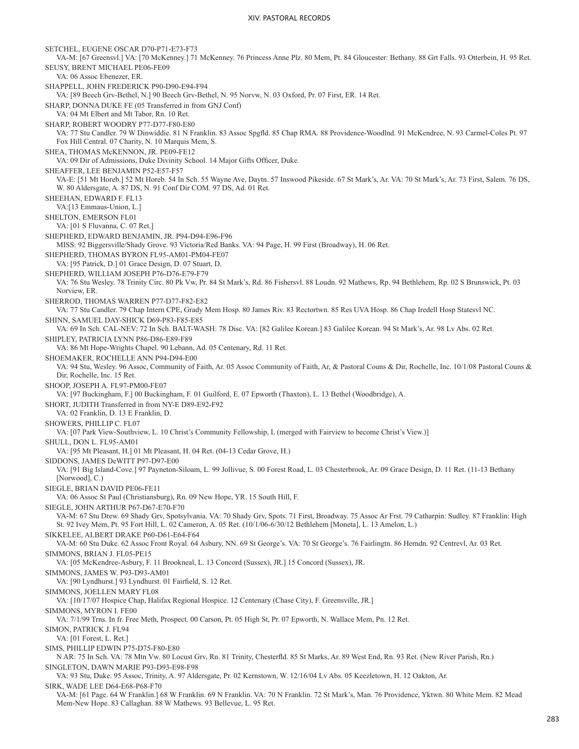SETCHEL, EUGENE OSCAR D70-P71-E73-F73 VA-M: [67 Greensvl.] VA: [70 McKenney.] 71 McKenney. 76 Princess Anne Plz. 80 Mem, Pt. 84 Gloucester: Bethany. 88 Grt Falls. 93 Otterbein, H. 95 Ret. SEUSY, BRENT MICHAEL PE06-FE09 VA: 06 Assoc Ebenezer, ER. SHAPPELL, JOHN FREDERICK P90-D90-E94-F94 VA: [89 Beech Grv-Bethel, N.] 90 Beech Grv-Bethel, N. 95 Norvw, N. 03 Oxford, Pr. 07 First, ER. 14 Ret. SHARP, DONNA DUKE FE (05 Transferred in from GNJ Conf) VA: 04 Mt Elbert and Mt Tabor, Rn. 10 Ret. SHARP, ROBERT WOODRY P77-D77-F80-E80 VA: 77 Stu Candler. 79 W Dinwiddie. 81 N Franklin. 83 Assoc Spgfld. 85 Chap RMA. 88 Providence-Woodlnd. 91 McKendree, N. 93 Carmel-Coles Pt. 97 Fox Hill Central. 07 Charity, N. 10 Marquis Mem, S. SHEA, THOMAS McKENNON, JR. PE09-FE12 VA: 09 Dir of Admissions, Duke Divinity School. 14 Major Gifts Officer, Duke. SHEAFFER, LEE BENJAMIN P52-E57-F57 VA-E: [51 Mt Horeb.] 52 Mt Horeb. 54 In Sch. 55 Wayne Ave, Daytn. 57 Inswood Pikeside. 67 St Mark's, Ar. VA: 70 St Mark's, Ar. 73 First, Salem. 76 DS, W. 80 Aldersgate, A. 87 DS, N. 91 Conf Dir COM. 97 DS, Ad. 01 Ret. SHEEHAN, EDWARD F. FL13 VA:[13 Emmaus-Union, L.] SHELTON, EMERSON FL01 VA: [01 S Fluvanna, C. 07 Ret.] SHEPHERD, EDWARD BENJAMIN, JR. P94-D94-E96-F96 MISS: 92 Biggersville/Shady Grove. 93 Victoria/Red Banks. VA: 94 Page, H. 99 First (Broadway), H. 06 Ret. SHEPHERD, THOMAS BYRON FL95-AM01-PM04-FE07 VA: [95 Patrick, D.] 01 Grace Design, D. 07 Stuart, D. SHEPHERD, WILLIAM JOSEPH P76-D76-E79-F79 VA: 76 Stu Wesley. 78 Trinity Circ. 80 Pk Vw, Pr. 84 St Mark's, Rd. 86 Fishersvl. 88 Loudn. 92 Mathews, Rp. 94 Bethlehem, Rp. 02 S Brunswick, Pt. 03 Norview, ER. SHERROD, THOMAS WARREN P77-D77-F82-E82 VA: 77 Stu Candler. 79 Chap Intern CPE, Grady Mem Hosp. 80 James Riv. 83 Rectortwn. 85 Res UVA Hosp. 86 Chap Iredell Hosp Statesvl NC. SHINN, SAMUEL DAY-SHICK D69-P83-F85-E85 VA: 69 In Sch. CAL-NEV: 72 In Sch. BALT-WASH: 78 Disc. VA: [82 Galilee Korean.] 83 Galilee Korean. 94 St Mark's, Ar. 98 Lv Abs. 02 Ret. SHIPLEY, PATRICIA LYNN P86-D86-E89-F89 VA: 86 Mt Hope-Wrights Chapel. 90 Lebann, Ad. 05 Centenary, Rd. 11 Ret. SHOEMAKER, ROCHELLE ANN P94-D94-E00 VA: 94 Stu, Wesley. 96 Assoc, Community of Faith, Ar. 05 Assoc Community of Faith, Ar, & Pastoral Couns & Dir, Rochelle, Inc. 10/1/08 Pastoral Couns & Dir, Rochelle, Inc. 15 Ret. SHOOP, JOSEPH A. FL97-PM00-FE07 VA: [97 Buckingham, F.] 00 Buckingham, F. 01 Guilford, E. 07 Epworth (Thaxton), L. 13 Bethel (Woodbridge), A. SHORT, JUDITH Transferred in from NY-E D89-E92-F92 VA: 02 Franklin, D. 13 E Franklin, D. SHOWERS, PHILLIP C. FL07 VA: [07 Park View-Southview, L. 10 Christ's Community Fellowship, L (merged with Fairview to become Christ's View.)] SHULL, DON L. FL95-AM01 VA: [95 Mt Pleasant, H.] 01 Mt Pleasant, H. 04 Ret. (04-13 Cedar Grove, H.) SIDDONS, JAMES DeWITT P97-D97-E00 VA: [91 Big Island-Cove.] 97 Payneton-Siloam, L. 99 Jollivue, S. 00 Forest Road, L. 03 Chesterbrook, Ar. 09 Grace Design, D. 11 Ret. (11-13 Bethany [Norwood], C.) SIEGLE, BRIAN DAVID PE06-FE11 VA: 06 Assoc St Paul (Christiansburg), Rn. 09 New Hope, YR. 15 South Hill, F. SIEGLE, JOHN ARTHUR P67-D67-E70-F70 VA-M: 67 Stu Drew. 69 Shady Grv, Spotsylvania. VA: 70 Shady Grv, Spots. 71 First, Broadway. 75 Assoc Ar Frst. 79 Catharpin: Sudley. 87 Franklin: High St. 92 Ivey Mem, Pt. 95 Fort Hill, L. 02 Cameron, A. 05 Ret. (10/1/06-6/30/12 Bethlehem [Moneta], L. 13 Amelon, L.) SIKKELEE, ALBERT DRAKE P60-D61-E64-F64 VA-M: 60 Stu Duke. 62 Assoc Front Royal. 64 Asbury, NN. 69 St George's. VA: 70 St George's. 76 Fairlingtn. 86 Herndn. 92 Centrevl, Ar. 03 Ret. SIMMONS, BRIAN J. FL05-PE15 VA: [05 McKendree-Asbury, F. 11 Brookneal, L. 13 Concord (Sussex), JR.] 15 Concord (Sussex), JR. SIMMONS, JAMES W. P93-D93-AM01 VA: [90 Lyndhurst.] 93 Lyndhurst. 01 Fairfield, S. 12 Ret. SIMMONS, JOELLEN MARY FL08 VA: [10/17/07 Hospice Chap, Halifax Regional Hospice. 12 Centenary (Chase City), F. Greensville, JR.] SIMMONS, MYRON I. FE00 VA: 7/1/99 Trns. In fr. Free Meth, Prospect. 00 Carson, Pt. 05 High St, Pr. 07 Epworth, N. Wallace Mem, Pn. 12 Ret. SIMON, PATRICK J. FL94 VA: [01 Forest, L. Ret.] SIMS, PHILLIP EDWIN P75-D75-F80-E80 N AR: 75 In Sch. VA: 78 Mtn Vw. 80 Locust Grv, Rn. 81 Trinity, Chesterfld. 85 St Marks, Ar. 89 West End, Rn. 93 Ret. (New River Parish, Rn.) SINGLETON, DAWN MARIE P93-D93-E98-F98 VA: 93 Stu, Duke. 95 Assoc, Trinity, A. 97 Aldersgate, Pr. 02 Kernstown, W. 12/16/04 Lv Abs. 05 Keezletown, H. 12 Oakton, Ar. SIRK, WADE LEE D64-E68-P68-F70 VA-M: [61 Page. 64 W Franklin.] 68 W Franklin. 69 N Franklin. VA: 70 N Franklin. 72 St Mark's, Man. 76 Providence, Yktwn. 80 White Mem. 82 Mead Mem-New Hope. 83 Callaghan. 88 W Mathews. 93 Bellevue, L. 95 Ret.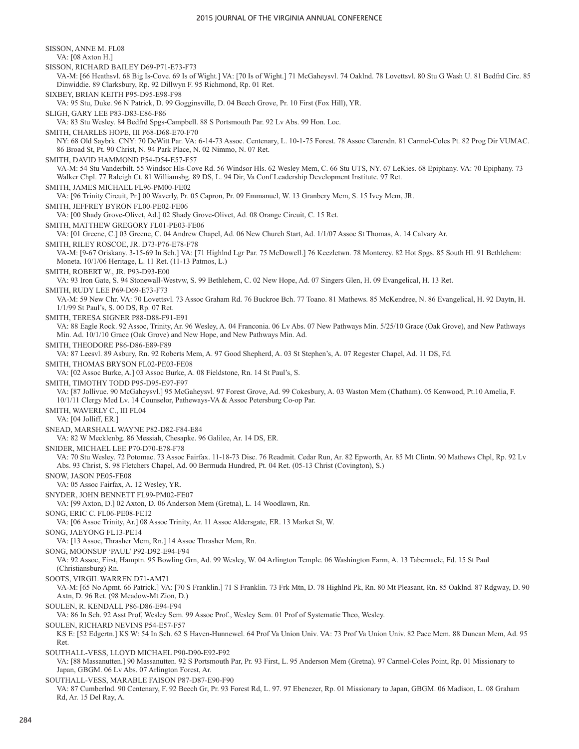SISSON, ANNE M. FL08 VA: [08 Axton H.] SISSON, RICHARD BAILEY D69-P71-E73-F73 VA-M: [66 Heathsvl. 68 Big Is-Cove. 69 Is of Wight.] VA: [70 Is of Wight.] 71 McGaheysvl. 74 Oaklnd. 78 Lovettsvl. 80 Stu G Wash U. 81 Bedfrd Circ. 85 Dinwiddie. 89 Clarksbury, Rp. 92 Dillwyn F. 95 Richmond, Rp. 01 Ret. SIXBEY, BRIAN KEITH P95-D95-E98-F98 VA: 95 Stu, Duke. 96 N Patrick, D. 99 Gogginsville, D. 04 Beech Grove, Pr. 10 First (Fox Hill), YR. SLIGH, GARY LEE P83-D83-E86-F86 VA: 83 Stu Wesley. 84 Bedfrd Spgs-Campbell. 88 S Portsmouth Par. 92 Lv Abs. 99 Hon. Loc. SMITH, CHARLES HOPE, III P68-D68-E70-F70 NY: 68 Old Saybrk. CNY: 70 DeWitt Par. VA: 6-14-73 Assoc. Centenary, L. 10-1-75 Forest. 78 Assoc Clarendn. 81 Carmel-Coles Pt. 82 Prog Dir VUMAC. 86 Broad St, Pt. 90 Christ, N. 94 Park Place, N. 02 Nimmo, N. 07 Ret. SMITH, DAVID HAMMOND P54-D54-E57-F57 VA-M: 54 Stu Vanderbilt. 55 Windsor Hls-Cove Rd. 56 Windsor Hls. 62 Wesley Mem, C. 66 Stu UTS, NY. 67 LeKies. 68 Epiphany. VA: 70 Epiphany. 73 Walker Chpl. 77 Raleigh Ct. 81 Williamsbg. 89 DS, L. 94 Dir, Va Conf Leadership Development Institute. 97 Ret. SMITH, JAMES MICHAEL FL96-PM00-FE02 VA: [96 Trinity Circuit, Pr.] 00 Waverly, Pr. 05 Capron, Pr. 09 Emmanuel, W. 13 Granbery Mem, S. 15 Ivey Mem, JR. SMITH, JEFFREY BYRON FL00-PE02-FE06 VA: [00 Shady Grove-Olivet, Ad.] 02 Shady Grove-Olivet, Ad. 08 Orange Circuit, C. 15 Ret. SMITH, MATTHEW GREGORY FL01-PE03-FE06 VA: [01 Greene, C.] 03 Greene, C. 04 Andrew Chapel, Ad. 06 New Church Start, Ad. 1/1/07 Assoc St Thomas, A. 14 Calvary Ar. SMITH, RILEY ROSCOE, JR. D73-P76-E78-F78 VA-M: [9-67 Oriskany. 3-15-69 In Sch.] VA: [71 Highlnd Lgr Par. 75 McDowell.] 76 Keezletwn. 78 Monterey. 82 Hot Spgs. 85 South Hl. 91 Bethlehem: Moneta. 10/1/06 Heritage, L. 11 Ret. (11-13 Patmos, L.) SMITH, ROBERT W., JR. P93-D93-E00 VA: 93 Iron Gate, S. 94 Stonewall-Westvw, S. 99 Bethlehem, C. 02 New Hope, Ad. 07 Singers Glen, H. 09 Evangelical, H. 13 Ret. SMITH, RUDY LEE P69-D69-E73-F73 VA-M: 59 New Chr. VA: 70 Lovettsvl. 73 Assoc Graham Rd. 76 Buckroe Bch. 77 Toano. 81 Mathews. 85 McKendree, N. 86 Evangelical, H. 92 Daytn, H. 1/1/99 St Paul's, S. 00 DS, Rp. 07 Ret. SMITH, TERESA SIGNER P88-D88-F91-E91 VA: 88 Eagle Rock. 92 Assoc, Trinity, Ar. 96 Wesley, A. 04 Franconia. 06 Lv Abs. 07 New Pathways Min. 5/25/10 Grace (Oak Grove), and New Pathways Min. Ad. 10/1/10 Grace (Oak Grove) and New Hope, and New Pathways Min. Ad. SMITH, THEODORE P86-D86-E89-F89 VA: 87 Leesvl. 89 Asbury, Rn. 92 Roberts Mem, A. 97 Good Shepherd, A. 03 St Stephen's, A. 07 Regester Chapel, Ad. 11 DS, Fd. SMITH, THOMAS BRYSON FL02-PE03-FE08 VA: [02 Assoc Burke, A.] 03 Assoc Burke, A. 08 Fieldstone, Rn. 14 St Paul's, S. SMITH, TIMOTHY TODD P95-D95-E97-F97 VA: [87 Jollivue. 90 McGaheysvl.] 95 McGaheysvl. 97 Forest Grove, Ad. 99 Cokesbury, A. 03 Waston Mem (Chatham). 05 Kenwood, Pt.10 Amelia, F. 10/1/11 Clergy Med Lv. 14 Counselor, Patheways-VA & Assoc Petersburg Co-op Par. SMITH, WAVERLY C., III FL04 VA: [04 Jolliff, ER.] SNEAD, MARSHALL WAYNE P82-D82-F84-E84 VA: 82 W Mecklenbg. 86 Messiah, Chesapke. 96 Galilee, Ar. 14 DS, ER. SNIDER, MICHAEL LEE P70-D70-E78-F78 VA: 70 Stu Wesley. 72 Potomac. 73 Assoc Fairfax. 11-18-73 Disc. 76 Readmit. Cedar Run, Ar. 82 Epworth, Ar. 85 Mt Clintn. 90 Mathews Chpl, Rp. 92 Lv Abs. 93 Christ, S. 98 Fletchers Chapel, Ad. 00 Bermuda Hundred, Pt. 04 Ret. (05-13 Christ (Covington), S.) SNOW, JASON PE05-FE08 VA: 05 Assoc Fairfax, A. 12 Wesley, YR. SNYDER, JOHN BENNETT FL99-PM02-FE07 VA: [99 Axton, D.] 02 Axton, D. 06 Anderson Mem (Gretna), L. 14 Woodlawn, Rn. SONG, ERIC C. FL06-PE08-FE12 VA: [06 Assoc Trinity, Ar.] 08 Assoc Trinity, Ar. 11 Assoc Aldersgate, ER. 13 Market St, W. SONG, JAEYONG FL13-PE14 VA: [13 Assoc, Thrasher Mem, Rn.] 14 Assoc Thrasher Mem, Rn. SONG, MOONSUP 'PAUL' P92-D92-E94-F94 VA: 92 Assoc, First, Hamptn. 95 Bowling Grn, Ad. 99 Wesley, W. 04 Arlington Temple. 06 Washington Farm, A. 13 Tabernacle, Fd. 15 St Paul (Christiansburg) Rn. SOOTS, VIRGIL WARREN D71-AM71 VA-M: [65 No Apmt. 66 Patrick.] VA: [70 S Franklin.] 71 S Franklin. 73 Frk Mtn, D. 78 Highlnd Pk, Rn. 80 Mt Pleasant, Rn. 85 Oaklnd. 87 Rdgway, D. 90 Axtn, D. 96 Ret. (98 Meadow-Mt Zion, D.) SOULEN, R. KENDALL P86-D86-E94-F94 VA: 86 In Sch. 92 Asst Prof, Wesley Sem. 99 Assoc Prof., Wesley Sem. 01 Prof of Systematic Theo, Wesley. SOULEN, RICHARD NEVINS P54-E57-F57 KS E: [52 Edgertn.] KS W: 54 In Sch. 62 S Haven-Hunnewel. 64 Prof Va Union Univ. VA: 73 Prof Va Union Univ. 82 Pace Mem. 88 Duncan Mem, Ad. 95 Ret. SOUTHALL-VESS, LLOYD MICHAEL P90-D90-E92-F92 VA: [88 Massanutten.] 90 Massanutten. 92 S Portsmouth Par, Pr. 93 First, L. 95 Anderson Mem (Gretna). 97 Carmel-Coles Point, Rp. 01 Missionary to Japan, GBGM. 06 Lv Abs. 07 Arlington Forest, Ar. SOUTHALL-VESS, MARABLE FAISON P87-D87-E90-F90

VA: 87 Cumberlnd. 90 Centenary, F. 92 Beech Gr, Pr. 93 Forest Rd, L. 97. 97 Ebenezer, Rp. 01 Missionary to Japan, GBGM. 06 Madison, L. 08 Graham Rd, Ar. 15 Del Ray, A.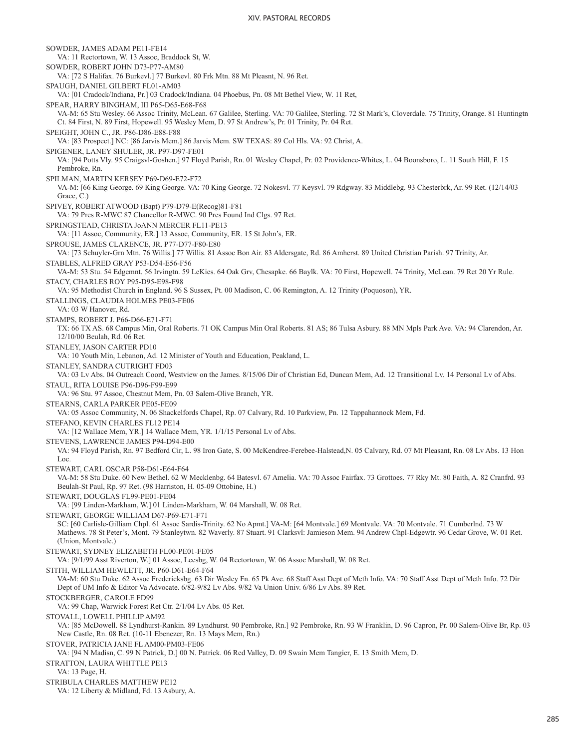SOWDER, JAMES ADAM PE11-FE14 VA: 11 Rectortown, W. 13 Assoc, Braddock St, W. SOWDER, ROBERT JOHN D73-P77-AM80 VA: [72 S Halifax. 76 Burkevl.] 77 Burkevl. 80 Frk Mtn. 88 Mt Pleasnt, N. 96 Ret. SPAUGH, DANIEL GILBERT FL01-AM03 VA: [01 Cradock/Indiana, Pr.] 03 Cradock/Indiana. 04 Phoebus, Pn. 08 Mt Bethel View, W. 11 Ret, SPEAR, HARRY BINGHAM, III P65-D65-E68-F68 VA-M: 65 Stu Wesley. 66 Assoc Trinity, McLean. 67 Galilee, Sterling. VA: 70 Galilee, Sterling. 72 St Mark's, Cloverdale. 75 Trinity, Orange. 81 Huntingtn Ct. 84 First, N. 89 First, Hopewell. 95 Wesley Mem, D. 97 St Andrew's, Pr. 01 Trinity, Pr. 04 Ret. SPEIGHT, JOHN C., JR. P86-D86-E88-F88 VA: [83 Prospect.] NC: [86 Jarvis Mem.] 86 Jarvis Mem. SW TEXAS: 89 Col Hls. VA: 92 Christ, A. SPIGENER, LANEY SHULER, JR. P97-D97-FE01 VA: [94 Potts Vly. 95 Craigsvl-Goshen.] 97 Floyd Parish, Rn. 01 Wesley Chapel, Pr. 02 Providence-Whites, L. 04 Boonsboro, L. 11 South Hill, F. 15 Pembroke, Rn. SPILMAN, MARTIN KERSEY P69-D69-E72-F72 VA-M: [66 King George. 69 King George. VA: 70 King George. 72 Nokesvl. 77 Keysvl. 79 Rdgway. 83 Middlebg. 93 Chesterbrk, Ar. 99 Ret. (12/14/03 Grace, C.) SPIVEY, ROBERT ATWOOD (Bapt) P79-D79-E(Recog)81-F81 VA: 79 Pres R-MWC 87 Chancellor R-MWC. 90 Pres Found Ind Clgs. 97 Ret. SPRINGSTEAD, CHRISTA JoANN MERCER FL11-PE13 VA: [11 Assoc, Community, ER.] 13 Assoc, Community, ER. 15 St John's, ER. SPROUSE, JAMES CLARENCE, JR. P77-D77-F80-E80 VA: [73 Schuyler-Grn Mtn. 76 Willis.] 77 Willis. 81 Assoc Bon Air. 83 Aldersgate, Rd. 86 Amherst. 89 United Christian Parish. 97 Trinity, Ar. STABLES, ALFRED GRAY P53-D54-E56-F56 VA-M: 53 Stu. 54 Edgemnt. 56 Irvingtn. 59 LeKies. 64 Oak Grv, Chesapke. 66 Baylk. VA: 70 First, Hopewell. 74 Trinity, McLean. 79 Ret 20 Yr Rule. STACY, CHARLES ROY P95-D95-E98-F98 VA: 95 Methodist Church in England. 96 S Sussex, Pt. 00 Madison, C. 06 Remington, A. 12 Trinity (Poquoson), YR. STALLINGS, CLAUDIA HOLMES PE03-FE06 VA: 03 W Hanover, Rd. STAMPS, ROBERT J. P66-D66-E71-F71 TX: 66 TX AS. 68 Campus Min, Oral Roberts. 71 OK Campus Min Oral Roberts. 81 AS; 86 Tulsa Asbury. 88 MN Mpls Park Ave. VA: 94 Clarendon, Ar. 12/10/00 Beulah, Rd. 06 Ret. STANLEY, JASON CARTER PD10 VA: 10 Youth Min, Lebanon, Ad. 12 Minister of Youth and Education, Peakland, L. STANLEY, SANDRA CUTRIGHT FD03 VA: 03 Lv Abs. 04 Outreach Coord, Westview on the James. 8/15/06 Dir of Christian Ed, Duncan Mem, Ad. 12 Transitional Lv. 14 Personal Lv of Abs. STAUL, RITA LOUISE P96-D96-F99-E99 VA: 96 Stu. 97 Assoc, Chestnut Mem, Pn. 03 Salem-Olive Branch, YR. STEARNS, CARLA PARKER PE05-FE09 VA: 05 Assoc Community, N. 06 Shackelfords Chapel, Rp. 07 Calvary, Rd. 10 Parkview, Pn. 12 Tappahannock Mem, Fd. STEFANO, KEVIN CHARLES FL12 PE14 VA: [12 Wallace Mem, YR.] 14 Wallace Mem, YR. 1/1/15 Personal Lv of Abs. STEVENS, LAWRENCE JAMES P94-D94-E00 VA: 94 Floyd Parish, Rn. 97 Bedford Cir, L. 98 Iron Gate, S. 00 McKendree-Ferebee-Halstead,N. 05 Calvary, Rd. 07 Mt Pleasant, Rn. 08 Lv Abs. 13 Hon Loc. STEWART, CARL OSCAR P58-D61-E64-F64 VA-M: 58 Stu Duke. 60 New Bethel. 62 W Mecklenbg. 64 Batesvl. 67 Amelia. VA: 70 Assoc Fairfax. 73 Grottoes. 77 Rky Mt. 80 Faith, A. 82 Cranfrd. 93 Beulah-St Paul, Rp. 97 Ret. (98 Harriston, H. 05-09 Ottobine, H.) STEWART, DOUGLAS FL99-PE01-FE04 VA: [99 Linden-Markham, W.] 01 Linden-Markham, W. 04 Marshall, W. 08 Ret. STEWART, GEORGE WILLIAM D67-P69-E71-F71 SC: [60 Carlisle-Gilliam Chpl. 61 Assoc Sardis-Trinity. 62 No Apmt.] VA-M: [64 Montvale.] 69 Montvale. VA: 70 Montvale. 71 Cumberlnd. 73 W Mathews. 78 St Peter's, Mont. 79 Stanleytwn. 82 Waverly. 87 Stuart. 91 Clarksvl: Jamieson Mem. 94 Andrew Chpl-Edgewtr. 96 Cedar Grove, W. 01 Ret. (Union, Montvale.) STEWART, SYDNEY ELIZABETH FL00-PE01-FE05 VA: [9/1/99 Asst Riverton, W.] 01 Assoc, Leesbg, W. 04 Rectortown, W. 06 Assoc Marshall, W. 08 Ret. STITH, WILLIAM HEWLETT, JR. P60-D61-E64-F64 VA-M: 60 Stu Duke. 62 Assoc Fredericksbg. 63 Dir Wesley Fn. 65 Pk Ave. 68 Staff Asst Dept of Meth Info. VA: 70 Staff Asst Dept of Meth Info. 72 Dir Dept of UM Info & Editor Va Advocate. 6/82-9/82 Lv Abs. 9/82 Va Union Univ. 6/86 Lv Abs. 89 Ret. STOCKBERGER, CAROLE FD99 VA: 99 Chap, Warwick Forest Ret Ctr. 2/1/04 Lv Abs. 05 Ret. STOVALL, LOWELL PHILLIP AM92 VA: [85 McDowell. 88 Lyndhurst-Rankin. 89 Lyndhurst. 90 Pembroke, Rn.] 92 Pembroke, Rn. 93 W Franklin, D. 96 Capron, Pr. 00 Salem-Olive Br, Rp. 03 New Castle, Rn. 08 Ret. (10-11 Ebenezer, Rn. 13 Mays Mem, Rn.) STOVER, PATRICIA JANE FL AM00-PM03-FE06 VA: [94 N Madisn, C. 99 N Patrick, D.] 00 N. Patrick. 06 Red Valley, D. 09 Swain Mem Tangier, E. 13 Smith Mem, D. STRATTON, LAURA WHITTLE PE13 VA: 13 Page, H. STRIBULA CHARLES MATTHEW PE12

VA: 12 Liberty & Midland, Fd. 13 Asbury, A.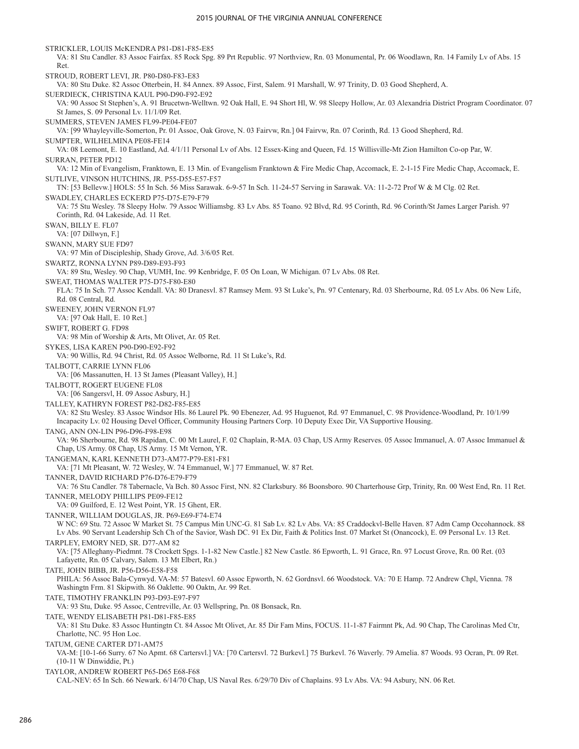STRICKLER, LOUIS McKENDRA P81-D81-F85-E85 VA: 81 Stu Candler. 83 Assoc Fairfax. 85 Rock Spg. 89 Prt Republic. 97 Northview, Rn. 03 Monumental, Pr. 06 Woodlawn, Rn. 14 Family Lv of Abs. 15 Ret. STROUD, ROBERT LEVI, JR. P80-D80-F83-E83 VA: 80 Stu Duke. 82 Assoc Otterbein, H. 84 Annex. 89 Assoc, First, Salem. 91 Marshall, W. 97 Trinity, D. 03 Good Shepherd, A. SUERDIECK, CHRISTINA KAUL P90-D90-F92-E92 VA: 90 Assoc St Stephen's, A. 91 Brucetwn-Welltwn. 92 Oak Hall, E. 94 Short Hl, W. 98 Sleepy Hollow, Ar. 03 Alexandria District Program Coordinator. 07 St James, S. 09 Personal Lv. 11/1/09 Ret. SUMMERS, STEVEN JAMES FL99-PE04-FE07 VA: [99 Whayleyville-Somerton, Pr. 01 Assoc, Oak Grove, N. 03 Fairvw, Rn.] 04 Fairvw, Rn. 07 Corinth, Rd. 13 Good Shepherd, Rd. SUMPTER, WILHELMINA PE08-FE14 VA: 08 Leemont, E. 10 Eastland, Ad. 4/1/11 Personal Lv of Abs. 12 Essex-King and Queen, Fd. 15 Willisville-Mt Zion Hamilton Co-op Par, W. SURRAN, PETER PD12 VA: 12 Min of Evangelism, Franktown, E. 13 Min. of Evangelism Franktown & Fire Medic Chap, Accomack, E. 2-1-15 Fire Medic Chap, Accomack, E. SUTLIVE, VINSON HUTCHINS, JR. P55-D55-E57-F57 TN: [53 Bellevw.] HOLS: 55 In Sch. 56 Miss Sarawak. 6-9-57 In Sch. 11-24-57 Serving in Sarawak. VA: 11-2-72 Prof W & M Clg. 02 Ret. SWADLEY, CHARLES ECKERD P75-D75-E79-F79 VA: 75 Stu Wesley. 78 Sleepy Holw. 79 Assoc Williamsbg. 83 Lv Abs. 85 Toano. 92 Blvd, Rd. 95 Corinth, Rd. 96 Corinth/St James Larger Parish. 97 Corinth, Rd. 04 Lakeside, Ad. 11 Ret. SWAN, BILLY E. FL07 VA: [07 Dillwyn, F.] SWANN, MARY SUE FD97 VA: 97 Min of Discipleship, Shady Grove, Ad. 3/6/05 Ret. SWARTZ, RONNA LYNN P89-D89-E93-F93 VA: 89 Stu, Wesley. 90 Chap, VUMH, Inc. 99 Kenbridge, F. 05 On Loan, W Michigan. 07 Lv Abs. 08 Ret. SWEAT, THOMAS WALTER P75-D75-F80-E80 FLA: 75 In Sch. 77 Assoc Kendall. VA: 80 Dranesvl. 87 Ramsey Mem. 93 St Luke's, Pn. 97 Centenary, Rd. 03 Sherbourne, Rd. 05 Lv Abs. 06 New Life, Rd. 08 Central, Rd. SWEENEY, JOHN VERNON FL97 VA: [97 Oak Hall, E. 10 Ret.] SWIFT, ROBERT G. FD98 VA: 98 Min of Worship & Arts, Mt Olivet, Ar. 05 Ret. SYKES, LISA KAREN P90-D90-E92-F92 VA: 90 Willis, Rd. 94 Christ, Rd. 05 Assoc Welborne, Rd. 11 St Luke's, Rd. TALBOTT, CARRIE LYNN FL06 VA: [06 Massanutten, H. 13 St James (Pleasant Valley), H.] TALBOTT, ROGERT EUGENE FL08 VA: [06 Sangersvl, H. 09 Assoc Asbury, H.] TALLEY, KATHRYN FOREST P82-D82-F85-E85 VA: 82 Stu Wesley. 83 Assoc Windsor Hls. 86 Laurel Pk. 90 Ebenezer, Ad. 95 Huguenot, Rd. 97 Emmanuel, C. 98 Providence-Woodland, Pr. 10/1/99 Incapacity Lv. 02 Housing Devel Officer, Community Housing Partners Corp. 10 Deputy Exec Dir, VA Supportive Housing. TANG, ANN ON-LIN P96-D96-F98-E98 VA: 96 Sherbourne, Rd. 98 Rapidan, C. 00 Mt Laurel, F. 02 Chaplain, R-MA. 03 Chap, US Army Reserves. 05 Assoc Immanuel, A. 07 Assoc Immanuel & Chap, US Army. 08 Chap, US Army. 15 Mt Vernon, YR. TANGEMAN, KARL KENNETH D73-AM77-P79-E81-F81 VA: [71 Mt Pleasant, W. 72 Wesley, W. 74 Emmanuel, W.] 77 Emmanuel, W. 87 Ret. TANNER, DAVID RICHARD P76-D76-E79-F79 VA: 76 Stu Candler. 78 Tabernacle, Va Bch. 80 Assoc First, NN. 82 Clarksbury. 86 Boonsboro. 90 Charterhouse Grp, Trinity, Rn. 00 West End, Rn. 11 Ret. TANNER, MELODY PHILLIPS PE09-FE12 VA: 09 Guilford, E. 12 West Point, YR. 15 Ghent, ER. TANNER, WILLIAM DOUGLAS, JR. P69-E69-F74-E74 W NC: 69 Stu. 72 Assoc W Market St. 75 Campus Min UNC-G. 81 Sab Lv. 82 Lv Abs. VA: 85 Craddockvl-Belle Haven. 87 Adm Camp Occohannock. 88 Lv Abs. 90 Servant Leadership Sch Ch of the Savior, Wash DC. 91 Ex Dir, Faith & Politics Inst. 07 Market St (Onancock), E. 09 Personal Lv. 13 Ret. TARPLEY, EMORY NED, SR. D77-AM 82 VA: [75 Alleghany-Piedmnt. 78 Crockett Spgs. 1-1-82 New Castle.] 82 New Castle. 86 Epworth, L. 91 Grace, Rn. 97 Locust Grove, Rn. 00 Ret. (03 Lafayette, Rn. 05 Calvary, Salem. 13 Mt Elbert, Rn.) TATE, JOHN BIBB, JR. P56-D56-E58-F58 PHILA: 56 Assoc Bala-Cynwyd. VA-M: 57 Batesvl. 60 Assoc Epworth, N. 62 Gordnsvl. 66 Woodstock. VA: 70 E Hamp. 72 Andrew Chpl, Vienna. 78 Washingtn Frm. 81 Skipwith. 86 Oaklette. 90 Oaktn, Ar. 99 Ret. TATE, TIMOTHY FRANKLIN P93-D93-E97-F97 VA: 93 Stu, Duke. 95 Assoc, Centreville, Ar. 03 Wellspring, Pn. 08 Bonsack, Rn. TATE, WENDY ELISABETH P81-D81-F85-E85 VA: 81 Stu Duke. 83 Assoc Huntingtn Ct. 84 Assoc Mt Olivet, Ar. 85 Dir Fam Mins, FOCUS. 11-1-87 Fairmnt Pk, Ad. 90 Chap, The Carolinas Med Ctr, Charlotte, NC. 95 Hon Loc. TATUM, GENE CARTER D71-AM75 VA-M: [10-1-66 Surry. 67 No Apmt. 68 Cartersvl.] VA: [70 Cartersvl. 72 Burkevl.] 75 Burkevl. 76 Waverly. 79 Amelia. 87 Woods. 93 Ocran, Pt. 09 Ret. (10-11 W Dinwiddie, Pt.) TAYLOR, ANDREW ROBERT P65-D65 E68-F68 CAL-NEV: 65 In Sch. 66 Newark. 6/14/70 Chap, US Naval Res. 6/29/70 Div of Chaplains. 93 Lv Abs. VA: 94 Asbury, NN. 06 Ret.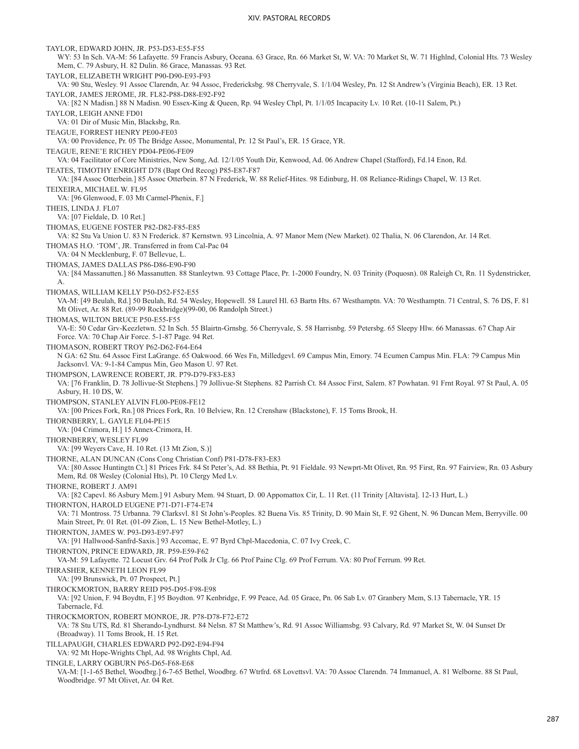TAYLOR, EDWARD JOHN, JR. P53-D53-E55-F55 WY: 53 In Sch. VA-M: 56 Lafayette. 59 Francis Asbury, Oceana. 63 Grace, Rn. 66 Market St, W. VA: 70 Market St, W. 71 Highlnd, Colonial Hts. 73 Wesley Mem, C. 79 Asbury, H. 82 Dulin. 86 Grace, Manassas. 93 Ret. TAYLOR, ELIZABETH WRIGHT P90-D90-E93-F93 VA: 90 Stu, Wesley. 91 Assoc Clarendn, Ar. 94 Assoc, Fredericksbg. 98 Cherryvale, S. 1/1/04 Wesley, Pn. 12 St Andrew's (Virginia Beach), ER. 13 Ret. TAYLOR, JAMES JEROME, JR. FL82-P88-D88-E92-F92 VA: [82 N Madisn.] 88 N Madisn. 90 Essex-King & Queen, Rp. 94 Wesley Chpl, Pt. 1/1/05 Incapacity Lv. 10 Ret. (10-11 Salem, Pt.) TAYLOR, LEIGH ANNE FD01 VA: 01 Dir of Music Min, Blacksbg, Rn. TEAGUE, FORREST HENRY PE00-FE03 VA: 00 Providence, Pr. 05 The Bridge Assoc, Monumental, Pr. 12 St Paul's, ER. 15 Grace, YR. TEAGUE, RENE'E RICHEY PD04-PE06-FE09 VA: 04 Facilitator of Core Ministries, New Song, Ad. 12/1/05 Youth Dir, Kenwood, Ad. 06 Andrew Chapel (Stafford), Fd.14 Enon, Rd. TEATES, TIMOTHY ENRIGHT D78 (Bapt Ord Recog) P85-E87-F87 VA: [84 Assoc Otterbein.] 85 Assoc Otterbein. 87 N Frederick, W. 88 Relief-Hites. 98 Edinburg, H. 08 Reliance-Ridings Chapel, W. 13 Ret. TEIXEIRA, MICHAEL W. FL95 VA: [96 Glenwood, F. 03 Mt Carmel-Phenix, F.] THEIS, LINDA J. FL07 VA: [07 Fieldale, D. 10 Ret.] THOMAS, EUGENE FOSTER P82-D82-F85-E85 VA: 82 Stu Va Union U. 83 N Frederick. 87 Kernstwn. 93 Lincolnia, A. 97 Manor Mem (New Market). 02 Thalia, N. 06 Clarendon, Ar. 14 Ret. THOMAS H.O. 'TOM', JR. Transferred in from Cal-Pac 04 VA: 04 N Mecklenburg, F. 07 Bellevue, L. THOMAS, JAMES DALLAS P86-D86-E90-F90 VA: [84 Massanutten.] 86 Massanutten. 88 Stanleytwn. 93 Cottage Place, Pr. 1-2000 Foundry, N. 03 Trinity (Poquosn). 08 Raleigh Ct, Rn. 11 Sydenstricker, A. THOMAS, WILLIAM KELLY P50-D52-F52-E55 VA-M: [49 Beulah, Rd.] 50 Beulah, Rd. 54 Wesley, Hopewell. 58 Laurel Hl. 63 Bartn Hts. 67 Westhamptn. VA: 70 Westhamptn. 71 Central, S. 76 DS, F. 81 Mt Olivet, Ar. 88 Ret. (89-99 Rockbridge)(99-00, 06 Randolph Street.) THOMAS, WILTON BRUCE P50-E55-F55 VA-E: 50 Cedar Grv-Keezletwn. 52 In Sch. 55 Blairtn-Grnsbg. 56 Cherryvale, S. 58 Harrisnbg. 59 Petersbg. 65 Sleepy Hlw. 66 Manassas. 67 Chap Air Force. VA: 70 Chap Air Force. 5-1-87 Page. 94 Ret. THOMASON, ROBERT TROY P62-D62-F64-E64 N GA: 62 Stu. 64 Assoc First LaGrange. 65 Oakwood. 66 Wes Fn, Milledgevl. 69 Campus Min, Emory. 74 Ecumen Campus Min. FLA: 79 Campus Min Jacksonvl. VA: 9-1-84 Campus Min, Geo Mason U. 97 Ret. THOMPSON, LAWRENCE ROBERT, JR. P79-D79-F83-E83 VA: [76 Franklin, D. 78 Jollivue-St Stephens.] 79 Jollivue-St Stephens. 82 Parrish Ct. 84 Assoc First, Salem. 87 Powhatan. 91 Frnt Royal. 97 St Paul, A. 05 Asbury, H. 10 DS, W. THOMPSON, STANLEY ALVIN FL00-PE08-FE12 VA: [00 Prices Fork, Rn.] 08 Prices Fork, Rn. 10 Belview, Rn. 12 Crenshaw (Blackstone), F. 15 Toms Brook, H. THORNBERRY, L. GAYLE FL04-PE15 VA: [04 Crimora, H.] 15 Annex-Crimora, H. THORNBERRY, WESLEY FL99 VA: [99 Weyers Cave, H. 10 Ret. (13 Mt Zion, S.)] THORNE, ALAN DUNCAN (Cons Cong Christian Conf) P81-D78-F83-E83 VA: [80 Assoc Huntingtn Ct.] 81 Prices Frk. 84 St Peter's, Ad. 88 Bethia, Pt. 91 Fieldale. 93 Newprt-Mt Olivet, Rn. 95 First, Rn. 97 Fairview, Rn. 03 Asbury Mem, Rd. 08 Wesley (Colonial Hts), Pt. 10 Clergy Med Lv. THORNE, ROBERT J. AM91 VA: [82 Capevl. 86 Asbury Mem.] 91 Asbury Mem. 94 Stuart, D. 00 Appomattox Cir, L. 11 Ret. (11 Trinity [Altavista]. 12-13 Hurt, L.) THORNTON, HAROLD EUGENE P71-D71-F74-E74 VA: 71 Montross. 75 Urbanna. 79 Clarksvl. 81 St John's-Peoples. 82 Buena Vis. 85 Trinity, D. 90 Main St, F. 92 Ghent, N. 96 Duncan Mem, Berryville. 00 Main Street, Pr. 01 Ret. (01-09 Zion, L. 15 New Bethel-Motley, L.) THORNTON, JAMES W. P93-D93-E97-F97 VA: [91 Hallwood-Sanfrd-Saxis.] 93 Accomac, E. 97 Byrd Chpl-Macedonia, C. 07 Ivy Creek, C. THORNTON, PRINCE EDWARD, JR. P59-E59-F62 VA-M: 59 Lafayette. 72 Locust Grv. 64 Prof Polk Jr Clg. 66 Prof Paine Clg. 69 Prof Ferrum. VA: 80 Prof Ferrum. 99 Ret. THRASHER, KENNETH LEON FL99 VA: [99 Brunswick, Pt. 07 Prospect, Pt.] THROCKMORTON, BARRY REID P95-D95-F98-E98 VA: [92 Union, F. 94 Boydtn, F.] 95 Boydton. 97 Kenbridge, F. 99 Peace, Ad. 05 Grace, Pn. 06 Sab Lv. 07 Granbery Mem, S.13 Tabernacle, YR. 15 Tabernacle, Fd. THROCKMORTON, ROBERT MONROE, JR. P78-D78-F72-E72 VA: 78 Stu UTS, Rd. 81 Sherando-Lyndhurst. 84 Nelsn. 87 St Matthew's, Rd. 91 Assoc Williamsbg. 93 Calvary, Rd. 97 Market St, W. 04 Sunset Dr (Broadway). 11 Toms Brook, H. 15 Ret. TILLAPAUGH, CHARLES EDWARD P92-D92-E94-F94 VA: 92 Mt Hope-Wrights Chpl, Ad. 98 Wrights Chpl, Ad. TINGLE, LARRY OGBURN P65-D65-F68-E68 VA-M: [1-1-65 Bethel, Woodbrg.] 6-7-65 Bethel, Woodbrg. 67 Wtrfrd. 68 Lovettsvl. VA: 70 Assoc Clarendn. 74 Immanuel, A. 81 Welborne. 88 St Paul, Woodbridge. 97 Mt Olivet, Ar. 04 Ret.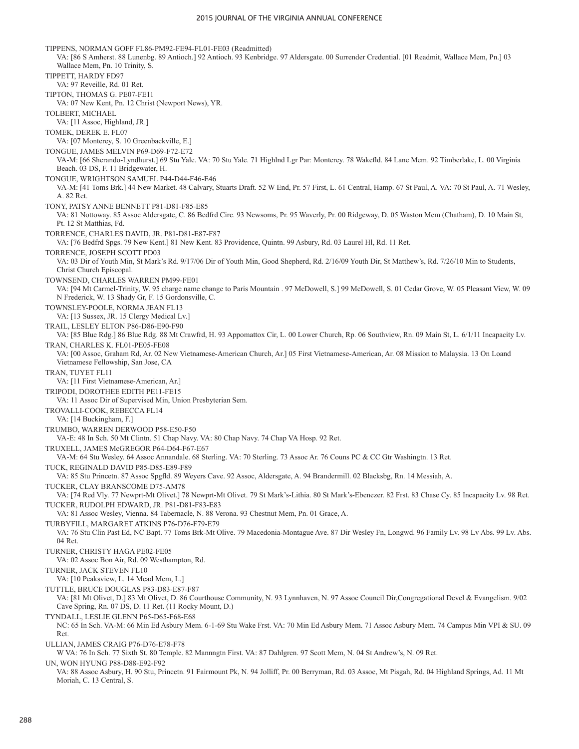TIPPENS, NORMAN GOFF FL86-PM92-FE94-FL01-FE03 (Readmitted) VA: [86 S Amherst. 88 Lunenbg. 89 Antioch.] 92 Antioch. 93 Kenbridge. 97 Aldersgate. 00 Surrender Credential. [01 Readmit, Wallace Mem, Pn.] 03 Wallace Mem, Pn. 10 Trinity, S. TIPPETT, HARDY FD97 VA: 97 Reveille, Rd. 01 Ret. TIPTON, THOMAS G. PE07-FE11 VA: 07 New Kent, Pn. 12 Christ (Newport News), YR. TOLBERT, MICHAEL VA: [11 Assoc, Highland, JR.] TOMEK, DEREK E. FL07 VA: [07 Monterey, S. 10 Greenbackville, E.] TONGUE, JAMES MELVIN P69-D69-F72-E72 VA-M: [66 Sherando-Lyndhurst.] 69 Stu Yale. VA: 70 Stu Yale. 71 Highlnd Lgr Par: Monterey. 78 Wakefld. 84 Lane Mem. 92 Timberlake, L. 00 Virginia Beach. 03 DS, F. 11 Bridgewater, H. TONGUE, WRIGHTSON SAMUEL P44-D44-F46-E46 VA-M: [41 Toms Brk.] 44 New Market. 48 Calvary, Stuarts Draft. 52 W End, Pr. 57 First, L. 61 Central, Hamp. 67 St Paul, A. VA: 70 St Paul, A. 71 Wesley, A. 82 Ret. TONY, PATSY ANNE BENNETT P81-D81-F85-E85 VA: 81 Nottoway. 85 Assoc Aldersgate, C. 86 Bedfrd Circ. 93 Newsoms, Pr. 95 Waverly, Pr. 00 Ridgeway, D. 05 Waston Mem (Chatham), D. 10 Main St, Pt. 12 St Matthias, Fd. TORRENCE, CHARLES DAVID, JR. P81-D81-E87-F87 VA: [76 Bedfrd Spgs. 79 New Kent.] 81 New Kent. 83 Providence, Quintn. 99 Asbury, Rd. 03 Laurel Hl, Rd. 11 Ret. TORRENCE, JOSEPH SCOTT PD03 VA: 03 Dir of Youth Min, St Mark's Rd. 9/17/06 Dir of Youth Min, Good Shepherd, Rd. 2/16/09 Youth Dir, St Matthew's, Rd. 7/26/10 Min to Students, Christ Church Episcopal. TOWNSEND, CHARLES WARREN PM99-FE01 VA: [94 Mt Carmel-Trinity, W. 95 charge name change to Paris Mountain . 97 McDowell, S.] 99 McDowell, S. 01 Cedar Grove, W. 05 Pleasant View, W. 09 N Frederick, W. 13 Shady Gr, F. 15 Gordonsville, C. TOWNSLEY-POOLE, NORMA JEAN FL13 VA: [13 Sussex, JR. 15 Clergy Medical Lv.] TRAIL, LESLEY ELTON P86-D86-E90-F90 VA: [85 Blue Rdg.] 86 Blue Rdg. 88 Mt Crawfrd, H. 93 Appomattox Cir, L. 00 Lower Church, Rp. 06 Southview, Rn. 09 Main St, L. 6/1/11 Incapacity Lv. TRAN, CHARLES K. FL01-PE05-FE08 VA: [00 Assoc, Graham Rd, Ar. 02 New Vietnamese-American Church, Ar.] 05 First Vietnamese-American, Ar. 08 Mission to Malaysia. 13 On Loand Vietnamese Fellowship, San Jose, CA TRAN, TUYET FL11 VA: [11 First Vietnamese-American, Ar.] TRIPODI, DOROTHEE EDITH PE11-FE15 VA: 11 Assoc Dir of Supervised Min, Union Presbyterian Sem. TROVALLI-COOK, REBECCA FL14 VA: [14 Buckingham, F.] TRUMBO, WARREN DERWOOD P58-E50-F50 VA-E: 48 In Sch. 50 Mt Clintn. 51 Chap Navy. VA: 80 Chap Navy. 74 Chap VA Hosp. 92 Ret. TRUXELL, JAMES McGREGOR P64-D64-F67-E67 VA-M: 64 Stu Wesley. 64 Assoc Annandale. 68 Sterling. VA: 70 Sterling. 73 Assoc Ar. 76 Couns PC & CC Gtr Washingtn. 13 Ret. TUCK, REGINALD DAVID P85-D85-E89-F89 VA: 85 Stu Princetn. 87 Assoc Spgfld. 89 Weyers Cave. 92 Assoc, Aldersgate, A. 94 Brandermill. 02 Blacksbg, Rn. 14 Messiah, A. TUCKER, CLAY BRANSCOME D75-AM78 VA: [74 Red Vly. 77 Newprt-Mt Olivet.] 78 Newprt-Mt Olivet. 79 St Mark's-Lithia. 80 St Mark's-Ebenezer. 82 Frst. 83 Chase Cy. 85 Incapacity Lv. 98 Ret. TUCKER, RUDOLPH EDWARD, JR. P81-D81-F83-E83 VA: 81 Assoc Wesley, Vienna. 84 Tabernacle, N. 88 Verona. 93 Chestnut Mem, Pn. 01 Grace, A. TURBYFILL, MARGARET ATKINS P76-D76-F79-E79 VA: 76 Stu Clin Past Ed, NC Bapt. 77 Toms Brk-Mt Olive. 79 Macedonia-Montague Ave. 87 Dir Wesley Fn, Longwd. 96 Family Lv. 98 Lv Abs. 99 Lv. Abs. 04 Ret. TURNER, CHRISTY HAGA PE02-FE05 VA: 02 Assoc Bon Air, Rd. 09 Westhampton, Rd. TURNER, JACK STEVEN FL10 VA: [10 Peaksview, L. 14 Mead Mem, L.] TUTTLE, BRUCE DOUGLAS P83-D83-E87-F87 VA: [81 Mt Olivet, D.] 83 Mt Olivet, D. 86 Courthouse Community, N. 93 Lynnhaven, N. 97 Assoc Council Dir,Congregational Devel & Evangelism. 9/02 Cave Spring, Rn. 07 DS, D. 11 Ret. (11 Rocky Mount, D.) TYNDALL, LESLIE GLENN P65-D65-F68-E68 NC: 65 In Sch. VA-M: 66 Min Ed Asbury Mem. 6-1-69 Stu Wake Frst. VA: 70 Min Ed Asbury Mem. 71 Assoc Asbury Mem. 74 Campus Min VPI & SU. 09 Ret. ULLIAN, JAMES CRAIG P76-D76-E78-F78 W VA: 76 In Sch. 77 Sixth St. 80 Temple. 82 Mannngtn First. VA: 87 Dahlgren. 97 Scott Mem, N. 04 St Andrew's, N. 09 Ret. UN, WON HYUNG P88-D88-E92-F92 VA: 88 Assoc Asbury, H. 90 Stu, Princetn. 91 Fairmount Pk, N. 94 Jolliff, Pr. 00 Berryman, Rd. 03 Assoc, Mt Pisgah, Rd. 04 Highland Springs, Ad. 11 Mt Moriah, C. 13 Central, S.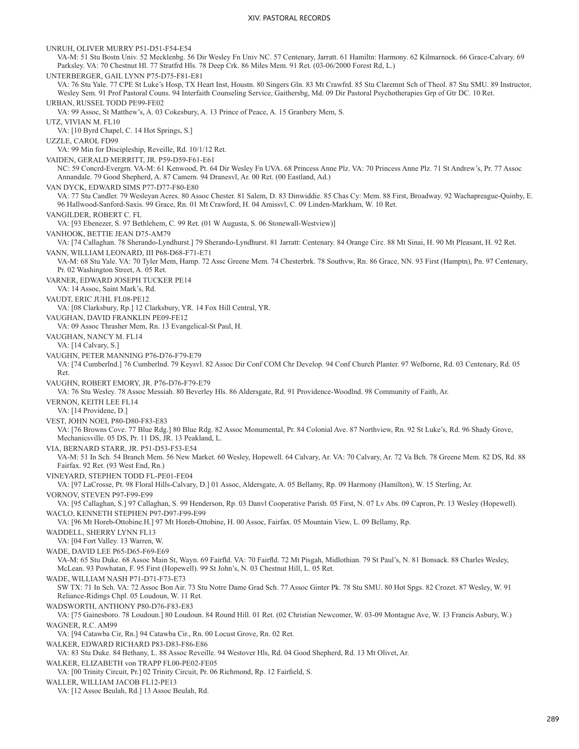UNRUH, OLIVER MURRY P51-D51-F54-E54 VA-M: 51 Stu Bostn Univ. 52 Mecklenbg. 56 Dir Wesley Fn Univ NC. 57 Centenary, Jarratt. 61 Hamiltn: Harmony. 62 Kilmarnock. 66 Grace-Calvary. 69 Parksley. VA: 70 Chestnut Hl. 77 Stratfrd Hls. 78 Deep Crk. 86 Miles Mem. 91 Ret. (03-06/2000 Forest Rd, L.) UNTERBERGER, GAIL LYNN P75-D75-F81-E81 VA: 76 Stu Yale. 77 CPE St Luke's Hosp, TX Heart Inst, Houstn. 80 Singers Gln. 83 Mt Crawfrd. 85 Stu Claremnt Sch of Theol. 87 Stu SMU. 89 Instructor, Wesley Sem. 91 Prof Pastoral Couns. 94 Interfaith Counseling Service, Gaithersbg, Md. 09 Dir Pastoral Psychotherapies Grp of Gtr DC. 10 Ret. URBAN, RUSSEL TODD PE99-FE02 VA: 99 Assoc, St Matthew's, A. 03 Cokesbury, A. 13 Prince of Peace, A. 15 Granbery Mem, S. UTZ, VIVIAN M. FL10 VA: [10 Byrd Chapel, C. 14 Hot Springs, S.] UZZLE, CAROL FD99 VA: 99 Min for Discipleship, Reveille, Rd. 10/1/12 Ret. VAIDEN, GERALD MERRITT, JR. P59-D59-F61-E61 NC: 59 Concrd-Evergrn. VA-M: 61 Kenwood, Pt. 64 Dir Wesley Fn UVA. 68 Princess Anne Plz. VA: 70 Princess Anne Plz. 71 St Andrew's, Pr. 77 Assoc Annandale. 79 Good Shepherd, A. 87 Camern. 94 Dranesvl, Ar. 00 Ret. (00 Eastland, Ad.) VAN DYCK, EDWARD SIMS P77-D77-F80-E80 VA: 77 Stu Candler. 79 Wesleyan Acres. 80 Assoc Chester. 81 Salem, D. 83 Dinwiddie. 85 Chas Cy: Mem. 88 First, Broadway. 92 Wachapreague-Quinby, E. 96 Hallwood-Sanford-Saxis. 99 Grace, Rn. 01 Mt Crawford, H. 04 Amissvl, C. 09 Linden-Markham, W. 10 Ret. VANGILDER, ROBERT C. FL VA: [93 Ebenezer, S. 97 Bethlehem, C. 99 Ret. (01 W Augusta, S. 06 Stonewall-Westview)] VANHOOK, BETTIE JEAN D75-AM79 VA: [74 Callaghan. 78 Sherando-Lyndhurst.] 79 Sherando-Lyndhurst. 81 Jarratt: Centenary. 84 Orange Circ. 88 Mt Sinai, H. 90 Mt Pleasant, H. 92 Ret. VANN, WILLIAM LEONARD, III P68-D68-F71-E71 VA-M: 68 Stu Yale. VA: 70 Tyler Mem, Hamp. 72 Assc Greene Mem. 74 Chesterbrk. 78 Southvw, Rn. 86 Grace, NN. 93 First (Hamptn), Pn. 97 Centenary, Pr. 02 Washington Street, A. 05 Ret. VARNER, EDWARD JOSEPH TUCKER PE14 VA: 14 Assoc, Saint Mark's, Rd. VAUDT, ERIC JUHL FL08-PE12 VA: [08 Clarksbury, Rp.] 12 Clarksbury, YR. 14 Fox Hill Central, YR. VAUGHAN, DAVID FRANKLIN PE09-FE12 VA: 09 Assoc Thrasher Mem, Rn. 13 Evangelical-St Paul, H. VAUGHAN, NANCY M. FL14 VA: [14 Calvary, S.] VAUGHN, PETER MANNING P76-D76-F79-E79 VA: [74 Cumberlnd.] 76 Cumberlnd. 79 Keysvl. 82 Assoc Dir Conf COM Chr Develop. 94 Conf Church Planter. 97 Welborne, Rd. 03 Centenary, Rd. 05 Ret. VAUGHN, ROBERT EMORY, JR. P76-D76-F79-E79 VA: 76 Stu Wesley. 78 Assoc Messiah. 80 Beverley Hls. 86 Aldersgate, Rd. 91 Providence-Woodlnd. 98 Community of Faith, Ar. VERNON, KEITH LEE FL14 VA: [14 Providene, D.] VEST, JOHN NOEL P80-D80-F83-E83 VA: [76 Browns Cove. 77 Blue Rdg.] 80 Blue Rdg. 82 Assoc Monumental, Pr. 84 Colonial Ave. 87 Northview, Rn. 92 St Luke's, Rd. 96 Shady Grove, Mechanicsville. 05 DS, Pr. 11 DS, JR. 13 Peakland, L. VIA, BERNARD STARR, JR. P51-D53-F53-E54 VA-M: 51 In Sch. 54 Branch Mem. 56 New Market. 60 Wesley, Hopewell. 64 Calvary, Ar. VA: 70 Calvary, Ar. 72 Va Bch. 78 Greene Mem. 82 DS, Rd. 88 Fairfax. 92 Ret. (93 West End, Rn.) VINEYARD, STEPHEN TODD FL-PE01-FE04 VA: [97 LaCrosse, Pt. 98 Floral Hills-Calvary, D.] 01 Assoc, Aldersgate, A. 05 Bellamy, Rp. 09 Harmony (Hamilton), W. 15 Sterling, Ar. VORNOV, STEVEN P97-F99-E99 VA: [95 Callaghan, S.] 97 Callaghan, S. 99 Henderson, Rp. 03 Danvl Cooperative Parish. 05 First, N. 07 Lv Abs. 09 Capron, Pr. 13 Wesley (Hopewell). WACLO, KENNETH STEPHEN P97-D97-F99-E99 VA: [96 Mt Horeb-Ottobine.H.] 97 Mt Horeb-Ottobine, H. 00 Assoc, Fairfax. 05 Mountain View, L. 09 Bellamy, Rp. WADDELL, SHERRY LYNN FL13 VA: [04 Fort Valley. 13 Warren, W. WADE, DAVID LEE P65-D65-F69-E69 VA-M: 65 Stu Duke. 68 Assoc Main St, Wayn. 69 Fairfld. VA: 70 Fairfld. 72 Mt Pisgah, Midlothian. 79 St Paul's, N. 81 Bonsack. 88 Charles Wesley, McLean. 93 Powhatan, F. 95 First (Hopewell). 99 St John's, N. 03 Chestnut Hill, L. 05 Ret. WADE, WILLIAM NASH P71-D71-F73-E73 SW TX: 71 In Sch. VA: 72 Assoc Bon Air. 73 Stu Notre Dame Grad Sch. 77 Assoc Ginter Pk. 78 Stu SMU. 80 Hot Spgs. 82 Crozet. 87 Wesley, W. 91 Reliance-Ridings Chpl. 05 Loudoun, W. 11 Ret. WADSWORTH, ANTHONY P80-D76-F83-E83 VA: [75 Gainesboro. 78 Loudoun.] 80 Loudoun. 84 Round Hill. 01 Ret. (02 Christian Newcomer, W. 03-09 Montague Ave, W. 13 Francis Asbury, W.) WAGNER, R.C. AM99 VA: [94 Catawba Cir, Rn.] 94 Catawba Cir., Rn. 00 Locust Grove, Rn. 02 Ret. WALKER, EDWARD RICHARD P83-D83-F86-E86 VA: 83 Stu Duke. 84 Bethany, L. 88 Assoc Reveille. 94 Westover Hls, Rd. 04 Good Shepherd, Rd. 13 Mt Olivet, Ar. WALKER, ELIZABETH von TRAPP FL00-PE02-FE05 VA: [00 Trinity Circuit, Pr.] 02 Trinity Circuit, Pr. 06 Richmond, Rp. 12 Fairfield, S. WALLER, WILLIAM JACOB FL12-PE13 VA: [12 Assoc Beulah, Rd.] 13 Assoc Beulah, Rd.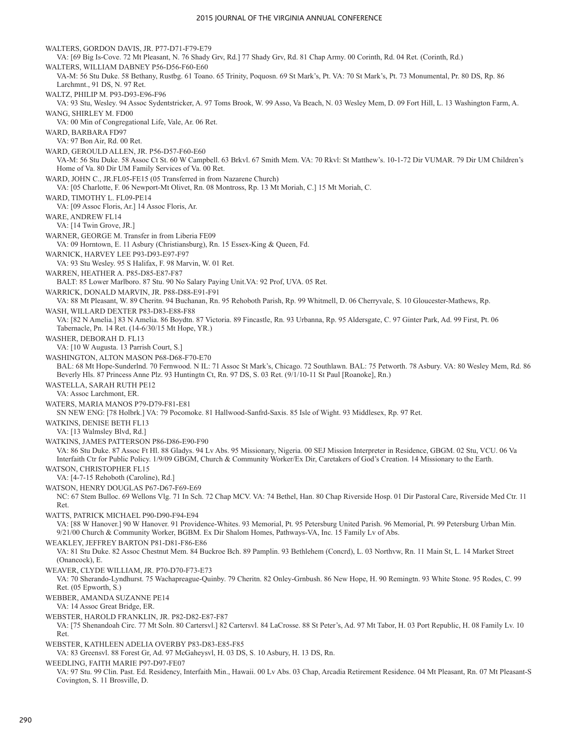WALTERS, GORDON DAVIS, JR. P77-D71-F79-E79 VA: [69 Big Is-Cove. 72 Mt Pleasant, N. 76 Shady Grv, Rd.] 77 Shady Grv, Rd. 81 Chap Army. 00 Corinth, Rd. 04 Ret. (Corinth, Rd.) WALTERS, WILLIAM DABNEY P56-D56-F60-E60 VA-M: 56 Stu Duke. 58 Bethany, Rustbg. 61 Toano. 65 Trinity, Poquosn. 69 St Mark's, Pt. VA: 70 St Mark's, Pt. 73 Monumental, Pr. 80 DS, Rp. 86 Larchmnt., 91 DS, N. 97 Ret. WALTZ, PHILIP M. P93-D93-E96-F96 VA: 93 Stu, Wesley. 94 Assoc Sydentstricker, A. 97 Toms Brook, W. 99 Asso, Va Beach, N. 03 Wesley Mem, D. 09 Fort Hill, L. 13 Washington Farm, A. WANG, SHIRLEY M. FD00 VA: 00 Min of Congregational Life, Vale, Ar. 06 Ret. WARD, BARBARA FD97 VA: 97 Bon Air, Rd. 00 Ret. WARD, GEROULD ALLEN, JR. P56-D57-F60-E60 VA-M: 56 Stu Duke. 58 Assoc Ct St. 60 W Campbell. 63 Brkvl. 67 Smith Mem. VA: 70 Rkvl: St Matthew's. 10-1-72 Dir VUMAR. 79 Dir UM Children's Home of Va. 80 Dir UM Family Services of Va. 00 Ret. WARD, JOHN C., JR.FL05-FE15 (05 Transferred in from Nazarene Church) VA: [05 Charlotte, F. 06 Newport-Mt Olivet, Rn. 08 Montross, Rp. 13 Mt Moriah, C.] 15 Mt Moriah, C. WARD, TIMOTHY L. FL09-PE14 VA: [09 Assoc Floris, Ar.] 14 Assoc Floris, Ar. WARE, ANDREW FL14 VA: [14 Twin Grove, JR.] WARNER, GEORGE M. Transfer in from Liberia FE09 VA: 09 Horntown, E. 11 Asbury (Christiansburg), Rn. 15 Essex-King & Queen, Fd. WARNICK, HARVEY LEE P93-D93-E97-F97 VA: 93 Stu Wesley. 95 S Halifax, F. 98 Marvin, W. 01 Ret. WARREN, HEATHER A. P85-D85-E87-F87 BALT: 85 Lower Marlboro. 87 Stu. 90 No Salary Paying Unit.VA: 92 Prof, UVA. 05 Ret. WARRICK, DONALD MARVIN, JR. P88-D88-E91-F91 VA: 88 Mt Pleasant, W. 89 Cheritn. 94 Buchanan, Rn. 95 Rehoboth Parish, Rp. 99 Whitmell, D. 06 Cherryvale, S. 10 Gloucester-Mathews, Rp. WASH, WILLARD DEXTER P83-D83-E88-F88 VA: [82 N Amelia.] 83 N Amelia. 86 Boydtn. 87 Victoria. 89 Fincastle, Rn. 93 Urbanna, Rp. 95 Aldersgate, C. 97 Ginter Park, Ad. 99 First, Pt. 06 Tabernacle, Pn. 14 Ret. (14-6/30/15 Mt Hope, YR.) WASHER, DEBORAH D. FL13 VA: [10 W Augusta. 13 Parrish Court, S.] WASHINGTON, ALTON MASON P68-D68-F70-E70 BAL: 68 Mt Hope-Sunderlnd. 70 Fernwood. N IL: 71 Assoc St Mark's, Chicago. 72 Southlawn. BAL: 75 Petworth. 78 Asbury. VA: 80 Wesley Mem, Rd. 86 Beverly Hls. 87 Princess Anne Plz. 93 Huntingtn Ct, Rn. 97 DS, S. 03 Ret. (9/1/10-11 St Paul [Roanoke], Rn.) WASTELLA, SARAH RUTH PE12 VA: Assoc Larchmont, ER. WATERS, MARIA MANOS P79-D79-F81-E81 SN NEW ENG: [78 Holbrk.] VA: 79 Pocomoke. 81 Hallwood-Sanfrd-Saxis. 85 Isle of Wight. 93 Middlesex, Rp. 97 Ret. WATKINS, DENISE BETH FL13 VA: [13 Walmsley Blvd, Rd.] WATKINS, JAMES PATTERSON P86-D86-E90-F90 VA: 86 Stu Duke. 87 Assoc Ft Hl. 88 Gladys. 94 Lv Abs. 95 Missionary, Nigeria. 00 SEJ Mission Interpreter in Residence, GBGM. 02 Stu, VCU. 06 Va Interfaith Ctr for Public Policy. 1/9/09 GBGM, Church & Community Worker/Ex Dir, Caretakers of God's Creation. 14 Missionary to the Earth. WATSON, CHRISTOPHER FL15 VA: [4-7-15 Rehoboth (Caroline), Rd.] WATSON, HENRY DOUGLAS P67-D67-F69-E69 NC: 67 Stem Bulloc. 69 Wellons Vlg. 71 In Sch. 72 Chap MCV. VA: 74 Bethel, Han. 80 Chap Riverside Hosp. 01 Dir Pastoral Care, Riverside Med Ctr. 11 Ret. WATTS, PATRICK MICHAEL P90-D90-F94-E94 VA: [88 W Hanover.] 90 W Hanover. 91 Providence-Whites. 93 Memorial, Pt. 95 Petersburg United Parish. 96 Memorial, Pt. 99 Petersburg Urban Min. 9/21/00 Church & Community Worker, BGBM. Ex Dir Shalom Homes, Pathways-VA, Inc. 15 Family Lv of Abs. WEAKLEY, JEFFREY BARTON P81-D81-F86-E86 VA: 81 Stu Duke. 82 Assoc Chestnut Mem. 84 Buckroe Bch. 89 Pamplin. 93 Bethlehem (Concrd), L. 03 Northvw, Rn. 11 Main St, L. 14 Market Street (Onancock), E. WEAVER, CLYDE WILLIAM, JR. P70-D70-F73-E73 VA: 70 Sherando-Lyndhurst. 75 Wachapreague-Quinby. 79 Cheritn. 82 Onley-Grnbush. 86 New Hope, H. 90 Remingtn. 93 White Stone. 95 Rodes, C. 99 Ret. (05 Epworth, S.) WEBBER, AMANDA SUZANNE PE14 VA: 14 Assoc Great Bridge, ER. WEBSTER, HAROLD FRANKLIN, JR. P82-D82-E87-F87 VA: [75 Shenandoah Circ. 77 Mt Soln. 80 Cartersvl.] 82 Cartersvl. 84 LaCrosse. 88 St Peter's, Ad. 97 Mt Tabor, H. 03 Port Republic, H. 08 Family Lv. 10 Ret. WEBSTER, KATHLEEN ADELIA OVERBY P83-D83-E85-F85 VA: 83 Greensvl. 88 Forest Gr, Ad. 97 McGaheysvl, H. 03 DS, S. 10 Asbury, H. 13 DS, Rn. WEEDLING, FAITH MARIE P97-D97-FE07 VA: 97 Stu. 99 Clin. Past. Ed. Residency, Interfaith Min., Hawaii. 00 Lv Abs. 03 Chap, Arcadia Retirement Residence. 04 Mt Pleasant, Rn. 07 Mt Pleasant-S Covington, S. 11 Brosville, D.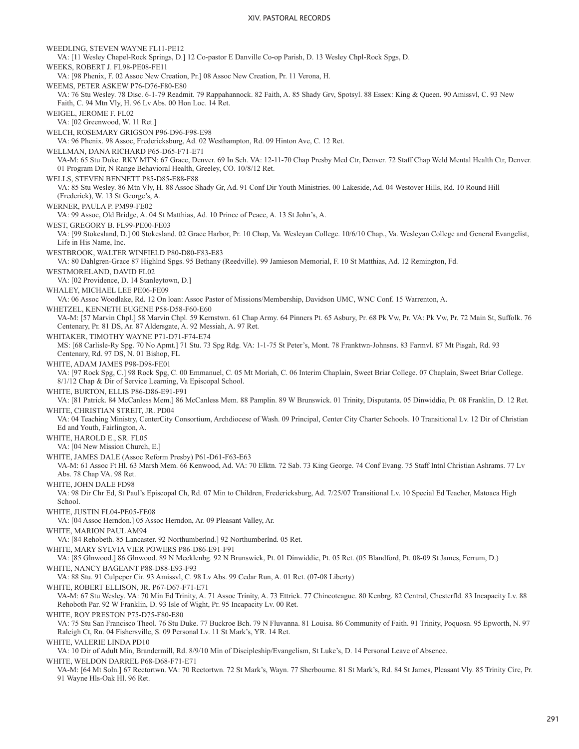WEEDLING, STEVEN WAYNE FL11-PE12 VA: [11 Wesley Chapel-Rock Springs, D.] 12 Co-pastor E Danville Co-op Parish, D. 13 Wesley Chpl-Rock Spgs, D. WEEKS, ROBERT J. FL98-PE08-FE11 VA: [98 Phenix, F. 02 Assoc New Creation, Pr.] 08 Assoc New Creation, Pr. 11 Verona, H. WEEMS, PETER ASKEW P76-D76-F80-E80 VA: 76 Stu Wesley. 78 Disc. 6-1-79 Readmit. 79 Rappahannock. 82 Faith, A. 85 Shady Grv, Spotsyl. 88 Essex: King & Queen. 90 Amissvl, C. 93 New Faith, C. 94 Mtn Vly, H. 96 Lv Abs. 00 Hon Loc. 14 Ret. WEIGEL, JEROME F. FL02 VA: [02 Greenwood, W. 11 Ret.] WELCH, ROSEMARY GRIGSON P96-D96-F98-E98 VA: 96 Phenix. 98 Assoc, Fredericksburg, Ad. 02 Westhampton, Rd. 09 Hinton Ave, C. 12 Ret. WELLMAN, DANA RICHARD P65-D65-F71-E71 VA-M: 65 Stu Duke. RKY MTN: 67 Grace, Denver. 69 In Sch. VA: 12-11-70 Chap Presby Med Ctr, Denver. 72 Staff Chap Weld Mental Health Ctr, Denver. 01 Program Dir, N Range Behavioral Health, Greeley, CO. 10/8/12 Ret. WELLS, STEVEN BENNETT P85-D85-E88-F88 VA: 85 Stu Wesley. 86 Mtn Vly, H. 88 Assoc Shady Gr, Ad. 91 Conf Dir Youth Ministries. 00 Lakeside, Ad. 04 Westover Hills, Rd. 10 Round Hill (Frederick), W. 13 St George's, A. WERNER, PAULA P. PM99-FE02 VA: 99 Assoc, Old Bridge, A. 04 St Matthias, Ad. 10 Prince of Peace, A. 13 St John's, A. WEST, GREGORY B. FL99-PE00-FE03 VA: [99 Stokesland, D.] 00 Stokesland. 02 Grace Harbor, Pr. 10 Chap, Va. Wesleyan College. 10/6/10 Chap., Va. Wesleyan College and General Evangelist, Life in His Name, Inc. WESTBROOK, WALTER WINFIELD P80-D80-F83-E83 VA: 80 Dahlgren-Grace 87 Highlnd Spgs. 95 Bethany (Reedville). 99 Jamieson Memorial, F. 10 St Matthias, Ad. 12 Remington, Fd. WESTMORELAND, DAVID FL02 VA: [02 Providence, D. 14 Stanleytown, D.] WHALEY, MICHAEL LEE PE06-FE09 VA: 06 Assoc Woodlake, Rd. 12 On loan: Assoc Pastor of Missions/Membership, Davidson UMC, WNC Conf. 15 Warrenton, A. WHETZEL, KENNETH EUGENE P58-D58-F60-E60 VA-M: [57 Marvin Chpl.] 58 Marvin Chpl. 59 Kernstwn. 61 Chap Army. 64 Pinners Pt. 65 Asbury, Pr. 68 Pk Vw, Pr. VA: Pk Vw, Pr. 72 Main St, Suffolk. 76 Centenary, Pr. 81 DS, Ar. 87 Aldersgate, A. 92 Messiah, A. 97 Ret. WHITAKER, TIMOTHY WAYNE P71-D71-F74-E74 MS: [68 Carlisle-Ry Spg. 70 No Apmt.] 71 Stu. 73 Spg Rdg. VA: 1-1-75 St Peter's, Mont. 78 Franktwn-Johnsns. 83 Farmvl. 87 Mt Pisgah, Rd. 93 Centenary, Rd. 97 DS, N. 01 Bishop, FL WHITE, ADAM JAMES P98-D98-FE01 VA: [97 Rock Spg, C.] 98 Rock Spg, C. 00 Emmanuel, C. 05 Mt Moriah, C. 06 Interim Chaplain, Sweet Briar College. 07 Chaplain, Sweet Briar College. 8/1/12 Chap & Dir of Service Learning, Va Episcopal School. WHITE, BURTON, ELLIS P86-D86-E91-F91 VA: [81 Patrick. 84 McCanless Mem.] 86 McCanless Mem. 88 Pamplin. 89 W Brunswick. 01 Trinity, Disputanta. 05 Dinwiddie, Pt. 08 Franklin, D. 12 Ret. WHITE, CHRISTIAN STREIT, JR. PD04 VA: 04 Teaching Ministry, CenterCity Consortium, Archdiocese of Wash. 09 Principal, Center City Charter Schools. 10 Transitional Lv. 12 Dir of Christian Ed and Youth, Fairlington, A. WHITE, HAROLD E., SR. FL05 VA: [04 New Mission Church, E.] WHITE, JAMES DALE (Assoc Reform Presby) P61-D61-F63-E63 VA-M: 61 Assoc Ft Hl. 63 Marsh Mem. 66 Kenwood, Ad. VA: 70 Elktn. 72 Sab. 73 King George. 74 Conf Evang. 75 Staff Intnl Christian Ashrams. 77 Lv Abs. 78 Chap VA. 98 Ret. WHITE, JOHN DALE FD98 VA: 98 Dir Chr Ed, St Paul's Episcopal Ch, Rd. 07 Min to Children, Fredericksburg, Ad. 7/25/07 Transitional Lv. 10 Special Ed Teacher, Matoaca High School. WHITE, JUSTIN FL04-PE05-FE08 VA: [04 Assoc Herndon.] 05 Assoc Herndon, Ar. 09 Pleasant Valley, Ar. WHITE, MARION PAUL AM94 VA: [84 Rehobeth. 85 Lancaster. 92 Northumberlnd.] 92 Northumberlnd. 05 Ret. WHITE, MARY SYLVIA VIER POWERS P86-D86-E91-F91 VA: [85 Glnwood.] 86 Glnwood. 89 N Mecklenbg. 92 N Brunswick, Pt. 01 Dinwiddie, Pt. 05 Ret. (05 Blandford, Pt. 08-09 St James, Ferrum, D.) WHITE, NANCY BAGEANT P88-D88-E93-F93 VA: 88 Stu. 91 Culpeper Cir. 93 Amissvl, C. 98 Lv Abs. 99 Cedar Run, A. 01 Ret. (07-08 Liberty) WHITE, ROBERT ELLISON, JR. P67-D67-F71-E71 VA-M: 67 Stu Wesley. VA: 70 Min Ed Trinity, A. 71 Assoc Trinity, A. 73 Ettrick. 77 Chincoteague. 80 Kenbrg. 82 Central, Chesterfld. 83 Incapacity Lv. 88 Rehoboth Par. 92 W Franklin, D. 93 Isle of Wight, Pr. 95 Incapacity Lv. 00 Ret. WHITE, ROY PRESTON P75-D75-F80-E80 VA: 75 Stu San Francisco Theol. 76 Stu Duke. 77 Buckroe Bch. 79 N Fluvanna. 81 Louisa. 86 Community of Faith. 91 Trinity, Poquosn. 95 Epworth, N. 97 Raleigh Ct, Rn. 04 Fishersville, S. 09 Personal Lv. 11 St Mark's, YR. 14 Ret. WHITE, VALERIE LINDA PD10 VA: 10 Dir of Adult Min, Brandermill, Rd. 8/9/10 Min of Discipleship/Evangelism, St Luke's, D. 14 Personal Leave of Absence. WHITE, WELDON DARREL P68-D68-F71-E71 VA-M: [64 Mt Soln.] 67 Rectortwn. VA: 70 Rectortwn. 72 St Mark's, Wayn. 77 Sherbourne. 81 St Mark's, Rd. 84 St James, Pleasant Vly. 85 Trinity Circ, Pr. 91 Wayne Hls-Oak Hl. 96 Ret.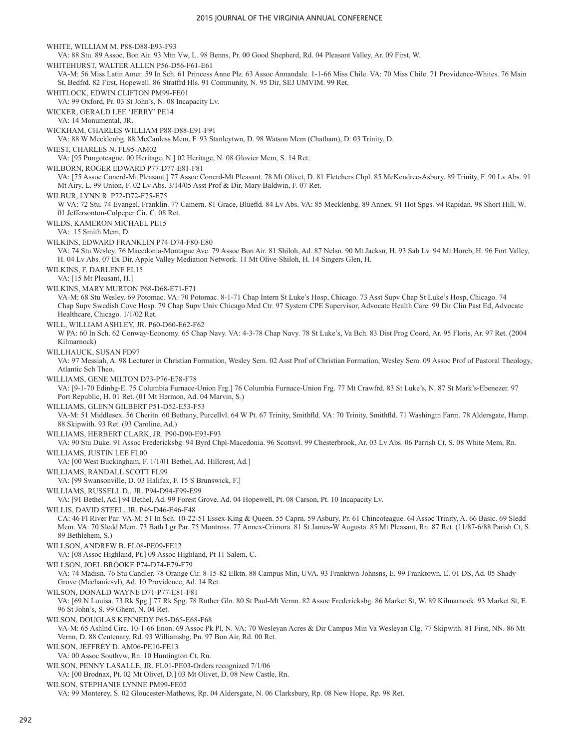WHITE, WILLIAM M. P88-D88-E93-F93 VA: 88 Stu. 89 Assoc, Bon Air. 93 Mtn Vw, L. 98 Benns, Pr. 00 Good Shepherd, Rd. 04 Pleasant Valley, Ar. 09 First, W. WHITEHURST, WALTER ALLEN P56-D56-F61-E61 VA-M: 56 Miss Latin Amer. 59 In Sch. 61 Princess Anne Plz. 63 Assoc Annandale. 1-1-66 Miss Chile. VA: 70 Miss Chile. 71 Providence-Whites. 76 Main St, Bedfrd. 82 First, Hopewell. 86 Stratfrd Hls. 91 Community, N. 95 Dir, SEJ UMVIM. 99 Ret. WHITLOCK, EDWIN CLIFTON PM99-FE01 VA: 99 Oxford, Pr. 03 St John's, N. 08 Incapacity Lv. WICKER, GERALD LEE 'JERRY' PE14 VA: 14 Monumental, JR. WICKHAM, CHARLES WILLIAM P88-D88-E91-F91 VA: 88 W Mecklenbg. 88 McCanless Mem, F. 93 Stanleytwn, D. 98 Watson Mem (Chatham), D. 03 Trinity, D. WIEST, CHARLES N. FL95-AM02 VA: [95 Pungoteague. 00 Heritage, N.] 02 Heritage, N. 08 Glovier Mem, S. 14 Ret. WILBORN, ROGER EDWARD P77-D77-E81-F81 VA: [75 Assoc Concrd-Mt Pleasant.] 77 Assoc Concrd-Mt Pleasant. 78 Mt Olivet, D. 81 Fletchers Chpl. 85 McKendree-Asbury. 89 Trinity, F. 90 Lv Abs. 91 Mt Airy, L. 99 Union, F. 02 Lv Abs. 3/14/05 Asst Prof & Dir, Mary Baldwin, F. 07 Ret. WILBUR, LYNN R. P72-D72-F75-E75 W VA: 72 Stu. 74 Evangel, Franklin. 77 Camern. 81 Grace, Bluefld. 84 Lv Abs. VA: 85 Mecklenbg. 89 Annex. 91 Hot Spgs. 94 Rapidan. 98 Short Hill, W. 01 Jeffersonton-Culpeper Cir, C. 08 Ret. WILDS, KAMERON MICHAEL PE15 VA: 15 Smith Mem, D. WILKINS, EDWARD FRANKLIN P74-D74-F80-E80 VA: 74 Stu Wesley. 76 Macedonia-Montague Ave. 79 Assoc Bon Air. 81 Shiloh, Ad. 87 Nelsn. 90 Mt Jacksn, H. 93 Sab Lv. 94 Mt Horeb, H. 96 Fort Valley, H. 04 Lv Abs. 07 Ex Dir, Apple Valley Mediation Network. 11 Mt Olive-Shiloh, H. 14 Singers Glen, H. WILKINS, F. DARLENE FL15 VA: [15 Mt Pleasant, H.] WILKINS, MARY MURTON P68-D68-E71-F71 VA-M: 68 Stu Wesley. 69 Potomac. VA: 70 Potomac. 8-1-71 Chap Intern St Luke's Hosp, Chicago. 73 Asst Supv Chap St Luke's Hosp, Chicago. 74 Chap Supv Swedish Cove Hosp. 79 Chap Supv Univ Chicago Med Ctr. 97 System CPE Supervisor, Advocate Health Care. 99 Dir Clin Past Ed, Advocate Healthcare, Chicago. 1/1/02 Ret. WILL, WILLIAM ASHLEY, JR. P60-D60-E62-F62 W PA: 60 In Sch. 62 Conway-Economy. 65 Chap Navy. VA: 4-3-78 Chap Navy. 78 St Luke's, Va Bch. 83 Dist Prog Coord, Ar. 95 Floris, Ar. 97 Ret. (2004 Kilmarnock) WILLHAUCK, SUSAN FD97 VA: 97 Messiah, A. 98 Lecturer in Christian Formation, Wesley Sem. 02 Asst Prof of Christian Formation, Wesley Sem. 09 Assoc Prof of Pastoral Theology, Atlantic Sch Theo. WILLIAMS, GENE MILTON D73-P76-E78-F78 VA: [9-1-70 Edinbg-E. 75 Columbia Furnace-Union Frg.] 76 Columbia Furnace-Union Frg. 77 Mt Crawfrd. 83 St Luke's, N. 87 St Mark's-Ebenezer. 97 Port Republic, H. 01 Ret. (01 Mt Hermon, Ad. 04 Marvin, S.) WILLIAMS, GLENN GILBERT P51-D52-E53-F53 VA-M: 51 Middlesex. 56 Cheritn. 60 Bethany, Purcellvl. 64 W Pt. 67 Trinity, Smithfld. VA: 70 Trinity, Smithfld. 71 Washingtn Farm. 78 Aldersgate, Hamp. 88 Skipwith. 93 Ret. (93 Caroline, Ad.) WILLIAMS, HERBERT CLARK, JR. P90-D90-E93-F93 VA: 90 Stu Duke. 91 Assoc Fredericksbg. 94 Byrd Chpl-Macedonia. 96 Scottsvl. 99 Chesterbrook, Ar. 03 Lv Abs. 06 Parrish Ct, S. 08 White Mem, Rn. WILLIAMS, JUSTIN LEE FL00 VA: [00 West Buckingham, F. 1/1/01 Bethel, Ad. Hillcrest, Ad.] WILLIAMS, RANDALL SCOTT FL99 VA: [99 Swansonville, D. 03 Halifax, F. 15 S Brunswick, F.] WILLIAMS, RUSSELL D., JR. P94-D94-F99-E99 VA: [91 Bethel, Ad.] 94 Bethel, Ad. 99 Forest Grove, Ad. 04 Hopewell, Pt. 08 Carson, Pt. 10 Incapacity Lv. WILLIS, DAVID STEEL, JR. P46-D46-E46-F48 CA: 46 Fl River Par. VA-M: 51 In Sch. 10-22-51 Essex-King & Queen. 55 Caprn. 59 Asbury, Pr. 61 Chincoteague. 64 Assoc Trinity, A. 66 Basic. 69 Sledd Mem. VA: 70 Sledd Mem. 73 Bath Lgr Par. 75 Montross. 77 Annex-Crimora. 81 St James-W Augusta. 85 Mt Pleasant, Rn. 87 Ret. (11/87-6/88 Parish Ct, S. 89 Bethlehem, S.) WILLSON, ANDREW B. FL08-PE09-FE12 VA: [08 Assoc Highland, Pt.] 09 Assoc Highland, Pt 11 Salem, C. WILLSON, JOEL BROOKE P74-D74-E79-F79 VA: 74 Madisn. 76 Stu Candler. 78 Orange Cir. 8-15-82 Elktn. 88 Campus Min, UVA. 93 Franktwn-Johnsns, E. 99 Franktown, E. 01 DS, Ad. 05 Shady Grove (Mechanicsvl), Ad. 10 Providence, Ad. 14 Ret. WILSON, DONALD WAYNE D71-P77-E81-F81 VA: [69 N Louisa. 73 Rk Spg.] 77 Rk Spg. 78 Ruther Gln. 80 St Paul-Mt Vernn. 82 Assoc Fredericksbg. 86 Market St, W. 89 Kilmarnock. 93 Market St, E. 96 St John's, S. 99 Ghent, N. 04 Ret. WILSON, DOUGLAS KENNEDY P65-D65-E68-F68 VA-M: 65 Ashlnd Circ. 10-1-66 Enon. 69 Assoc Pk Pl, N. VA: 70 Wesleyan Acres & Dir Campus Min Va Wesleyan Clg. 77 Skipwith. 81 First, NN. 86 Mt Vernn, D. 88 Centenary, Rd. 93 Williamsbg, Pn. 97 Bon Air, Rd. 00 Ret. WILSON, JEFFREY D. AM06-PE10-FE13 VA: 00 Assoc Southvw, Rn. 10 Huntington Ct, Rn. WILSON, PENNY LASALLE, JR. FL01-PE03-Orders recognized 7/1/06 VA: [00 Brodnax, Pt. 02 Mt Olivet, D.] 03 Mt Olivet, D. 08 New Castle, Rn. WILSON, STEPHANIE LYNNE PM99-FE02 VA: 99 Monterey, S. 02 Gloucester-Mathews, Rp. 04 Aldersgate, N. 06 Clarksbury, Rp. 08 New Hope, Rp. 98 Ret.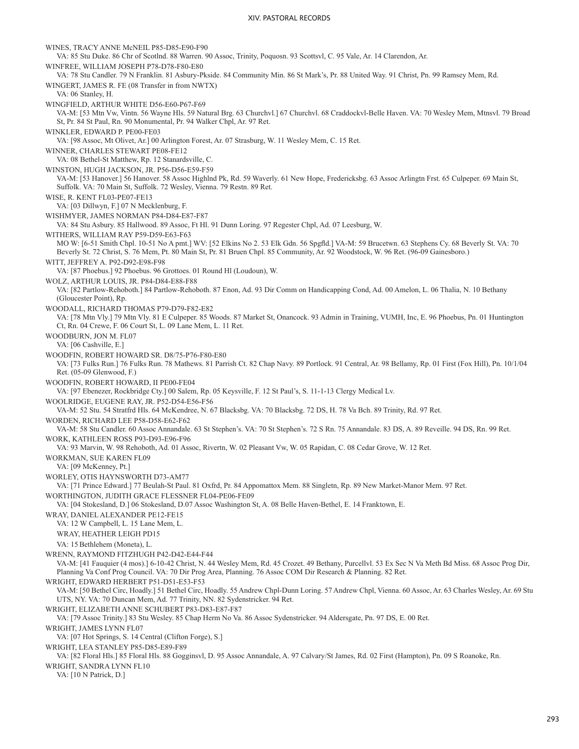WINES, TRACY ANNE McNEIL P85-D85-E90-F90 VA: 85 Stu Duke. 86 Chr of Scotlnd. 88 Warren. 90 Assoc, Trinity, Poquosn. 93 Scottsvl, C. 95 Vale, Ar. 14 Clarendon, Ar. WINFREE, WILLIAM JOSEPH P78-D78-F80-E80 VA: 78 Stu Candler. 79 N Franklin. 81 Asbury-Pkside. 84 Community Min. 86 St Mark's, Pr. 88 United Way. 91 Christ, Pn. 99 Ramsey Mem, Rd. WINGERT, JAMES R. FE (08 Transfer in from NWTX) VA: 06 Stanley, H. WINGFIELD, ARTHUR WHITE D56-E60-P67-F69 VA-M: [53 Mtn Vw, Vintn. 56 Wayne Hls. 59 Natural Brg. 63 Churchvl.] 67 Churchvl. 68 Craddockvl-Belle Haven. VA: 70 Wesley Mem, Mtnsvl. 79 Broad St, Pr. 84 St Paul, Rn. 90 Monumental, Pr. 94 Walker Chpl, Ar. 97 Ret. WINKLER, EDWARD P. PE00-FE03 VA: [98 Assoc, Mt Olivet, Ar.] 00 Arlington Forest, Ar. 07 Strasburg, W. 11 Wesley Mem, C. 15 Ret. WINNER, CHARLES STEWART PE08-FE12 VA: 08 Bethel-St Matthew, Rp. 12 Stanardsville, C. WINSTON, HUGH JACKSON, JR. P56-D56-E59-F59 VA-M: [53 Hanover.] 56 Hanover. 58 Assoc Highlnd Pk, Rd. 59 Waverly. 61 New Hope, Fredericksbg. 63 Assoc Arlingtn Frst. 65 Culpeper. 69 Main St, Suffolk. VA: 70 Main St, Suffolk. 72 Wesley, Vienna. 79 Restn. 89 Ret. WISE, R. KENT FL03-PE07-FE13 VA: [03 Dillwyn, F.] 07 N Mecklenburg, F. WISHMYER, JAMES NORMAN P84-D84-E87-F87 VA: 84 Stu Asbury. 85 Hallwood. 89 Assoc, Ft Hl. 91 Dunn Loring. 97 Regester Chpl, Ad. 07 Leesburg, W. WITHERS, WILLIAM RAY P59-D59-E63-F63 MO W: [6-51 Smith Chpl. 10-51 No A pmt.] WV: [52 Elkins No 2. 53 Elk Gdn. 56 Spgfld.] VA-M: 59 Brucetwn. 63 Stephens Cy. 68 Beverly St. VA: 70 Beverly St. 72 Christ, S. 76 Mem, Pt. 80 Main St, Pr. 81 Bruen Chpl. 85 Community, Ar. 92 Woodstock, W. 96 Ret. (96-09 Gainesboro.) WITT, JEFFREY A. P92-D92-E98-F98 VA: [87 Phoebus.] 92 Phoebus. 96 Grottoes. 01 Round Hl (Loudoun), W. WOLZ, ARTHUR LOUIS, JR. P84-D84-E88-F88 VA: [82 Partlow-Rehoboth.] 84 Partlow-Rehoboth. 87 Enon, Ad. 93 Dir Comm on Handicapping Cond, Ad. 00 Amelon, L. 06 Thalia, N. 10 Bethany (Gloucester Point), Rp. WOODALL, RICHARD THOMAS P79-D79-F82-E82 VA: [78 Mtn Vly.] 79 Mtn Vly. 81 E Culpeper. 85 Woods. 87 Market St, Onancock. 93 Admin in Training, VUMH, Inc, E. 96 Phoebus, Pn. 01 Huntington Ct, Rn. 04 Crewe, F. 06 Court St, L. 09 Lane Mem, L. 11 Ret. WOODBURN, JON M. FL07 VA: [06 Cashville, E.] WOODFIN, ROBERT HOWARD SR. D8/75-P76-F80-E80 VA: [73 Fulks Run.] 76 Fulks Run. 78 Mathews. 81 Parrish Ct. 82 Chap Navy. 89 Portlock. 91 Central, Ar. 98 Bellamy, Rp. 01 First (Fox Hill), Pn. 10/1/04 Ret. (05-09 Glenwood, F.) WOODFIN, ROBERT HOWARD, II PE00-FE04 VA: [97 Ebenezer, Rockbridge Cty.] 00 Salem, Rp. 05 Keysville, F. 12 St Paul's, S. 11-1-13 Clergy Medical Lv. WOOLRIDGE, EUGENE RAY, JR. P52-D54-E56-F56 VA-M: 52 Stu. 54 Stratfrd Hls. 64 McKendree, N. 67 Blacksbg. VA: 70 Blacksbg. 72 DS, H. 78 Va Bch. 89 Trinity, Rd. 97 Ret. WORDEN, RICHARD LEE P58-D58-E62-F62 VA-M: 58 Stu Candler. 60 Assoc Annandale. 63 St Stephen's. VA: 70 St Stephen's. 72 S Rn. 75 Annandale. 83 DS, A. 89 Reveille. 94 DS, Rn. 99 Ret. WORK, KATHLEEN ROSS P93-D93-E96-F96 VA: 93 Marvin, W. 98 Rehoboth, Ad. 01 Assoc, Rivertn, W. 02 Pleasant Vw, W. 05 Rapidan, C. 08 Cedar Grove, W. 12 Ret. WORKMAN, SUE KAREN FL09 VA: [09 McKenney, Pt.] WORLEY, OTIS HAYNSWORTH D73-AM77 VA: [71 Prince Edward.] 77 Beulah-St Paul. 81 Oxfrd, Pr. 84 Appomattox Mem. 88 Singletn, Rp. 89 New Market-Manor Mem. 97 Ret. WORTHINGTON, JUDITH GRACE FLESSNER FL04-PE06-FE09 VA: [04 Stokesland, D.] 06 Stokesland, D.07 Assoc Washington St, A. 08 Belle Haven-Bethel, E. 14 Franktown, E. WRAY, DANIEL ALEXANDER PE12-FE15 VA: 12 W Campbell, L. 15 Lane Mem, L. WRAY, HEATHER LEIGH PD15 VA: 15 Bethlehem (Moneta), L. WRENN, RAYMOND FITZHUGH P42-D42-E44-F44 VA-M: [41 Fauquier (4 mos).] 6-10-42 Christ, N. 44 Wesley Mem, Rd. 45 Crozet. 49 Bethany, Purcellvl. 53 Ex Sec N Va Meth Bd Miss. 68 Assoc Prog Dir, Planning Va Conf Prog Council. VA: 70 Dir Prog Area, Planning. 76 Assoc COM Dir Research & Planning. 82 Ret. WRIGHT, EDWARD HERBERT P51-D51-E53-F53 VA-M: [50 Bethel Circ, Hoadly.] 51 Bethel Circ, Hoadly. 55 Andrew Chpl-Dunn Loring. 57 Andrew Chpl, Vienna. 60 Assoc, Ar. 63 Charles Wesley, Ar. 69 Stu UTS, NY. VA: 70 Duncan Mem, Ad. 77 Trinity, NN. 82 Sydenstricker. 94 Ret. WRIGHT, ELIZABETH ANNE SCHUBERT P83-D83-E87-F87 VA: [79 Assoc Trinity.] 83 Stu Wesley. 85 Chap Herm No Va. 86 Assoc Sydenstricker. 94 Aldersgate, Pn. 97 DS, E. 00 Ret. WRIGHT, JAMES LYNN FL07 VA: [07 Hot Springs, S. 14 Central (Clifton Forge), S.] WRIGHT, LEA STANLEY P85-D85-E89-F89 VA: [82 Floral Hls.] 85 Floral Hls. 88 Gogginsvl, D. 95 Assoc Annandale, A. 97 Calvary/St James, Rd. 02 First (Hampton), Pn. 09 S Roanoke, Rn. WRIGHT, SANDRA LYNN FL10 VA: [10 N Patrick, D.]